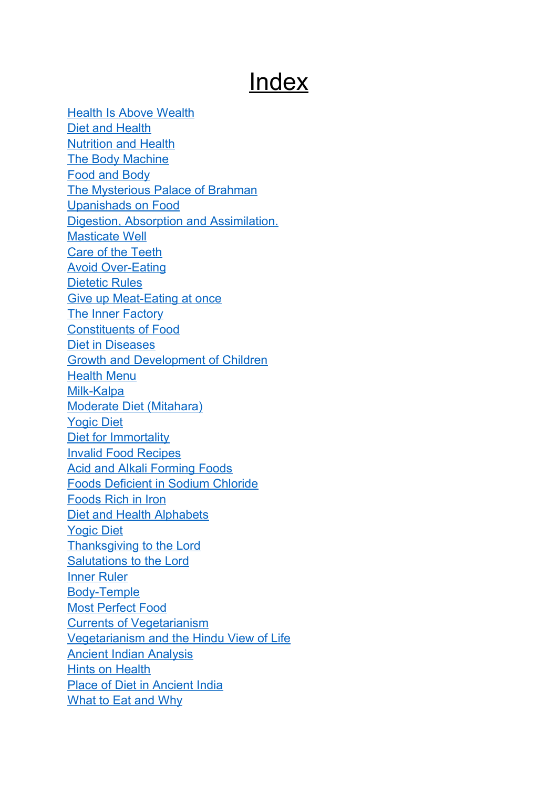# Index

[Health Is Above Wealth](#page-4-0) [Diet and Health](#page-5-0) [Nutrition and Health](#page-7-0) [The Body Machine](#page-9-0) [Food and Body](#page-10-0) [The Mysterious Palace of Brahman](#page-11-0) [Upanishads on Food](#page-13-0) [Digestion, Absorption and Assimilation.](#page-15-0) [Masticate Well](#page-17-0) [Care of the Teeth](#page-18-0) [Avoid Over-Eating](#page-20-0) [Dietetic Rules](#page-21-0) [Give up Meat-Eating at once](#page-22-0) [The Inner Factory](#page-25-0) [Constituents of Food](#page-27-0) [Diet in Diseases](#page-63-0) [Growth and Development of Children](#page-76-0) [Health Menu](#page-79-0) [Milk-Kalpa](#page-84-0) [Moderate Diet \(Mitahara\)](#page-85-0) [Yogic Diet](#page-86-0) [Diet for Immortality](#page-87-0) [Invalid Food Recipes](#page-89-0) [Acid and Alkali Forming Foods](#page-91-0) [Foods Deficient in Sodium Chloride](#page-92-0) [Foods Rich in Iron](#page-93-1) [Diet and Health Alphabets](#page-93-0) [Yogic Diet](#page-96-0) [Thanksgiving to the Lord](#page-99-0) [Salutations to the Lord](#page-101-1) [Inner Ruler](#page-101-0) [Body-Temple](#page-102-0) [Most Perfect Food](#page-103-0) [Currents of Vegetarianism](#page-104-0) [Vegetarianism and the Hindu View of Life](#page-106-0) [Ancient Indian Analysis](#page-107-0) [Hints on Health](#page-111-0) [Place of Diet in Ancient India](#page-124-1) [What to Eat and Why](#page-124-0)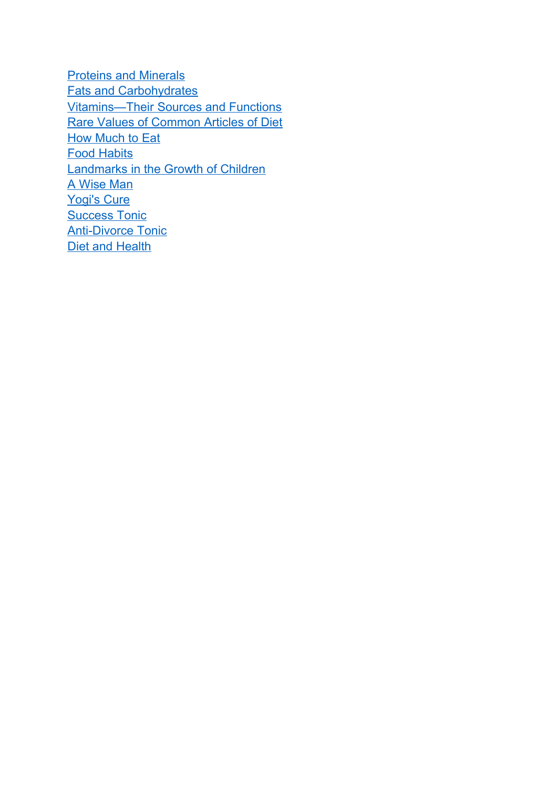[Proteins and Minerals](#page-124-2) [Fats and Carbohydrates](#page-125-0) [Vitamins—Their Sources and Functions](#page-126-0) [Rare Values of Common Articles of Diet](#page-128-0) [How Much to Eat](#page-129-0) [Food Habits](#page-131-0) [Landmarks in the Growth of Children](#page-133-0) [A Wise Man](#page-135-2) [Yogi's Cure](#page-135-1) [Success Tonic](#page-135-0) [Anti-Divorce Tonic](#page-136-1) [Diet and Health](#page-136-0)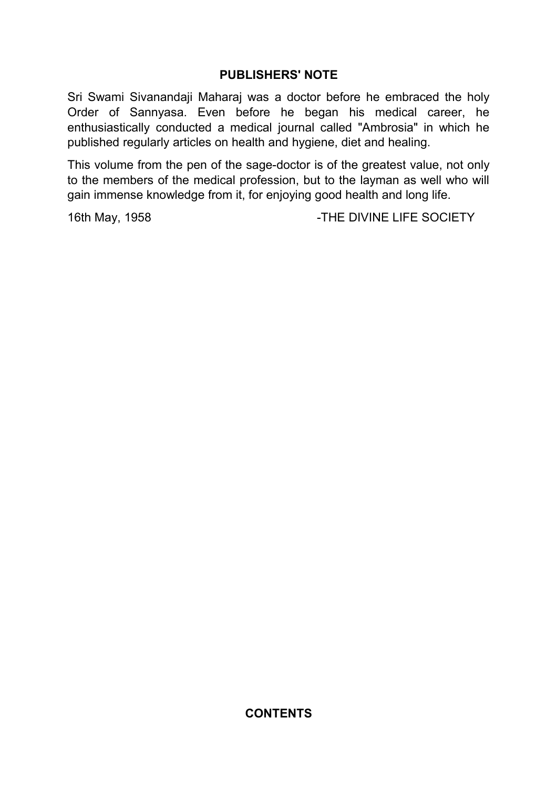## **PUBLISHERS' NOTE**

Sri Swami Sivanandaji Maharaj was a doctor before he embraced the holy Order of Sannyasa. Even before he began his medical career, he enthusiastically conducted a medical journal called "Ambrosia" in which he published regularly articles on health and hygiene, diet and healing.

This volume from the pen of the sage-doctor is of the greatest value, not only to the members of the medical profession, but to the layman as well who will gain immense knowledge from it, for enjoying good health and long life.

16th May, 1958 **16th May, 1958** - THE DIVINE LIFE SOCIETY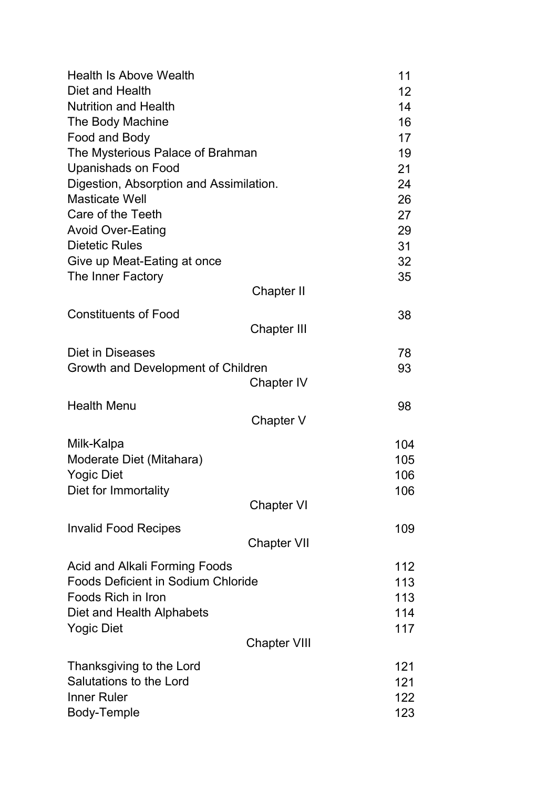| <b>Health Is Above Wealth</b><br>Diet and Health<br><b>Nutrition and Health</b> |                     | 11<br>12<br>14 |
|---------------------------------------------------------------------------------|---------------------|----------------|
| The Body Machine                                                                |                     | 16             |
| Food and Body                                                                   |                     | 17             |
| The Mysterious Palace of Brahman                                                |                     | 19             |
| Upanishads on Food                                                              |                     | 21             |
| Digestion, Absorption and Assimilation.                                         |                     | 24             |
| <b>Masticate Well</b>                                                           |                     | 26             |
| Care of the Teeth                                                               |                     | 27             |
| <b>Avoid Over-Eating</b>                                                        |                     | 29             |
| <b>Dietetic Rules</b>                                                           |                     | 31             |
| Give up Meat-Eating at once                                                     |                     | 32             |
| The Inner Factory                                                               |                     | 35             |
|                                                                                 | <b>Chapter II</b>   |                |
| <b>Constituents of Food</b>                                                     |                     | 38             |
|                                                                                 | <b>Chapter III</b>  |                |
| Diet in Diseases                                                                |                     | 78             |
| Growth and Development of Children                                              |                     | 93             |
|                                                                                 | <b>Chapter IV</b>   |                |
| <b>Health Menu</b>                                                              |                     | 98             |
|                                                                                 | Chapter V           |                |
| Milk-Kalpa                                                                      |                     | 104            |
| Moderate Diet (Mitahara)                                                        |                     | 105            |
| <b>Yogic Diet</b>                                                               |                     | 106            |
| Diet for Immortality                                                            |                     | 106            |
|                                                                                 | <b>Chapter VI</b>   |                |
| <b>Invalid Food Recipes</b>                                                     |                     | 109            |
|                                                                                 | <b>Chapter VII</b>  |                |
| <b>Acid and Alkali Forming Foods</b>                                            |                     | 112            |
| Foods Deficient in Sodium Chloride                                              |                     | 113            |
| Foods Rich in Iron                                                              |                     | 113            |
| Diet and Health Alphabets                                                       |                     | 114            |
| <b>Yogic Diet</b>                                                               |                     | 117            |
|                                                                                 | <b>Chapter VIII</b> |                |
| Thanksgiving to the Lord                                                        |                     | 121            |
| Salutations to the Lord                                                         |                     | 121            |
| <b>Inner Ruler</b>                                                              |                     | 122            |
| Body-Temple                                                                     |                     | 123            |
|                                                                                 |                     |                |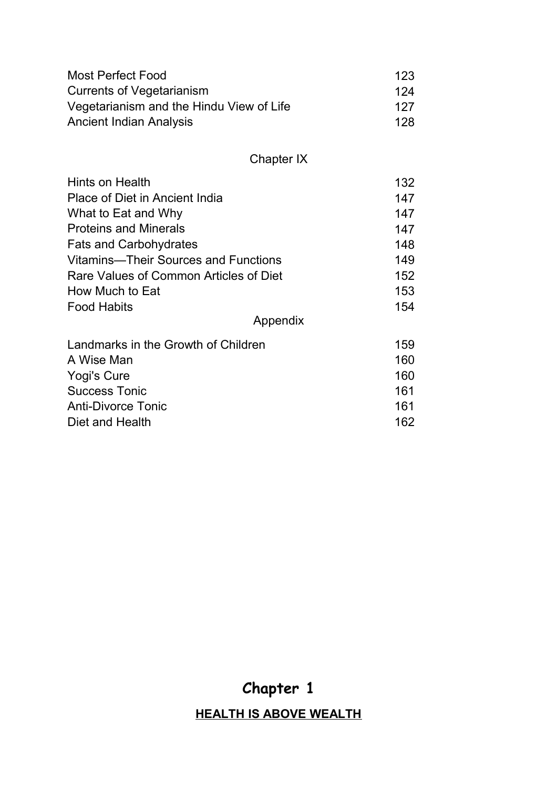| Most Perfect Food                        | 123 |
|------------------------------------------|-----|
| <b>Currents of Vegetarianism</b>         | 124 |
| Vegetarianism and the Hindu View of Life | 127 |
| <b>Ancient Indian Analysis</b>           | 128 |

## Chapter IX

| Hints on Health                             | 132 |
|---------------------------------------------|-----|
| Place of Diet in Ancient India              | 147 |
| What to Eat and Why                         | 147 |
| <b>Proteins and Minerals</b>                | 147 |
| <b>Fats and Carbohydrates</b>               | 148 |
| <b>Vitamins-Their Sources and Functions</b> | 149 |
| Rare Values of Common Articles of Diet      | 152 |
| How Much to Eat                             | 153 |
| <b>Food Habits</b>                          | 154 |
| Appendix                                    |     |
| Landmarks in the Growth of Children         | 159 |
| A Wise Man                                  | 160 |
| Yogi's Cure                                 | 160 |
| <b>Success Tonic</b>                        | 161 |
| Anti-Divorce Tonic                          | 161 |
| Diet and Health                             | 162 |
|                                             |     |

## <span id="page-4-0"></span>**Chapter 1 HEALTH IS ABOVE WEALTH**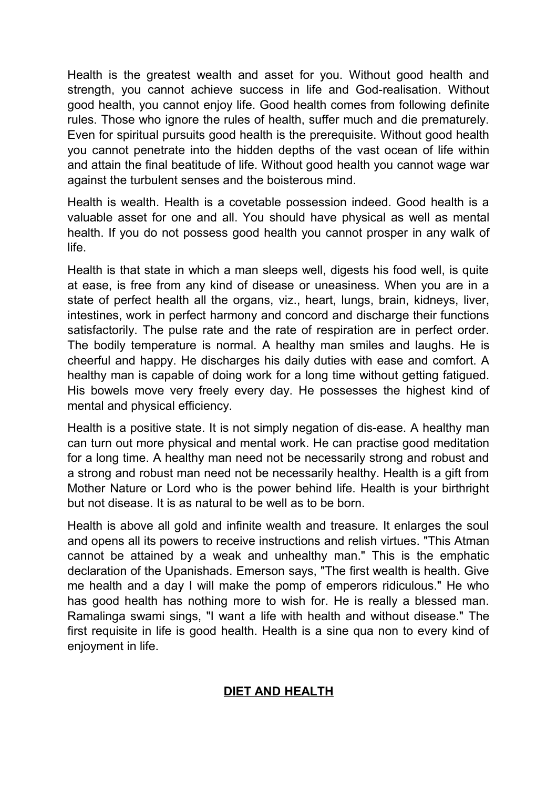Health is the greatest wealth and asset for you. Without good health and strength, you cannot achieve success in life and God-realisation. Without good health, you cannot enjoy life. Good health comes from following definite rules. Those who ignore the rules of health, suffer much and die prematurely. Even for spiritual pursuits good health is the prerequisite. Without good health you cannot penetrate into the hidden depths of the vast ocean of life within and attain the final beatitude of life. Without good health you cannot wage war against the turbulent senses and the boisterous mind.

Health is wealth. Health is a covetable possession indeed. Good health is a valuable asset for one and all. You should have physical as well as mental health. If you do not possess good health you cannot prosper in any walk of life.

Health is that state in which a man sleeps well, digests his food well, is quite at ease, is free from any kind of disease or uneasiness. When you are in a state of perfect health all the organs, viz., heart, lungs, brain, kidneys, liver, intestines, work in perfect harmony and concord and discharge their functions satisfactorily. The pulse rate and the rate of respiration are in perfect order. The bodily temperature is normal. A healthy man smiles and laughs. He is cheerful and happy. He discharges his daily duties with ease and comfort. A healthy man is capable of doing work for a long time without getting fatigued. His bowels move very freely every day. He possesses the highest kind of mental and physical efficiency.

Health is a positive state. It is not simply negation of dis-ease. A healthy man can turn out more physical and mental work. He can practise good meditation for a long time. A healthy man need not be necessarily strong and robust and a strong and robust man need not be necessarily healthy. Health is a gift from Mother Nature or Lord who is the power behind life. Health is your birthright but not disease. It is as natural to be well as to be born.

Health is above all gold and infinite wealth and treasure. It enlarges the soul and opens all its powers to receive instructions and relish virtues. "This Atman cannot be attained by a weak and unhealthy man." This is the emphatic declaration of the Upanishads. Emerson says, "The first wealth is health. Give me health and a day I will make the pomp of emperors ridiculous." He who has good health has nothing more to wish for. He is really a blessed man. Ramalinga swami sings, "I want a life with health and without disease." The first requisite in life is good health. Health is a sine qua non to every kind of enjoyment in life.

## <span id="page-5-0"></span>**DIET AND HEALTH**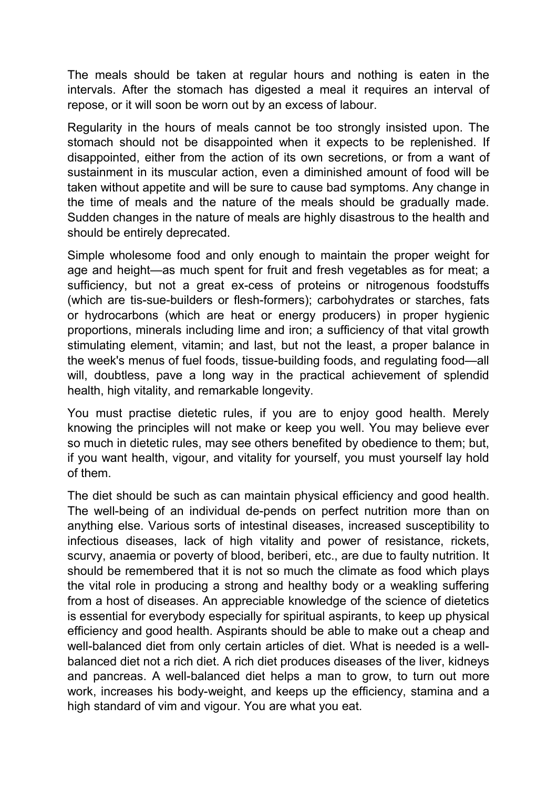The meals should be taken at regular hours and nothing is eaten in the intervals. After the stomach has digested a meal it requires an interval of repose, or it will soon be worn out by an excess of labour.

Regularity in the hours of meals cannot be too strongly insisted upon. The stomach should not be disappointed when it expects to be replenished. If disappointed, either from the action of its own secretions, or from a want of sustainment in its muscular action, even a diminished amount of food will be taken without appetite and will be sure to cause bad symptoms. Any change in the time of meals and the nature of the meals should be gradually made. Sudden changes in the nature of meals are highly disastrous to the health and should be entirely deprecated.

Simple wholesome food and only enough to maintain the proper weight for age and height—as much spent for fruit and fresh vegetables as for meat; a sufficiency, but not a great ex-cess of proteins or nitrogenous foodstuffs (which are tis-sue-builders or flesh-formers); carbohydrates or starches, fats or hydrocarbons (which are heat or energy producers) in proper hygienic proportions, minerals including lime and iron; a sufficiency of that vital growth stimulating element, vitamin; and last, but not the least, a proper balance in the week's menus of fuel foods, tissue-building foods, and regulating food—all will, doubtless, pave a long way in the practical achievement of splendid health, high vitality, and remarkable longevity.

You must practise dietetic rules, if you are to enjoy good health. Merely knowing the principles will not make or keep you well. You may believe ever so much in dietetic rules, may see others benefited by obedience to them; but, if you want health, vigour, and vitality for yourself, you must yourself lay hold of them.

The diet should be such as can maintain physical efficiency and good health. The well-being of an individual de-pends on perfect nutrition more than on anything else. Various sorts of intestinal diseases, increased susceptibility to infectious diseases, lack of high vitality and power of resistance, rickets, scurvy, anaemia or poverty of blood, beriberi, etc., are due to faulty nutrition. It should be remembered that it is not so much the climate as food which plays the vital role in producing a strong and healthy body or a weakling suffering from a host of diseases. An appreciable knowledge of the science of dietetics is essential for everybody especially for spiritual aspirants, to keep up physical efficiency and good health. Aspirants should be able to make out a cheap and well-balanced diet from only certain articles of diet. What is needed is a wellbalanced diet not a rich diet. A rich diet produces diseases of the liver, kidneys and pancreas. A well-balanced diet helps a man to grow, to turn out more work, increases his body-weight, and keeps up the efficiency, stamina and a high standard of vim and vigour. You are what you eat.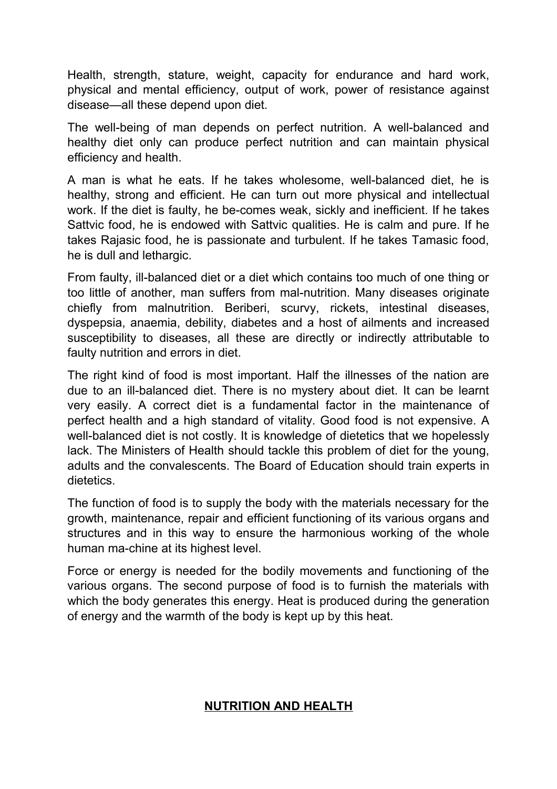Health, strength, stature, weight, capacity for endurance and hard work, physical and mental efficiency, output of work, power of resistance against disease—all these depend upon diet.

The well-being of man depends on perfect nutrition. A well-balanced and healthy diet only can produce perfect nutrition and can maintain physical efficiency and health.

A man is what he eats. If he takes wholesome, well-balanced diet, he is healthy, strong and efficient. He can turn out more physical and intellectual work. If the diet is faulty, he be-comes weak, sickly and inefficient. If he takes Sattvic food, he is endowed with Sattvic qualities. He is calm and pure. If he takes Rajasic food, he is passionate and turbulent. If he takes Tamasic food, he is dull and lethargic.

From faulty, ill-balanced diet or a diet which contains too much of one thing or too little of another, man suffers from mal-nutrition. Many diseases originate chiefly from malnutrition. Beriberi, scurvy, rickets, intestinal diseases, dyspepsia, anaemia, debility, diabetes and a host of ailments and increased susceptibility to diseases, all these are directly or indirectly attributable to faulty nutrition and errors in diet.

The right kind of food is most important. Half the illnesses of the nation are due to an ill-balanced diet. There is no mystery about diet. It can be learnt very easily. A correct diet is a fundamental factor in the maintenance of perfect health and a high standard of vitality. Good food is not expensive. A well-balanced diet is not costly. It is knowledge of dietetics that we hopelessly lack. The Ministers of Health should tackle this problem of diet for the young, adults and the convalescents. The Board of Education should train experts in dietetics.

The function of food is to supply the body with the materials necessary for the growth, maintenance, repair and efficient functioning of its various organs and structures and in this way to ensure the harmonious working of the whole human ma-chine at its highest level.

Force or energy is needed for the bodily movements and functioning of the various organs. The second purpose of food is to furnish the materials with which the body generates this energy. Heat is produced during the generation of energy and the warmth of the body is kept up by this heat.

## <span id="page-7-0"></span>**NUTRITION AND HEALTH**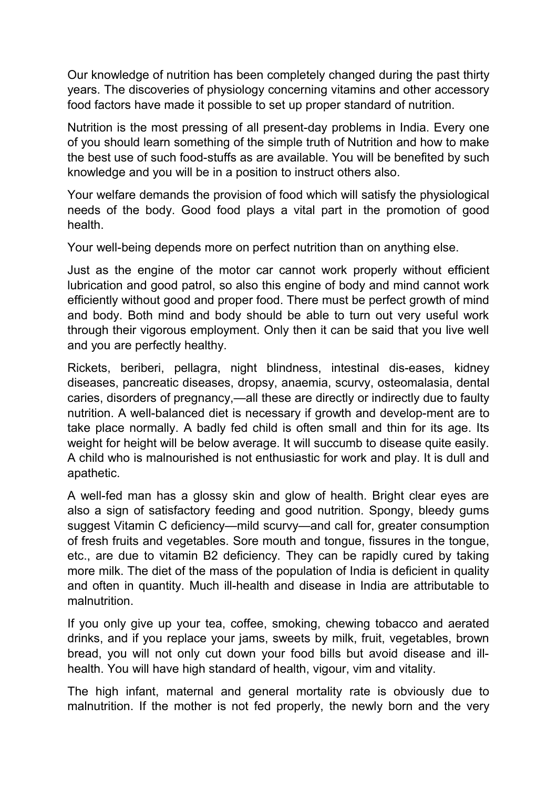Our knowledge of nutrition has been completely changed during the past thirty years. The discoveries of physiology concerning vitamins and other accessory food factors have made it possible to set up proper standard of nutrition.

Nutrition is the most pressing of all present-day problems in India. Every one of you should learn something of the simple truth of Nutrition and how to make the best use of such food-stuffs as are available. You will be benefited by such knowledge and you will be in a position to instruct others also.

Your welfare demands the provision of food which will satisfy the physiological needs of the body. Good food plays a vital part in the promotion of good health.

Your well-being depends more on perfect nutrition than on anything else.

Just as the engine of the motor car cannot work properly without efficient lubrication and good patrol, so also this engine of body and mind cannot work efficiently without good and proper food. There must be perfect growth of mind and body. Both mind and body should be able to turn out very useful work through their vigorous employment. Only then it can be said that you live well and you are perfectly healthy.

Rickets, beriberi, pellagra, night blindness, intestinal dis-eases, kidney diseases, pancreatic diseases, dropsy, anaemia, scurvy, osteomalasia, dental caries, disorders of pregnancy,—all these are directly or indirectly due to faulty nutrition. A well-balanced diet is necessary if growth and develop-ment are to take place normally. A badly fed child is often small and thin for its age. Its weight for height will be below average. It will succumb to disease quite easily. A child who is malnourished is not enthusiastic for work and play. It is dull and apathetic.

A well-fed man has a glossy skin and glow of health. Bright clear eyes are also a sign of satisfactory feeding and good nutrition. Spongy, bleedy gums suggest Vitamin C deficiency—mild scurvy—and call for, greater consumption of fresh fruits and vegetables. Sore mouth and tongue, fissures in the tongue, etc., are due to vitamin B2 deficiency. They can be rapidly cured by taking more milk. The diet of the mass of the population of India is deficient in quality and often in quantity. Much ill-health and disease in India are attributable to malnutrition.

If you only give up your tea, coffee, smoking, chewing tobacco and aerated drinks, and if you replace your jams, sweets by milk, fruit, vegetables, brown bread, you will not only cut down your food bills but avoid disease and illhealth. You will have high standard of health, vigour, vim and vitality.

The high infant, maternal and general mortality rate is obviously due to malnutrition. If the mother is not fed properly, the newly born and the very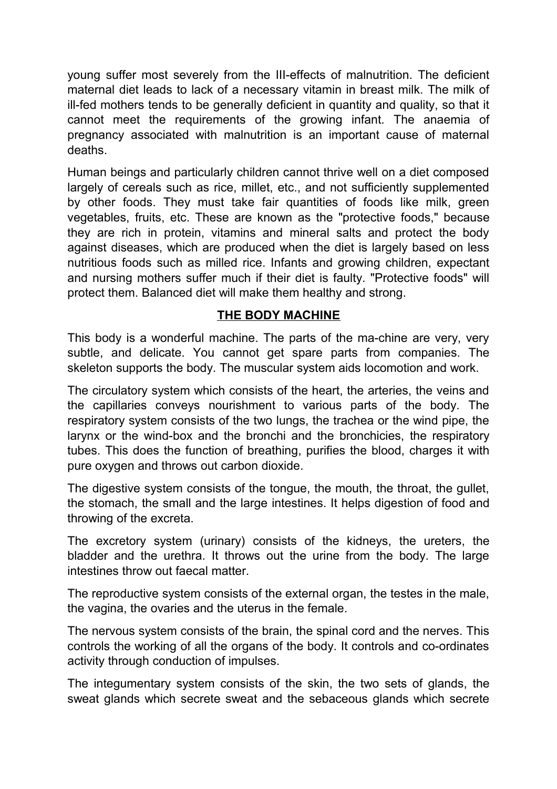young suffer most severely from the III-effects of malnutrition. The deficient maternal diet leads to lack of a necessary vitamin in breast milk. The milk of ill-fed mothers tends to be generally deficient in quantity and quality, so that it cannot meet the requirements of the growing infant. The anaemia of pregnancy associated with malnutrition is an important cause of maternal deaths.

Human beings and particularly children cannot thrive well on a diet composed largely of cereals such as rice, millet, etc., and not sufficiently supplemented by other foods. They must take fair quantities of foods like milk, green vegetables, fruits, etc. These are known as the "protective foods," because they are rich in protein, vitamins and mineral salts and protect the body against diseases, which are produced when the diet is largely based on less nutritious foods such as milled rice. Infants and growing children, expectant and nursing mothers suffer much if their diet is faulty. "Protective foods" will protect them. Balanced diet will make them healthy and strong.

#### <span id="page-9-0"></span>**THE BODY MACHINE**

This body is a wonderful machine. The parts of the ma-chine are very, very subtle, and delicate. You cannot get spare parts from companies. The skeleton supports the body. The muscular system aids locomotion and work.

The circulatory system which consists of the heart, the arteries, the veins and the capillaries conveys nourishment to various parts of the body. The respiratory system consists of the two lungs, the trachea or the wind pipe, the larynx or the wind-box and the bronchi and the bronchicies, the respiratory tubes. This does the function of breathing, purifies the blood, charges it with pure oxygen and throws out carbon dioxide.

The digestive system consists of the tongue, the mouth, the throat, the gullet, the stomach, the small and the large intestines. It helps digestion of food and throwing of the excreta.

The excretory system (urinary) consists of the kidneys, the ureters, the bladder and the urethra. It throws out the urine from the body. The large intestines throw out faecal matter.

The reproductive system consists of the external organ, the testes in the male, the vagina, the ovaries and the uterus in the female.

The nervous system consists of the brain, the spinal cord and the nerves. This controls the working of all the organs of the body. It controls and co-ordinates activity through conduction of impulses.

The integumentary system consists of the skin, the two sets of glands, the sweat glands which secrete sweat and the sebaceous glands which secrete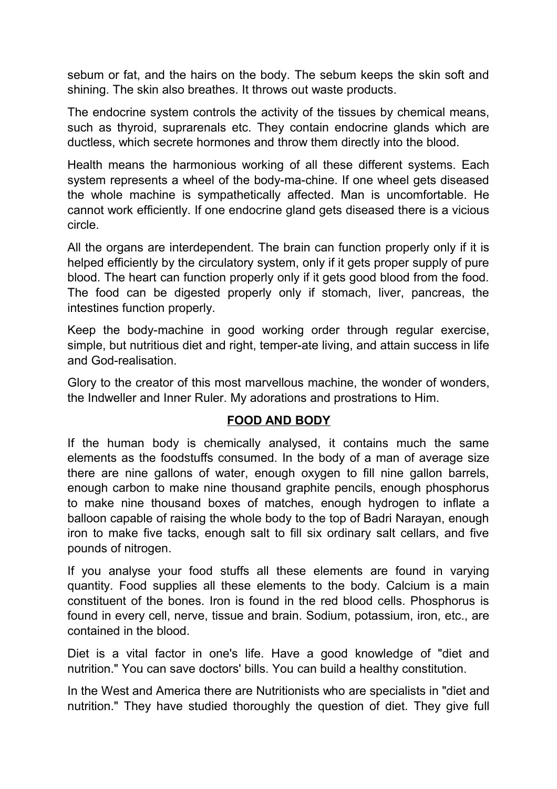sebum or fat, and the hairs on the body. The sebum keeps the skin soft and shining. The skin also breathes. It throws out waste products.

The endocrine system controls the activity of the tissues by chemical means, such as thyroid, suprarenals etc. They contain endocrine glands which are ductless, which secrete hormones and throw them directly into the blood.

Health means the harmonious working of all these different systems. Each system represents a wheel of the body-ma-chine. If one wheel gets diseased the whole machine is sympathetically affected. Man is uncomfortable. He cannot work efficiently. If one endocrine gland gets diseased there is a vicious circle.

All the organs are interdependent. The brain can function properly only if it is helped efficiently by the circulatory system, only if it gets proper supply of pure blood. The heart can function properly only if it gets good blood from the food. The food can be digested properly only if stomach, liver, pancreas, the intestines function properly.

Keep the body-machine in good working order through regular exercise, simple, but nutritious diet and right, temper-ate living, and attain success in life and God-realisation.

Glory to the creator of this most marvellous machine, the wonder of wonders, the Indweller and Inner Ruler. My adorations and prostrations to Him.

#### <span id="page-10-0"></span>**FOOD AND BODY**

If the human body is chemically analysed, it contains much the same elements as the foodstuffs consumed. In the body of a man of average size there are nine gallons of water, enough oxygen to fill nine gallon barrels, enough carbon to make nine thousand graphite pencils, enough phosphorus to make nine thousand boxes of matches, enough hydrogen to inflate a balloon capable of raising the whole body to the top of Badri Narayan, enough iron to make five tacks, enough salt to fill six ordinary salt cellars, and five pounds of nitrogen.

If you analyse your food stuffs all these elements are found in varying quantity. Food supplies all these elements to the body. Calcium is a main constituent of the bones. Iron is found in the red blood cells. Phosphorus is found in every cell, nerve, tissue and brain. Sodium, potassium, iron, etc., are contained in the blood.

Diet is a vital factor in one's life. Have a good knowledge of "diet and nutrition." You can save doctors' bills. You can build a healthy constitution.

In the West and America there are Nutritionists who are specialists in "diet and nutrition." They have studied thoroughly the question of diet. They give full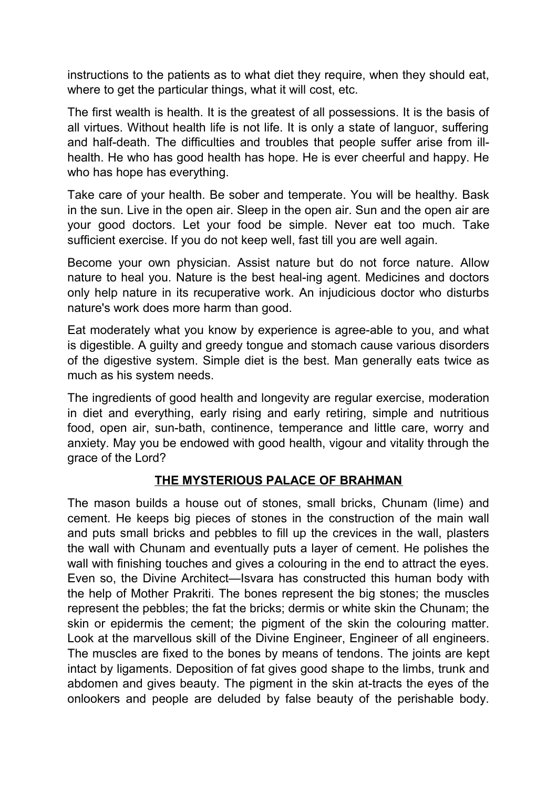instructions to the patients as to what diet they require, when they should eat, where to get the particular things, what it will cost, etc.

The first wealth is health. It is the greatest of all possessions. It is the basis of all virtues. Without health life is not life. It is only a state of languor, suffering and half-death. The difficulties and troubles that people suffer arise from illhealth. He who has good health has hope. He is ever cheerful and happy. He who has hope has everything.

Take care of your health. Be sober and temperate. You will be healthy. Bask in the sun. Live in the open air. Sleep in the open air. Sun and the open air are your good doctors. Let your food be simple. Never eat too much. Take sufficient exercise. If you do not keep well, fast till you are well again.

Become your own physician. Assist nature but do not force nature. Allow nature to heal you. Nature is the best heal-ing agent. Medicines and doctors only help nature in its recuperative work. An injudicious doctor who disturbs nature's work does more harm than good.

Eat moderately what you know by experience is agree-able to you, and what is digestible. A guilty and greedy tongue and stomach cause various disorders of the digestive system. Simple diet is the best. Man generally eats twice as much as his system needs.

The ingredients of good health and longevity are regular exercise, moderation in diet and everything, early rising and early retiring, simple and nutritious food, open air, sun-bath, continence, temperance and little care, worry and anxiety. May you be endowed with good health, vigour and vitality through the grace of the Lord?

## <span id="page-11-0"></span>**THE MYSTERIOUS PALACE OF BRAHMAN**

The mason builds a house out of stones, small bricks, Chunam (lime) and cement. He keeps big pieces of stones in the construction of the main wall and puts small bricks and pebbles to fill up the crevices in the wall, plasters the wall with Chunam and eventually puts a layer of cement. He polishes the wall with finishing touches and gives a colouring in the end to attract the eyes. Even so, the Divine Architect—Isvara has constructed this human body with the help of Mother Prakriti. The bones represent the big stones; the muscles represent the pebbles; the fat the bricks; dermis or white skin the Chunam; the skin or epidermis the cement; the pigment of the skin the colouring matter. Look at the marvellous skill of the Divine Engineer, Engineer of all engineers. The muscles are fixed to the bones by means of tendons. The joints are kept intact by ligaments. Deposition of fat gives good shape to the limbs, trunk and abdomen and gives beauty. The pigment in the skin at-tracts the eyes of the onlookers and people are deluded by false beauty of the perishable body.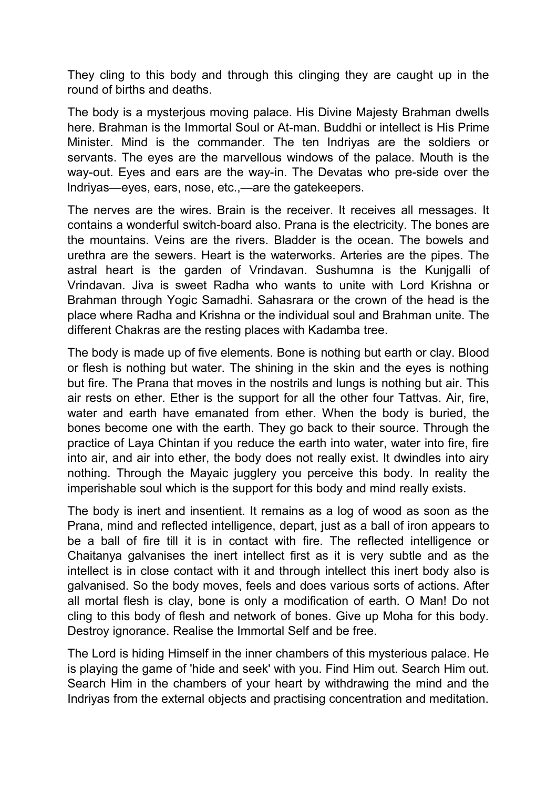They cling to this body and through this clinging they are caught up in the round of births and deaths.

The body is a mysterjous moving palace. His Divine Majesty Brahman dwells here. Brahman is the Immortal Soul or At-man. Buddhi or intellect is His Prime Minister. Mind is the commander. The ten Indriyas are the soldiers or servants. The eyes are the marvellous windows of the palace. Mouth is the way-out. Eyes and ears are the way-in. The Devatas who pre-side over the lndriyas—eyes, ears, nose, etc.,—are the gatekeepers.

The nerves are the wires. Brain is the receiver. It receives all messages. It contains a wonderful switch-board also. Prana is the electricity. The bones are the mountains. Veins are the rivers. Bladder is the ocean. The bowels and urethra are the sewers. Heart is the waterworks. Arteries are the pipes. The astral heart is the garden of Vrindavan. Sushumna is the Kunjgalli of Vrindavan. Jiva is sweet Radha who wants to unite with Lord Krishna or Brahman through Yogic Samadhi. Sahasrara or the crown of the head is the place where Radha and Krishna or the individual soul and Brahman unite. The different Chakras are the resting places with Kadamba tree.

The body is made up of five elements. Bone is nothing but earth or clay. Blood or flesh is nothing but water. The shining in the skin and the eyes is nothing but fire. The Prana that moves in the nostrils and lungs is nothing but air. This air rests on ether. Ether is the support for all the other four Tattvas. Air, fire, water and earth have emanated from ether. When the body is buried, the bones become one with the earth. They go back to their source. Through the practice of Laya Chintan if you reduce the earth into water, water into fire, fire into air, and air into ether, the body does not really exist. It dwindles into airy nothing. Through the Mayaic jugglery you perceive this body. In reality the imperishable soul which is the support for this body and mind really exists.

The body is inert and insentient. It remains as a log of wood as soon as the Prana, mind and reflected intelligence, depart, just as a ball of iron appears to be a ball of fire till it is in contact with fire. The reflected intelligence or Chaitanya galvanises the inert intellect first as it is very subtle and as the intellect is in close contact with it and through intellect this inert body also is galvanised. So the body moves, feels and does various sorts of actions. After all mortal flesh is clay, bone is only a modification of earth. O Man! Do not cling to this body of flesh and network of bones. Give up Moha for this body. Destroy ignorance. Realise the Immortal Self and be free.

The Lord is hiding Himself in the inner chambers of this mysterious palace. He is playing the game of 'hide and seek' with you. Find Him out. Search Him out. Search Him in the chambers of your heart by withdrawing the mind and the Indriyas from the external objects and practising concentration and meditation.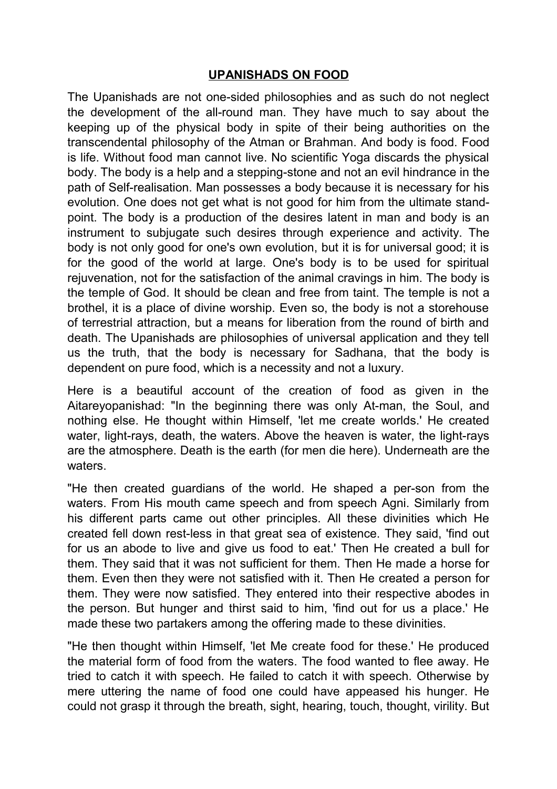## <span id="page-13-0"></span>**UPANISHADS ON FOOD**

The Upanishads are not one-sided philosophies and as such do not neglect the development of the all-round man. They have much to say about the keeping up of the physical body in spite of their being authorities on the transcendental philosophy of the Atman or Brahman. And body is food. Food is life. Without food man cannot live. No scientific Yoga discards the physical body. The body is a help and a stepping-stone and not an evil hindrance in the path of Self-realisation. Man possesses a body because it is necessary for his evolution. One does not get what is not good for him from the ultimate standpoint. The body is a production of the desires latent in man and body is an instrument to subjugate such desires through experience and activity. The body is not only good for one's own evolution, but it is for universal good; it is for the good of the world at large. One's body is to be used for spiritual rejuvenation, not for the satisfaction of the animal cravings in him. The body is the temple of God. It should be clean and free from taint. The temple is not a brothel, it is a place of divine worship. Even so, the body is not a storehouse of terrestrial attraction, but a means for liberation from the round of birth and death. The Upanishads are philosophies of universal application and they tell us the truth, that the body is necessary for Sadhana, that the body is dependent on pure food, which is a necessity and not a luxury.

Here is a beautiful account of the creation of food as given in the Aitareyopanishad: "In the beginning there was only At-man, the Soul, and nothing else. He thought within Himself, 'let me create worlds.' He created water, light-rays, death, the waters. Above the heaven is water, the light-rays are the atmosphere. Death is the earth (for men die here). Underneath are the waters.

"He then created guardians of the world. He shaped a per-son from the waters. From His mouth came speech and from speech Agni. Similarly from his different parts came out other principles. All these divinities which He created fell down rest-less in that great sea of existence. They said, 'find out for us an abode to live and give us food to eat.' Then He created a bull for them. They said that it was not sufficient for them. Then He made a horse for them. Even then they were not satisfied with it. Then He created a person for them. They were now satisfied. They entered into their respective abodes in the person. But hunger and thirst said to him, 'find out for us a place.' He made these two partakers among the offering made to these divinities.

"He then thought within Himself, 'let Me create food for these.' He produced the material form of food from the waters. The food wanted to flee away. He tried to catch it with speech. He failed to catch it with speech. Otherwise by mere uttering the name of food one could have appeased his hunger. He could not grasp it through the breath, sight, hearing, touch, thought, virility. But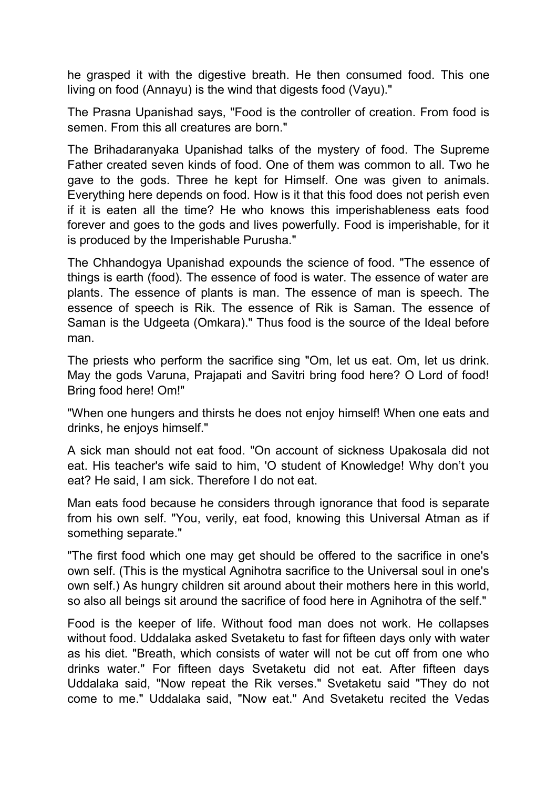he grasped it with the digestive breath. He then consumed food. This one living on food (Annayu) is the wind that digests food (Vayu)."

The Prasna Upanishad says, "Food is the controller of creation. From food is semen. From this all creatures are born."

The Brihadaranyaka Upanishad talks of the mystery of food. The Supreme Father created seven kinds of food. One of them was common to all. Two he gave to the gods. Three he kept for Himself. One was given to animals. Everything here depends on food. How is it that this food does not perish even if it is eaten all the time? He who knows this imperishableness eats food forever and goes to the gods and lives powerfully. Food is imperishable, for it is produced by the Imperishable Purusha."

The Chhandogya Upanishad expounds the science of food. "The essence of things is earth (food). The essence of food is water. The essence of water are plants. The essence of plants is man. The essence of man is speech. The essence of speech is Rik. The essence of Rik is Saman. The essence of Saman is the Udgeeta (Omkara)." Thus food is the source of the Ideal before man.

The priests who perform the sacrifice sing "Om, let us eat. Om, let us drink. May the gods Varuna, Prajapati and Savitri bring food here? O Lord of food! Bring food here! Om!"

"When one hungers and thirsts he does not enjoy himself! When one eats and drinks, he enjoys himself."

A sick man should not eat food. "On account of sickness Upakosala did not eat. His teacher's wife said to him, 'O student of Knowledge! Why don't you eat? He said, I am sick. Therefore I do not eat.

Man eats food because he considers through ignorance that food is separate from his own self. "You, verily, eat food, knowing this Universal Atman as if something separate."

"The first food which one may get should be offered to the sacrifice in one's own self. (This is the mystical Agnihotra sacrifice to the Universal soul in one's own self.) As hungry children sit around about their mothers here in this world, so also all beings sit around the sacrifice of food here in Agnihotra of the self."

Food is the keeper of life. Without food man does not work. He collapses without food. Uddalaka asked Svetaketu to fast for fifteen days only with water as his diet. "Breath, which consists of water will not be cut off from one who drinks water." For fifteen days Svetaketu did not eat. After fifteen days Uddalaka said, "Now repeat the Rik verses." Svetaketu said "They do not come to me." Uddalaka said, "Now eat." And Svetaketu recited the Vedas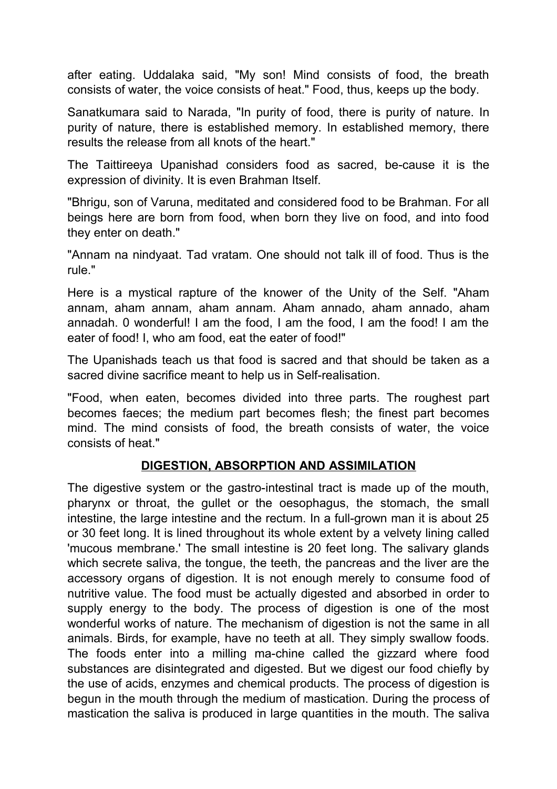after eating. Uddalaka said, "My son! Mind consists of food, the breath consists of water, the voice consists of heat." Food, thus, keeps up the body.

Sanatkumara said to Narada, "In purity of food, there is purity of nature. In purity of nature, there is established memory. In established memory, there results the release from all knots of the heart."

The Taittireeya Upanishad considers food as sacred, be-cause it is the expression of divinity. It is even Brahman Itself.

"Bhrigu, son of Varuna, meditated and considered food to be Brahman. For all beings here are born from food, when born they live on food, and into food they enter on death."

"Annam na nindyaat. Tad vratam. One should not talk ill of food. Thus is the rule."

Here is a mystical rapture of the knower of the Unity of the Self. "Aham annam, aham annam, aham annam. Aham annado, aham annado, aham annadah. 0 wonderful! I am the food, I am the food, I am the food! I am the eater of food! I, who am food, eat the eater of food!"

The Upanishads teach us that food is sacred and that should be taken as a sacred divine sacrifice meant to help us in Self-realisation.

"Food, when eaten, becomes divided into three parts. The roughest part becomes faeces; the medium part becomes flesh; the finest part becomes mind. The mind consists of food, the breath consists of water, the voice consists of heat."

## <span id="page-15-0"></span>**DIGESTION, ABSORPTION AND ASSIMILATION**

The digestive system or the gastro-intestinal tract is made up of the mouth, pharynx or throat, the gullet or the oesophagus, the stomach, the small intestine, the large intestine and the rectum. In a full-grown man it is about 25 or 30 feet long. It is lined throughout its whole extent by a velvety lining called 'mucous membrane.' The small intestine is 20 feet long. The salivary glands which secrete saliva, the tongue, the teeth, the pancreas and the liver are the accessory organs of digestion. It is not enough merely to consume food of nutritive value. The food must be actually digested and absorbed in order to supply energy to the body. The process of digestion is one of the most wonderful works of nature. The mechanism of digestion is not the same in all animals. Birds, for example, have no teeth at all. They simply swallow foods. The foods enter into a milling ma-chine called the gizzard where food substances are disintegrated and digested. But we digest our food chiefly by the use of acids, enzymes and chemical products. The process of digestion is begun in the mouth through the medium of mastication. During the process of mastication the saliva is produced in large quantities in the mouth. The saliva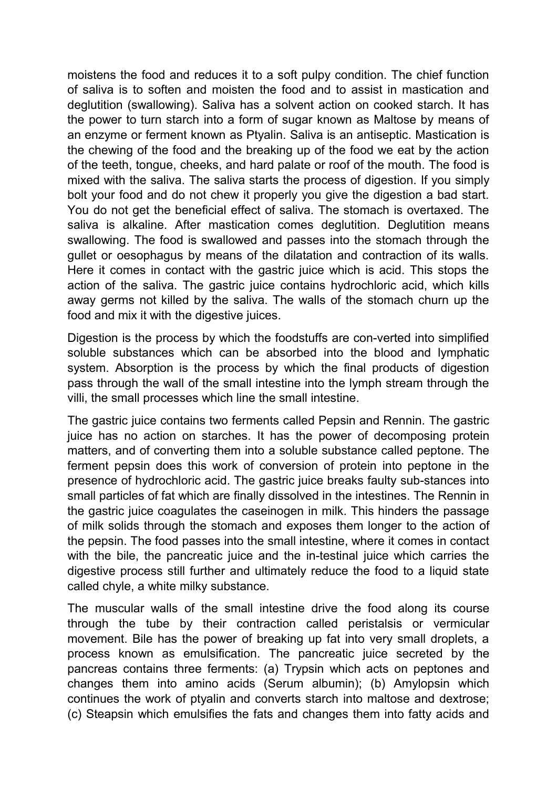moistens the food and reduces it to a soft pulpy condition. The chief function of saliva is to soften and moisten the food and to assist in mastication and deglutition (swallowing). Saliva has a solvent action on cooked starch. It has the power to turn starch into a form of sugar known as Maltose by means of an enzyme or ferment known as Ptyalin. Saliva is an antiseptic. Mastication is the chewing of the food and the breaking up of the food we eat by the action of the teeth, tongue, cheeks, and hard palate or roof of the mouth. The food is mixed with the saliva. The saliva starts the process of digestion. If you simply bolt your food and do not chew it properly you give the digestion a bad start. You do not get the beneficial effect of saliva. The stomach is overtaxed. The saliva is alkaline. After mastication comes deglutition. Deglutition means swallowing. The food is swallowed and passes into the stomach through the gullet or oesophagus by means of the dilatation and contraction of its walls. Here it comes in contact with the gastric juice which is acid. This stops the action of the saliva. The gastric juice contains hydrochloric acid, which kills away germs not killed by the saliva. The walls of the stomach churn up the food and mix it with the digestive juices.

Digestion is the process by which the foodstuffs are con-verted into simplified soluble substances which can be absorbed into the blood and lymphatic system. Absorption is the process by which the final products of digestion pass through the wall of the small intestine into the lymph stream through the villi, the small processes which line the small intestine.

The gastric juice contains two ferments called Pepsin and Rennin. The gastric juice has no action on starches. It has the power of decomposing protein matters, and of converting them into a soluble substance called peptone. The ferment pepsin does this work of conversion of protein into peptone in the presence of hydrochloric acid. The gastric juice breaks faulty sub-stances into small particles of fat which are finally dissolved in the intestines. The Rennin in the gastric juice coagulates the caseinogen in milk. This hinders the passage of milk solids through the stomach and exposes them longer to the action of the pepsin. The food passes into the small intestine, where it comes in contact with the bile, the pancreatic juice and the in-testinal juice which carries the digestive process still further and ultimately reduce the food to a liquid state called chyle, a white milky substance.

The muscular walls of the small intestine drive the food along its course through the tube by their contraction called peristalsis or vermicular movement. Bile has the power of breaking up fat into very small droplets, a process known as emulsification. The pancreatic juice secreted by the pancreas contains three ferments: (a) Trypsin which acts on peptones and changes them into amino acids (Serum albumin); (b) Amylopsin which continues the work of ptyalin and converts starch into maltose and dextrose; (c) Steapsin which emulsifies the fats and changes them into fatty acids and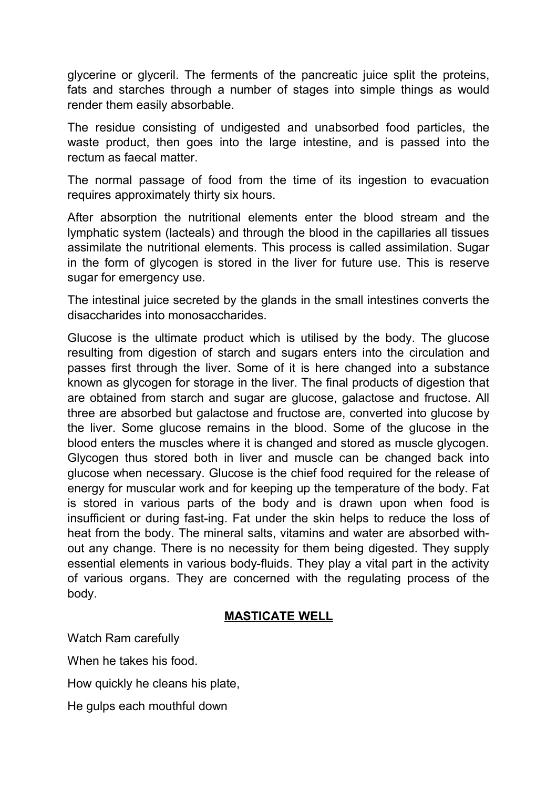glycerine or glyceril. The ferments of the pancreatic juice split the proteins, fats and starches through a number of stages into simple things as would render them easily absorbable.

The residue consisting of undigested and unabsorbed food particles, the waste product, then goes into the large intestine, and is passed into the rectum as faecal matter.

The normal passage of food from the time of its ingestion to evacuation requires approximately thirty six hours.

After absorption the nutritional elements enter the blood stream and the lymphatic system (lacteals) and through the blood in the capillaries all tissues assimilate the nutritional elements. This process is called assimilation. Sugar in the form of glycogen is stored in the liver for future use. This is reserve sugar for emergency use.

The intestinal juice secreted by the glands in the small intestines converts the disaccharides into monosaccharides.

Glucose is the ultimate product which is utilised by the body. The glucose resulting from digestion of starch and sugars enters into the circulation and passes first through the liver. Some of it is here changed into a substance known as glycogen for storage in the liver. The final products of digestion that are obtained from starch and sugar are glucose, galactose and fructose. All three are absorbed but galactose and fructose are, converted into glucose by the liver. Some glucose remains in the blood. Some of the glucose in the blood enters the muscles where it is changed and stored as muscle glycogen. Glycogen thus stored both in liver and muscle can be changed back into glucose when necessary. Glucose is the chief food required for the release of energy for muscular work and for keeping up the temperature of the body. Fat is stored in various parts of the body and is drawn upon when food is insufficient or during fast-ing. Fat under the skin helps to reduce the loss of heat from the body. The mineral salts, vitamins and water are absorbed without any change. There is no necessity for them being digested. They supply essential elements in various body-fluids. They play a vital part in the activity of various organs. They are concerned with the regulating process of the body.

## <span id="page-17-0"></span>**MASTICATE WELL**

Watch Ram carefully

When he takes his food.

How quickly he cleans his plate,

He gulps each mouthful down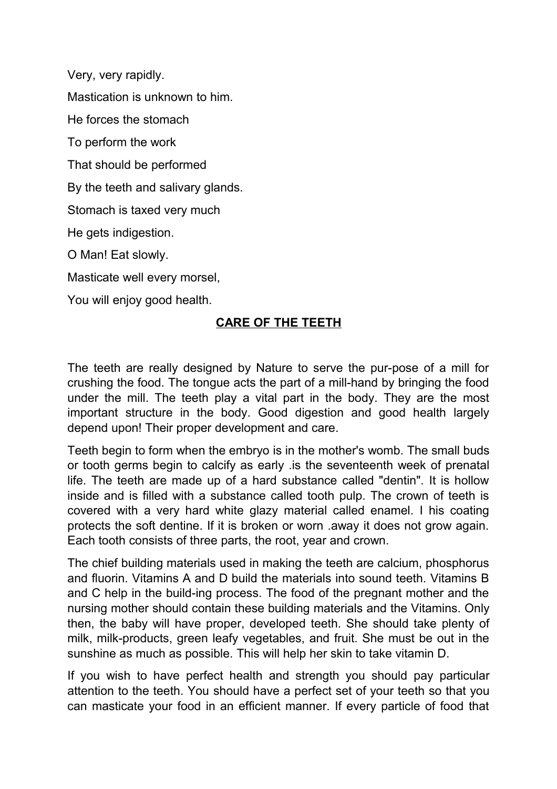Very, very rapidly. Mastication is unknown to him. He forces the stomach To perform the work That should be performed By the teeth and salivary glands. Stomach is taxed very much He gets indigestion. O Man! Eat slowly. Masticate well every morsel,

You will enjoy good health.

## <span id="page-18-0"></span>**CARE OF THE TEETH**

The teeth are really designed by Nature to serve the pur-pose of a mill for crushing the food. The tongue acts the part of a mill-hand by bringing the food under the mill. The teeth play a vital part in the body. They are the most important structure in the body. Good digestion and good health largely depend upon! Their proper development and care.

Teeth begin to form when the embryo is in the mother's womb. The small buds or tooth germs begin to calcify as early .is the seventeenth week of prenatal life. The teeth are made up of a hard substance called "dentin". It is hollow inside and is filled with a substance called tooth pulp. The crown of teeth is covered with a very hard white glazy material called enamel. I his coating protects the soft dentine. If it is broken or worn .away it does not grow again. Each tooth consists of three parts, the root, year and crown.

The chief building materials used in making the teeth are calcium, phosphorus and fluorin. Vitamins A and D build the materials into sound teeth. Vitamins B and C help in the build-ing process. The food of the pregnant mother and the nursing mother should contain these building materials and the Vitamins. Only then, the baby will have proper, developed teeth. She should take plenty of milk, milk-products, green leafy vegetables, and fruit. She must be out in the sunshine as much as possible. This will help her skin to take vitamin D.

If you wish to have perfect health and strength you should pay particular attention to the teeth. You should have a perfect set of your teeth so that you can masticate your food in an efficient manner. If every particle of food that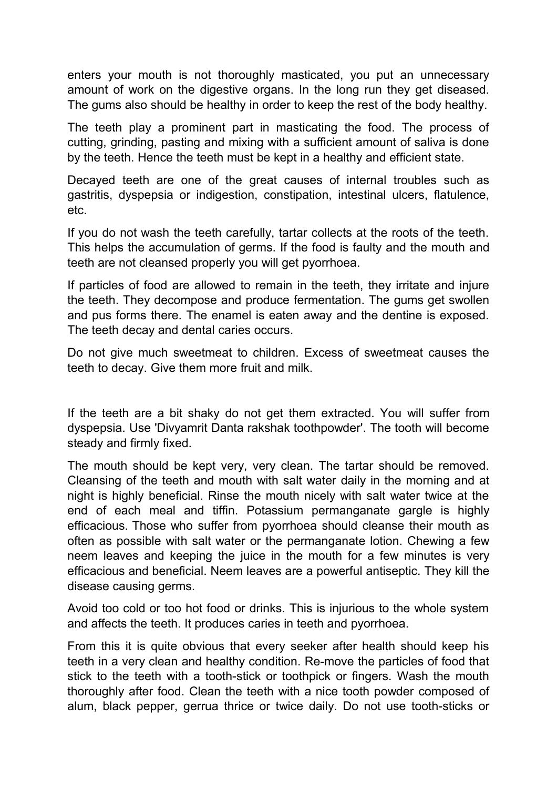enters your mouth is not thoroughly masticated, you put an unnecessary amount of work on the digestive organs. In the long run they get diseased. The gums also should be healthy in order to keep the rest of the body healthy.

The teeth play a prominent part in masticating the food. The process of cutting, grinding, pasting and mixing with a sufficient amount of saliva is done by the teeth. Hence the teeth must be kept in a healthy and efficient state.

Decayed teeth are one of the great causes of internal troubles such as gastritis, dyspepsia or indigestion, constipation, intestinal ulcers, flatulence, etc.

If you do not wash the teeth carefully, tartar collects at the roots of the teeth. This helps the accumulation of germs. If the food is faulty and the mouth and teeth are not cleansed properly you will get pyorrhoea.

If particles of food are allowed to remain in the teeth, they irritate and injure the teeth. They decompose and produce fermentation. The gums get swollen and pus forms there. The enamel is eaten away and the dentine is exposed. The teeth decay and dental caries occurs.

Do not give much sweetmeat to children. Excess of sweetmeat causes the teeth to decay. Give them more fruit and milk.

If the teeth are a bit shaky do not get them extracted. You will suffer from dyspepsia. Use 'Divyamrit Danta rakshak toothpowder'. The tooth will become steady and firmly fixed.

The mouth should be kept very, very clean. The tartar should be removed. Cleansing of the teeth and mouth with salt water daily in the morning and at night is highly beneficial. Rinse the mouth nicely with salt water twice at the end of each meal and tiffin. Potassium permanganate gargle is highly efficacious. Those who suffer from pyorrhoea should cleanse their mouth as often as possible with salt water or the permanganate lotion. Chewing a few neem leaves and keeping the juice in the mouth for a few minutes is very efficacious and beneficial. Neem leaves are a powerful antiseptic. They kill the disease causing germs.

Avoid too cold or too hot food or drinks. This is injurious to the whole system and affects the teeth. It produces caries in teeth and pyorrhoea.

From this it is quite obvious that every seeker after health should keep his teeth in a very clean and healthy condition. Re-move the particles of food that stick to the teeth with a tooth-stick or toothpick or fingers. Wash the mouth thoroughly after food. Clean the teeth with a nice tooth powder composed of alum, black pepper, gerrua thrice or twice daily. Do not use tooth-sticks or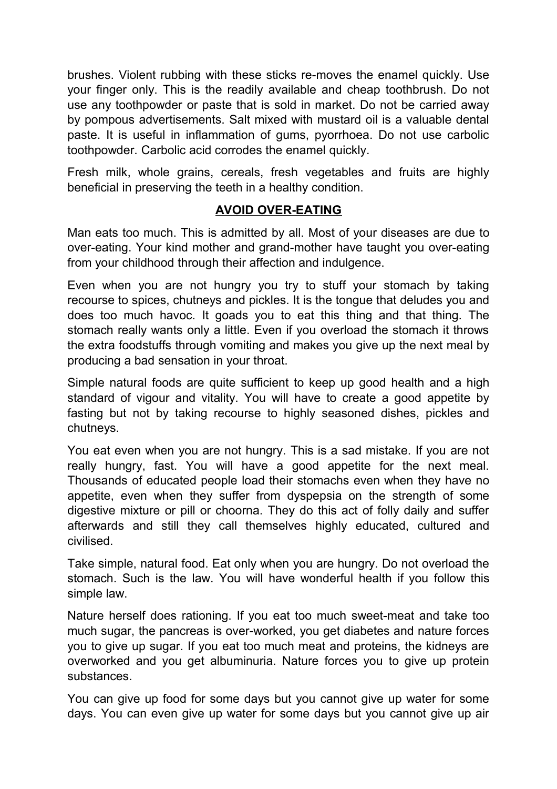brushes. Violent rubbing with these sticks re-moves the enamel quickly. Use your finger only. This is the readily available and cheap toothbrush. Do not use any toothpowder or paste that is sold in market. Do not be carried away by pompous advertisements. Salt mixed with mustard oil is a valuable dental paste. It is useful in inflammation of gums, pyorrhoea. Do not use carbolic toothpowder. Carbolic acid corrodes the enamel quickly.

Fresh milk, whole grains, cereals, fresh vegetables and fruits are highly beneficial in preserving the teeth in a healthy condition.

#### <span id="page-20-0"></span>**AVOID OVER-EATING**

Man eats too much. This is admitted by all. Most of your diseases are due to over-eating. Your kind mother and grand-mother have taught you over-eating from your childhood through their affection and indulgence.

Even when you are not hungry you try to stuff your stomach by taking recourse to spices, chutneys and pickles. It is the tongue that deludes you and does too much havoc. It goads you to eat this thing and that thing. The stomach really wants only a little. Even if you overload the stomach it throws the extra foodstuffs through vomiting and makes you give up the next meal by producing a bad sensation in your throat.

Simple natural foods are quite sufficient to keep up good health and a high standard of vigour and vitality. You will have to create a good appetite by fasting but not by taking recourse to highly seasoned dishes, pickles and chutneys.

You eat even when you are not hungry. This is a sad mistake. If you are not really hungry, fast. You will have a good appetite for the next meal. Thousands of educated people load their stomachs even when they have no appetite, even when they suffer from dyspepsia on the strength of some digestive mixture or pill or choorna. They do this act of folly daily and suffer afterwards and still they call themselves highly educated, cultured and civilised.

Take simple, natural food. Eat only when you are hungry. Do not overload the stomach. Such is the law. You will have wonderful health if you follow this simple law.

Nature herself does rationing. If you eat too much sweet-meat and take too much sugar, the pancreas is over-worked, you get diabetes and nature forces you to give up sugar. If you eat too much meat and proteins, the kidneys are overworked and you get albuminuria. Nature forces you to give up protein substances.

You can give up food for some days but you cannot give up water for some days. You can even give up water for some days but you cannot give up air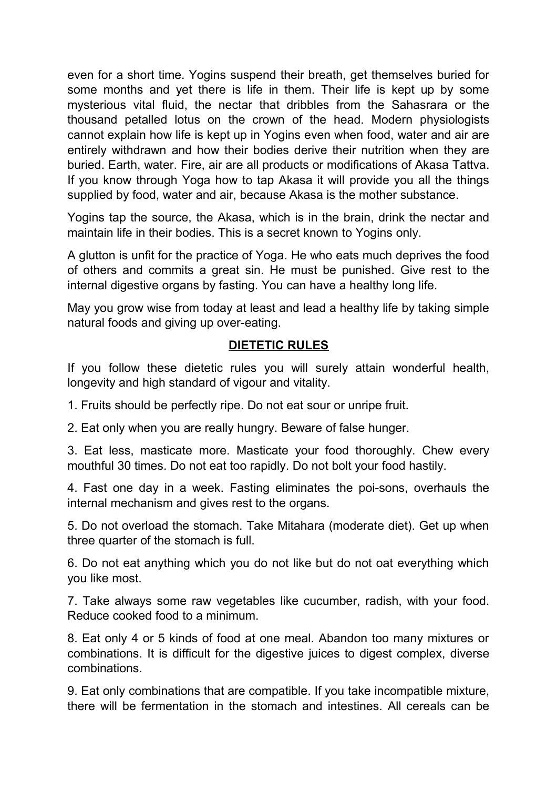even for a short time. Yogins suspend their breath, get themselves buried for some months and yet there is life in them. Their life is kept up by some mysterious vital fluid, the nectar that dribbles from the Sahasrara or the thousand petalled lotus on the crown of the head. Modern physiologists cannot explain how life is kept up in Yogins even when food, water and air are entirely withdrawn and how their bodies derive their nutrition when they are buried. Earth, water. Fire, air are all products or modifications of Akasa Tattva. If you know through Yoga how to tap Akasa it will provide you all the things supplied by food, water and air, because Akasa is the mother substance.

Yogins tap the source, the Akasa, which is in the brain, drink the nectar and maintain life in their bodies. This is a secret known to Yogins only.

A glutton is unfit for the practice of Yoga. He who eats much deprives the food of others and commits a great sin. He must be punished. Give rest to the internal digestive organs by fasting. You can have a healthy long life.

May you grow wise from today at least and lead a healthy life by taking simple natural foods and giving up over-eating.

## <span id="page-21-0"></span>**DIETETIC RULES**

If you follow these dietetic rules you will surely attain wonderful health, longevity and high standard of vigour and vitality.

1. Fruits should be perfectly ripe. Do not eat sour or unripe fruit.

2. Eat only when you are really hungry. Beware of false hunger.

3. Eat less, masticate more. Masticate your food thoroughly. Chew every mouthful 30 times. Do not eat too rapidly. Do not bolt your food hastily.

4. Fast one day in a week. Fasting eliminates the poi-sons, overhauls the internal mechanism and gives rest to the organs.

5. Do not overload the stomach. Take Mitahara (moderate diet). Get up when three quarter of the stomach is full.

6. Do not eat anything which you do not like but do not oat everything which you like most.

7. Take always some raw vegetables like cucumber, radish, with your food. Reduce cooked food to a minimum.

8. Eat only 4 or 5 kinds of food at one meal. Abandon too many mixtures or combinations. It is difficult for the digestive juices to digest complex, diverse combinations.

9. Eat only combinations that are compatible. If you take incompatible mixture, there will be fermentation in the stomach and intestines. All cereals can be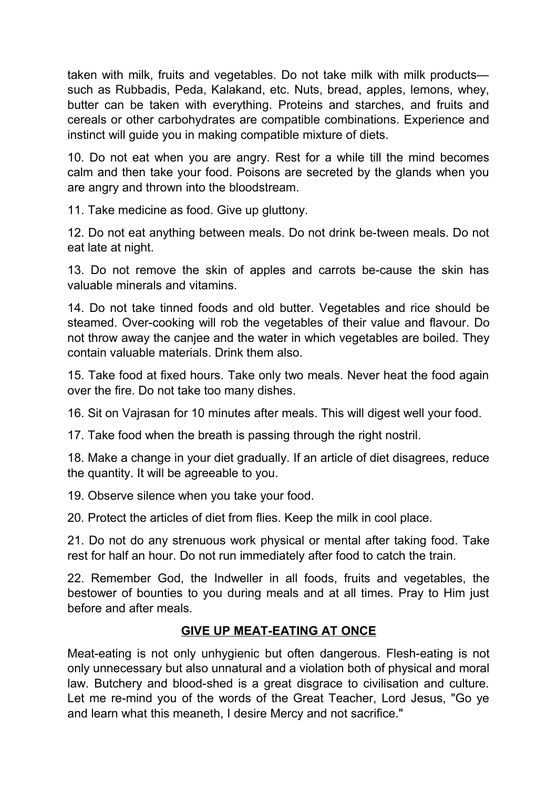taken with milk, fruits and vegetables. Do not take milk with milk products such as Rubbadis, Peda, Kalakand, etc. Nuts, bread, apples, lemons, whey, butter can be taken with everything. Proteins and starches, and fruits and cereals or other carbohydrates are compatible combinations. Experience and instinct will guide you in making compatible mixture of diets.

10. Do not eat when you are angry. Rest for a while till the mind becomes calm and then take your food. Poisons are secreted by the glands when you are angry and thrown into the bloodstream.

11. Take medicine as food. Give up gluttony.

12. Do not eat anything between meals. Do not drink be-tween meals. Do not eat late at night.

13. Do not remove the skin of apples and carrots be-cause the skin has valuable minerals and vitamins.

14. Do not take tinned foods and old butter. Vegetables and rice should be steamed. Over-cooking will rob the vegetables of their value and flavour. Do not throw away the canjee and the water in which vegetables are boiled. They contain valuable materials. Drink them also.

15. Take food at fixed hours. Take only two meals. Never heat the food again over the fire. Do not take too many dishes.

16. Sit on Vajrasan for 10 minutes after meals. This will digest well your food.

17. Take food when the breath is passing through the right nostril.

18. Make a change in your diet gradually. If an article of diet disagrees, reduce the quantity. It will be agreeable to you.

19. Observe silence when you take your food.

20. Protect the articles of diet from flies. Keep the milk in cool place.

21. Do not do any strenuous work physical or mental after taking food. Take rest for half an hour. Do not run immediately after food to catch the train.

22. Remember God, the Indweller in all foods, fruits and vegetables, the bestower of bounties to you during meals and at all times. Pray to Him just before and after meals.

## <span id="page-22-0"></span>**GIVE UP MEAT-EATING AT ONCE**

Meat-eating is not only unhygienic but often dangerous. Flesh-eating is not only unnecessary but also unnatural and a violation both of physical and moral law. Butchery and blood-shed is a great disgrace to civilisation and culture. Let me re-mind you of the words of the Great Teacher, Lord Jesus, "Go ye and learn what this meaneth, I desire Mercy and not sacrifice."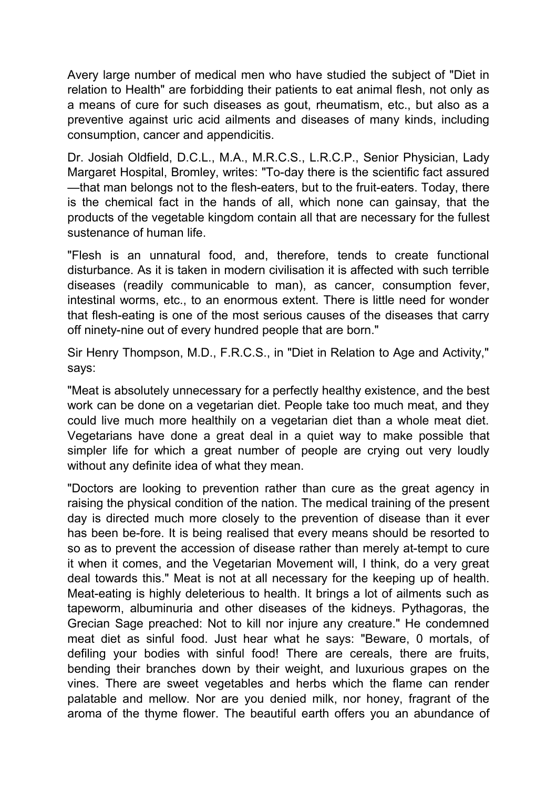Avery large number of medical men who have studied the subject of "Diet in relation to Health" are forbidding their patients to eat animal flesh, not only as a means of cure for such diseases as gout, rheumatism, etc., but also as a preventive against uric acid ailments and diseases of many kinds, including consumption, cancer and appendicitis.

Dr. Josiah Oldfield, D.C.L., M.A., M.R.C.S., L.R.C.P., Senior Physician, Lady Margaret Hospital, Bromley, writes: "To-day there is the scientific fact assured —that man belongs not to the flesh-eaters, but to the fruit-eaters. Today, there is the chemical fact in the hands of all, which none can gainsay, that the products of the vegetable kingdom contain all that are necessary for the fullest sustenance of human life.

"Flesh is an unnatural food, and, therefore, tends to create functional disturbance. As it is taken in modern civilisation it is affected with such terrible diseases (readily communicable to man), as cancer, consumption fever, intestinal worms, etc., to an enormous extent. There is little need for wonder that flesh-eating is one of the most serious causes of the diseases that carry off ninety-nine out of every hundred people that are born."

Sir Henry Thompson, M.D., F.R.C.S., in "Diet in Relation to Age and Activity," says:

"Meat is absolutely unnecessary for a perfectly healthy existence, and the best work can be done on a vegetarian diet. People take too much meat, and they could live much more healthily on a vegetarian diet than a whole meat diet. Vegetarians have done a great deal in a quiet way to make possible that simpler life for which a great number of people are crying out very loudly without any definite idea of what they mean.

"Doctors are looking to prevention rather than cure as the great agency in raising the physical condition of the nation. The medical training of the present day is directed much more closely to the prevention of disease than it ever has been be-fore. It is being realised that every means should be resorted to so as to prevent the accession of disease rather than merely at-tempt to cure it when it comes, and the Vegetarian Movement will, I think, do a very great deal towards this." Meat is not at all necessary for the keeping up of health. Meat-eating is highly deleterious to health. It brings a lot of ailments such as tapeworm, albuminuria and other diseases of the kidneys. Pythagoras, the Grecian Sage preached: Not to kill nor injure any creature." He condemned meat diet as sinful food. Just hear what he says: "Beware, 0 mortals, of defiling your bodies with sinful food! There are cereals, there are fruits, bending their branches down by their weight, and luxurious grapes on the vines. There are sweet vegetables and herbs which the flame can render palatable and mellow. Nor are you denied milk, nor honey, fragrant of the aroma of the thyme flower. The beautiful earth offers you an abundance of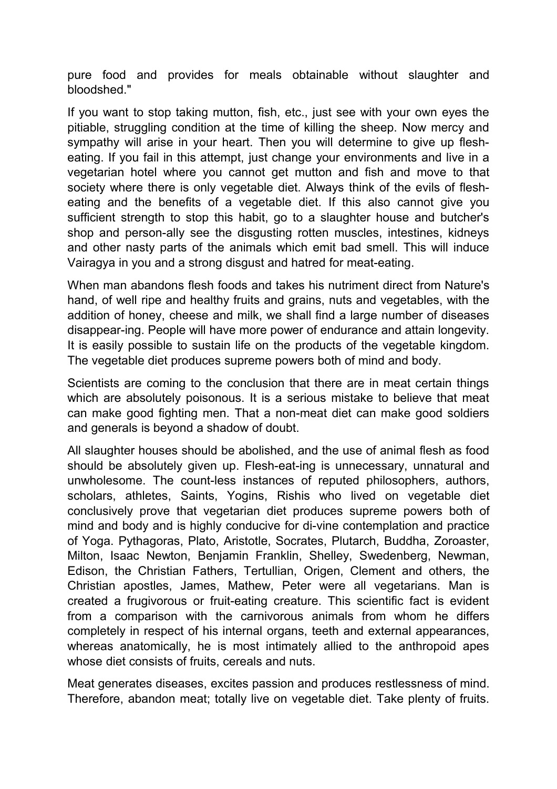pure food and provides for meals obtainable without slaughter and bloodshed."

If you want to stop taking mutton, fish, etc., just see with your own eyes the pitiable, struggling condition at the time of killing the sheep. Now mercy and sympathy will arise in your heart. Then you will determine to give up flesheating. If you fail in this attempt, just change your environments and live in a vegetarian hotel where you cannot get mutton and fish and move to that society where there is only vegetable diet. Always think of the evils of flesheating and the benefits of a vegetable diet. If this also cannot give you sufficient strength to stop this habit, go to a slaughter house and butcher's shop and person-ally see the disgusting rotten muscles, intestines, kidneys and other nasty parts of the animals which emit bad smell. This will induce Vairagya in you and a strong disgust and hatred for meat-eating.

When man abandons flesh foods and takes his nutriment direct from Nature's hand, of well ripe and healthy fruits and grains, nuts and vegetables, with the addition of honey, cheese and milk, we shall find a large number of diseases disappear-ing. People will have more power of endurance and attain longevity. It is easily possible to sustain life on the products of the vegetable kingdom. The vegetable diet produces supreme powers both of mind and body.

Scientists are coming to the conclusion that there are in meat certain things which are absolutely poisonous. It is a serious mistake to believe that meat can make good fighting men. That a non-meat diet can make good soldiers and generals is beyond a shadow of doubt.

All slaughter houses should be abolished, and the use of animal flesh as food should be absolutely given up. Flesh-eat-ing is unnecessary, unnatural and unwholesome. The count-less instances of reputed philosophers, authors, scholars, athletes, Saints, Yogins, Rishis who lived on vegetable diet conclusively prove that vegetarian diet produces supreme powers both of mind and body and is highly conducive for di-vine contemplation and practice of Yoga. Pythagoras, Plato, Aristotle, Socrates, Plutarch, Buddha, Zoroaster, Milton, Isaac Newton, Benjamin Franklin, Shelley, Swedenberg, Newman, Edison, the Christian Fathers, Tertullian, Origen, Clement and others, the Christian apostles, James, Mathew, Peter were all vegetarians. Man is created a frugivorous or fruit-eating creature. This scientific fact is evident from a comparison with the carnivorous animals from whom he differs completely in respect of his internal organs, teeth and external appearances, whereas anatomically, he is most intimately allied to the anthropoid apes whose diet consists of fruits, cereals and nuts.

Meat generates diseases, excites passion and produces restlessness of mind. Therefore, abandon meat; totally live on vegetable diet. Take plenty of fruits.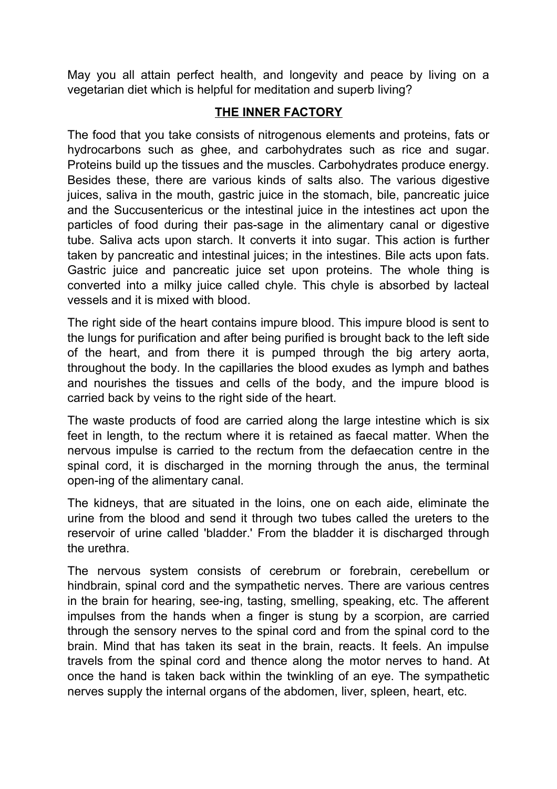May you all attain perfect health, and longevity and peace by living on a vegetarian diet which is helpful for meditation and superb living?

## <span id="page-25-0"></span>**THE INNER FACTORY**

The food that you take consists of nitrogenous elements and proteins, fats or hydrocarbons such as ghee, and carbohydrates such as rice and sugar. Proteins build up the tissues and the muscles. Carbohydrates produce energy. Besides these, there are various kinds of salts also. The various digestive juices, saliva in the mouth, gastric juice in the stomach, bile, pancreatic juice and the Succusentericus or the intestinal juice in the intestines act upon the particles of food during their pas-sage in the alimentary canal or digestive tube. Saliva acts upon starch. It converts it into sugar. This action is further taken by pancreatic and intestinal juices; in the intestines. Bile acts upon fats. Gastric juice and pancreatic juice set upon proteins. The whole thing is converted into a milky juice called chyle. This chyle is absorbed by lacteal vessels and it is mixed with blood.

The right side of the heart contains impure blood. This impure blood is sent to the lungs for purification and after being purified is brought back to the left side of the heart, and from there it is pumped through the big artery aorta, throughout the body. In the capillaries the blood exudes as lymph and bathes and nourishes the tissues and cells of the body, and the impure blood is carried back by veins to the right side of the heart.

The waste products of food are carried along the large intestine which is six feet in length, to the rectum where it is retained as faecal matter. When the nervous impulse is carried to the rectum from the defaecation centre in the spinal cord, it is discharged in the morning through the anus, the terminal open-ing of the alimentary canal.

The kidneys, that are situated in the loins, one on each aide, eliminate the urine from the blood and send it through two tubes called the ureters to the reservoir of urine called 'bladder.' From the bladder it is discharged through the urethra.

The nervous system consists of cerebrum or forebrain, cerebellum or hindbrain, spinal cord and the sympathetic nerves. There are various centres in the brain for hearing, see-ing, tasting, smelling, speaking, etc. The afferent impulses from the hands when a finger is stung by a scorpion, are carried through the sensory nerves to the spinal cord and from the spinal cord to the brain. Mind that has taken its seat in the brain, reacts. It feels. An impulse travels from the spinal cord and thence along the motor nerves to hand. At once the hand is taken back within the twinkling of an eye. The sympathetic nerves supply the internal organs of the abdomen, liver, spleen, heart, etc.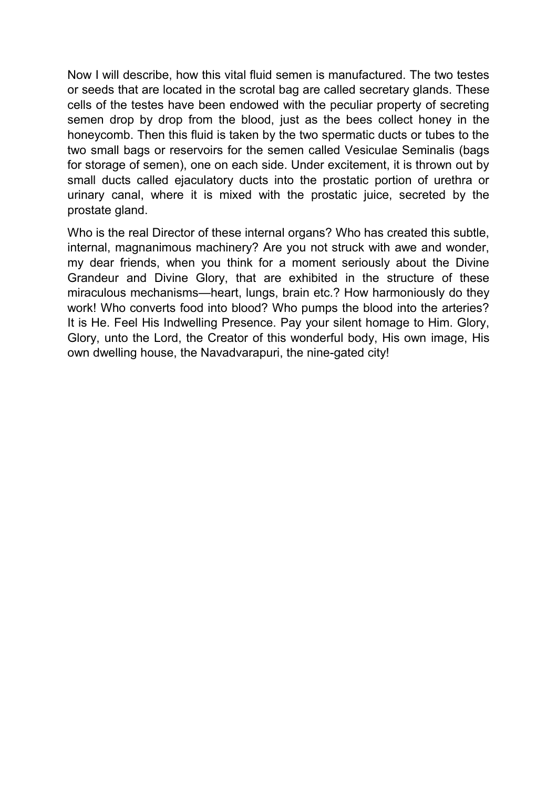Now I will describe, how this vital fluid semen is manufactured. The two testes or seeds that are located in the scrotal bag are called secretary glands. These cells of the testes have been endowed with the peculiar property of secreting semen drop by drop from the blood, just as the bees collect honey in the honeycomb. Then this fluid is taken by the two spermatic ducts or tubes to the two small bags or reservoirs for the semen called Vesiculae Seminalis (bags for storage of semen), one on each side. Under excitement, it is thrown out by small ducts called ejaculatory ducts into the prostatic portion of urethra or urinary canal, where it is mixed with the prostatic juice, secreted by the prostate gland.

Who is the real Director of these internal organs? Who has created this subtle, internal, magnanimous machinery? Are you not struck with awe and wonder, my dear friends, when you think for a moment seriously about the Divine Grandeur and Divine Glory, that are exhibited in the structure of these miraculous mechanisms—heart, lungs, brain etc.? How harmoniously do they work! Who converts food into blood? Who pumps the blood into the arteries? It is He. Feel His Indwelling Presence. Pay your silent homage to Him. Glory, Glory, unto the Lord, the Creator of this wonderful body, His own image, His own dwelling house, the Navadvarapuri, the nine-gated city!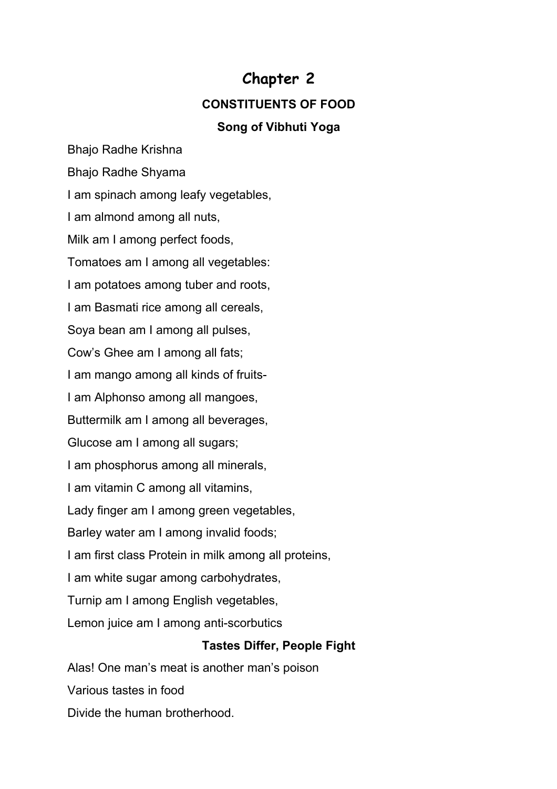## **Chapter 2**

## <span id="page-27-0"></span>**CONSTITUENTS OF FOOD**

## **Song of Vibhuti Yoga**

Bhajo Radhe Krishna Bhajo Radhe Shyama I am spinach among leafy vegetables, I am almond among all nuts, Milk am I among perfect foods, Tomatoes am I among all vegetables: I am potatoes among tuber and roots, I am Basmati rice among all cereals, Soya bean am I among all pulses, Cow's Ghee am I among all fats; I am mango among all kinds of fruits-I am Alphonso among all mangoes, Buttermilk am I among all beverages, Glucose am I among all sugars; I am phosphorus among all minerals, I am vitamin C among all vitamins, Lady finger am I among green vegetables, Barley water am I among invalid foods; I am first class Protein in milk among all proteins, I am white sugar among carbohydrates, Turnip am I among English vegetables, Lemon juice am I among anti-scorbutics **Tastes Differ, People Fight**

Alas! One man's meat is another man's poison

Various tastes in food

Divide the human brotherhood.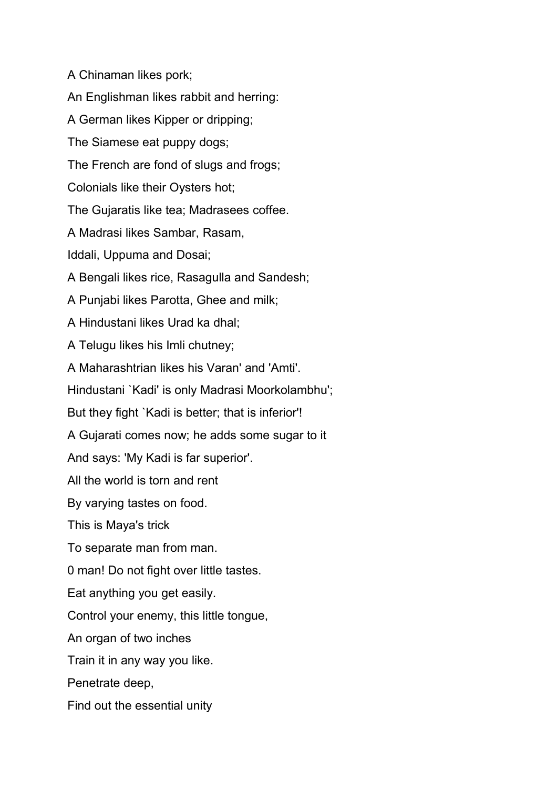A Chinaman likes pork; An Englishman likes rabbit and herring: A German likes Kipper or dripping; The Siamese eat puppy dogs; The French are fond of slugs and frogs; Colonials like their Oysters hot; The Gujaratis like tea; Madrasees coffee. A Madrasi likes Sambar, Rasam, Iddali, Uppuma and Dosai; A Bengali likes rice, Rasagulla and Sandesh; A Punjabi likes Parotta, Ghee and milk; A Hindustani likes Urad ka dhal; A Telugu likes his Imli chutney; A Maharashtrian likes his Varan' and 'Amti'. Hindustani `Kadi' is only Madrasi Moorkolambhu'; But they fight `Kadi is better; that is inferior'! A Gujarati comes now; he adds some sugar to it And says: 'My Kadi is far superior'. All the world is torn and rent By varying tastes on food. This is Maya's trick To separate man from man. 0 man! Do not fight over little tastes. Eat anything you get easily. Control your enemy, this little tongue, An organ of two inches Train it in any way you like. Penetrate deep, Find out the essential unity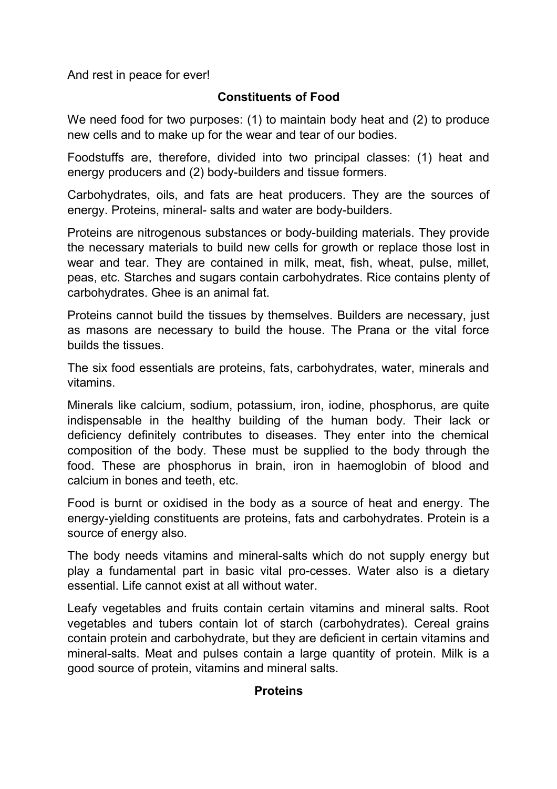And rest in peace for ever!

## **Constituents of Food**

We need food for two purposes: (1) to maintain body heat and (2) to produce new cells and to make up for the wear and tear of our bodies.

Foodstuffs are, therefore, divided into two principal classes: (1) heat and energy producers and (2) body-builders and tissue formers.

Carbohydrates, oils, and fats are heat producers. They are the sources of energy. Proteins, mineral- salts and water are body-builders.

Proteins are nitrogenous substances or body-building materials. They provide the necessary materials to build new cells for growth or replace those lost in wear and tear. They are contained in milk, meat, fish, wheat, pulse, millet, peas, etc. Starches and sugars contain carbohydrates. Rice contains plenty of carbohydrates. Ghee is an animal fat.

Proteins cannot build the tissues by themselves. Builders are necessary, just as masons are necessary to build the house. The Prana or the vital force builds the tissues.

The six food essentials are proteins, fats, carbohydrates, water, minerals and vitamins.

Minerals like calcium, sodium, potassium, iron, iodine, phosphorus, are quite indispensable in the healthy building of the human body. Their lack or deficiency definitely contributes to diseases. They enter into the chemical composition of the body. These must be supplied to the body through the food. These are phosphorus in brain, iron in haemoglobin of blood and calcium in bones and teeth, etc.

Food is burnt or oxidised in the body as a source of heat and energy. The energy-yielding constituents are proteins, fats and carbohydrates. Protein is a source of energy also.

The body needs vitamins and mineral-salts which do not supply energy but play a fundamental part in basic vital pro-cesses. Water also is a dietary essential. Life cannot exist at all without water.

Leafy vegetables and fruits contain certain vitamins and mineral salts. Root vegetables and tubers contain lot of starch (carbohydrates). Cereal grains contain protein and carbohydrate, but they are deficient in certain vitamins and mineral-salts. Meat and pulses contain a large quantity of protein. Milk is a good source of protein, vitamins and mineral salts.

#### **Proteins**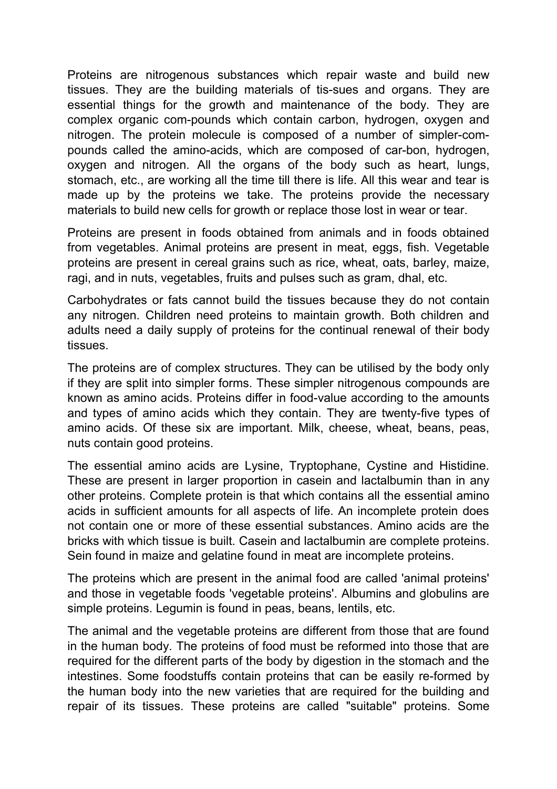Proteins are nitrogenous substances which repair waste and build new tissues. They are the building materials of tis-sues and organs. They are essential things for the growth and maintenance of the body. They are complex organic com-pounds which contain carbon, hydrogen, oxygen and nitrogen. The protein molecule is composed of a number of simpler-compounds called the amino-acids, which are composed of car-bon, hydrogen, oxygen and nitrogen. All the organs of the body such as heart, lungs, stomach, etc., are working all the time till there is life. All this wear and tear is made up by the proteins we take. The proteins provide the necessary materials to build new cells for growth or replace those lost in wear or tear.

Proteins are present in foods obtained from animals and in foods obtained from vegetables. Animal proteins are present in meat, eggs, fish. Vegetable proteins are present in cereal grains such as rice, wheat, oats, barley, maize, ragi, and in nuts, vegetables, fruits and pulses such as gram, dhal, etc.

Carbohydrates or fats cannot build the tissues because they do not contain any nitrogen. Children need proteins to maintain growth. Both children and adults need a daily supply of proteins for the continual renewal of their body tissues.

The proteins are of complex structures. They can be utilised by the body only if they are split into simpler forms. These simpler nitrogenous compounds are known as amino acids. Proteins differ in food-value according to the amounts and types of amino acids which they contain. They are twenty-five types of amino acids. Of these six are important. Milk, cheese, wheat, beans, peas, nuts contain good proteins.

The essential amino acids are Lysine, Tryptophane, Cystine and Histidine. These are present in larger proportion in casein and lactalbumin than in any other proteins. Complete protein is that which contains all the essential amino acids in sufficient amounts for all aspects of life. An incomplete protein does not contain one or more of these essential substances. Amino acids are the bricks with which tissue is built. Casein and lactalbumin are complete proteins. Sein found in maize and gelatine found in meat are incomplete proteins.

The proteins which are present in the animal food are called 'animal proteins' and those in vegetable foods 'vegetable proteins'. Albumins and globulins are simple proteins. Legumin is found in peas, beans, lentils, etc.

The animal and the vegetable proteins are different from those that are found in the human body. The proteins of food must be reformed into those that are required for the different parts of the body by digestion in the stomach and the intestines. Some foodstuffs contain proteins that can be easily re-formed by the human body into the new varieties that are required for the building and repair of its tissues. These proteins are called "suitable" proteins. Some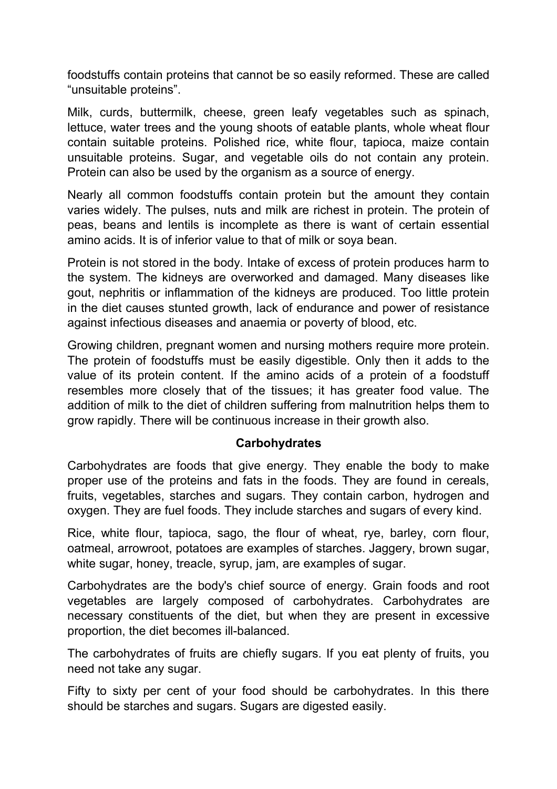foodstuffs contain proteins that cannot be so easily reformed. These are called "unsuitable proteins".

Milk, curds, buttermilk, cheese, green leafy vegetables such as spinach, lettuce, water trees and the young shoots of eatable plants, whole wheat flour contain suitable proteins. Polished rice, white flour, tapioca, maize contain unsuitable proteins. Sugar, and vegetable oils do not contain any protein. Protein can also be used by the organism as a source of energy.

Nearly all common foodstuffs contain protein but the amount they contain varies widely. The pulses, nuts and milk are richest in protein. The protein of peas, beans and lentils is incomplete as there is want of certain essential amino acids. It is of inferior value to that of milk or soya bean.

Protein is not stored in the body. Intake of excess of protein produces harm to the system. The kidneys are overworked and damaged. Many diseases like gout, nephritis or inflammation of the kidneys are produced. Too little protein in the diet causes stunted growth, lack of endurance and power of resistance against infectious diseases and anaemia or poverty of blood, etc.

Growing children, pregnant women and nursing mothers require more protein. The protein of foodstuffs must be easily digestible. Only then it adds to the value of its protein content. If the amino acids of a protein of a foodstuff resembles more closely that of the tissues; it has greater food value. The addition of milk to the diet of children suffering from malnutrition helps them to grow rapidly. There will be continuous increase in their growth also.

#### **Carbohydrates**

Carbohydrates are foods that give energy. They enable the body to make proper use of the proteins and fats in the foods. They are found in cereals, fruits, vegetables, starches and sugars. They contain carbon, hydrogen and oxygen. They are fuel foods. They include starches and sugars of every kind.

Rice, white flour, tapioca, sago, the flour of wheat, rye, barley, corn flour, oatmeal, arrowroot, potatoes are examples of starches. Jaggery, brown sugar, white sugar, honey, treacle, syrup, jam, are examples of sugar.

Carbohydrates are the body's chief source of energy. Grain foods and root vegetables are largely composed of carbohydrates. Carbohydrates are necessary constituents of the diet, but when they are present in excessive proportion, the diet becomes ill-balanced.

The carbohydrates of fruits are chiefly sugars. If you eat plenty of fruits, you need not take any sugar.

Fifty to sixty per cent of your food should be carbohydrates. In this there should be starches and sugars. Sugars are digested easily.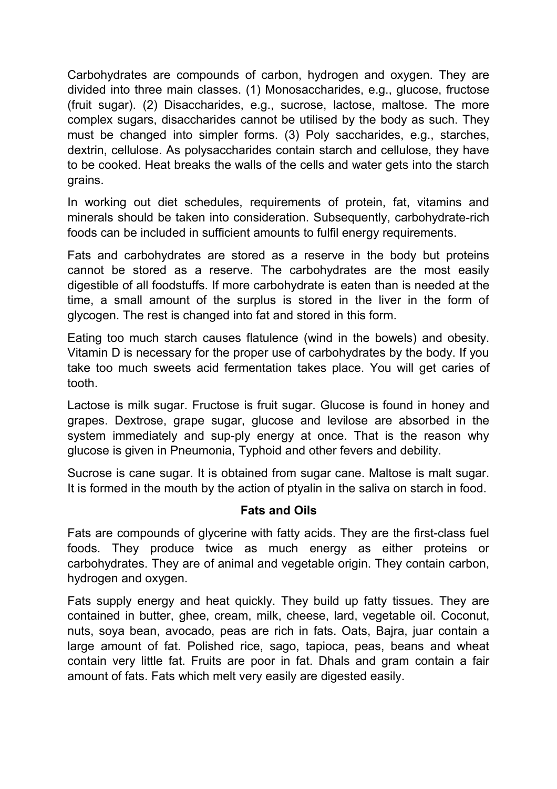Carbohydrates are compounds of carbon, hydrogen and oxygen. They are divided into three main classes. (1) Monosaccharides, e.g., glucose, fructose (fruit sugar). (2) Disaccharides, e.g., sucrose, lactose, maltose. The more complex sugars, disaccharides cannot be utilised by the body as such. They must be changed into simpler forms. (3) Poly saccharides, e.g., starches, dextrin, cellulose. As polysaccharides contain starch and cellulose, they have to be cooked. Heat breaks the walls of the cells and water gets into the starch grains.

In working out diet schedules, requirements of protein, fat, vitamins and minerals should be taken into consideration. Subsequently, carbohydrate-rich foods can be included in sufficient amounts to fulfil energy requirements.

Fats and carbohydrates are stored as a reserve in the body but proteins cannot be stored as a reserve. The carbohydrates are the most easily digestible of all foodstuffs. If more carbohydrate is eaten than is needed at the time, a small amount of the surplus is stored in the liver in the form of glycogen. The rest is changed into fat and stored in this form.

Eating too much starch causes flatulence (wind in the bowels) and obesity. Vitamin D is necessary for the proper use of carbohydrates by the body. If you take too much sweets acid fermentation takes place. You will get caries of tooth.

Lactose is milk sugar. Fructose is fruit sugar. Glucose is found in honey and grapes. Dextrose, grape sugar, glucose and levilose are absorbed in the system immediately and sup-ply energy at once. That is the reason why glucose is given in Pneumonia, Typhoid and other fevers and debility.

Sucrose is cane sugar. It is obtained from sugar cane. Maltose is malt sugar. It is formed in the mouth by the action of ptyalin in the saliva on starch in food.

## **Fats and Oils**

Fats are compounds of glycerine with fatty acids. They are the first-class fuel foods. They produce twice as much energy as either proteins or carbohydrates. They are of animal and vegetable origin. They contain carbon, hydrogen and oxygen.

Fats supply energy and heat quickly. They build up fatty tissues. They are contained in butter, ghee, cream, milk, cheese, lard, vegetable oil. Coconut, nuts, soya bean, avocado, peas are rich in fats. Oats, Bajra, juar contain a large amount of fat. Polished rice, sago, tapioca, peas, beans and wheat contain very little fat. Fruits are poor in fat. Dhals and gram contain a fair amount of fats. Fats which melt very easily are digested easily.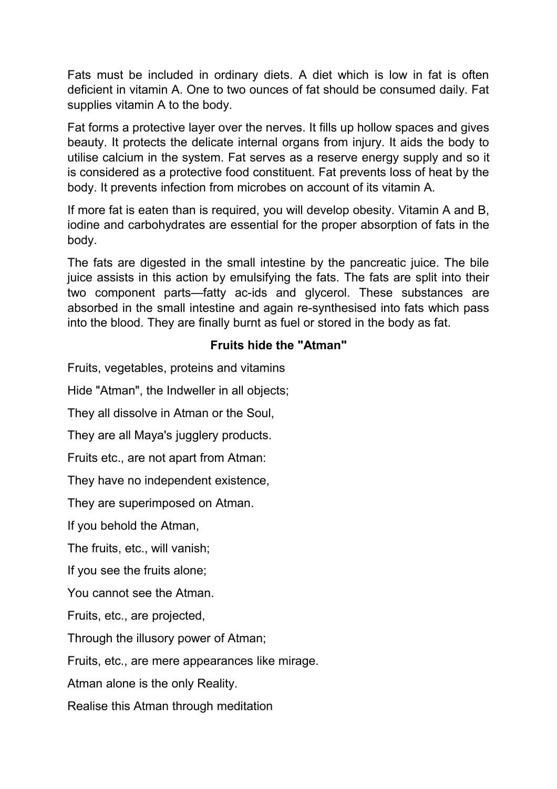Fats must be included in ordinary diets. A diet which is low in fat is often deficient in vitamin A. One to two ounces of fat should be consumed daily. Fat supplies vitamin A to the body.

Fat forms a protective layer over the nerves. It fills up hollow spaces and gives beauty. It protects the delicate internal organs from injury. It aids the body to utilise calcium in the system. Fat serves as a reserve energy supply and so it is considered as a protective food constituent. Fat prevents loss of heat by the body. It prevents infection from microbes on account of its vitamin A.

If more fat is eaten than is required, you will develop obesity. Vitamin A and B, iodine and carbohydrates are essential for the proper absorption of fats in the body.

The fats are digested in the small intestine by the pancreatic juice. The bile juice assists in this action by emulsifying the fats. The fats are split into their two component parts—fatty ac-ids and glycerol. These substances are absorbed in the small intestine and again re-synthesised into fats which pass into the blood. They are finally burnt as fuel or stored in the body as fat.

## **Fruits hide the "Atman"**

Fruits, vegetables, proteins and vitamins

Hide "Atman", the Indweller in all objects;

They all dissolve in Atman or the Soul,

They are all Maya's jugglery products.

Fruits etc., are not apart from Atman:

They have no independent existence,

They are superimposed on Atman.

If you behold the Atman,

The fruits, etc., will vanish;

If you see the fruits alone;

You cannot see the Atman.

Fruits, etc., are projected,

Through the illusory power of Atman;

Fruits, etc., are mere appearances like mirage.

Atman alone is the only Reality.

Realise this Atman through meditation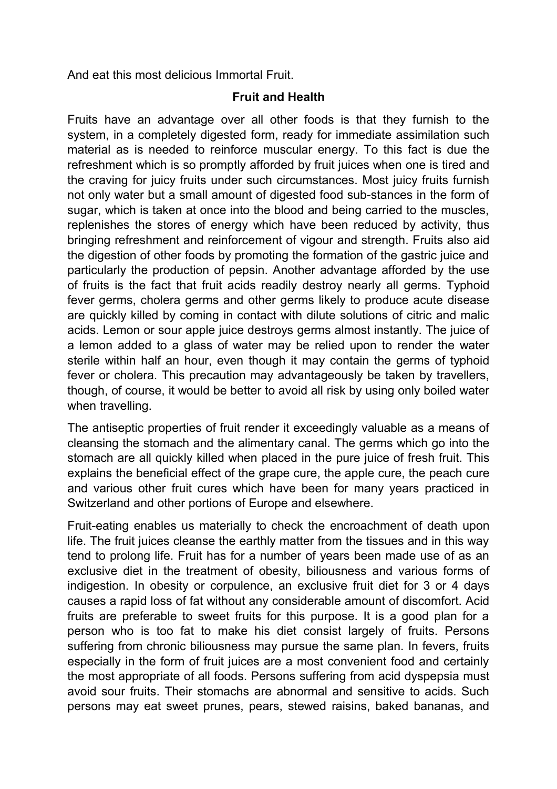And eat this most delicious Immortal Fruit.

#### **Fruit and Health**

Fruits have an advantage over all other foods is that they furnish to the system, in a completely digested form, ready for immediate assimilation such material as is needed to reinforce muscular energy. To this fact is due the refreshment which is so promptly afforded by fruit juices when one is tired and the craving for juicy fruits under such circumstances. Most juicy fruits furnish not only water but a small amount of digested food sub-stances in the form of sugar, which is taken at once into the blood and being carried to the muscles, replenishes the stores of energy which have been reduced by activity, thus bringing refreshment and reinforcement of vigour and strength. Fruits also aid the digestion of other foods by promoting the formation of the gastric juice and particularly the production of pepsin. Another advantage afforded by the use of fruits is the fact that fruit acids readily destroy nearly all germs. Typhoid fever germs, cholera germs and other germs likely to produce acute disease are quickly killed by coming in contact with dilute solutions of citric and malic acids. Lemon or sour apple juice destroys germs almost instantly. The juice of a lemon added to a glass of water may be relied upon to render the water sterile within half an hour, even though it may contain the germs of typhoid fever or cholera. This precaution may advantageously be taken by travellers, though, of course, it would be better to avoid all risk by using only boiled water when travelling.

The antiseptic properties of fruit render it exceedingly valuable as a means of cleansing the stomach and the alimentary canal. The germs which go into the stomach are all quickly killed when placed in the pure juice of fresh fruit. This explains the beneficial effect of the grape cure, the apple cure, the peach cure and various other fruit cures which have been for many years practiced in Switzerland and other portions of Europe and elsewhere.

Fruit-eating enables us materially to check the encroachment of death upon life. The fruit juices cleanse the earthly matter from the tissues and in this way tend to prolong life. Fruit has for a number of years been made use of as an exclusive diet in the treatment of obesity, biliousness and various forms of indigestion. In obesity or corpulence, an exclusive fruit diet for 3 or 4 days causes a rapid loss of fat without any considerable amount of discomfort. Acid fruits are preferable to sweet fruits for this purpose. It is a good plan for a person who is too fat to make his diet consist largely of fruits. Persons suffering from chronic biliousness may pursue the same plan. In fevers, fruits especially in the form of fruit juices are a most convenient food and certainly the most appropriate of all foods. Persons suffering from acid dyspepsia must avoid sour fruits. Their stomachs are abnormal and sensitive to acids. Such persons may eat sweet prunes, pears, stewed raisins, baked bananas, and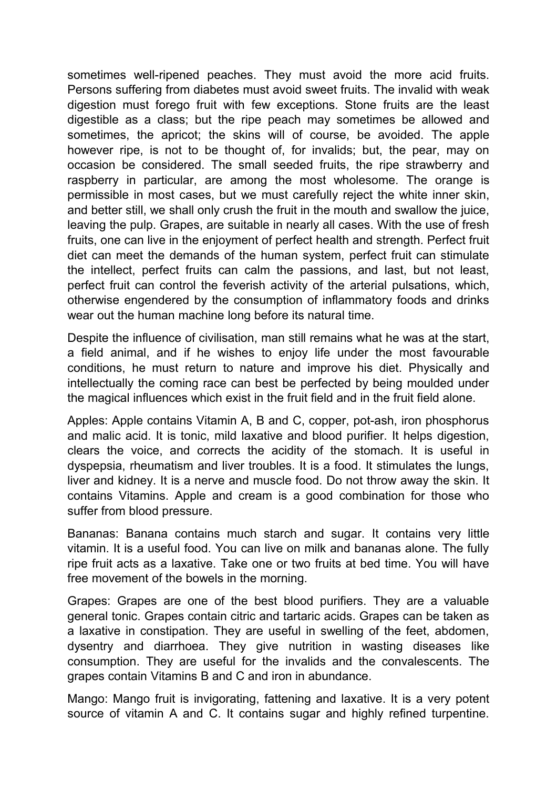sometimes well-ripened peaches. They must avoid the more acid fruits. Persons suffering from diabetes must avoid sweet fruits. The invalid with weak digestion must forego fruit with few exceptions. Stone fruits are the least digestible as a class; but the ripe peach may sometimes be allowed and sometimes, the apricot; the skins will of course, be avoided. The apple however ripe, is not to be thought of, for invalids; but, the pear, may on occasion be considered. The small seeded fruits, the ripe strawberry and raspberry in particular, are among the most wholesome. The orange is permissible in most cases, but we must carefully reject the white inner skin, and better still, we shall only crush the fruit in the mouth and swallow the juice, leaving the pulp. Grapes, are suitable in nearly all cases. With the use of fresh fruits, one can live in the enjoyment of perfect health and strength. Perfect fruit diet can meet the demands of the human system, perfect fruit can stimulate the intellect, perfect fruits can calm the passions, and last, but not least, perfect fruit can control the feverish activity of the arterial pulsations, which, otherwise engendered by the consumption of inflammatory foods and drinks wear out the human machine long before its natural time.

Despite the influence of civilisation, man still remains what he was at the start, a field animal, and if he wishes to enjoy life under the most favourable conditions, he must return to nature and improve his diet. Physically and intellectually the coming race can best be perfected by being moulded under the magical influences which exist in the fruit field and in the fruit field alone.

Apples: Apple contains Vitamin A, B and C, copper, pot-ash, iron phosphorus and malic acid. It is tonic, mild laxative and blood purifier. It helps digestion, clears the voice, and corrects the acidity of the stomach. It is useful in dyspepsia, rheumatism and liver troubles. It is a food. It stimulates the lungs, liver and kidney. It is a nerve and muscle food. Do not throw away the skin. It contains Vitamins. Apple and cream is a good combination for those who suffer from blood pressure.

Bananas: Banana contains much starch and sugar. It contains very little vitamin. It is a useful food. You can live on milk and bananas alone. The fully ripe fruit acts as a laxative. Take one or two fruits at bed time. You will have free movement of the bowels in the morning.

Grapes: Grapes are one of the best blood purifiers. They are a valuable general tonic. Grapes contain citric and tartaric acids. Grapes can be taken as a laxative in constipation. They are useful in swelling of the feet, abdomen, dysentry and diarrhoea. They give nutrition in wasting diseases like consumption. They are useful for the invalids and the convalescents. The grapes contain Vitamins B and C and iron in abundance.

Mango: Mango fruit is invigorating, fattening and laxative. It is a very potent source of vitamin A and C. It contains sugar and highly refined turpentine.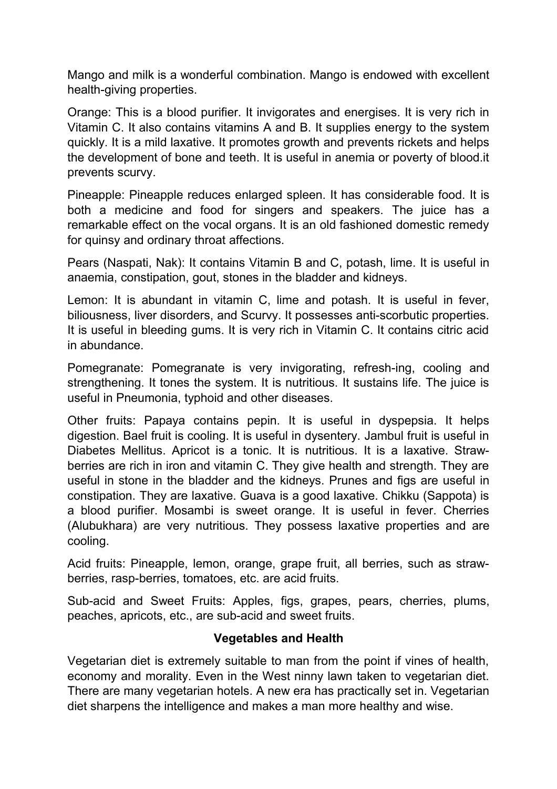Mango and milk is a wonderful combination. Mango is endowed with excellent health-giving properties.

Orange: This is a blood purifier. It invigorates and energises. It is very rich in Vitamin C. It also contains vitamins A and B. It supplies energy to the system quickly. It is a mild laxative. It promotes growth and prevents rickets and helps the development of bone and teeth. It is useful in anemia or poverty of blood.it prevents scurvy.

Pineapple: Pineapple reduces enlarged spleen. It has considerable food. It is both a medicine and food for singers and speakers. The juice has a remarkable effect on the vocal organs. It is an old fashioned domestic remedy for quinsy and ordinary throat affections.

Pears (Naspati, Nak): It contains Vitamin B and C, potash, lime. It is useful in anaemia, constipation, gout, stones in the bladder and kidneys.

Lemon: It is abundant in vitamin C, lime and potash. It is useful in fever, biliousness, liver disorders, and Scurvy. It possesses anti-scorbutic properties. It is useful in bleeding gums. It is very rich in Vitamin C. It contains citric acid in abundance.

Pomegranate: Pomegranate is very invigorating, refresh-ing, cooling and strengthening. It tones the system. It is nutritious. It sustains life. The juice is useful in Pneumonia, typhoid and other diseases.

Other fruits: Papaya contains pepin. It is useful in dyspepsia. It helps digestion. Bael fruit is cooling. It is useful in dysentery. Jambul fruit is useful in Diabetes Mellitus. Apricot is a tonic. It is nutritious. It is a laxative. Strawberries are rich in iron and vitamin C. They give health and strength. They are useful in stone in the bladder and the kidneys. Prunes and figs are useful in constipation. They are laxative. Guava is a good laxative. Chikku (Sappota) is a blood purifier. Mosambi is sweet orange. It is useful in fever. Cherries (Alubukhara) are very nutritious. They possess laxative properties and are cooling.

Acid fruits: Pineapple, lemon, orange, grape fruit, all berries, such as strawberries, rasp-berries, tomatoes, etc. are acid fruits.

Sub-acid and Sweet Fruits: Apples, figs, grapes, pears, cherries, plums, peaches, apricots, etc., are sub-acid and sweet fruits.

## **Vegetables and Health**

Vegetarian diet is extremely suitable to man from the point if vines of health, economy and morality. Even in the West ninny lawn taken to vegetarian diet. There are many vegetarian hotels. A new era has practically set in. Vegetarian diet sharpens the intelligence and makes a man more healthy and wise.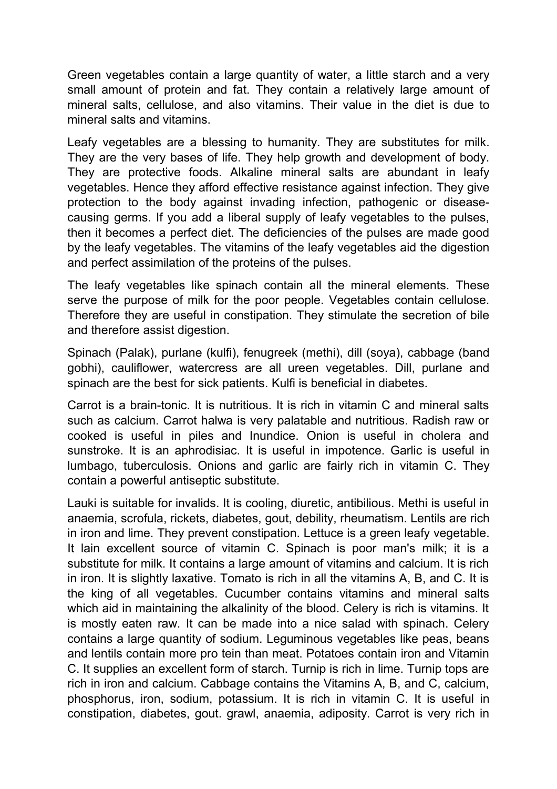Green vegetables contain a large quantity of water, a little starch and a very small amount of protein and fat. They contain a relatively large amount of mineral salts, cellulose, and also vitamins. Their value in the diet is due to mineral salts and vitamins.

Leafy vegetables are a blessing to humanity. They are substitutes for milk. They are the very bases of life. They help growth and development of body. They are protective foods. Alkaline mineral salts are abundant in leafy vegetables. Hence they afford effective resistance against infection. They give protection to the body against invading infection, pathogenic or diseasecausing germs. If you add a liberal supply of leafy vegetables to the pulses, then it becomes a perfect diet. The deficiencies of the pulses are made good by the leafy vegetables. The vitamins of the leafy vegetables aid the digestion and perfect assimilation of the proteins of the pulses.

The leafy vegetables like spinach contain all the mineral elements. These serve the purpose of milk for the poor people. Vegetables contain cellulose. Therefore they are useful in constipation. They stimulate the secretion of bile and therefore assist digestion.

Spinach (Palak), purlane (kulfi), fenugreek (methi), dill (soya), cabbage (band gobhi), cauliflower, watercress are all ureen vegetables. Dill, purlane and spinach are the best for sick patients. Kulfi is beneficial in diabetes.

Carrot is a brain-tonic. It is nutritious. It is rich in vitamin C and mineral salts such as calcium. Carrot halwa is very palatable and nutritious. Radish raw or cooked is useful in piles and Inundice. Onion is useful in cholera and sunstroke. It is an aphrodisiac. It is useful in impotence. Garlic is useful in lumbago, tuberculosis. Onions and garlic are fairly rich in vitamin C. They contain a powerful antiseptic substitute.

Lauki is suitable for invalids. It is cooling, diuretic, antibilious. Methi is useful in anaemia, scrofula, rickets, diabetes, gout, debility, rheumatism. Lentils are rich in iron and lime. They prevent constipation. Lettuce is a green leafy vegetable. It lain excellent source of vitamin C. Spinach is poor man's milk; it is a substitute for milk. It contains a large amount of vitamins and calcium. It is rich in iron. It is slightly laxative. Tomato is rich in all the vitamins A, B, and C. It is the king of all vegetables. Cucumber contains vitamins and mineral salts which aid in maintaining the alkalinity of the blood. Celery is rich is vitamins. It is mostly eaten raw. It can be made into a nice salad with spinach. Celery contains a large quantity of sodium. Leguminous vegetables like peas, beans and lentils contain more pro tein than meat. Potatoes contain iron and Vitamin C. It supplies an excellent form of starch. Turnip is rich in lime. Turnip tops are rich in iron and calcium. Cabbage contains the Vitamins A, B, and C, calcium, phosphorus, iron, sodium, potassium. It is rich in vitamin C. It is useful in constipation, diabetes, gout. grawl, anaemia, adiposity. Carrot is very rich in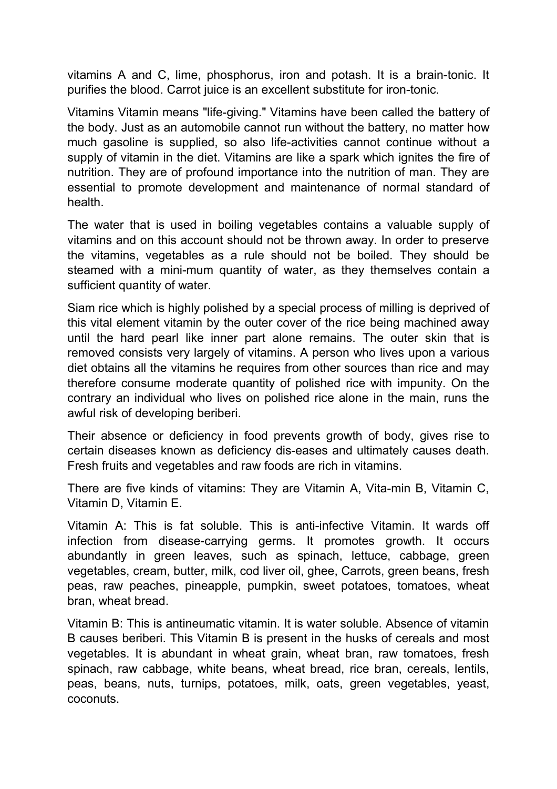vitamins A and C, lime, phosphorus, iron and potash. It is a brain-tonic. It purifies the blood. Carrot juice is an excellent substitute for iron-tonic.

Vitamins Vitamin means "life-giving." Vitamins have been called the battery of the body. Just as an automobile cannot run without the battery, no matter how much gasoline is supplied, so also life-activities cannot continue without a supply of vitamin in the diet. Vitamins are like a spark which ignites the fire of nutrition. They are of profound importance into the nutrition of man. They are essential to promote development and maintenance of normal standard of health.

The water that is used in boiling vegetables contains a valuable supply of vitamins and on this account should not be thrown away. In order to preserve the vitamins, vegetables as a rule should not be boiled. They should be steamed with a mini-mum quantity of water, as they themselves contain a sufficient quantity of water.

Siam rice which is highly polished by a special process of milling is deprived of this vital element vitamin by the outer cover of the rice being machined away until the hard pearl like inner part alone remains. The outer skin that is removed consists very largely of vitamins. A person who lives upon a various diet obtains all the vitamins he requires from other sources than rice and may therefore consume moderate quantity of polished rice with impunity. On the contrary an individual who lives on polished rice alone in the main, runs the awful risk of developing beriberi.

Their absence or deficiency in food prevents growth of body, gives rise to certain diseases known as deficiency dis-eases and ultimately causes death. Fresh fruits and vegetables and raw foods are rich in vitamins.

There are five kinds of vitamins: They are Vitamin A, Vita-min B, Vitamin C, Vitamin D, Vitamin E.

Vitamin A: This is fat soluble. This is anti-infective Vitamin. It wards off infection from disease-carrying germs. It promotes growth. It occurs abundantly in green leaves, such as spinach, lettuce, cabbage, green vegetables, cream, butter, milk, cod liver oil, ghee, Carrots, green beans, fresh peas, raw peaches, pineapple, pumpkin, sweet potatoes, tomatoes, wheat bran, wheat bread.

Vitamin B: This is antineumatic vitamin. It is water soluble. Absence of vitamin B causes beriberi. This Vitamin B is present in the husks of cereals and most vegetables. It is abundant in wheat grain, wheat bran, raw tomatoes, fresh spinach, raw cabbage, white beans, wheat bread, rice bran, cereals, lentils, peas, beans, nuts, turnips, potatoes, milk, oats, green vegetables, yeast, coconuts.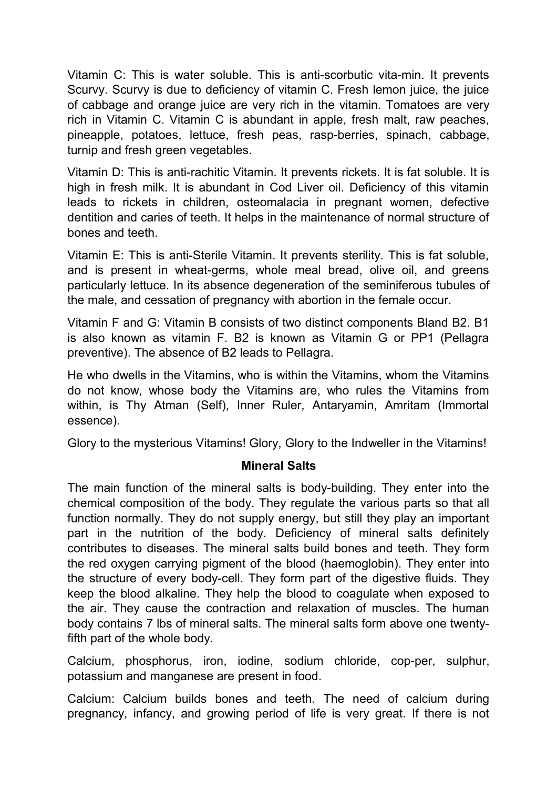Vitamin C: This is water soluble. This is anti-scorbutic vita-min. It prevents Scurvy. Scurvy is due to deficiency of vitamin C. Fresh lemon juice, the juice of cabbage and orange juice are very rich in the vitamin. Tomatoes are very rich in Vitamin C. Vitamin C is abundant in apple, fresh malt, raw peaches, pineapple, potatoes, lettuce, fresh peas, rasp-berries, spinach, cabbage, turnip and fresh green vegetables.

Vitamin D: This is anti-rachitic Vitamin. It prevents rickets. It is fat soluble. It is high in fresh milk. It is abundant in Cod Liver oil. Deficiency of this vitamin leads to rickets in children, osteomalacia in pregnant women, defective dentition and caries of teeth. It helps in the maintenance of normal structure of bones and teeth.

Vitamin E: This is anti-Sterile Vitamin. It prevents sterility. This is fat soluble, and is present in wheat-germs, whole meal bread, olive oil, and greens particularly lettuce. In its absence degeneration of the seminiferous tubules of the male, and cessation of pregnancy with abortion in the female occur.

Vitamin F and G: Vitamin B consists of two distinct components Bland B2. B1 is also known as vitamin F. B2 is known as Vitamin G or PP1 (Pellagra preventive). The absence of B2 leads to Pellagra.

He who dwells in the Vitamins, who is within the Vitamins, whom the Vitamins do not know, whose body the Vitamins are, who rules the Vitamins from within, is Thy Atman (Self), Inner Ruler, Antaryamin, Amritam (Immortal essence).

Glory to the mysterious Vitamins! Glory, Glory to the Indweller in the Vitamins!

## **Mineral Salts**

The main function of the mineral salts is body-building. They enter into the chemical composition of the body. They regulate the various parts so that all function normally. They do not supply energy, but still they play an important part in the nutrition of the body. Deficiency of mineral salts definitely contributes to diseases. The mineral salts build bones and teeth. They form the red oxygen carrying pigment of the blood (haemoglobin). They enter into the structure of every body-cell. They form part of the digestive fluids. They keep the blood alkaline. They help the blood to coagulate when exposed to the air. They cause the contraction and relaxation of muscles. The human body contains 7 lbs of mineral salts. The mineral salts form above one twentyfifth part of the whole body.

Calcium, phosphorus, iron, iodine, sodium chloride, cop-per, sulphur, potassium and manganese are present in food.

Calcium: Calcium builds bones and teeth. The need of calcium during pregnancy, infancy, and growing period of life is very great. If there is not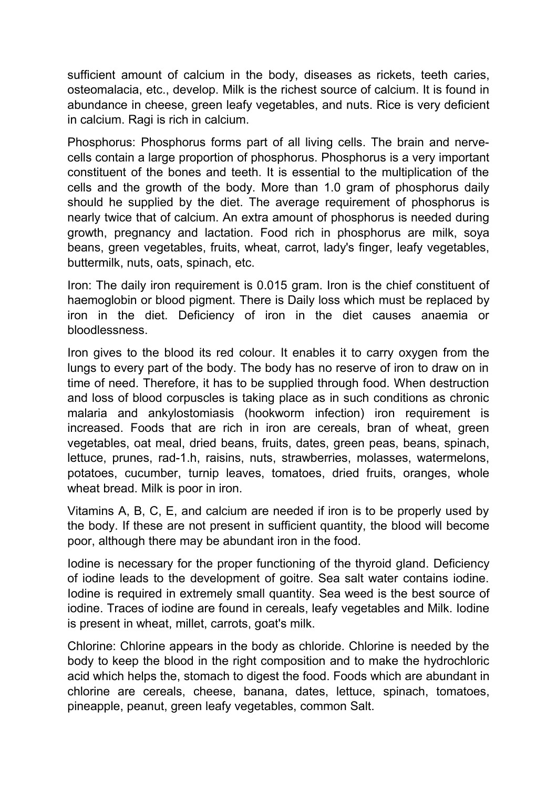sufficient amount of calcium in the body, diseases as rickets, teeth caries, osteomalacia, etc., develop. Milk is the richest source of calcium. It is found in abundance in cheese, green leafy vegetables, and nuts. Rice is very deficient in calcium. Ragi is rich in calcium.

Phosphorus: Phosphorus forms part of all living cells. The brain and nervecells contain a large proportion of phosphorus. Phosphorus is a very important constituent of the bones and teeth. It is essential to the multiplication of the cells and the growth of the body. More than 1.0 gram of phosphorus daily should he supplied by the diet. The average requirement of phosphorus is nearly twice that of calcium. An extra amount of phosphorus is needed during growth, pregnancy and lactation. Food rich in phosphorus are milk, soya beans, green vegetables, fruits, wheat, carrot, lady's finger, leafy vegetables, buttermilk, nuts, oats, spinach, etc.

Iron: The daily iron requirement is 0.015 gram. Iron is the chief constituent of haemoglobin or blood pigment. There is Daily loss which must be replaced by iron in the diet. Deficiency of iron in the diet causes anaemia or bloodlessness.

Iron gives to the blood its red colour. It enables it to carry oxygen from the lungs to every part of the body. The body has no reserve of iron to draw on in time of need. Therefore, it has to be supplied through food. When destruction and loss of blood corpuscles is taking place as in such conditions as chronic malaria and ankylostomiasis (hookworm infection) iron requirement is increased. Foods that are rich in iron are cereals, bran of wheat, green vegetables, oat meal, dried beans, fruits, dates, green peas, beans, spinach, lettuce, prunes, rad-1.h, raisins, nuts, strawberries, molasses, watermelons, potatoes, cucumber, turnip leaves, tomatoes, dried fruits, oranges, whole wheat bread. Milk is poor in iron.

Vitamins A, B, C, E, and calcium are needed if iron is to be properly used by the body. If these are not present in sufficient quantity, the blood will become poor, although there may be abundant iron in the food.

Iodine is necessary for the proper functioning of the thyroid gland. Deficiency of iodine leads to the development of goitre. Sea salt water contains iodine. Iodine is required in extremely small quantity. Sea weed is the best source of iodine. Traces of iodine are found in cereals, leafy vegetables and Milk. Iodine is present in wheat, millet, carrots, goat's milk.

Chlorine: Chlorine appears in the body as chloride. Chlorine is needed by the body to keep the blood in the right composition and to make the hydrochloric acid which helps the, stomach to digest the food. Foods which are abundant in chlorine are cereals, cheese, banana, dates, lettuce, spinach, tomatoes, pineapple, peanut, green leafy vegetables, common Salt.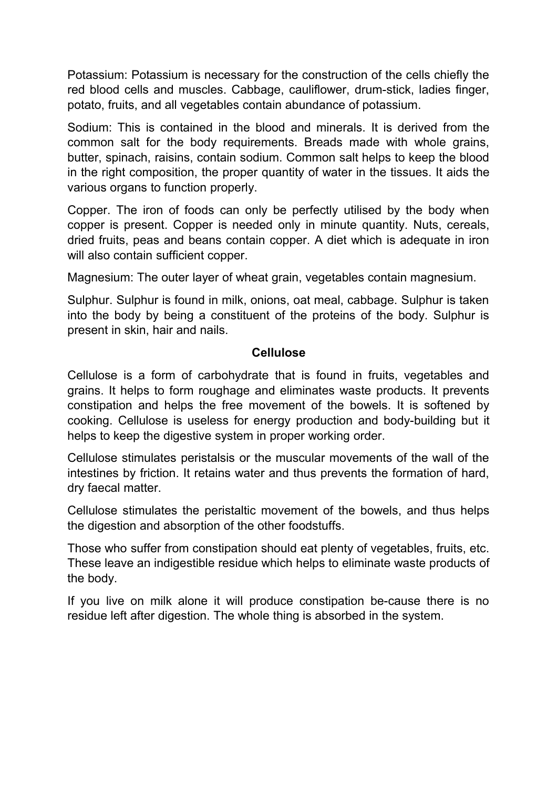Potassium: Potassium is necessary for the construction of the cells chiefly the red blood cells and muscles. Cabbage, cauliflower, drum-stick, ladies finger, potato, fruits, and all vegetables contain abundance of potassium.

Sodium: This is contained in the blood and minerals. It is derived from the common salt for the body requirements. Breads made with whole grains, butter, spinach, raisins, contain sodium. Common salt helps to keep the blood in the right composition, the proper quantity of water in the tissues. It aids the various organs to function properly.

Copper. The iron of foods can only be perfectly utilised by the body when copper is present. Copper is needed only in minute quantity. Nuts, cereals, dried fruits, peas and beans contain copper. A diet which is adequate in iron will also contain sufficient copper.

Magnesium: The outer layer of wheat grain, vegetables contain magnesium.

Sulphur. Sulphur is found in milk, onions, oat meal, cabbage. Sulphur is taken into the body by being a constituent of the proteins of the body. Sulphur is present in skin, hair and nails.

#### **Cellulose**

Cellulose is a form of carbohydrate that is found in fruits, vegetables and grains. It helps to form roughage and eliminates waste products. It prevents constipation and helps the free movement of the bowels. It is softened by cooking. Cellulose is useless for energy production and body-building but it helps to keep the digestive system in proper working order.

Cellulose stimulates peristalsis or the muscular movements of the wall of the intestines by friction. It retains water and thus prevents the formation of hard, dry faecal matter.

Cellulose stimulates the peristaltic movement of the bowels, and thus helps the digestion and absorption of the other foodstuffs.

Those who suffer from constipation should eat plenty of vegetables, fruits, etc. These leave an indigestible residue which helps to eliminate waste products of the body.

If you live on milk alone it will produce constipation be-cause there is no residue left after digestion. The whole thing is absorbed in the system.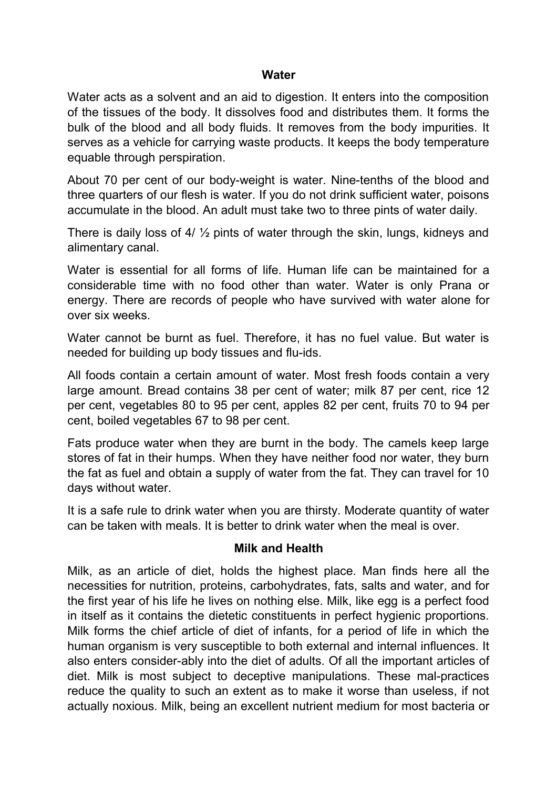#### **Water**

Water acts as a solvent and an aid to digestion. It enters into the composition of the tissues of the body. It dissolves food and distributes them. It forms the bulk of the blood and all body fluids. It removes from the body impurities. It serves as a vehicle for carrying waste products. It keeps the body temperature equable through perspiration.

About 70 per cent of our body-weight is water. Nine-tenths of the blood and three quarters of our flesh is water. If you do not drink sufficient water, poisons accumulate in the blood. An adult must take two to three pints of water daily.

There is daily loss of 4/ ½ pints of water through the skin, lungs, kidneys and alimentary canal.

Water is essential for all forms of life. Human life can be maintained for a considerable time with no food other than water. Water is only Prana or energy. There are records of people who have survived with water alone for over six weeks.

Water cannot be burnt as fuel. Therefore, it has no fuel value. But water is needed for building up body tissues and flu-ids.

All foods contain a certain amount of water. Most fresh foods contain a very large amount. Bread contains 38 per cent of water; milk 87 per cent, rice 12 per cent, vegetables 80 to 95 per cent, apples 82 per cent, fruits 70 to 94 per cent, boiled vegetables 67 to 98 per cent.

Fats produce water when they are burnt in the body. The camels keep large stores of fat in their humps. When they have neither food nor water, they burn the fat as fuel and obtain a supply of water from the fat. They can travel for 10 days without water.

It is a safe rule to drink water when you are thirsty. Moderate quantity of water can be taken with meals. It is better to drink water when the meal is over.

#### **Milk and Health**

Milk, as an article of diet, holds the highest place. Man finds here all the necessities for nutrition, proteins, carbohydrates, fats, salts and water, and for the first year of his life he lives on nothing else. Milk, like egg is a perfect food in itself as it contains the dietetic constituents in perfect hygienic proportions. Milk forms the chief article of diet of infants, for a period of life in which the human organism is very susceptible to both external and internal influences. It also enters consider-ably into the diet of adults. Of all the important articles of diet. Milk is most subject to deceptive manipulations. These mal-practices reduce the quality to such an extent as to make it worse than useless, if not actually noxious. Milk, being an excellent nutrient medium for most bacteria or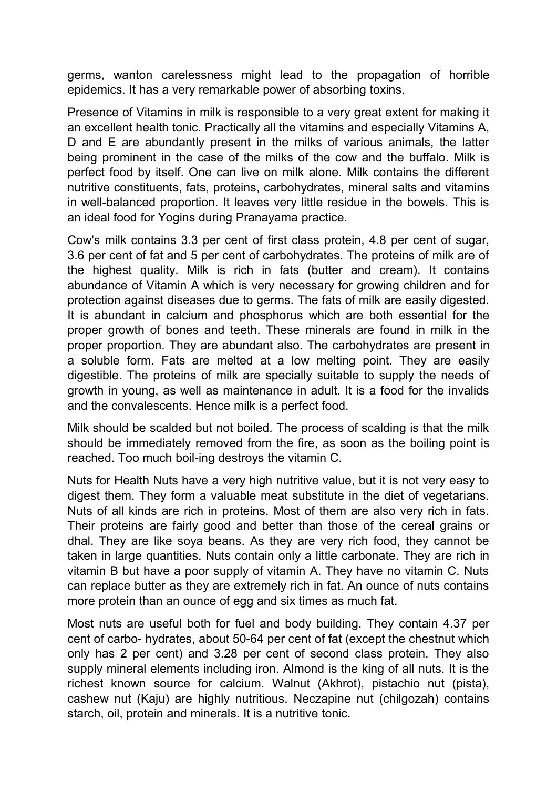germs, wanton carelessness might lead to the propagation of horrible epidemics. It has a very remarkable power of absorbing toxins.

Presence of Vitamins in milk is responsible to a very great extent for making it an excellent health tonic. Practically all the vitamins and especially Vitamins A, D and E are abundantly present in the milks of various animals, the latter being prominent in the case of the milks of the cow and the buffalo. Milk is perfect food by itself. One can live on milk alone. Milk contains the different nutritive constituents, fats, proteins, carbohydrates, mineral salts and vitamins in well-balanced proportion. It leaves very little residue in the bowels. This is an ideal food for Yogins during Pranayama practice.

Cow's milk contains 3.3 per cent of first class protein, 4.8 per cent of sugar, 3.6 per cent of fat and 5 per cent of carbohydrates. The proteins of milk are of the highest quality. Milk is rich in fats (butter and cream). It contains abundance of Vitamin A which is very necessary for growing children and for protection against diseases due to germs. The fats of milk are easily digested. It is abundant in calcium and phosphorus which are both essential for the proper growth of bones and teeth. These minerals are found in milk in the proper proportion. They are abundant also. The carbohydrates are present in a soluble form. Fats are melted at a low melting point. They are easily digestible. The proteins of milk are specially suitable to supply the needs of growth in young, as well as maintenance in adult. It is a food for the invalids and the convalescents. Hence milk is a perfect food.

Milk should be scalded but not boiled. The process of scalding is that the milk should be immediately removed from the fire, as soon as the boiling point is reached. Too much boil-ing destroys the vitamin C.

Nuts for Health Nuts have a very high nutritive value, but it is not very easy to digest them. They form a valuable meat substitute in the diet of vegetarians. Nuts of all kinds are rich in proteins. Most of them are also very rich in fats. Their proteins are fairly good and better than those of the cereal grains or dhal. They are like soya beans. As they are very rich food, they cannot be taken in large quantities. Nuts contain only a little carbonate. They are rich in vitamin B but have a poor supply of vitamin A. They have no vitamin C. Nuts can replace butter as they are extremely rich in fat. An ounce of nuts contains more protein than an ounce of egg and six times as much fat.

Most nuts are useful both for fuel and body building. They contain 4.37 per cent of carbo- hydrates, about 50-64 per cent of fat (except the chestnut which only has 2 per cent) and 3.28 per cent of second class protein. They also supply mineral elements including iron. Almond is the king of all nuts. It is the richest known source for calcium. Walnut (Akhrot), pistachio nut (pista), cashew nut (Kaju) are highly nutritious. Neczapine nut (chilgozah) contains starch, oil, protein and minerals. It is a nutritive tonic.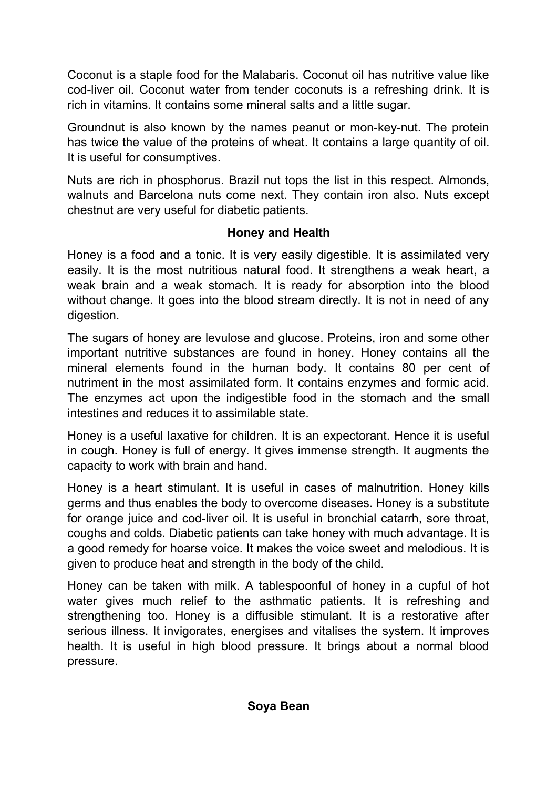Coconut is a staple food for the Malabaris. Coconut oil has nutritive value like cod-liver oil. Coconut water from tender coconuts is a refreshing drink. It is rich in vitamins. It contains some mineral salts and a little sugar.

Groundnut is also known by the names peanut or mon-key-nut. The protein has twice the value of the proteins of wheat. It contains a large quantity of oil. It is useful for consumptives.

Nuts are rich in phosphorus. Brazil nut tops the list in this respect. Almonds, walnuts and Barcelona nuts come next. They contain iron also. Nuts except chestnut are very useful for diabetic patients.

## **Honey and Health**

Honey is a food and a tonic. It is very easily digestible. It is assimilated very easily. It is the most nutritious natural food. It strengthens a weak heart, a weak brain and a weak stomach. It is ready for absorption into the blood without change. It goes into the blood stream directly. It is not in need of any digestion.

The sugars of honey are levulose and glucose. Proteins, iron and some other important nutritive substances are found in honey. Honey contains all the mineral elements found in the human body. It contains 80 per cent of nutriment in the most assimilated form. It contains enzymes and formic acid. The enzymes act upon the indigestible food in the stomach and the small intestines and reduces it to assimilable state.

Honey is a useful laxative for children. It is an expectorant. Hence it is useful in cough. Honey is full of energy. It gives immense strength. It augments the capacity to work with brain and hand.

Honey is a heart stimulant. It is useful in cases of malnutrition. Honey kills germs and thus enables the body to overcome diseases. Honey is a substitute for orange juice and cod-liver oil. It is useful in bronchial catarrh, sore throat, coughs and colds. Diabetic patients can take honey with much advantage. It is a good remedy for hoarse voice. It makes the voice sweet and melodious. It is given to produce heat and strength in the body of the child.

Honey can be taken with milk. A tablespoonful of honey in a cupful of hot water gives much relief to the asthmatic patients. It is refreshing and strengthening too. Honey is a diffusible stimulant. It is a restorative after serious illness. It invigorates, energises and vitalises the system. It improves health. It is useful in high blood pressure. It brings about a normal blood pressure.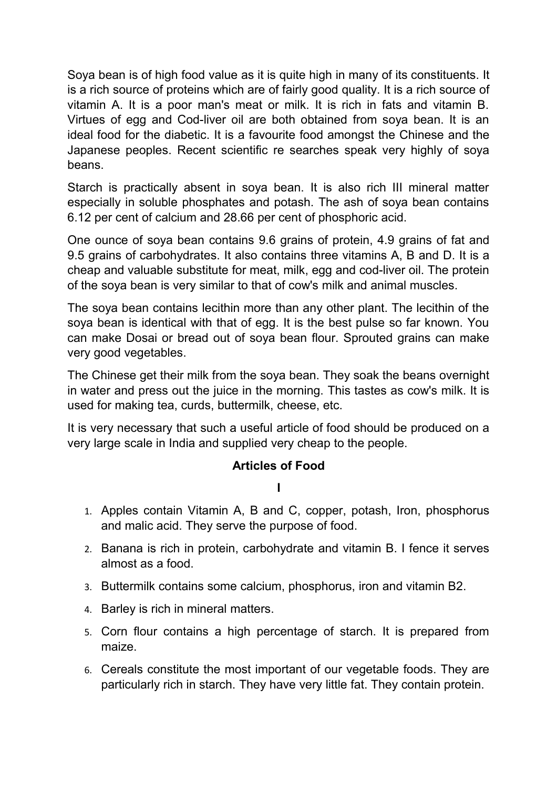Soya bean is of high food value as it is quite high in many of its constituents. It is a rich source of proteins which are of fairly good quality. It is a rich source of vitamin A. It is a poor man's meat or milk. It is rich in fats and vitamin B. Virtues of egg and Cod-liver oil are both obtained from soya bean. It is an ideal food for the diabetic. It is a favourite food amongst the Chinese and the Japanese peoples. Recent scientific re searches speak very highly of soya beans.

Starch is practically absent in soya bean. It is also rich III mineral matter especially in soluble phosphates and potash. The ash of soya bean contains 6.12 per cent of calcium and 28.66 per cent of phosphoric acid.

One ounce of soya bean contains 9.6 grains of protein, 4.9 grains of fat and 9.5 grains of carbohydrates. It also contains three vitamins A, B and D. It is a cheap and valuable substitute for meat, milk, egg and cod-liver oil. The protein of the soya bean is very similar to that of cow's milk and animal muscles.

The soya bean contains lecithin more than any other plant. The lecithin of the soya bean is identical with that of egg. It is the best pulse so far known. You can make Dosai or bread out of soya bean flour. Sprouted grains can make very good vegetables.

The Chinese get their milk from the soya bean. They soak the beans overnight in water and press out the juice in the morning. This tastes as cow's milk. It is used for making tea, curds, buttermilk, cheese, etc.

It is very necessary that such a useful article of food should be produced on a very large scale in India and supplied very cheap to the people.

## **Articles of Food**

#### **I**

- 1. Apples contain Vitamin A, B and C, copper, potash, Iron, phosphorus and malic acid. They serve the purpose of food.
- 2. Banana is rich in protein, carbohydrate and vitamin B. I fence it serves almost as a food.
- 3. Buttermilk contains some calcium, phosphorus, iron and vitamin B2.
- 4. Barley is rich in mineral matters.
- 5. Corn flour contains a high percentage of starch. It is prepared from maize.
- 6. Cereals constitute the most important of our vegetable foods. They are particularly rich in starch. They have very little fat. They contain protein.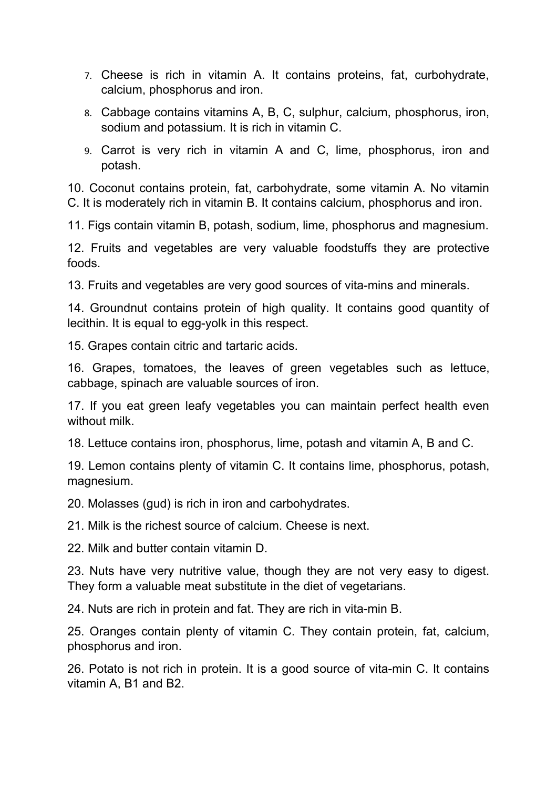- 7. Cheese is rich in vitamin A. It contains proteins, fat, curbohydrate, calcium, phosphorus and iron.
- 8. Cabbage contains vitamins A, B, C, sulphur, calcium, phosphorus, iron, sodium and potassium. It is rich in vitamin C.
- 9. Carrot is very rich in vitamin A and C, lime, phosphorus, iron and potash.

10. Coconut contains protein, fat, carbohydrate, some vitamin A. No vitamin C. It is moderately rich in vitamin B. It contains calcium, phosphorus and iron.

11. Figs contain vitamin B, potash, sodium, lime, phosphorus and magnesium.

12. Fruits and vegetables are very valuable foodstuffs they are protective foods.

13. Fruits and vegetables are very good sources of vita-mins and minerals.

14. Groundnut contains protein of high quality. It contains good quantity of lecithin. It is equal to egg-yolk in this respect.

15. Grapes contain citric and tartaric acids.

16. Grapes, tomatoes, the leaves of green vegetables such as lettuce, cabbage, spinach are valuable sources of iron.

17. If you eat green leafy vegetables you can maintain perfect health even without milk.

18. Lettuce contains iron, phosphorus, lime, potash and vitamin A, B and C.

19. Lemon contains plenty of vitamin C. It contains lime, phosphorus, potash, magnesium.

20. Molasses (gud) is rich in iron and carbohydrates.

21. Milk is the richest source of calcium. Cheese is next.

22. Milk and butter contain vitamin D.

23. Nuts have very nutritive value, though they are not very easy to digest. They form a valuable meat substitute in the diet of vegetarians.

24. Nuts are rich in protein and fat. They are rich in vita-min B.

25. Oranges contain plenty of vitamin C. They contain protein, fat, calcium, phosphorus and iron.

26. Potato is not rich in protein. It is a good source of vita-min C. It contains vitamin A, B1 and B2.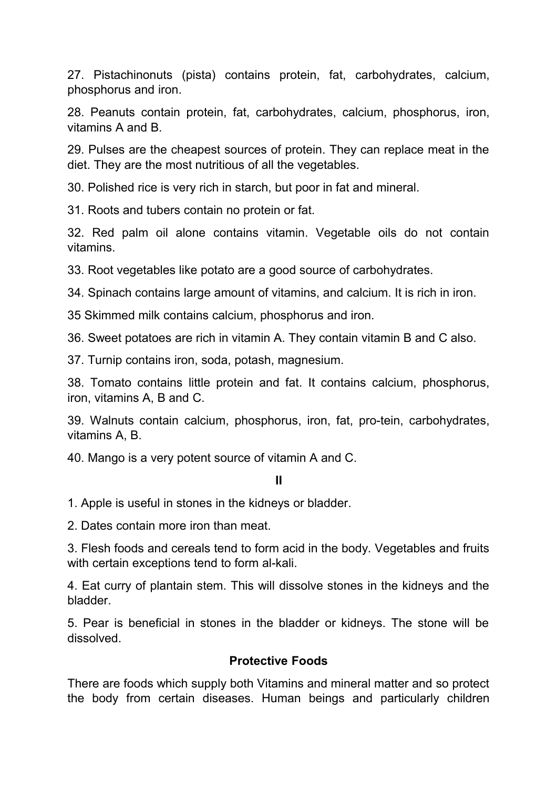27. Pistachinonuts (pista) contains protein, fat, carbohydrates, calcium, phosphorus and iron.

28. Peanuts contain protein, fat, carbohydrates, calcium, phosphorus, iron, vitamins A and B.

29. Pulses are the cheapest sources of protein. They can replace meat in the diet. They are the most nutritious of all the vegetables.

30. Polished rice is very rich in starch, but poor in fat and mineral.

31. Roots and tubers contain no protein or fat.

32. Red palm oil alone contains vitamin. Vegetable oils do not contain vitamins.

33. Root vegetables like potato are a good source of carbohydrates.

34. Spinach contains large amount of vitamins, and calcium. It is rich in iron.

35 Skimmed milk contains calcium, phosphorus and iron.

36. Sweet potatoes are rich in vitamin A. They contain vitamin B and C also.

37. Turnip contains iron, soda, potash, magnesium.

38. Tomato contains little protein and fat. It contains calcium, phosphorus, iron, vitamins A, B and C.

39. Walnuts contain calcium, phosphorus, iron, fat, pro-tein, carbohydrates, vitamins A, B.

40. Mango is a very potent source of vitamin A and C.

**II**

1. Apple is useful in stones in the kidneys or bladder.

2. Dates contain more iron than meat.

3. Flesh foods and cereals tend to form acid in the body. Vegetables and fruits with certain exceptions tend to form al-kali.

4. Eat curry of plantain stem. This will dissolve stones in the kidneys and the bladder.

5. Pear is beneficial in stones in the bladder or kidneys. The stone will be dissolved.

## **Protective Foods**

There are foods which supply both Vitamins and mineral matter and so protect the body from certain diseases. Human beings and particularly children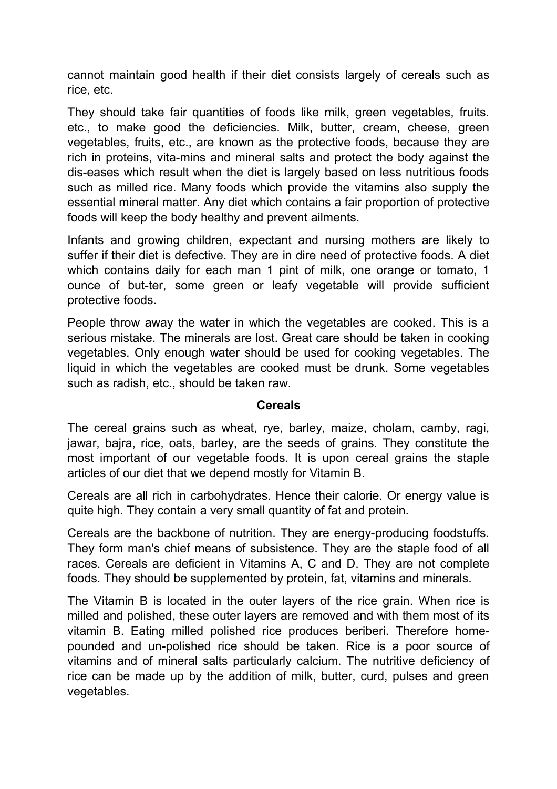cannot maintain good health if their diet consists largely of cereals such as rice, etc.

They should take fair quantities of foods like milk, green vegetables, fruits. etc., to make good the deficiencies. Milk, butter, cream, cheese, green vegetables, fruits, etc., are known as the protective foods, because they are rich in proteins, vita-mins and mineral salts and protect the body against the dis-eases which result when the diet is largely based on less nutritious foods such as milled rice. Many foods which provide the vitamins also supply the essential mineral matter. Any diet which contains a fair proportion of protective foods will keep the body healthy and prevent ailments.

Infants and growing children, expectant and nursing mothers are likely to suffer if their diet is defective. They are in dire need of protective foods. A diet which contains daily for each man 1 pint of milk, one orange or tomato, 1 ounce of but-ter, some green or leafy vegetable will provide sufficient protective foods.

People throw away the water in which the vegetables are cooked. This is a serious mistake. The minerals are lost. Great care should be taken in cooking vegetables. Only enough water should be used for cooking vegetables. The liquid in which the vegetables are cooked must be drunk. Some vegetables such as radish, etc., should be taken raw.

#### **Cereals**

The cereal grains such as wheat, rye, barley, maize, cholam, camby, ragi, jawar, bajra, rice, oats, barley, are the seeds of grains. They constitute the most important of our vegetable foods. It is upon cereal grains the staple articles of our diet that we depend mostly for Vitamin B.

Cereals are all rich in carbohydrates. Hence their calorie. Or energy value is quite high. They contain a very small quantity of fat and protein.

Cereals are the backbone of nutrition. They are energy-producing foodstuffs. They form man's chief means of subsistence. They are the staple food of all races. Cereals are deficient in Vitamins A, C and D. They are not complete foods. They should be supplemented by protein, fat, vitamins and minerals.

The Vitamin B is located in the outer layers of the rice grain. When rice is milled and polished, these outer layers are removed and with them most of its vitamin B. Eating milled polished rice produces beriberi. Therefore homepounded and un-polished rice should be taken. Rice is a poor source of vitamins and of mineral salts particularly calcium. The nutritive deficiency of rice can be made up by the addition of milk, butter, curd, pulses and green vegetables.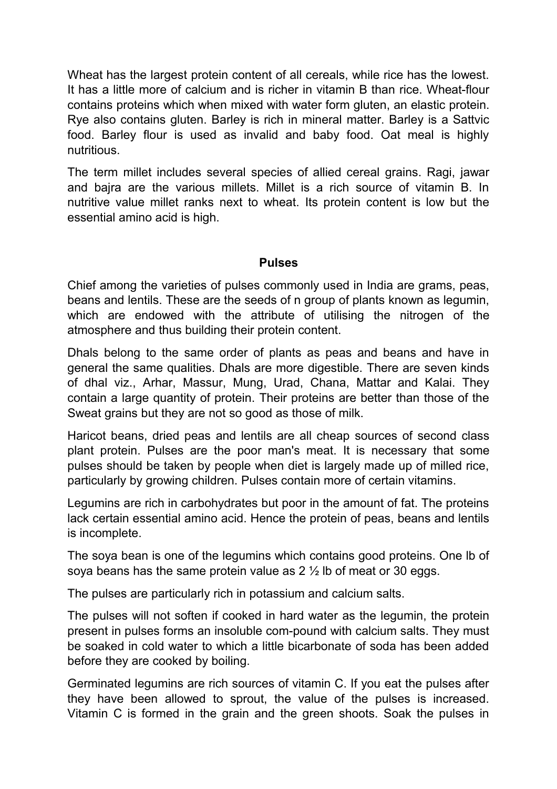Wheat has the largest protein content of all cereals, while rice has the lowest. It has a little more of calcium and is richer in vitamin B than rice. Wheat-flour contains proteins which when mixed with water form gluten, an elastic protein. Rye also contains gluten. Barley is rich in mineral matter. Barley is a Sattvic food. Barley flour is used as invalid and baby food. Oat meal is highly nutritious.

The term millet includes several species of allied cereal grains. Ragi, jawar and bajra are the various millets. Millet is a rich source of vitamin B. In nutritive value millet ranks next to wheat. Its protein content is low but the essential amino acid is high.

#### **Pulses**

Chief among the varieties of pulses commonly used in India are grams, peas, beans and lentils. These are the seeds of n group of plants known as legumin, which are endowed with the attribute of utilising the nitrogen of the atmosphere and thus building their protein content.

Dhals belong to the same order of plants as peas and beans and have in general the same qualities. Dhals are more digestible. There are seven kinds of dhal viz., Arhar, Massur, Mung, Urad, Chana, Mattar and Kalai. They contain a large quantity of protein. Their proteins are better than those of the Sweat grains but they are not so good as those of milk.

Haricot beans, dried peas and lentils are all cheap sources of second class plant protein. Pulses are the poor man's meat. It is necessary that some pulses should be taken by people when diet is largely made up of milled rice, particularly by growing children. Pulses contain more of certain vitamins.

Legumins are rich in carbohydrates but poor in the amount of fat. The proteins lack certain essential amino acid. Hence the protein of peas, beans and lentils is incomplete.

The soya bean is one of the legumins which contains good proteins. One lb of soya beans has the same protein value as  $2\frac{1}{2}$  lb of meat or 30 eggs.

The pulses are particularly rich in potassium and calcium salts.

The pulses will not soften if cooked in hard water as the legumin, the protein present in pulses forms an insoluble com-pound with calcium salts. They must be soaked in cold water to which a little bicarbonate of soda has been added before they are cooked by boiling.

Germinated legumins are rich sources of vitamin C. If you eat the pulses after they have been allowed to sprout, the value of the pulses is increased. Vitamin C is formed in the grain and the green shoots. Soak the pulses in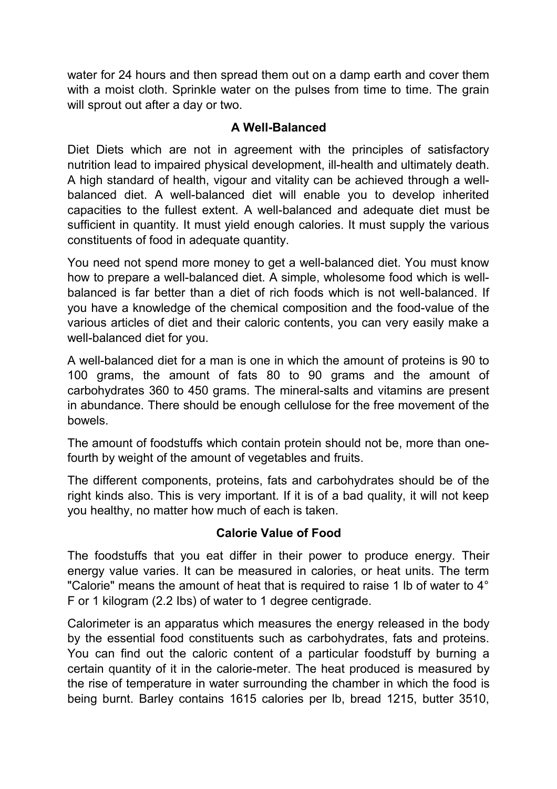water for 24 hours and then spread them out on a damp earth and cover them with a moist cloth. Sprinkle water on the pulses from time to time. The grain will sprout out after a day or two.

## **A Well-Balanced**

Diet Diets which are not in agreement with the principles of satisfactory nutrition lead to impaired physical development, ill-health and ultimately death. A high standard of health, vigour and vitality can be achieved through a wellbalanced diet. A well-balanced diet will enable you to develop inherited capacities to the fullest extent. A well-balanced and adequate diet must be sufficient in quantity. It must yield enough calories. It must supply the various constituents of food in adequate quantity.

You need not spend more money to get a well-balanced diet. You must know how to prepare a well-balanced diet. A simple, wholesome food which is wellbalanced is far better than a diet of rich foods which is not well-balanced. If you have a knowledge of the chemical composition and the food-value of the various articles of diet and their caloric contents, you can very easily make a well-balanced diet for you.

A well-balanced diet for a man is one in which the amount of proteins is 90 to 100 grams, the amount of fats 80 to 90 grams and the amount of carbohydrates 360 to 450 grams. The mineral-salts and vitamins are present in abundance. There should be enough cellulose for the free movement of the bowels.

The amount of foodstuffs which contain protein should not be, more than onefourth by weight of the amount of vegetables and fruits.

The different components, proteins, fats and carbohydrates should be of the right kinds also. This is very important. If it is of a bad quality, it will not keep you healthy, no matter how much of each is taken.

## **Calorie Value of Food**

The foodstuffs that you eat differ in their power to produce energy. Their energy value varies. It can be measured in calories, or heat units. The term "Calorie" means the amount of heat that is required to raise 1 lb of water to 4° F or 1 kilogram (2.2 Ibs) of water to 1 degree centigrade.

Calorimeter is an apparatus which measures the energy released in the body by the essential food constituents such as carbohydrates, fats and proteins. You can find out the caloric content of a particular foodstuff by burning a certain quantity of it in the calorie-meter. The heat produced is measured by the rise of temperature in water surrounding the chamber in which the food is being burnt. Barley contains 1615 calories per lb, bread 1215, butter 3510,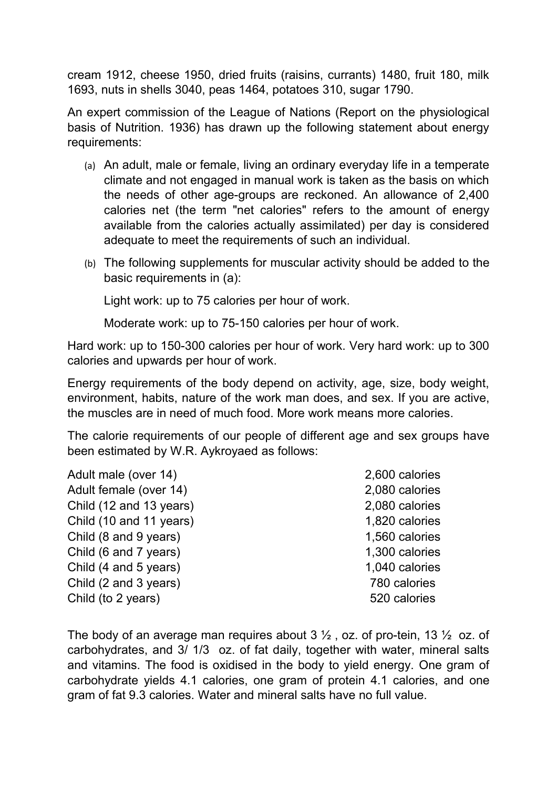cream 1912, cheese 1950, dried fruits (raisins, currants) 1480, fruit 180, milk 1693, nuts in shells 3040, peas 1464, potatoes 310, sugar 1790.

An expert commission of the League of Nations (Report on the physiological basis of Nutrition. 1936) has drawn up the following statement about energy requirements:

- (a) An adult, male or female, living an ordinary everyday life in a temperate climate and not engaged in manual work is taken as the basis on which the needs of other age-groups are reckoned. An allowance of 2,400 calories net (the term "net calories" refers to the amount of energy available from the calories actually assimilated) per day is considered adequate to meet the requirements of such an individual.
- (b) The following supplements for muscular activity should be added to the basic requirements in (a):

Light work: up to 75 calories per hour of work.

Moderate work: up to 75-150 calories per hour of work.

Hard work: up to 150-300 calories per hour of work. Very hard work: up to 300 calories and upwards per hour of work.

Energy requirements of the body depend on activity, age, size, body weight, environment, habits, nature of the work man does, and sex. If you are active, the muscles are in need of much food. More work means more calories.

The calorie requirements of our people of different age and sex groups have been estimated by W.R. Aykroyaed as follows:

| Adult male (over 14)    |
|-------------------------|
| Adult female (over 14)  |
| Child (12 and 13 years) |
| Child (10 and 11 years) |
| Child (8 and 9 years)   |
| Child (6 and 7 years)   |
| Child (4 and 5 years)   |
| Child (2 and 3 years)   |
| Child (to 2 years)      |
|                         |

2,600 calories 2,080 calories 2,080 calories 1,820 calories 1,560 calories 1,300 calories 1,040 calories 780 calories 520 calories

The body of an average man requires about  $3\frac{1}{2}$ , oz. of pro-tein, 13  $\frac{1}{2}$  oz. of carbohydrates, and 3/ 1/3 oz. of fat daily, together with water, mineral salts and vitamins. The food is oxidised in the body to yield energy. One gram of carbohydrate yields 4.1 calories, one gram of protein 4.1 calories, and one gram of fat 9.3 calories. Water and mineral salts have no full value.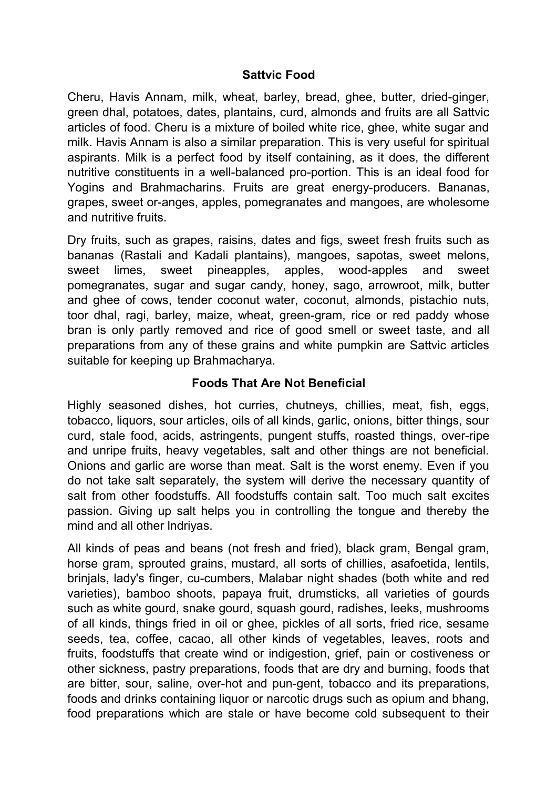## **Sattvic Food**

Cheru, Havis Annam, milk, wheat, barley, bread, ghee, butter, dried-ginger, green dhal, potatoes, dates, plantains, curd, almonds and fruits are all Sattvic articles of food. Cheru is a mixture of boiled white rice, ghee, white sugar and milk. Havis Annam is also a similar preparation. This is very useful for spiritual aspirants. Milk is a perfect food by itself containing, as it does, the different nutritive constituents in a well-balanced pro-portion. This is an ideal food for Yogins and Brahmacharins. Fruits are great energy-producers. Bananas, grapes, sweet or-anges, apples, pomegranates and mangoes, are wholesome and nutritive fruits.

Dry fruits, such as grapes, raisins, dates and figs, sweet fresh fruits such as bananas (Rastali and Kadali plantains), mangoes, sapotas, sweet melons, sweet limes, sweet pineapples, apples, wood-apples and sweet pomegranates, sugar and sugar candy, honey, sago, arrowroot, milk, butter and ghee of cows, tender coconut water, coconut, almonds, pistachio nuts, toor dhal, ragi, barley, maize, wheat, green-gram, rice or red paddy whose bran is only partly removed and rice of good smell or sweet taste, and all preparations from any of these grains and white pumpkin are Sattvic articles suitable for keeping up Brahmacharya.

#### **Foods That Are Not Beneficial**

Highly seasoned dishes, hot curries, chutneys, chillies, meat, fish, eggs, tobacco, liquors, sour articles, oils of all kinds, garlic, onions, bitter things, sour curd, stale food, acids, astringents, pungent stuffs, roasted things, over-ripe and unripe fruits, heavy vegetables, salt and other things are not beneficial. Onions and garlic are worse than meat. Salt is the worst enemy. Even if you do not take salt separately, the system will derive the necessary quantity of salt from other foodstuffs. All foodstuffs contain salt. Too much salt excites passion. Giving up salt helps you in controlling the tongue and thereby the mind and all other lndriyas.

All kinds of peas and beans (not fresh and fried), black gram, Bengal gram, horse gram, sprouted grains, mustard, all sorts of chillies, asafoetida, lentils, brinjals, lady's finger, cu-cumbers, Malabar night shades (both white and red varieties), bamboo shoots, papaya fruit, drumsticks, all varieties of gourds such as white gourd, snake gourd, squash gourd, radishes, leeks, mushrooms of all kinds, things fried in oil or ghee, pickles of all sorts, fried rice, sesame seeds, tea, coffee, cacao, all other kinds of vegetables, leaves, roots and fruits, foodstuffs that create wind or indigestion, grief, pain or costiveness or other sickness, pastry preparations, foods that are dry and burning, foods that are bitter, sour, saline, over-hot and pun-gent, tobacco and its preparations, foods and drinks containing liquor or narcotic drugs such as opium and bhang, food preparations which are stale or have become cold subsequent to their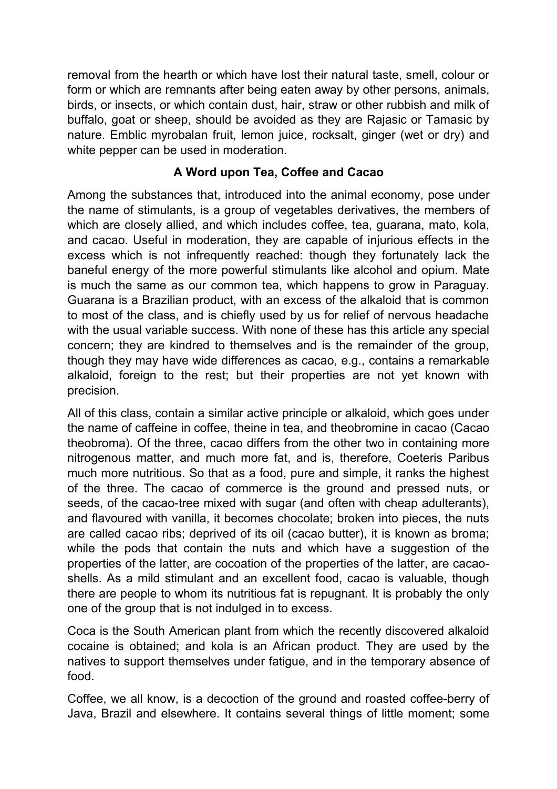removal from the hearth or which have lost their natural taste, smell, colour or form or which are remnants after being eaten away by other persons, animals, birds, or insects, or which contain dust, hair, straw or other rubbish and milk of buffalo, goat or sheep, should be avoided as they are Rajasic or Tamasic by nature. Emblic myrobalan fruit, lemon juice, rocksalt, ginger (wet or dry) and white pepper can be used in moderation.

## **A Word upon Tea, Coffee and Cacao**

Among the substances that, introduced into the animal economy, pose under the name of stimulants, is a group of vegetables derivatives, the members of which are closely allied, and which includes coffee, tea, guarana, mato, kola, and cacao. Useful in moderation, they are capable of injurious effects in the excess which is not infrequently reached: though they fortunately lack the baneful energy of the more powerful stimulants like alcohol and opium. Mate is much the same as our common tea, which happens to grow in Paraguay. Guarana is a Brazilian product, with an excess of the alkaloid that is common to most of the class, and is chiefly used by us for relief of nervous headache with the usual variable success. With none of these has this article any special concern; they are kindred to themselves and is the remainder of the group, though they may have wide differences as cacao, e.g., contains a remarkable alkaloid, foreign to the rest; but their properties are not yet known with precision.

All of this class, contain a similar active principle or alkaloid, which goes under the name of caffeine in coffee, theine in tea, and theobromine in cacao (Cacao theobroma). Of the three, cacao differs from the other two in containing more nitrogenous matter, and much more fat, and is, therefore, Coeteris Paribus much more nutritious. So that as a food, pure and simple, it ranks the highest of the three. The cacao of commerce is the ground and pressed nuts, or seeds, of the cacao-tree mixed with sugar (and often with cheap adulterants), and flavoured with vanilla, it becomes chocolate; broken into pieces, the nuts are called cacao ribs; deprived of its oil (cacao butter), it is known as broma; while the pods that contain the nuts and which have a suggestion of the properties of the latter, are cocoation of the properties of the latter, are cacaoshells. As a mild stimulant and an excellent food, cacao is valuable, though there are people to whom its nutritious fat is repugnant. It is probably the only one of the group that is not indulged in to excess.

Coca is the South American plant from which the recently discovered alkaloid cocaine is obtained; and kola is an African product. They are used by the natives to support themselves under fatigue, and in the temporary absence of food.

Coffee, we all know, is a decoction of the ground and roasted coffee-berry of Java, Brazil and elsewhere. It contains several things of little moment; some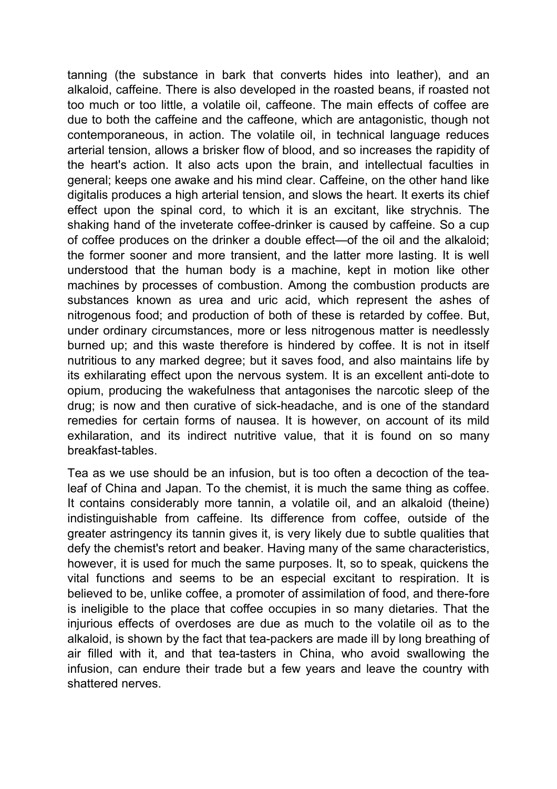tanning (the substance in bark that converts hides into leather), and an alkaloid, caffeine. There is also developed in the roasted beans, if roasted not too much or too little, a volatile oil, caffeone. The main effects of coffee are due to both the caffeine and the caffeone, which are antagonistic, though not contemporaneous, in action. The volatile oil, in technical language reduces arterial tension, allows a brisker flow of blood, and so increases the rapidity of the heart's action. It also acts upon the brain, and intellectual faculties in general; keeps one awake and his mind clear. Caffeine, on the other hand like digitalis produces a high arterial tension, and slows the heart. It exerts its chief effect upon the spinal cord, to which it is an excitant, like strychnis. The shaking hand of the inveterate coffee-drinker is caused by caffeine. So a cup of coffee produces on the drinker a double effect—of the oil and the alkaloid; the former sooner and more transient, and the latter more lasting. It is well understood that the human body is a machine, kept in motion like other machines by processes of combustion. Among the combustion products are substances known as urea and uric acid, which represent the ashes of nitrogenous food; and production of both of these is retarded by coffee. But, under ordinary circumstances, more or less nitrogenous matter is needlessly burned up; and this waste therefore is hindered by coffee. It is not in itself nutritious to any marked degree; but it saves food, and also maintains life by its exhilarating effect upon the nervous system. It is an excellent anti-dote to opium, producing the wakefulness that antagonises the narcotic sleep of the drug; is now and then curative of sick-headache, and is one of the standard remedies for certain forms of nausea. It is however, on account of its mild exhilaration, and its indirect nutritive value, that it is found on so many breakfast-tables.

Tea as we use should be an infusion, but is too often a decoction of the tealeaf of China and Japan. To the chemist, it is much the same thing as coffee. It contains considerably more tannin, a volatile oil, and an alkaloid (theine) indistinguishable from caffeine. Its difference from coffee, outside of the greater astringency its tannin gives it, is very likely due to subtle qualities that defy the chemist's retort and beaker. Having many of the same characteristics, however, it is used for much the same purposes. It, so to speak, quickens the vital functions and seems to be an especial excitant to respiration. It is believed to be, unlike coffee, a promoter of assimilation of food, and there-fore is ineligible to the place that coffee occupies in so many dietaries. That the injurious effects of overdoses are due as much to the volatile oil as to the alkaloid, is shown by the fact that tea-packers are made ill by long breathing of air filled with it, and that tea-tasters in China, who avoid swallowing the infusion, can endure their trade but a few years and leave the country with shattered nerves.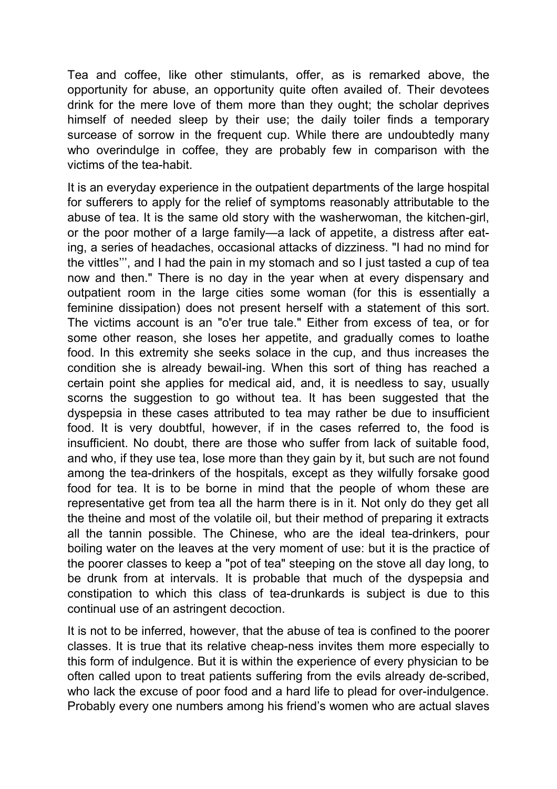Tea and coffee, like other stimulants, offer, as is remarked above, the opportunity for abuse, an opportunity quite often availed of. Their devotees drink for the mere love of them more than they ought; the scholar deprives himself of needed sleep by their use; the daily toiler finds a temporary surcease of sorrow in the frequent cup. While there are undoubtedly many who overindulge in coffee, they are probably few in comparison with the victims of the tea-habit.

It is an everyday experience in the outpatient departments of the large hospital for sufferers to apply for the relief of symptoms reasonably attributable to the abuse of tea. It is the same old story with the washerwoman, the kitchen-girl, or the poor mother of a large family—a lack of appetite, a distress after eating, a series of headaches, occasional attacks of dizziness. "I had no mind for the vittles''', and I had the pain in my stomach and so I just tasted a cup of tea now and then." There is no day in the year when at every dispensary and outpatient room in the large cities some woman (for this is essentially a feminine dissipation) does not present herself with a statement of this sort. The victims account is an "o'er true tale." Either from excess of tea, or for some other reason, she loses her appetite, and gradually comes to loathe food. In this extremity she seeks solace in the cup, and thus increases the condition she is already bewail-ing. When this sort of thing has reached a certain point she applies for medical aid, and, it is needless to say, usually scorns the suggestion to go without tea. It has been suggested that the dyspepsia in these cases attributed to tea may rather be due to insufficient food. It is very doubtful, however, if in the cases referred to, the food is insufficient. No doubt, there are those who suffer from lack of suitable food, and who, if they use tea, lose more than they gain by it, but such are not found among the tea-drinkers of the hospitals, except as they wilfully forsake good food for tea. It is to be borne in mind that the people of whom these are representative get from tea all the harm there is in it. Not only do they get all the theine and most of the volatile oil, but their method of preparing it extracts all the tannin possible. The Chinese, who are the ideal tea-drinkers, pour boiling water on the leaves at the very moment of use: but it is the practice of the poorer classes to keep a "pot of tea" steeping on the stove all day long, to be drunk from at intervals. It is probable that much of the dyspepsia and constipation to which this class of tea-drunkards is subject is due to this continual use of an astringent decoction.

It is not to be inferred, however, that the abuse of tea is confined to the poorer classes. It is true that its relative cheap-ness invites them more especially to this form of indulgence. But it is within the experience of every physician to be often called upon to treat patients suffering from the evils already de-scribed, who lack the excuse of poor food and a hard life to plead for over-indulgence. Probably every one numbers among his friend's women who are actual slaves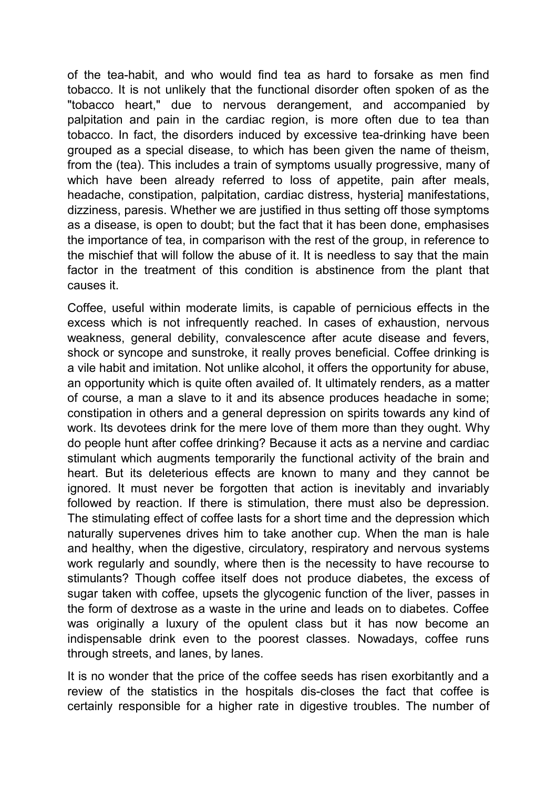of the tea-habit, and who would find tea as hard to forsake as men find tobacco. It is not unlikely that the functional disorder often spoken of as the "tobacco heart," due to nervous derangement, and accompanied by palpitation and pain in the cardiac region, is more often due to tea than tobacco. In fact, the disorders induced by excessive tea-drinking have been grouped as a special disease, to which has been given the name of theism, from the (tea). This includes a train of symptoms usually progressive, many of which have been already referred to loss of appetite, pain after meals, headache, constipation, palpitation, cardiac distress, hysteria] manifestations, dizziness, paresis. Whether we are justified in thus setting off those symptoms as a disease, is open to doubt; but the fact that it has been done, emphasises the importance of tea, in comparison with the rest of the group, in reference to the mischief that will follow the abuse of it. It is needless to say that the main factor in the treatment of this condition is abstinence from the plant that causes it.

Coffee, useful within moderate limits, is capable of pernicious effects in the excess which is not infrequently reached. In cases of exhaustion, nervous weakness, general debility, convalescence after acute disease and fevers, shock or syncope and sunstroke, it really proves beneficial. Coffee drinking is a vile habit and imitation. Not unlike alcohol, it offers the opportunity for abuse, an opportunity which is quite often availed of. It ultimately renders, as a matter of course, a man a slave to it and its absence produces headache in some; constipation in others and a general depression on spirits towards any kind of work. Its devotees drink for the mere love of them more than they ought. Why do people hunt after coffee drinking? Because it acts as a nervine and cardiac stimulant which augments temporarily the functional activity of the brain and heart. But its deleterious effects are known to many and they cannot be ignored. It must never be forgotten that action is inevitably and invariably followed by reaction. If there is stimulation, there must also be depression. The stimulating effect of coffee lasts for a short time and the depression which naturally supervenes drives him to take another cup. When the man is hale and healthy, when the digestive, circulatory, respiratory and nervous systems work regularly and soundly, where then is the necessity to have recourse to stimulants? Though coffee itself does not produce diabetes, the excess of sugar taken with coffee, upsets the glycogenic function of the liver, passes in the form of dextrose as a waste in the urine and leads on to diabetes. Coffee was originally a luxury of the opulent class but it has now become an indispensable drink even to the poorest classes. Nowadays, coffee runs through streets, and lanes, by lanes.

It is no wonder that the price of the coffee seeds has risen exorbitantly and a review of the statistics in the hospitals dis-closes the fact that coffee is certainly responsible for a higher rate in digestive troubles. The number of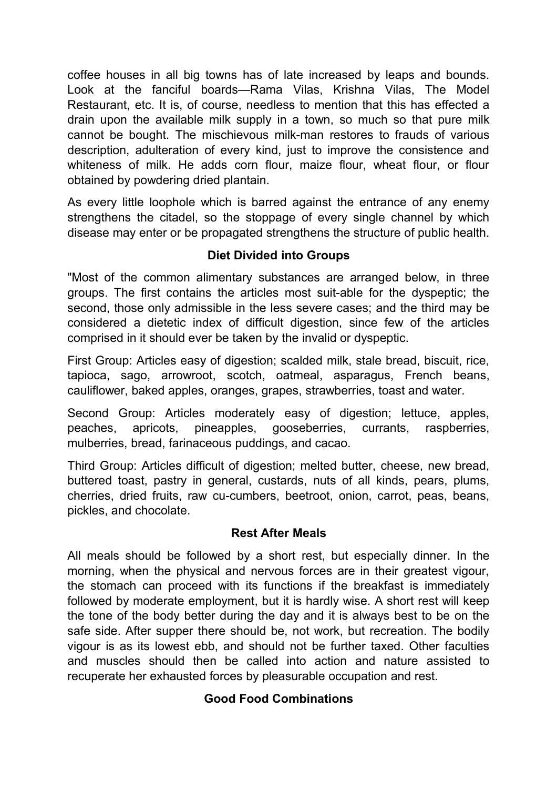coffee houses in all big towns has of late increased by leaps and bounds. Look at the fanciful boards—Rama Vilas, Krishna Vilas, The Model Restaurant, etc. It is, of course, needless to mention that this has effected a drain upon the available milk supply in a town, so much so that pure milk cannot be bought. The mischievous milk-man restores to frauds of various description, adulteration of every kind, just to improve the consistence and whiteness of milk. He adds corn flour, maize flour, wheat flour, or flour obtained by powdering dried plantain.

As every little loophole which is barred against the entrance of any enemy strengthens the citadel, so the stoppage of every single channel by which disease may enter or be propagated strengthens the structure of public health.

## **Diet Divided into Groups**

"Most of the common alimentary substances are arranged below, in three groups. The first contains the articles most suit-able for the dyspeptic; the second, those only admissible in the less severe cases; and the third may be considered a dietetic index of difficult digestion, since few of the articles comprised in it should ever be taken by the invalid or dyspeptic.

First Group: Articles easy of digestion; scalded milk, stale bread, biscuit, rice, tapioca, sago, arrowroot, scotch, oatmeal, asparagus, French beans, cauliflower, baked apples, oranges, grapes, strawberries, toast and water.

Second Group: Articles moderately easy of digestion; lettuce, apples, peaches, apricots, pineapples, gooseberries, currants, raspberries, mulberries, bread, farinaceous puddings, and cacao.

Third Group: Articles difficult of digestion; melted butter, cheese, new bread, buttered toast, pastry in general, custards, nuts of all kinds, pears, plums, cherries, dried fruits, raw cu-cumbers, beetroot, onion, carrot, peas, beans, pickles, and chocolate.

## **Rest After Meals**

All meals should be followed by a short rest, but especially dinner. In the morning, when the physical and nervous forces are in their greatest vigour, the stomach can proceed with its functions if the breakfast is immediately followed by moderate employment, but it is hardly wise. A short rest will keep the tone of the body better during the day and it is always best to be on the safe side. After supper there should be, not work, but recreation. The bodily vigour is as its lowest ebb, and should not be further taxed. Other faculties and muscles should then be called into action and nature assisted to recuperate her exhausted forces by pleasurable occupation and rest.

## **Good Food Combinations**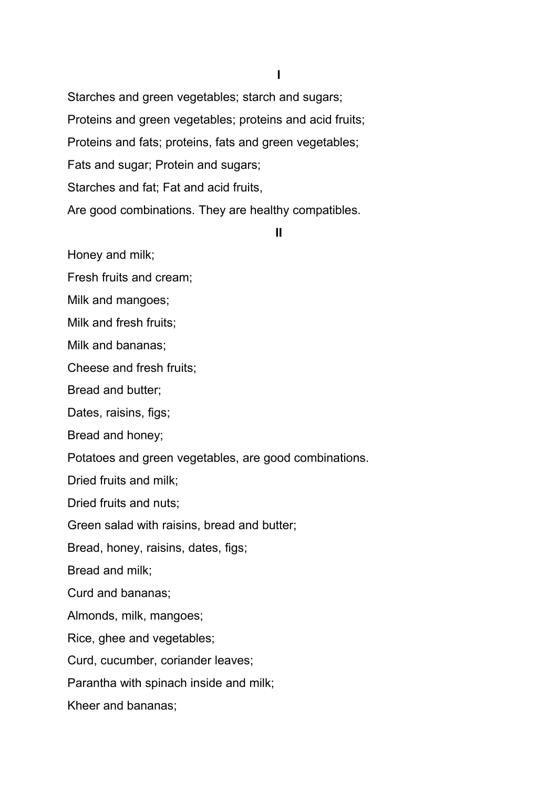Starches and green vegetables; starch and sugars; Proteins and green vegetables; proteins and acid fruits; Proteins and fats; proteins, fats and green vegetables; Fats and sugar; Protein and sugars; Starches and fat; Fat and acid fruits, Are good combinations. They are healthy compatibles.

**II**

Honey and milk;

Fresh fruits and cream;

Milk and mangoes;

Milk and fresh fruits;

Milk and bananas;

Cheese and fresh fruits;

Bread and butter;

Dates, raisins, figs;

Bread and honey;

Potatoes and green vegetables, are good combinations.

Dried fruits and milk;

Dried fruits and nuts;

Green salad with raisins, bread and butter;

Bread, honey, raisins, dates, figs;

Bread and milk;

Curd and bananas;

Almonds, milk, mangoes;

Rice, ghee and vegetables;

Curd, cucumber, coriander leaves;

Parantha with spinach inside and milk;

Kheer and bananas;

**I**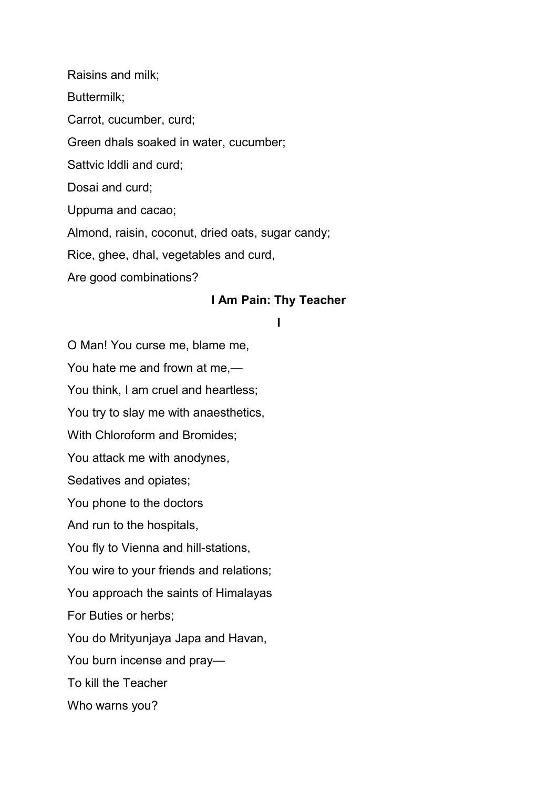Raisins and milk; Buttermilk; Carrot, cucumber, curd; Green dhals soaked in water, cucumber; Sattvic lddli and curd; Dosai and curd; Uppuma and cacao; Almond, raisin, coconut, dried oats, sugar candy; Rice, ghee, dhal, vegetables and curd, Are good combinations?

#### **I Am Pain: Thy Teacher**

#### **I**

O Man! You curse me, blame me,

You hate me and frown at me,—

You think, I am cruel and heartless;

You try to slay me with anaesthetics,

With Chloroform and Bromides;

You attack me with anodynes,

Sedatives and opiates;

You phone to the doctors

And run to the hospitals,

You fly to Vienna and hill-stations,

You wire to your friends and relations;

You approach the saints of Himalayas

For Buties or herbs;

You do Mrityunjaya Japa and Havan,

You burn incense and pray—

To kill the Teacher

Who warns you?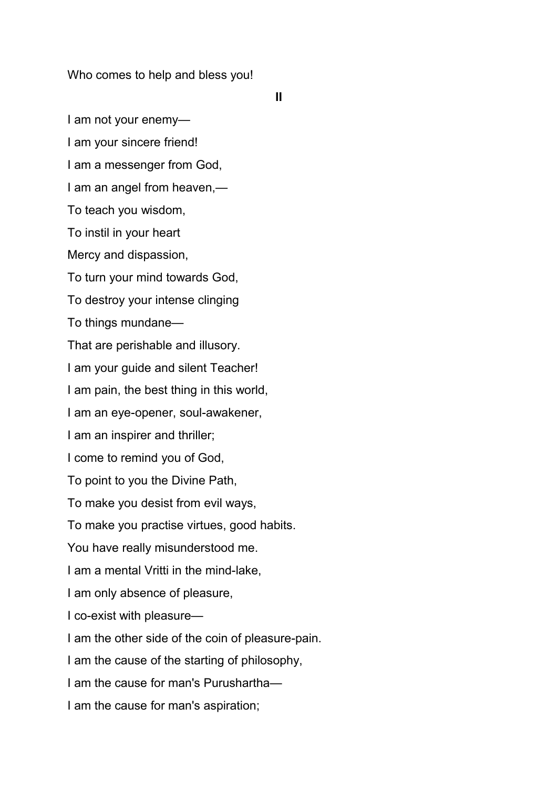Who comes to help and bless you!

**II**

I am not your enemy—

I am your sincere friend! I am a messenger from God,

I am an angel from heaven,—

To teach you wisdom,

To instil in your heart

Mercy and dispassion,

To turn your mind towards God,

To destroy your intense clinging

To things mundane—

That are perishable and illusory.

I am your guide and silent Teacher!

I am pain, the best thing in this world,

I am an eye-opener, soul-awakener,

I am an inspirer and thriller;

I come to remind you of God,

To point to you the Divine Path,

To make you desist from evil ways,

To make you practise virtues, good habits.

You have really misunderstood me.

I am a mental Vritti in the mind-lake,

I am only absence of pleasure,

I co-exist with pleasure—

I am the other side of the coin of pleasure-pain.

I am the cause of the starting of philosophy,

I am the cause for man's Purushartha—

I am the cause for man's aspiration;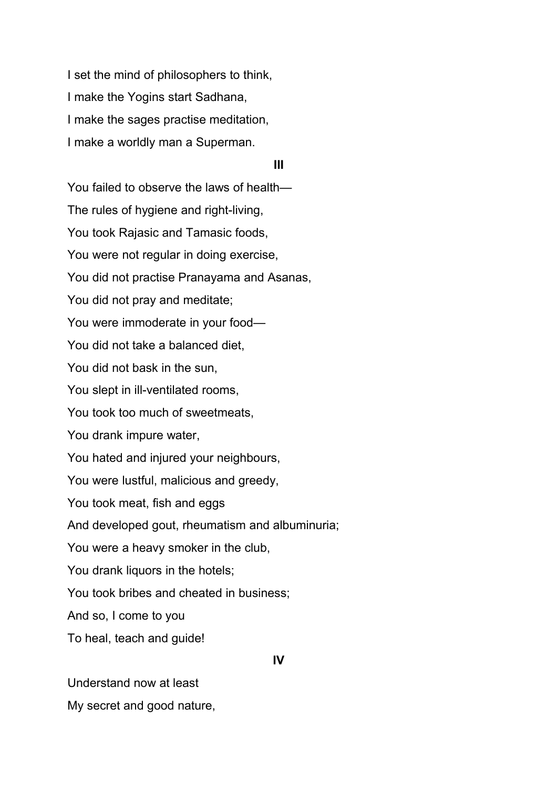I set the mind of philosophers to think, I make the Yogins start Sadhana, I make the sages practise meditation, I make a worldly man a Superman.

**III**

You failed to observe the laws of health— The rules of hygiene and right-living, You took Rajasic and Tamasic foods, You were not regular in doing exercise, You did not practise Pranayama and Asanas, You did not pray and meditate; You were immoderate in your food— You did not take a balanced diet, You did not bask in the sun, You slept in ill-ventilated rooms, You took too much of sweetmeats, You drank impure water, You hated and injured your neighbours, You were lustful, malicious and greedy, You took meat, fish and eggs And developed gout, rheumatism and albuminuria; You were a heavy smoker in the club, You drank liquors in the hotels; You took bribes and cheated in business; And so, I come to you To heal, teach and guide!

**IV**

Understand now at least

My secret and good nature,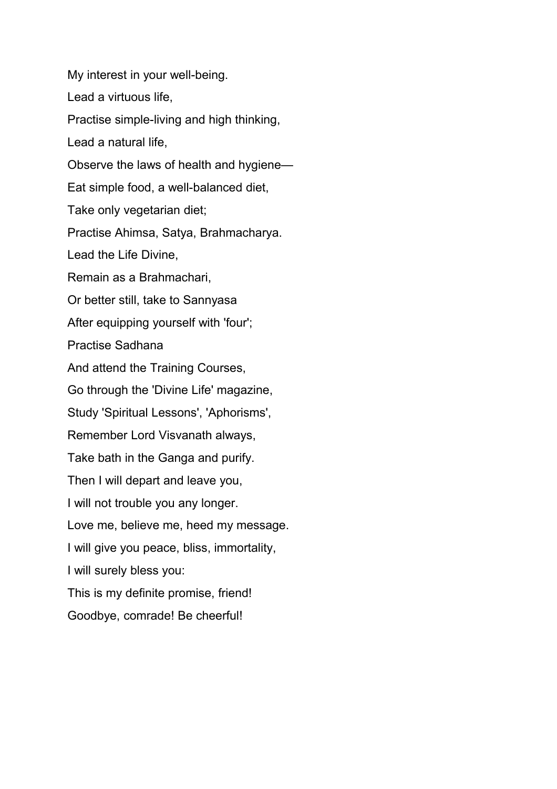My interest in your well-being. Lead a virtuous life, Practise simple-living and high thinking, Lead a natural life, Observe the laws of health and hygiene— Eat simple food, a well-balanced diet, Take only vegetarian diet; Practise Ahimsa, Satya, Brahmacharya. Lead the Life Divine, Remain as a Brahmachari, Or better still, take to Sannyasa After equipping yourself with 'four'; Practise Sadhana And attend the Training Courses, Go through the 'Divine Life' magazine, Study 'Spiritual Lessons', 'Aphorisms', Remember Lord Visvanath always, Take bath in the Ganga and purify. Then I will depart and leave you, I will not trouble you any longer. Love me, believe me, heed my message. I will give you peace, bliss, immortality, I will surely bless you: This is my definite promise, friend! Goodbye, comrade! Be cheerful!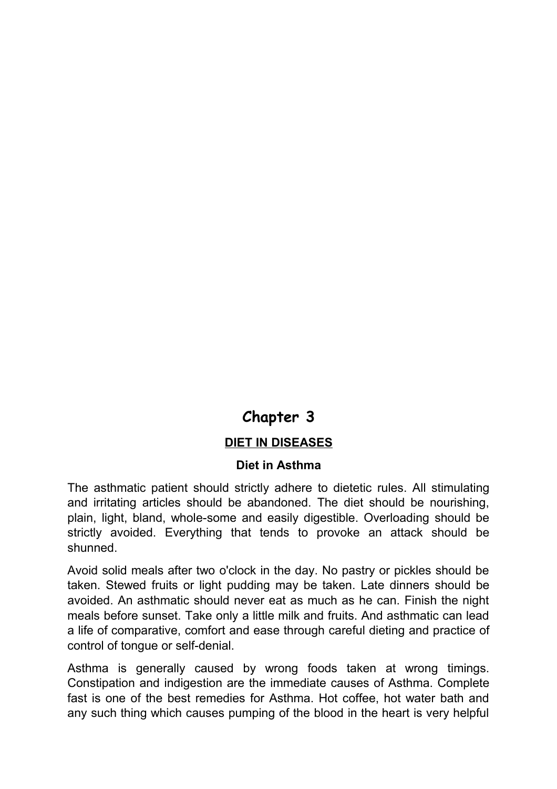# **Chapter 3**

## **DIET IN DISEASES**

## **Diet in Asthma**

The asthmatic patient should strictly adhere to dietetic rules. All stimulating and irritating articles should be abandoned. The diet should be nourishing, plain, light, bland, whole-some and easily digestible. Overloading should be strictly avoided. Everything that tends to provoke an attack should be shunned.

Avoid solid meals after two o'clock in the day. No pastry or pickles should be taken. Stewed fruits or light pudding may be taken. Late dinners should be avoided. An asthmatic should never eat as much as he can. Finish the night meals before sunset. Take only a little milk and fruits. And asthmatic can lead a life of comparative, comfort and ease through careful dieting and practice of control of tongue or self-denial.

Asthma is generally caused by wrong foods taken at wrong timings. Constipation and indigestion are the immediate causes of Asthma. Complete fast is one of the best remedies for Asthma. Hot coffee, hot water bath and any such thing which causes pumping of the blood in the heart is very helpful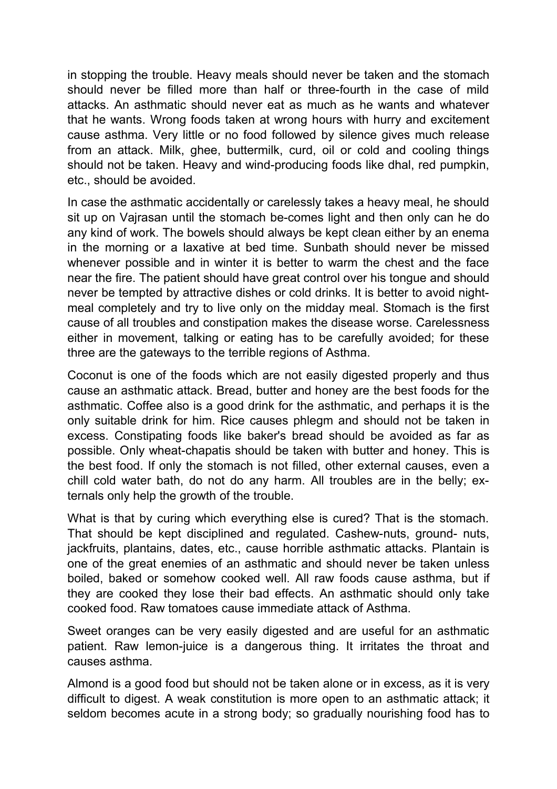in stopping the trouble. Heavy meals should never be taken and the stomach should never be filled more than half or three-fourth in the case of mild attacks. An asthmatic should never eat as much as he wants and whatever that he wants. Wrong foods taken at wrong hours with hurry and excitement cause asthma. Very little or no food followed by silence gives much release from an attack. Milk, ghee, buttermilk, curd, oil or cold and cooling things should not be taken. Heavy and wind-producing foods like dhal, red pumpkin, etc., should be avoided.

In case the asthmatic accidentally or carelessly takes a heavy meal, he should sit up on Vajrasan until the stomach be-comes light and then only can he do any kind of work. The bowels should always be kept clean either by an enema in the morning or a laxative at bed time. Sunbath should never be missed whenever possible and in winter it is better to warm the chest and the face near the fire. The patient should have great control over his tongue and should never be tempted by attractive dishes or cold drinks. It is better to avoid nightmeal completely and try to live only on the midday meal. Stomach is the first cause of all troubles and constipation makes the disease worse. Carelessness either in movement, talking or eating has to be carefully avoided; for these three are the gateways to the terrible regions of Asthma.

Coconut is one of the foods which are not easily digested properly and thus cause an asthmatic attack. Bread, butter and honey are the best foods for the asthmatic. Coffee also is a good drink for the asthmatic, and perhaps it is the only suitable drink for him. Rice causes phlegm and should not be taken in excess. Constipating foods like baker's bread should be avoided as far as possible. Only wheat-chapatis should be taken with butter and honey. This is the best food. If only the stomach is not filled, other external causes, even a chill cold water bath, do not do any harm. All troubles are in the belly; externals only help the growth of the trouble.

What is that by curing which everything else is cured? That is the stomach. That should be kept disciplined and regulated. Cashew-nuts, ground- nuts, jackfruits, plantains, dates, etc., cause horrible asthmatic attacks. Plantain is one of the great enemies of an asthmatic and should never be taken unless boiled, baked or somehow cooked well. All raw foods cause asthma, but if they are cooked they lose their bad effects. An asthmatic should only take cooked food. Raw tomatoes cause immediate attack of Asthma.

Sweet oranges can be very easily digested and are useful for an asthmatic patient. Raw lemon-juice is a dangerous thing. It irritates the throat and causes asthma.

Almond is a good food but should not be taken alone or in excess, as it is very difficult to digest. A weak constitution is more open to an asthmatic attack; it seldom becomes acute in a strong body; so gradually nourishing food has to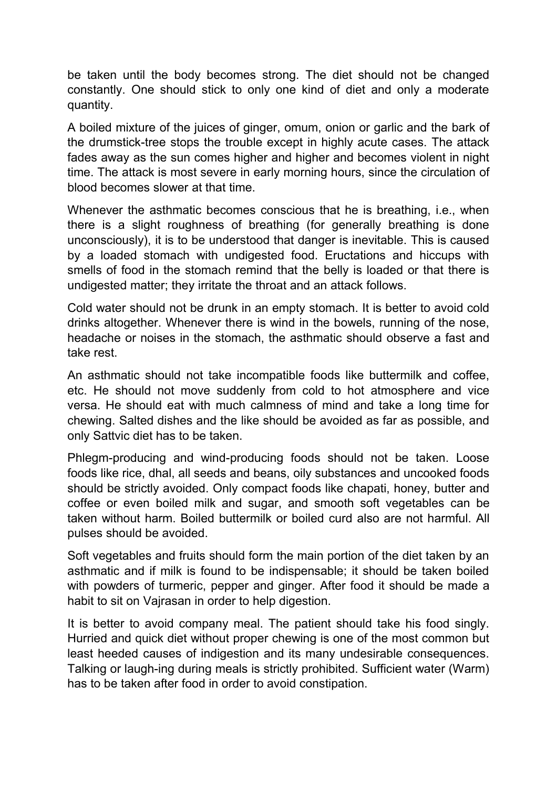be taken until the body becomes strong. The diet should not be changed constantly. One should stick to only one kind of diet and only a moderate quantity.

A boiled mixture of the juices of ginger, omum, onion or garlic and the bark of the drumstick-tree stops the trouble except in highly acute cases. The attack fades away as the sun comes higher and higher and becomes violent in night time. The attack is most severe in early morning hours, since the circulation of blood becomes slower at that time.

Whenever the asthmatic becomes conscious that he is breathing, i.e., when there is a slight roughness of breathing (for generally breathing is done unconsciously), it is to be understood that danger is inevitable. This is caused by a loaded stomach with undigested food. Eructations and hiccups with smells of food in the stomach remind that the belly is loaded or that there is undigested matter; they irritate the throat and an attack follows.

Cold water should not be drunk in an empty stomach. It is better to avoid cold drinks altogether. Whenever there is wind in the bowels, running of the nose, headache or noises in the stomach, the asthmatic should observe a fast and take rest.

An asthmatic should not take incompatible foods like buttermilk and coffee, etc. He should not move suddenly from cold to hot atmosphere and vice versa. He should eat with much calmness of mind and take a long time for chewing. Salted dishes and the like should be avoided as far as possible, and only Sattvic diet has to be taken.

Phlegm-producing and wind-producing foods should not be taken. Loose foods like rice, dhal, all seeds and beans, oily substances and uncooked foods should be strictly avoided. Only compact foods like chapati, honey, butter and coffee or even boiled milk and sugar, and smooth soft vegetables can be taken without harm. Boiled buttermilk or boiled curd also are not harmful. All pulses should be avoided.

Soft vegetables and fruits should form the main portion of the diet taken by an asthmatic and if milk is found to be indispensable; it should be taken boiled with powders of turmeric, pepper and ginger. After food it should be made a habit to sit on Vajrasan in order to help digestion.

It is better to avoid company meal. The patient should take his food singly. Hurried and quick diet without proper chewing is one of the most common but least heeded causes of indigestion and its many undesirable consequences. Talking or laugh-ing during meals is strictly prohibited. Sufficient water (Warm) has to be taken after food in order to avoid constipation.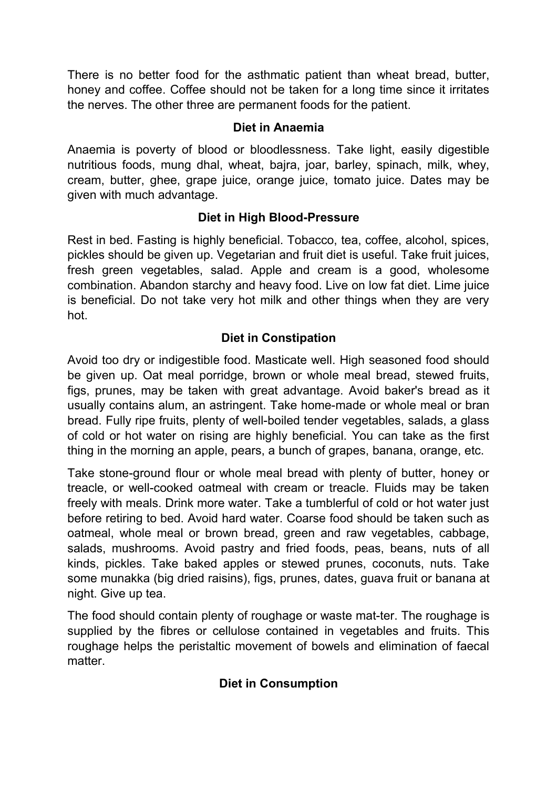There is no better food for the asthmatic patient than wheat bread, butter, honey and coffee. Coffee should not be taken for a long time since it irritates the nerves. The other three are permanent foods for the patient.

## **Diet in Anaemia**

Anaemia is poverty of blood or bloodlessness. Take light, easily digestible nutritious foods, mung dhal, wheat, bajra, joar, barley, spinach, milk, whey, cream, butter, ghee, grape juice, orange juice, tomato juice. Dates may be given with much advantage.

## **Diet in High Blood-Pressure**

Rest in bed. Fasting is highly beneficial. Tobacco, tea, coffee, alcohol, spices, pickles should be given up. Vegetarian and fruit diet is useful. Take fruit juices, fresh green vegetables, salad. Apple and cream is a good, wholesome combination. Abandon starchy and heavy food. Live on low fat diet. Lime juice is beneficial. Do not take very hot milk and other things when they are very hot.

## **Diet in Constipation**

Avoid too dry or indigestible food. Masticate well. High seasoned food should be given up. Oat meal porridge, brown or whole meal bread, stewed fruits, figs, prunes, may be taken with great advantage. Avoid baker's bread as it usually contains alum, an astringent. Take home-made or whole meal or bran bread. Fully ripe fruits, plenty of well-boiled tender vegetables, salads, a glass of cold or hot water on rising are highly beneficial. You can take as the first thing in the morning an apple, pears, a bunch of grapes, banana, orange, etc.

Take stone-ground flour or whole meal bread with plenty of butter, honey or treacle, or well-cooked oatmeal with cream or treacle. Fluids may be taken freely with meals. Drink more water. Take a tumblerful of cold or hot water just before retiring to bed. Avoid hard water. Coarse food should be taken such as oatmeal, whole meal or brown bread, green and raw vegetables, cabbage, salads, mushrooms. Avoid pastry and fried foods, peas, beans, nuts of all kinds, pickles. Take baked apples or stewed prunes, coconuts, nuts. Take some munakka (big dried raisins), figs, prunes, dates, guava fruit or banana at night. Give up tea.

The food should contain plenty of roughage or waste mat-ter. The roughage is supplied by the fibres or cellulose contained in vegetables and fruits. This roughage helps the peristaltic movement of bowels and elimination of faecal matter.

## **Diet in Consumption**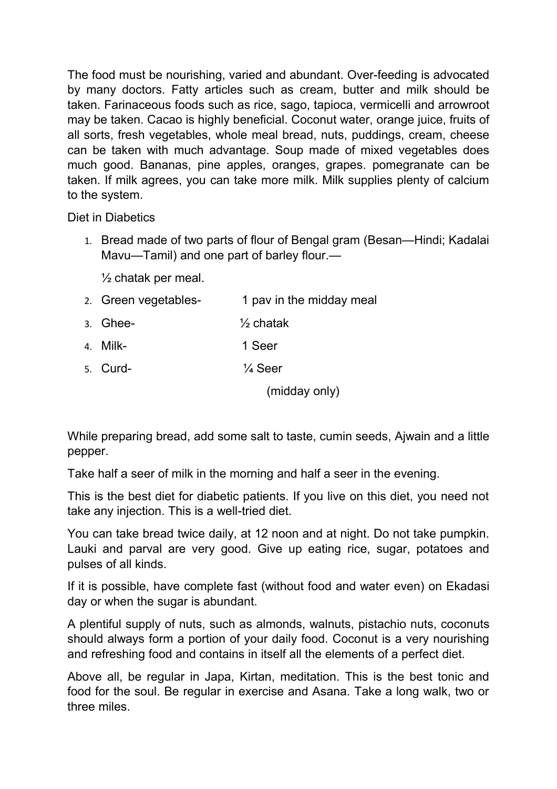The food must be nourishing, varied and abundant. Over-feeding is advocated by many doctors. Fatty articles such as cream, butter and milk should be taken. Farinaceous foods such as rice, sago, tapioca, vermicelli and arrowroot may be taken. Cacao is highly beneficial. Coconut water, orange juice, fruits of all sorts, fresh vegetables, whole meal bread, nuts, puddings, cream, cheese can be taken with much advantage. Soup made of mixed vegetables does much good. Bananas, pine apples, oranges, grapes. pomegranate can be taken. If milk agrees, you can take more milk. Milk supplies plenty of calcium to the system.

Diet in Diabetics

1. Bread made of two parts of flour of Bengal gram (Besan—Hindi; Kadalai Mavu—Tamil) and one part of barley flour.—

½ chatak per meal.

| 2. Green vegetables- | 1 pav in the midday meal |
|----------------------|--------------------------|
|----------------------|--------------------------|

- 3. Ghee- ½ chatak
- 4. Milk- 1 Seer
- $\frac{1}{4}$  Seer

(midday only)

While preparing bread, add some salt to taste, cumin seeds, Ajwain and a little pepper.

Take half a seer of milk in the morning and half a seer in the evening.

This is the best diet for diabetic patients. If you live on this diet, you need not take any injection. This is a well-tried diet.

You can take bread twice daily, at 12 noon and at night. Do not take pumpkin. Lauki and parval are very good. Give up eating rice, sugar, potatoes and pulses of all kinds.

If it is possible, have complete fast (without food and water even) on Ekadasi day or when the sugar is abundant.

A plentiful supply of nuts, such as almonds, walnuts, pistachio nuts, coconuts should always form a portion of your daily food. Coconut is a very nourishing and refreshing food and contains in itself all the elements of a perfect diet.

Above all, be regular in Japa, Kirtan, meditation. This is the best tonic and food for the soul. Be regular in exercise and Asana. Take a long walk, two or three miles.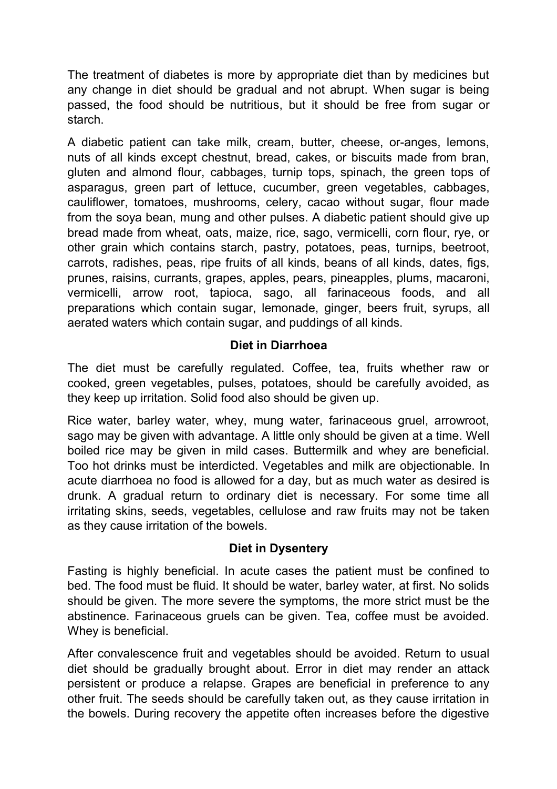The treatment of diabetes is more by appropriate diet than by medicines but any change in diet should be gradual and not abrupt. When sugar is being passed, the food should be nutritious, but it should be free from sugar or starch.

A diabetic patient can take milk, cream, butter, cheese, or-anges, lemons, nuts of all kinds except chestnut, bread, cakes, or biscuits made from bran, gluten and almond flour, cabbages, turnip tops, spinach, the green tops of asparagus, green part of lettuce, cucumber, green vegetables, cabbages, cauliflower, tomatoes, mushrooms, celery, cacao without sugar, flour made from the soya bean, mung and other pulses. A diabetic patient should give up bread made from wheat, oats, maize, rice, sago, vermicelli, corn flour, rye, or other grain which contains starch, pastry, potatoes, peas, turnips, beetroot, carrots, radishes, peas, ripe fruits of all kinds, beans of all kinds, dates, figs, prunes, raisins, currants, grapes, apples, pears, pineapples, plums, macaroni, vermicelli, arrow root, tapioca, sago, all farinaceous foods, and all preparations which contain sugar, lemonade, ginger, beers fruit, syrups, all aerated waters which contain sugar, and puddings of all kinds.

## **Diet in Diarrhoea**

The diet must be carefully regulated. Coffee, tea, fruits whether raw or cooked, green vegetables, pulses, potatoes, should be carefully avoided, as they keep up irritation. Solid food also should be given up.

Rice water, barley water, whey, mung water, farinaceous gruel, arrowroot, sago may be given with advantage. A little only should be given at a time. Well boiled rice may be given in mild cases. Buttermilk and whey are beneficial. Too hot drinks must be interdicted. Vegetables and milk are objectionable. In acute diarrhoea no food is allowed for a day, but as much water as desired is drunk. A gradual return to ordinary diet is necessary. For some time all irritating skins, seeds, vegetables, cellulose and raw fruits may not be taken as they cause irritation of the bowels.

#### **Diet in Dysentery**

Fasting is highly beneficial. In acute cases the patient must be confined to bed. The food must be fluid. It should be water, barley water, at first. No solids should be given. The more severe the symptoms, the more strict must be the abstinence. Farinaceous gruels can be given. Tea, coffee must be avoided. Whey is beneficial.

After convalescence fruit and vegetables should be avoided. Return to usual diet should be gradually brought about. Error in diet may render an attack persistent or produce a relapse. Grapes are beneficial in preference to any other fruit. The seeds should be carefully taken out, as they cause irritation in the bowels. During recovery the appetite often increases before the digestive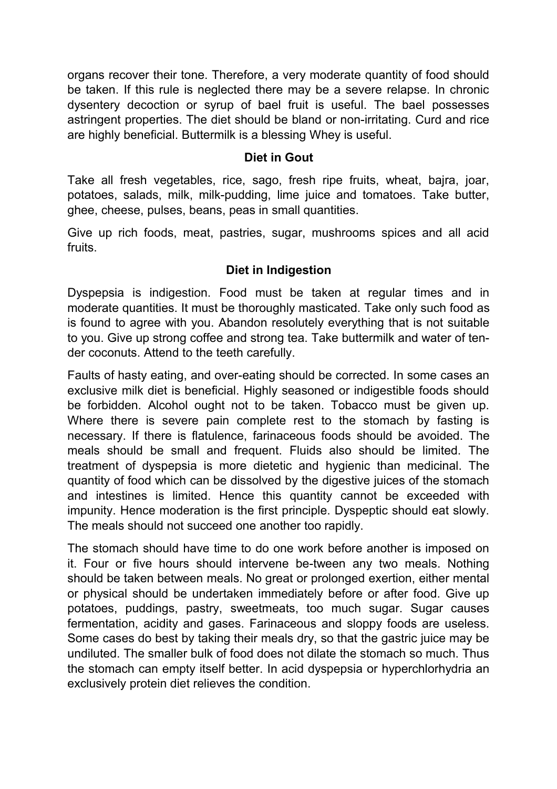organs recover their tone. Therefore, a very moderate quantity of food should be taken. If this rule is neglected there may be a severe relapse. In chronic dysentery decoction or syrup of bael fruit is useful. The bael possesses astringent properties. The diet should be bland or non-irritating. Curd and rice are highly beneficial. Buttermilk is a blessing Whey is useful.

#### **Diet in Gout**

Take all fresh vegetables, rice, sago, fresh ripe fruits, wheat, bajra, joar, potatoes, salads, milk, milk-pudding, lime juice and tomatoes. Take butter, ghee, cheese, pulses, beans, peas in small quantities.

Give up rich foods, meat, pastries, sugar, mushrooms spices and all acid fruits.

## **Diet in Indigestion**

Dyspepsia is indigestion. Food must be taken at regular times and in moderate quantities. It must be thoroughly masticated. Take only such food as is found to agree with you. Abandon resolutely everything that is not suitable to you. Give up strong coffee and strong tea. Take buttermilk and water of tender coconuts. Attend to the teeth carefully.

Faults of hasty eating, and over-eating should be corrected. In some cases an exclusive milk diet is beneficial. Highly seasoned or indigestible foods should be forbidden. Alcohol ought not to be taken. Tobacco must be given up. Where there is severe pain complete rest to the stomach by fasting is necessary. If there is flatulence, farinaceous foods should be avoided. The meals should be small and frequent. Fluids also should be limited. The treatment of dyspepsia is more dietetic and hygienic than medicinal. The quantity of food which can be dissolved by the digestive juices of the stomach and intestines is limited. Hence this quantity cannot be exceeded with impunity. Hence moderation is the first principle. Dyspeptic should eat slowly. The meals should not succeed one another too rapidly.

The stomach should have time to do one work before another is imposed on it. Four or five hours should intervene be-tween any two meals. Nothing should be taken between meals. No great or prolonged exertion, either mental or physical should be undertaken immediately before or after food. Give up potatoes, puddings, pastry, sweetmeats, too much sugar. Sugar causes fermentation, acidity and gases. Farinaceous and sloppy foods are useless. Some cases do best by taking their meals dry, so that the gastric juice may be undiluted. The smaller bulk of food does not dilate the stomach so much. Thus the stomach can empty itself better. In acid dyspepsia or hyperchlorhydria an exclusively protein diet relieves the condition.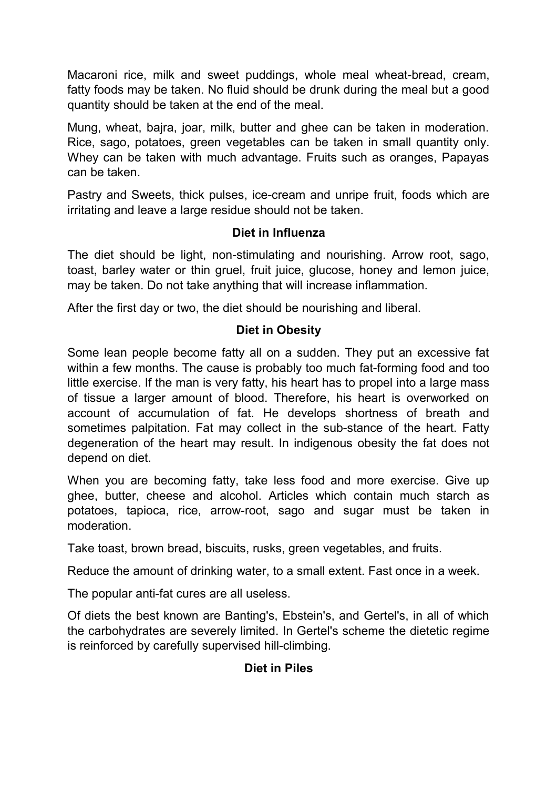Macaroni rice, milk and sweet puddings, whole meal wheat-bread, cream, fatty foods may be taken. No fluid should be drunk during the meal but a good quantity should be taken at the end of the meal.

Mung, wheat, bajra, joar, milk, butter and ghee can be taken in moderation. Rice, sago, potatoes, green vegetables can be taken in small quantity only. Whey can be taken with much advantage. Fruits such as oranges, Papayas can be taken.

Pastry and Sweets, thick pulses, ice-cream and unripe fruit, foods which are irritating and leave a large residue should not be taken.

#### **Diet in Influenza**

The diet should be light, non-stimulating and nourishing. Arrow root, sago, toast, barley water or thin gruel, fruit juice, glucose, honey and lemon juice, may be taken. Do not take anything that will increase inflammation.

After the first day or two, the diet should be nourishing and liberal.

#### **Diet in Obesity**

Some lean people become fatty all on a sudden. They put an excessive fat within a few months. The cause is probably too much fat-forming food and too little exercise. If the man is very fatty, his heart has to propel into a large mass of tissue a larger amount of blood. Therefore, his heart is overworked on account of accumulation of fat. He develops shortness of breath and sometimes palpitation. Fat may collect in the sub-stance of the heart. Fatty degeneration of the heart may result. In indigenous obesity the fat does not depend on diet.

When you are becoming fatty, take less food and more exercise. Give up ghee, butter, cheese and alcohol. Articles which contain much starch as potatoes, tapioca, rice, arrow-root, sago and sugar must be taken in moderation.

Take toast, brown bread, biscuits, rusks, green vegetables, and fruits.

Reduce the amount of drinking water, to a small extent. Fast once in a week.

The popular anti-fat cures are all useless.

Of diets the best known are Banting's, Ebstein's, and Gertel's, in all of which the carbohydrates are severely limited. In Gertel's scheme the dietetic regime is reinforced by carefully supervised hill-climbing.

## **Diet in Piles**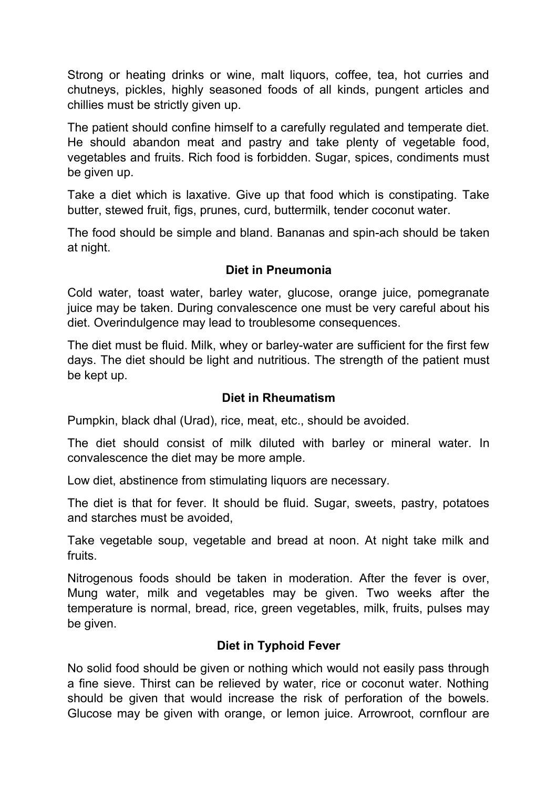Strong or heating drinks or wine, malt liquors, coffee, tea, hot curries and chutneys, pickles, highly seasoned foods of all kinds, pungent articles and chillies must be strictly given up.

The patient should confine himself to a carefully regulated and temperate diet. He should abandon meat and pastry and take plenty of vegetable food, vegetables and fruits. Rich food is forbidden. Sugar, spices, condiments must be given up.

Take a diet which is laxative. Give up that food which is constipating. Take butter, stewed fruit, figs, prunes, curd, buttermilk, tender coconut water.

The food should be simple and bland. Bananas and spin-ach should be taken at night.

## **Diet in Pneumonia**

Cold water, toast water, barley water, glucose, orange juice, pomegranate juice may be taken. During convalescence one must be very careful about his diet. Overindulgence may lead to troublesome consequences.

The diet must be fluid. Milk, whey or barley-water are sufficient for the first few days. The diet should be light and nutritious. The strength of the patient must be kept up.

#### **Diet in Rheumatism**

Pumpkin, black dhal (Urad), rice, meat, etc., should be avoided.

The diet should consist of milk diluted with barley or mineral water. In convalescence the diet may be more ample.

Low diet, abstinence from stimulating liquors are necessary.

The diet is that for fever. It should be fluid. Sugar, sweets, pastry, potatoes and starches must be avoided,

Take vegetable soup, vegetable and bread at noon. At night take milk and fruits.

Nitrogenous foods should be taken in moderation. After the fever is over, Mung water, milk and vegetables may be given. Two weeks after the temperature is normal, bread, rice, green vegetables, milk, fruits, pulses may be given.

## **Diet in Typhoid Fever**

No solid food should be given or nothing which would not easily pass through a fine sieve. Thirst can be relieved by water, rice or coconut water. Nothing should be given that would increase the risk of perforation of the bowels. Glucose may be given with orange, or lemon juice. Arrowroot, cornflour are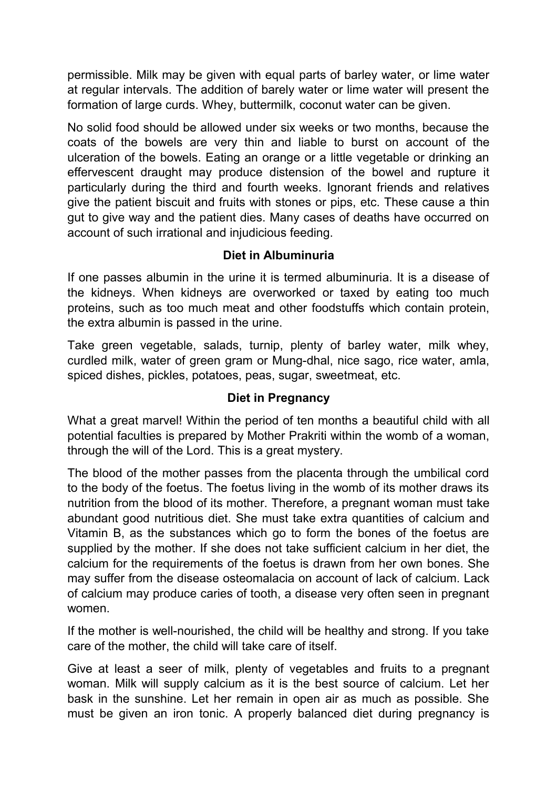permissible. Milk may be given with equal parts of barley water, or lime water at regular intervals. The addition of barely water or lime water will present the formation of large curds. Whey, buttermilk, coconut water can be given.

No solid food should be allowed under six weeks or two months, because the coats of the bowels are very thin and liable to burst on account of the ulceration of the bowels. Eating an orange or a little vegetable or drinking an effervescent draught may produce distension of the bowel and rupture it particularly during the third and fourth weeks. Ignorant friends and relatives give the patient biscuit and fruits with stones or pips, etc. These cause a thin gut to give way and the patient dies. Many cases of deaths have occurred on account of such irrational and injudicious feeding.

# **Diet in Albuminuria**

If one passes albumin in the urine it is termed albuminuria. It is a disease of the kidneys. When kidneys are overworked or taxed by eating too much proteins, such as too much meat and other foodstuffs which contain protein, the extra albumin is passed in the urine.

Take green vegetable, salads, turnip, plenty of barley water, milk whey, curdled milk, water of green gram or Mung-dhal, nice sago, rice water, amla, spiced dishes, pickles, potatoes, peas, sugar, sweetmeat, etc.

## **Diet in Pregnancy**

What a great marvel! Within the period of ten months a beautiful child with all potential faculties is prepared by Mother Prakriti within the womb of a woman, through the will of the Lord. This is a great mystery.

The blood of the mother passes from the placenta through the umbilical cord to the body of the foetus. The foetus living in the womb of its mother draws its nutrition from the blood of its mother. Therefore, a pregnant woman must take abundant good nutritious diet. She must take extra quantities of calcium and Vitamin B, as the substances which go to form the bones of the foetus are supplied by the mother. If she does not take sufficient calcium in her diet, the calcium for the requirements of the foetus is drawn from her own bones. She may suffer from the disease osteomalacia on account of lack of calcium. Lack of calcium may produce caries of tooth, a disease very often seen in pregnant women.

If the mother is well-nourished, the child will be healthy and strong. If you take care of the mother, the child will take care of itself.

Give at least a seer of milk, plenty of vegetables and fruits to a pregnant woman. Milk will supply calcium as it is the best source of calcium. Let her bask in the sunshine. Let her remain in open air as much as possible. She must be given an iron tonic. A properly balanced diet during pregnancy is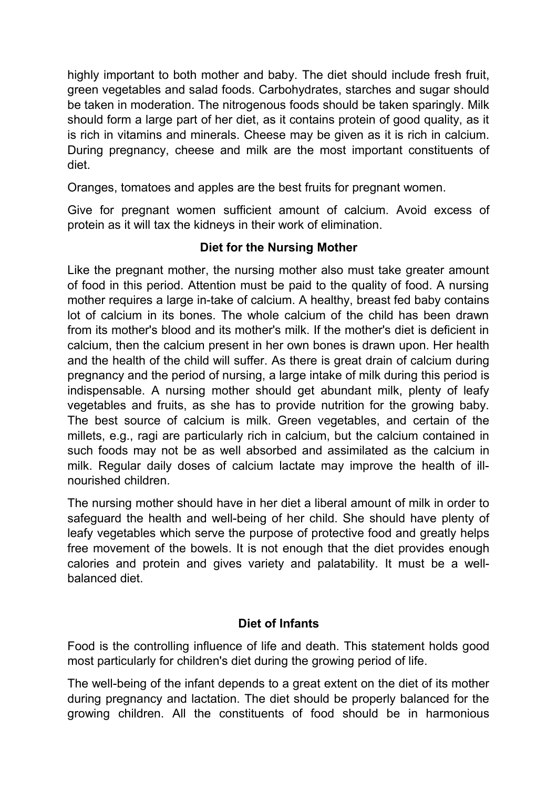highly important to both mother and baby. The diet should include fresh fruit, green vegetables and salad foods. Carbohydrates, starches and sugar should be taken in moderation. The nitrogenous foods should be taken sparingly. Milk should form a large part of her diet, as it contains protein of good quality, as it is rich in vitamins and minerals. Cheese may be given as it is rich in calcium. During pregnancy, cheese and milk are the most important constituents of diet.

Oranges, tomatoes and apples are the best fruits for pregnant women.

Give for pregnant women sufficient amount of calcium. Avoid excess of protein as it will tax the kidneys in their work of elimination.

# **Diet for the Nursing Mother**

Like the pregnant mother, the nursing mother also must take greater amount of food in this period. Attention must be paid to the quality of food. A nursing mother requires a large in-take of calcium. A healthy, breast fed baby contains lot of calcium in its bones. The whole calcium of the child has been drawn from its mother's blood and its mother's milk. If the mother's diet is deficient in calcium, then the calcium present in her own bones is drawn upon. Her health and the health of the child will suffer. As there is great drain of calcium during pregnancy and the period of nursing, a large intake of milk during this period is indispensable. A nursing mother should get abundant milk, plenty of leafy vegetables and fruits, as she has to provide nutrition for the growing baby. The best source of calcium is milk. Green vegetables, and certain of the millets, e.g., ragi are particularly rich in calcium, but the calcium contained in such foods may not be as well absorbed and assimilated as the calcium in milk. Regular daily doses of calcium lactate may improve the health of illnourished children.

The nursing mother should have in her diet a liberal amount of milk in order to safeguard the health and well-being of her child. She should have plenty of leafy vegetables which serve the purpose of protective food and greatly helps free movement of the bowels. It is not enough that the diet provides enough calories and protein and gives variety and palatability. It must be a wellbalanced diet.

## **Diet of Infants**

Food is the controlling influence of life and death. This statement holds good most particularly for children's diet during the growing period of life.

The well-being of the infant depends to a great extent on the diet of its mother during pregnancy and lactation. The diet should be properly balanced for the growing children. All the constituents of food should be in harmonious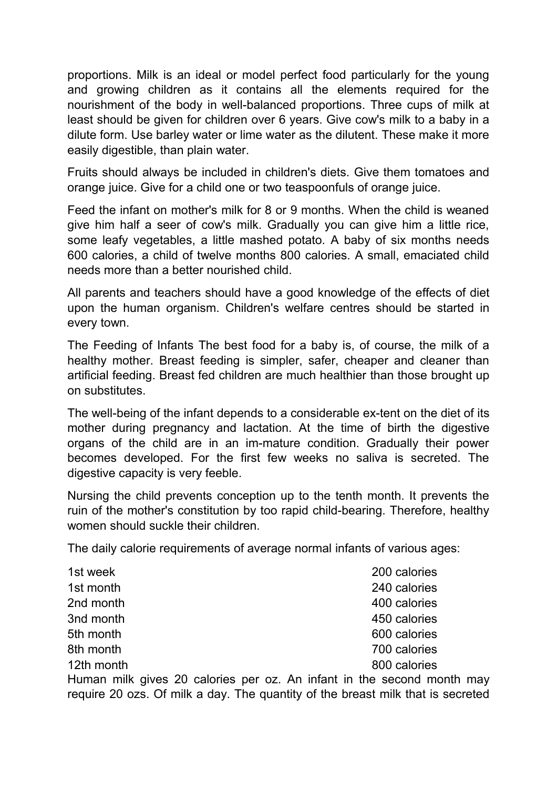proportions. Milk is an ideal or model perfect food particularly for the young and growing children as it contains all the elements required for the nourishment of the body in well-balanced proportions. Three cups of milk at least should be given for children over 6 years. Give cow's milk to a baby in a dilute form. Use barley water or lime water as the dilutent. These make it more easily digestible, than plain water.

Fruits should always be included in children's diets. Give them tomatoes and orange juice. Give for a child one or two teaspoonfuls of orange juice.

Feed the infant on mother's milk for 8 or 9 months. When the child is weaned give him half a seer of cow's milk. Gradually you can give him a little rice, some leafy vegetables, a little mashed potato. A baby of six months needs 600 calories, a child of twelve months 800 calories. A small, emaciated child needs more than a better nourished child.

All parents and teachers should have a good knowledge of the effects of diet upon the human organism. Children's welfare centres should be started in every town.

The Feeding of Infants The best food for a baby is, of course, the milk of a healthy mother. Breast feeding is simpler, safer, cheaper and cleaner than artificial feeding. Breast fed children are much healthier than those brought up on substitutes.

The well-being of the infant depends to a considerable ex-tent on the diet of its mother during pregnancy and lactation. At the time of birth the digestive organs of the child are in an im-mature condition. Gradually their power becomes developed. For the first few weeks no saliva is secreted. The digestive capacity is very feeble.

Nursing the child prevents conception up to the tenth month. It prevents the ruin of the mother's constitution by too rapid child-bearing. Therefore, healthy women should suckle their children.

The daily calorie requirements of average normal infants of various ages:

| 1st week                                                                        | 200 calories |
|---------------------------------------------------------------------------------|--------------|
| 1st month                                                                       | 240 calories |
| 2nd month                                                                       | 400 calories |
| 3nd month                                                                       | 450 calories |
| 5th month                                                                       | 600 calories |
| 8th month                                                                       | 700 calories |
| 12th month                                                                      | 800 calories |
| Human milk gives 20 calories per oz. An infant in the second month may          |              |
| require 20 ozs. Of milk a day. The quantity of the breast milk that is secreted |              |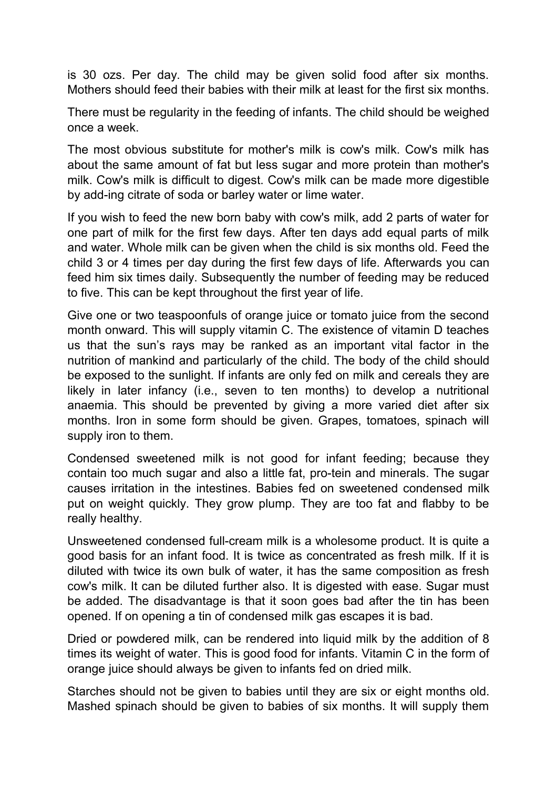is 30 ozs. Per day. The child may be given solid food after six months. Mothers should feed their babies with their milk at least for the first six months.

There must be regularity in the feeding of infants. The child should be weighed once a week.

The most obvious substitute for mother's milk is cow's milk. Cow's milk has about the same amount of fat but less sugar and more protein than mother's milk. Cow's milk is difficult to digest. Cow's milk can be made more digestible by add-ing citrate of soda or barley water or lime water.

If you wish to feed the new born baby with cow's milk, add 2 parts of water for one part of milk for the first few days. After ten days add equal parts of milk and water. Whole milk can be given when the child is six months old. Feed the child 3 or 4 times per day during the first few days of life. Afterwards you can feed him six times daily. Subsequently the number of feeding may be reduced to five. This can be kept throughout the first year of life.

Give one or two teaspoonfuls of orange juice or tomato juice from the second month onward. This will supply vitamin C. The existence of vitamin D teaches us that the sun's rays may be ranked as an important vital factor in the nutrition of mankind and particularly of the child. The body of the child should be exposed to the sunlight. If infants are only fed on milk and cereals they are likely in later infancy (i.e., seven to ten months) to develop a nutritional anaemia. This should be prevented by giving a more varied diet after six months. Iron in some form should be given. Grapes, tomatoes, spinach will supply iron to them.

Condensed sweetened milk is not good for infant feeding; because they contain too much sugar and also a little fat, pro-tein and minerals. The sugar causes irritation in the intestines. Babies fed on sweetened condensed milk put on weight quickly. They grow plump. They are too fat and flabby to be really healthy.

Unsweetened condensed full-cream milk is a wholesome product. It is quite a good basis for an infant food. It is twice as concentrated as fresh milk. If it is diluted with twice its own bulk of water, it has the same composition as fresh cow's milk. It can be diluted further also. It is digested with ease. Sugar must be added. The disadvantage is that it soon goes bad after the tin has been opened. If on opening a tin of condensed milk gas escapes it is bad.

Dried or powdered milk, can be rendered into liquid milk by the addition of 8 times its weight of water. This is good food for infants. Vitamin C in the form of orange juice should always be given to infants fed on dried milk.

Starches should not be given to babies until they are six or eight months old. Mashed spinach should be given to babies of six months. It will supply them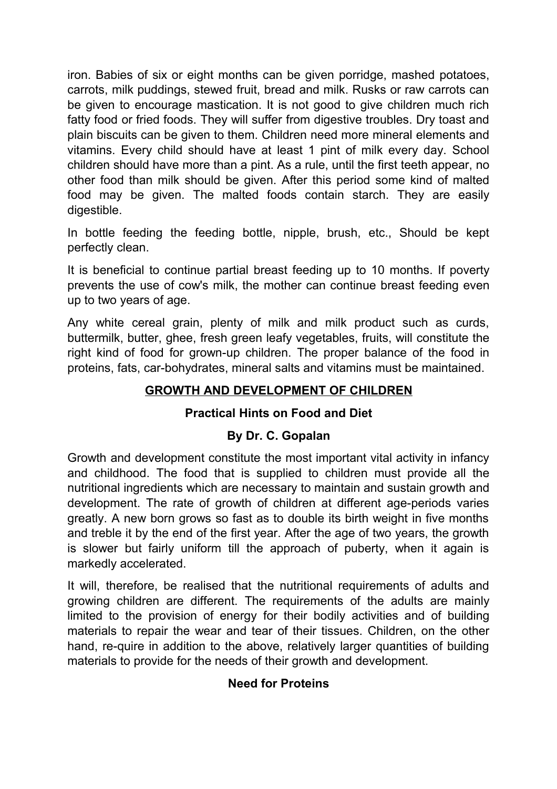iron. Babies of six or eight months can be given porridge, mashed potatoes, carrots, milk puddings, stewed fruit, bread and milk. Rusks or raw carrots can be given to encourage mastication. It is not good to give children much rich fatty food or fried foods. They will suffer from digestive troubles. Dry toast and plain biscuits can be given to them. Children need more mineral elements and vitamins. Every child should have at least 1 pint of milk every day. School children should have more than a pint. As a rule, until the first teeth appear, no other food than milk should be given. After this period some kind of malted food may be given. The malted foods contain starch. They are easily digestible.

In bottle feeding the feeding bottle, nipple, brush, etc., Should be kept perfectly clean.

It is beneficial to continue partial breast feeding up to 10 months. If poverty prevents the use of cow's milk, the mother can continue breast feeding even up to two years of age.

Any white cereal grain, plenty of milk and milk product such as curds, buttermilk, butter, ghee, fresh green leafy vegetables, fruits, will constitute the right kind of food for grown-up children. The proper balance of the food in proteins, fats, car-bohydrates, mineral salts and vitamins must be maintained.

# **GROWTH AND DEVELOPMENT OF CHILDREN**

## **Practical Hints on Food and Diet**

## **By Dr. C. Gopalan**

Growth and development constitute the most important vital activity in infancy and childhood. The food that is supplied to children must provide all the nutritional ingredients which are necessary to maintain and sustain growth and development. The rate of growth of children at different age-periods varies greatly. A new born grows so fast as to double its birth weight in five months and treble it by the end of the first year. After the age of two years, the growth is slower but fairly uniform till the approach of puberty, when it again is markedly accelerated.

It will, therefore, be realised that the nutritional requirements of adults and growing children are different. The requirements of the adults are mainly limited to the provision of energy for their bodily activities and of building materials to repair the wear and tear of their tissues. Children, on the other hand, re-quire in addition to the above, relatively larger quantities of building materials to provide for the needs of their growth and development.

# **Need for Proteins**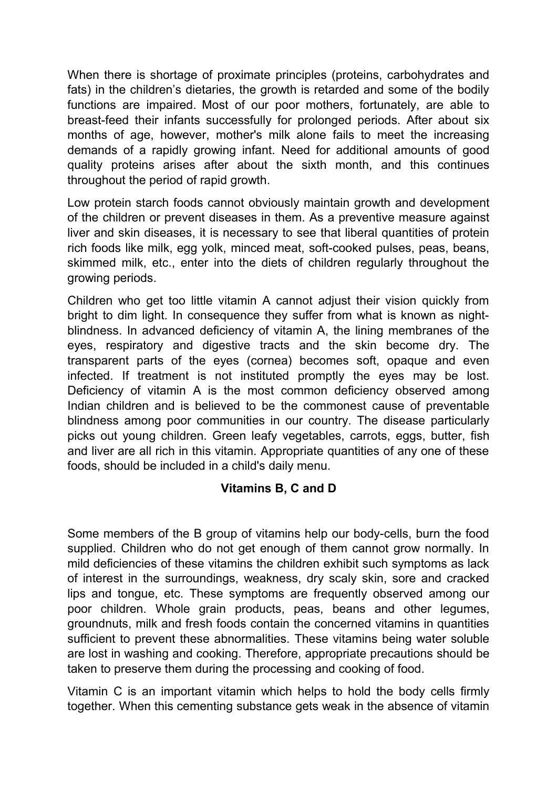When there is shortage of proximate principles (proteins, carbohydrates and fats) in the children's dietaries, the growth is retarded and some of the bodily functions are impaired. Most of our poor mothers, fortunately, are able to breast-feed their infants successfully for prolonged periods. After about six months of age, however, mother's milk alone fails to meet the increasing demands of a rapidly growing infant. Need for additional amounts of good quality proteins arises after about the sixth month, and this continues throughout the period of rapid growth.

Low protein starch foods cannot obviously maintain growth and development of the children or prevent diseases in them. As a preventive measure against liver and skin diseases, it is necessary to see that liberal quantities of protein rich foods like milk, egg yolk, minced meat, soft-cooked pulses, peas, beans, skimmed milk, etc., enter into the diets of children regularly throughout the growing periods.

Children who get too little vitamin A cannot adjust their vision quickly from bright to dim light. In consequence they suffer from what is known as nightblindness. In advanced deficiency of vitamin A, the lining membranes of the eyes, respiratory and digestive tracts and the skin become dry. The transparent parts of the eyes (cornea) becomes soft, opaque and even infected. If treatment is not instituted promptly the eyes may be lost. Deficiency of vitamin A is the most common deficiency observed among Indian children and is believed to be the commonest cause of preventable blindness among poor communities in our country. The disease particularly picks out young children. Green leafy vegetables, carrots, eggs, butter, fish and liver are all rich in this vitamin. Appropriate quantities of any one of these foods, should be included in a child's daily menu.

# **Vitamins B, C and D**

Some members of the B group of vitamins help our body-cells, burn the food supplied. Children who do not get enough of them cannot grow normally. In mild deficiencies of these vitamins the children exhibit such symptoms as lack of interest in the surroundings, weakness, dry scaly skin, sore and cracked lips and tongue, etc. These symptoms are frequently observed among our poor children. Whole grain products, peas, beans and other legumes, groundnuts, milk and fresh foods contain the concerned vitamins in quantities sufficient to prevent these abnormalities. These vitamins being water soluble are lost in washing and cooking. Therefore, appropriate precautions should be taken to preserve them during the processing and cooking of food.

Vitamin C is an important vitamin which helps to hold the body cells firmly together. When this cementing substance gets weak in the absence of vitamin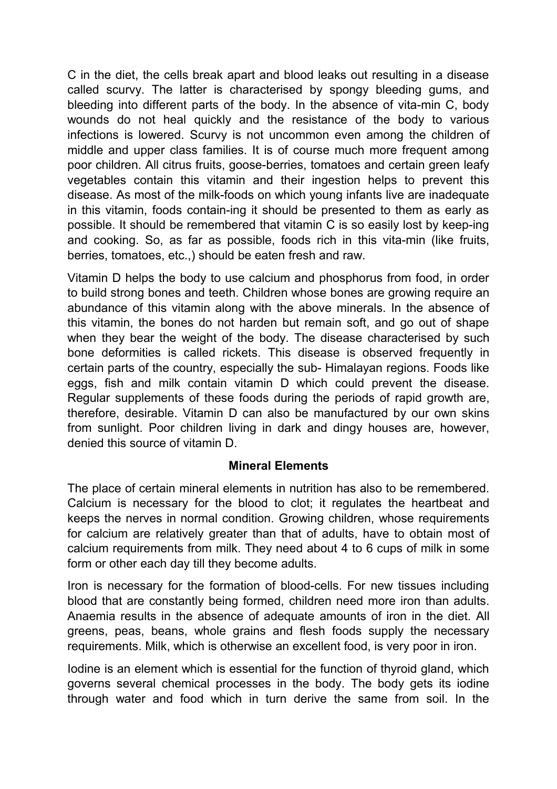C in the diet, the cells break apart and blood leaks out resulting in a disease called scurvy. The latter is characterised by spongy bleeding gums, and bleeding into different parts of the body. In the absence of vita-min C, body wounds do not heal quickly and the resistance of the body to various infections is lowered. Scurvy is not uncommon even among the children of middle and upper class families. It is of course much more frequent among poor children. All citrus fruits, goose-berries, tomatoes and certain green leafy vegetables contain this vitamin and their ingestion helps to prevent this disease. As most of the milk-foods on which young infants live are inadequate in this vitamin, foods contain-ing it should be presented to them as early as possible. It should be remembered that vitamin C is so easily lost by keep-ing and cooking. So, as far as possible, foods rich in this vita-min (like fruits, berries, tomatoes, etc.,) should be eaten fresh and raw.

Vitamin D helps the body to use calcium and phosphorus from food, in order to build strong bones and teeth. Children whose bones are growing require an abundance of this vitamin along with the above minerals. In the absence of this vitamin, the bones do not harden but remain soft, and go out of shape when they bear the weight of the body. The disease characterised by such bone deformities is called rickets. This disease is observed frequently in certain parts of the country, especially the sub- Himalayan regions. Foods like eggs, fish and milk contain vitamin D which could prevent the disease. Regular supplements of these foods during the periods of rapid growth are, therefore, desirable. Vitamin D can also be manufactured by our own skins from sunlight. Poor children living in dark and dingy houses are, however, denied this source of vitamin D.

## **Mineral Elements**

The place of certain mineral elements in nutrition has also to be remembered. Calcium is necessary for the blood to clot; it regulates the heartbeat and keeps the nerves in normal condition. Growing children, whose requirements for calcium are relatively greater than that of adults, have to obtain most of calcium requirements from milk. They need about 4 to 6 cups of milk in some form or other each day till they become adults.

Iron is necessary for the formation of blood-cells. For new tissues including blood that are constantly being formed, children need more iron than adults. Anaemia results in the absence of adequate amounts of iron in the diet. All greens, peas, beans, whole grains and flesh foods supply the necessary requirements. Milk, which is otherwise an excellent food, is very poor in iron.

Iodine is an element which is essential for the function of thyroid gland, which governs several chemical processes in the body. The body gets its iodine through water and food which in turn derive the same from soil. In the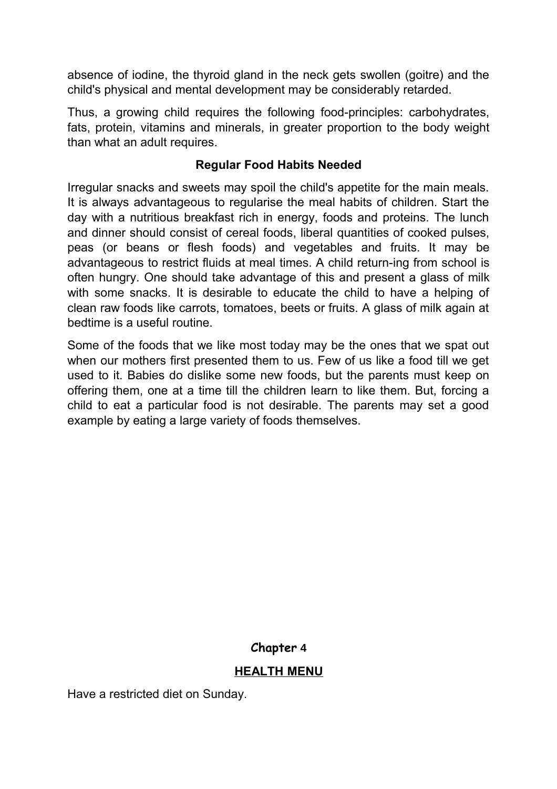absence of iodine, the thyroid gland in the neck gets swollen (goitre) and the child's physical and mental development may be considerably retarded.

Thus, a growing child requires the following food-principles: carbohydrates, fats, protein, vitamins and minerals, in greater proportion to the body weight than what an adult requires.

## **Regular Food Habits Needed**

Irregular snacks and sweets may spoil the child's appetite for the main meals. It is always advantageous to regularise the meal habits of children. Start the day with a nutritious breakfast rich in energy, foods and proteins. The lunch and dinner should consist of cereal foods, liberal quantities of cooked pulses, peas (or beans or flesh foods) and vegetables and fruits. It may be advantageous to restrict fluids at meal times. A child return-ing from school is often hungry. One should take advantage of this and present a glass of milk with some snacks. It is desirable to educate the child to have a helping of clean raw foods like carrots, tomatoes, beets or fruits. A glass of milk again at bedtime is a useful routine.

Some of the foods that we like most today may be the ones that we spat out when our mothers first presented them to us. Few of us like a food till we get used to it. Babies do dislike some new foods, but the parents must keep on offering them, one at a time till the children learn to like them. But, forcing a child to eat a particular food is not desirable. The parents may set a good example by eating a large variety of foods themselves.

## **Chapter 4**

## **HEALTH MENU**

Have a restricted diet on Sunday.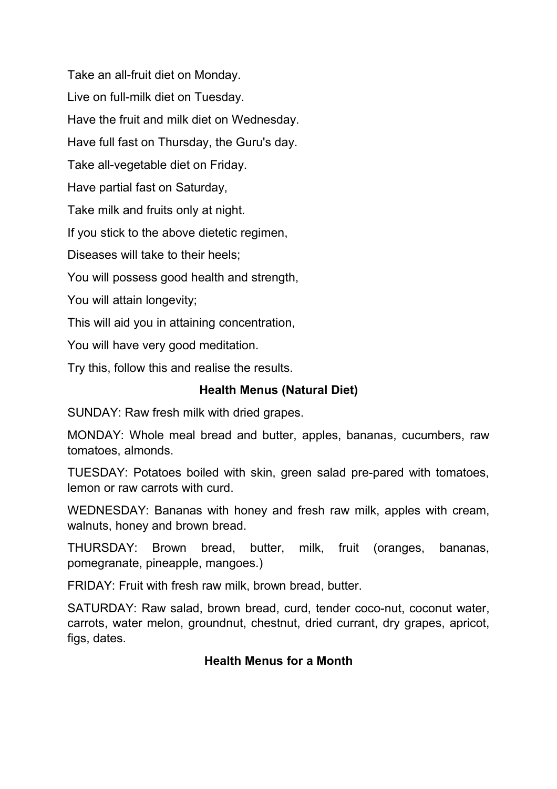Take an all-fruit diet on Monday.

Live on full-milk diet on Tuesday.

Have the fruit and milk diet on Wednesday.

Have full fast on Thursday, the Guru's day.

Take all-vegetable diet on Friday.

Have partial fast on Saturday,

Take milk and fruits only at night.

If you stick to the above dietetic regimen,

Diseases will take to their heels;

You will possess good health and strength,

You will attain longevity;

This will aid you in attaining concentration,

You will have very good meditation.

Try this, follow this and realise the results.

# **Health Menus (Natural Diet)**

SUNDAY: Raw fresh milk with dried grapes.

MONDAY: Whole meal bread and butter, apples, bananas, cucumbers, raw tomatoes, almonds.

TUESDAY: Potatoes boiled with skin, green salad pre-pared with tomatoes, lemon or raw carrots with curd.

WEDNESDAY: Bananas with honey and fresh raw milk, apples with cream, walnuts, honey and brown bread.

THURSDAY: Brown bread, butter, milk, fruit (oranges, bananas, pomegranate, pineapple, mangoes.)

FRIDAY: Fruit with fresh raw milk, brown bread, butter.

SATURDAY: Raw salad, brown bread, curd, tender coco-nut, coconut water, carrots, water melon, groundnut, chestnut, dried currant, dry grapes, apricot, figs, dates.

# **Health Menus for a Month**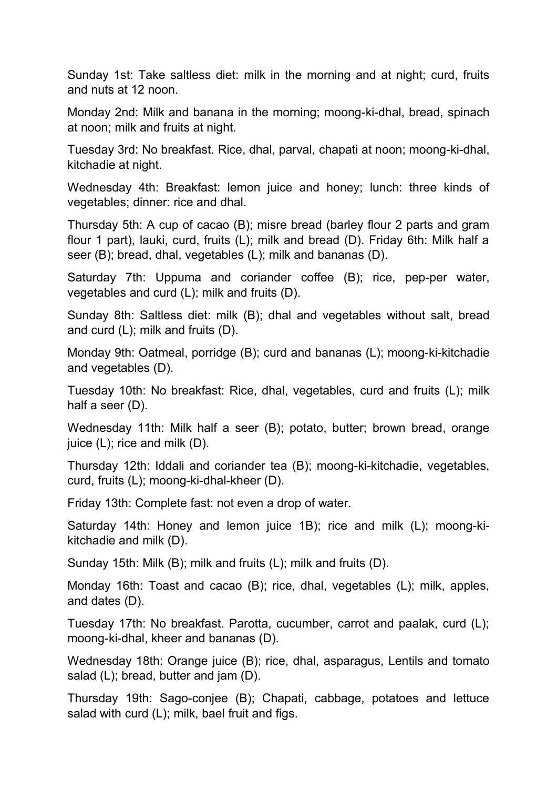Sunday 1st: Take saltless diet: milk in the morning and at night; curd, fruits and nuts at 12 noon.

Monday 2nd: Milk and banana in the morning; moong-ki-dhal, bread, spinach at noon; milk and fruits at night.

Tuesday 3rd: No breakfast. Rice, dhal, parval, chapati at noon; moong-ki-dhal, kitchadie at night.

Wednesday 4th: Breakfast: lemon juice and honey; lunch: three kinds of vegetables; dinner: rice and dhal.

Thursday 5th: A cup of cacao (B); misre bread (barley flour 2 parts and gram flour 1 part), lauki, curd, fruits (L); milk and bread (D). Friday 6th: Milk half a seer (B); bread, dhal, vegetables (L); milk and bananas (D).

Saturday 7th: Uppuma and coriander coffee (B); rice, pep-per water, vegetables and curd (L); milk and fruits (D).

Sunday 8th: Saltless diet: milk (B); dhal and vegetables without salt, bread and curd (L); milk and fruits (D).

Monday 9th: Oatmeal, porridge (B); curd and bananas (L); moong-ki-kitchadie and vegetables (D).

Tuesday 10th: No breakfast: Rice, dhal, vegetables, curd and fruits (L); milk half a seer (D).

Wednesday 11th: Milk half a seer (B); potato, butter; brown bread, orange juice (L); rice and milk (D).

Thursday 12th: Iddali and coriander tea (B); moong-ki-kitchadie, vegetables, curd, fruits (L); moong-ki-dhal-kheer (D).

Friday 13th: Complete fast: not even a drop of water.

Saturday 14th: Honey and lemon juice 1B); rice and milk (L); moong-kikitchadie and milk (D).

Sunday 15th: Milk (B); milk and fruits (L); milk and fruits (D).

Monday 16th: Toast and cacao (B); rice, dhal, vegetables (L); milk, apples, and dates (D).

Tuesday 17th: No breakfast. Parotta, cucumber, carrot and paalak, curd (L); moong-ki-dhal, kheer and bananas (D).

Wednesday 18th: Orange juice (B); rice, dhal, asparagus, Lentils and tomato salad (L); bread, butter and jam (D).

Thursday 19th: Sago-conjee (B); Chapati, cabbage, potatoes and lettuce salad with curd (L); milk, bael fruit and figs.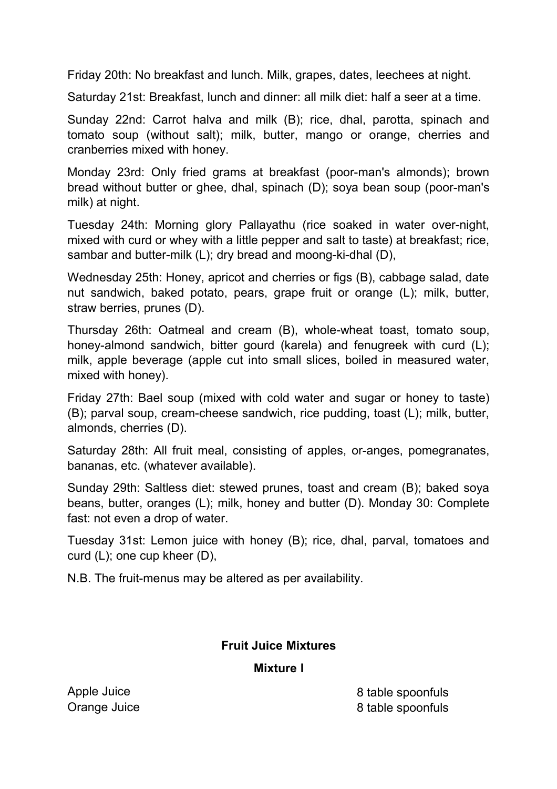Friday 20th: No breakfast and lunch. Milk, grapes, dates, leechees at night.

Saturday 21st: Breakfast, lunch and dinner: all milk diet: half a seer at a time.

Sunday 22nd: Carrot halva and milk (B); rice, dhal, parotta, spinach and tomato soup (without salt); milk, butter, mango or orange, cherries and cranberries mixed with honey.

Monday 23rd: Only fried grams at breakfast (poor-man's almonds); brown bread without butter or ghee, dhal, spinach (D); soya bean soup (poor-man's milk) at night.

Tuesday 24th: Morning glory Pallayathu (rice soaked in water over-night, mixed with curd or whey with a little pepper and salt to taste) at breakfast; rice, sambar and butter-milk (L); dry bread and moong-ki-dhal (D),

Wednesday 25th: Honey, apricot and cherries or figs (B), cabbage salad, date nut sandwich, baked potato, pears, grape fruit or orange (L); milk, butter, straw berries, prunes (D).

Thursday 26th: Oatmeal and cream (B), whole-wheat toast, tomato soup, honey-almond sandwich, bitter gourd (karela) and fenugreek with curd (L); milk, apple beverage (apple cut into small slices, boiled in measured water, mixed with honey).

Friday 27th: Bael soup (mixed with cold water and sugar or honey to taste) (B); parval soup, cream-cheese sandwich, rice pudding, toast (L); milk, butter, almonds, cherries (D).

Saturday 28th: All fruit meal, consisting of apples, or-anges, pomegranates, bananas, etc. (whatever available).

Sunday 29th: Saltless diet: stewed prunes, toast and cream (B); baked soya beans, butter, oranges (L); milk, honey and butter (D). Monday 30: Complete fast: not even a drop of water.

Tuesday 31st: Lemon juice with honey (B); rice, dhal, parval, tomatoes and curd (L); one cup kheer (D),

N.B. The fruit-menus may be altered as per availability.

## **Fruit Juice Mixtures**

**Mixture I**

Apple Juice 8 table spoonfuls Orange Juice 8 table spoonfuls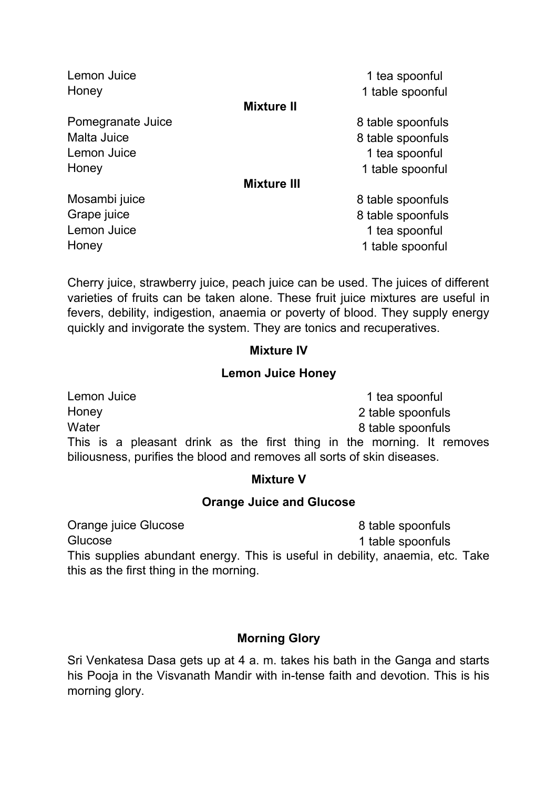| Lemon Juice       | 1 tea spoonful     |
|-------------------|--------------------|
| Honey             | 1 table spoonful   |
|                   | <b>Mixture II</b>  |
| Pomegranate Juice | 8 table spoonfuls  |
| Malta Juice       | 8 table spoonfuls  |
| Lemon Juice       | 1 tea spoonful     |
| Honey             | 1 table spoonful   |
|                   | <b>Mixture III</b> |
| Mosambi juice     | 8 table spoonfuls  |
| Grape juice       | 8 table spoonfuls  |
| Lemon Juice       | 1 tea spoonful     |
| Honey             | 1 table spoonful   |

Cherry juice, strawberry juice, peach juice can be used. The juices of different varieties of fruits can be taken alone. These fruit juice mixtures are useful in fevers, debility, indigestion, anaemia or poverty of blood. They supply energy quickly and invigorate the system. They are tonics and recuperatives.

## **Mixture IV**

## **Lemon Juice Honey**

Lemon Juice 2012 1 tea spoonful Honey 2 table spoonfuls Water 8 table spoonfuls This is a pleasant drink as the first thing in the morning. It removes biliousness, purifies the blood and removes all sorts of skin diseases.

## **Mixture V**

## **Orange Juice and Glucose**

Orange juice Glucose 8 table spoonfuls Glucose 1 table spoonfuls This supplies abundant energy. This is useful in debility, anaemia, etc. Take this as the first thing in the morning.

## **Morning Glory**

Sri Venkatesa Dasa gets up at 4 a. m. takes his bath in the Ganga and starts his Pooja in the Visvanath Mandir with in-tense faith and devotion. This is his morning glory.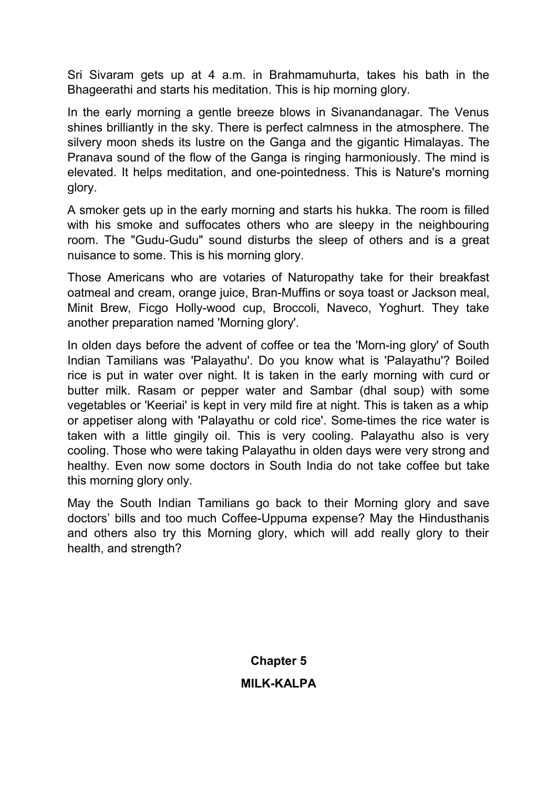Sri Sivaram gets up at 4 a.m. in Brahmamuhurta, takes his bath in the Bhageerathi and starts his meditation. This is hip morning glory.

In the early morning a gentle breeze blows in Sivanandanagar. The Venus shines brilliantly in the sky. There is perfect calmness in the atmosphere. The silvery moon sheds its lustre on the Ganga and the gigantic Himalayas. The Pranava sound of the flow of the Ganga is ringing harmoniously. The mind is elevated. It helps meditation, and one-pointedness. This is Nature's morning glory.

A smoker gets up in the early morning and starts his hukka. The room is filled with his smoke and suffocates others who are sleepy in the neighbouring room. The "Gudu-Gudu" sound disturbs the sleep of others and is a great nuisance to some. This is his morning glory.

Those Americans who are votaries of Naturopathy take for their breakfast oatmeal and cream, orange juice, Bran-Muffins or soya toast or Jackson meal, Minit Brew, Ficgo Holly-wood cup, Broccoli, Naveco, Yoghurt. They take another preparation named 'Morning glory'.

In olden days before the advent of coffee or tea the 'Morn-ing glory' of South Indian Tamilians was 'Palayathu'. Do you know what is 'Palayathu'? Boiled rice is put in water over night. It is taken in the early morning with curd or butter milk. Rasam or pepper water and Sambar (dhal soup) with some vegetables or 'Keeriai' is kept in very mild fire at night. This is taken as a whip or appetiser along with 'Palayathu or cold rice'. Some-times the rice water is taken with a little gingily oil. This is very cooling. Palayathu also is very cooling. Those who were taking Palayathu in olden days were very strong and healthy. Even now some doctors in South India do not take coffee but take this morning glory only.

May the South Indian Tamilians go back to their Morning glory and save doctors' bills and too much Coffee-Uppuma expense? May the Hindusthanis and others also try this Morning glory, which will add really glory to their health, and strength?

> **Chapter 5 MILK-KALPA**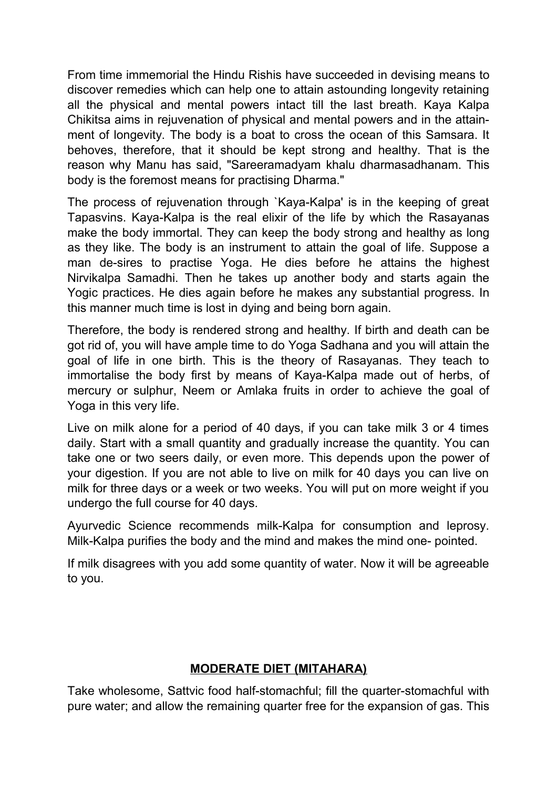From time immemorial the Hindu Rishis have succeeded in devising means to discover remedies which can help one to attain astounding longevity retaining all the physical and mental powers intact till the last breath. Kaya Kalpa Chikitsa aims in rejuvenation of physical and mental powers and in the attainment of longevity. The body is a boat to cross the ocean of this Samsara. It behoves, therefore, that it should be kept strong and healthy. That is the reason why Manu has said, "Sareeramadyam khalu dharmasadhanam. This body is the foremost means for practising Dharma."

The process of rejuvenation through `Kaya-Kalpa' is in the keeping of great Tapasvins. Kaya-Kalpa is the real elixir of the life by which the Rasayanas make the body immortal. They can keep the body strong and healthy as long as they like. The body is an instrument to attain the goal of life. Suppose a man de-sires to practise Yoga. He dies before he attains the highest Nirvikalpa Samadhi. Then he takes up another body and starts again the Yogic practices. He dies again before he makes any substantial progress. In this manner much time is lost in dying and being born again.

Therefore, the body is rendered strong and healthy. If birth and death can be got rid of, you will have ample time to do Yoga Sadhana and you will attain the goal of life in one birth. This is the theory of Rasayanas. They teach to immortalise the body first by means of Kaya-Kalpa made out of herbs, of mercury or sulphur, Neem or Amlaka fruits in order to achieve the goal of Yoga in this very life.

Live on milk alone for a period of 40 days, if you can take milk 3 or 4 times daily. Start with a small quantity and gradually increase the quantity. You can take one or two seers daily, or even more. This depends upon the power of your digestion. If you are not able to live on milk for 40 days you can live on milk for three days or a week or two weeks. You will put on more weight if you undergo the full course for 40 days.

Ayurvedic Science recommends milk-Kalpa for consumption and leprosy. Milk-Kalpa purifies the body and the mind and makes the mind one- pointed.

If milk disagrees with you add some quantity of water. Now it will be agreeable to you.

## **MODERATE DIET (MITAHARA)**

Take wholesome, Sattvic food half-stomachful; fill the quarter-stomachful with pure water; and allow the remaining quarter free for the expansion of gas. This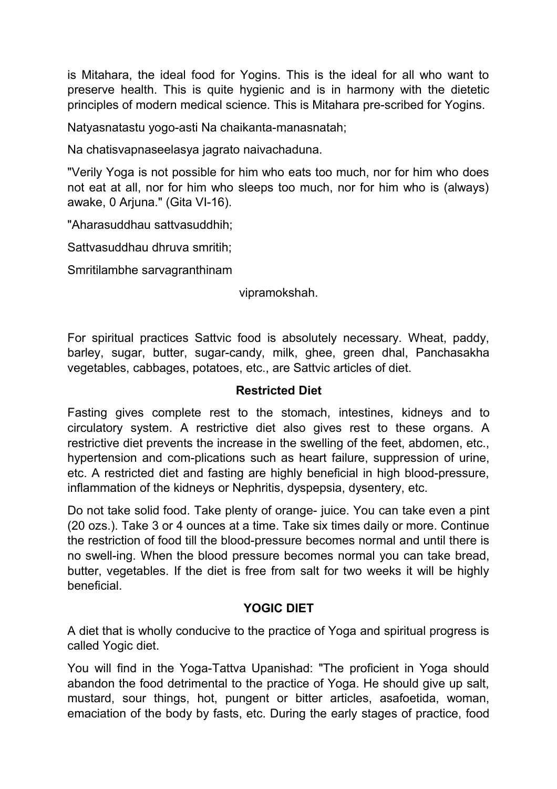is Mitahara, the ideal food for Yogins. This is the ideal for all who want to preserve health. This is quite hygienic and is in harmony with the dietetic principles of modern medical science. This is Mitahara pre-scribed for Yogins.

Natyasnatastu yogo-asti Na chaikanta-manasnatah;

Na chatisvapnaseelasya jagrato naivachaduna.

"Verily Yoga is not possible for him who eats too much, nor for him who does not eat at all, nor for him who sleeps too much, nor for him who is (always) awake, 0 Arjuna." (Gita VI-16).

"Aharasuddhau sattvasuddhih;

Sattvasuddhau dhruva smritih;

Smritilambhe sarvagranthinam

vipramokshah.

For spiritual practices Sattvic food is absolutely necessary. Wheat, paddy, barley, sugar, butter, sugar-candy, milk, ghee, green dhal, Panchasakha vegetables, cabbages, potatoes, etc., are Sattvic articles of diet.

## **Restricted Diet**

Fasting gives complete rest to the stomach, intestines, kidneys and to circulatory system. A restrictive diet also gives rest to these organs. A restrictive diet prevents the increase in the swelling of the feet, abdomen, etc., hypertension and com-plications such as heart failure, suppression of urine, etc. A restricted diet and fasting are highly beneficial in high blood-pressure, inflammation of the kidneys or Nephritis, dyspepsia, dysentery, etc.

Do not take solid food. Take plenty of orange- juice. You can take even a pint (20 ozs.). Take 3 or 4 ounces at a time. Take six times daily or more. Continue the restriction of food till the blood-pressure becomes normal and until there is no swell-ing. When the blood pressure becomes normal you can take bread, butter, vegetables. If the diet is free from salt for two weeks it will be highly beneficial.

# **YOGIC DIET**

A diet that is wholly conducive to the practice of Yoga and spiritual progress is called Yogic diet.

You will find in the Yoga-Tattva Upanishad: "The proficient in Yoga should abandon the food detrimental to the practice of Yoga. He should give up salt, mustard, sour things, hot, pungent or bitter articles, asafoetida, woman, emaciation of the body by fasts, etc. During the early stages of practice, food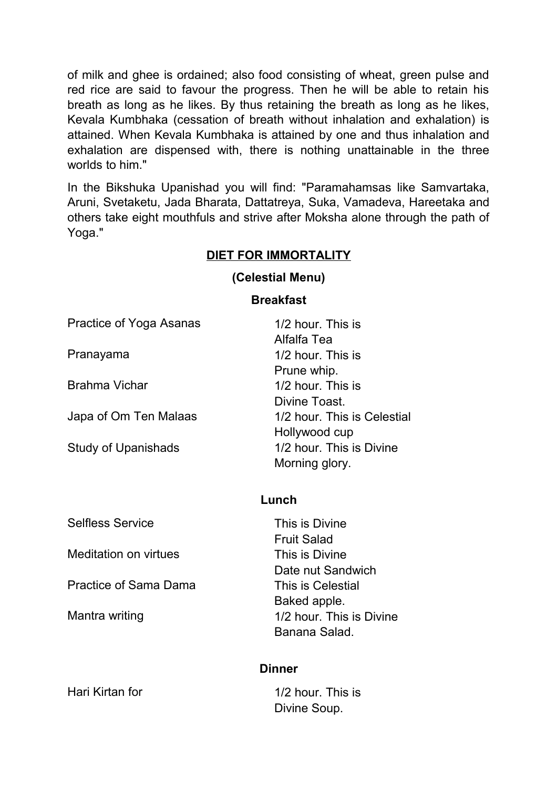of milk and ghee is ordained; also food consisting of wheat, green pulse and red rice are said to favour the progress. Then he will be able to retain his breath as long as he likes. By thus retaining the breath as long as he likes, Kevala Kumbhaka (cessation of breath without inhalation and exhalation) is attained. When Kevala Kumbhaka is attained by one and thus inhalation and exhalation are dispensed with, there is nothing unattainable in the three worlds to him."

In the Bikshuka Upanishad you will find: "Paramahamsas like Samvartaka, Aruni, Svetaketu, Jada Bharata, Dattatreya, Suka, Vamadeva, Hareetaka and others take eight mouthfuls and strive after Moksha alone through the path of Yoga."

## **DIET FOR IMMORTALITY**

**(Celestial Menu)**

### **Breakfast**

Practice of Yoga Asanas 1/2 hour. This is Alfalfa Tea Pranayama 1/2 hour. This is Prune whip. Brahma Vichar 1/2 hour. This is Divine Toast. Japa of Om Ten Malaas 1/2 hour. This is Celestial Hollywood cup Study of Upanishads 1/2 hour. This is Divine Morning glory.

## **Lunch**

| <b>Selfless Service</b> | This is Divine           |
|-------------------------|--------------------------|
|                         | <b>Fruit Salad</b>       |
| Meditation on virtues   | This is Divine           |
|                         | Date nut Sandwich        |
| Practice of Sama Dama   | This is Celestial        |
|                         | Baked apple.             |
| Mantra writing          | 1/2 hour. This is Divine |
|                         | Banana Salad.            |
|                         |                          |

## **Dinner**

Hari Kirtan for **1/2 hour.** This is Divine Soup.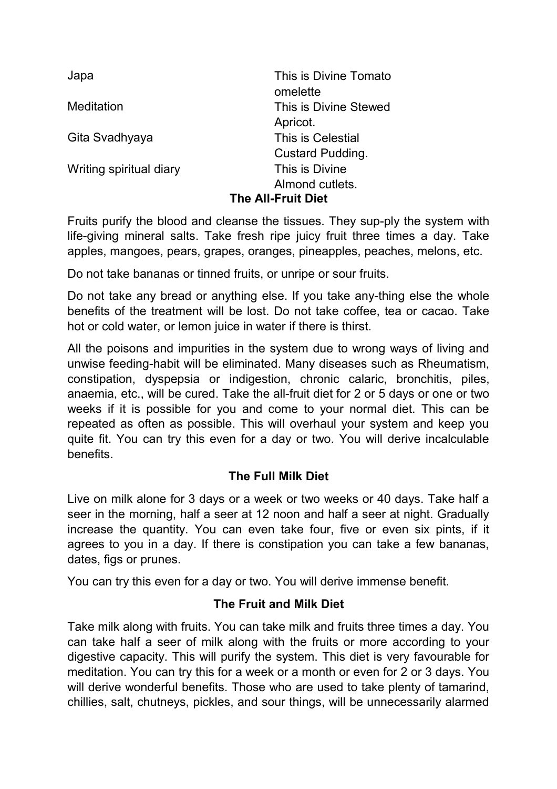| Japa                    | This is Divine Tomato     |
|-------------------------|---------------------------|
|                         | omelette                  |
| Meditation              | This is Divine Stewed     |
|                         | Apricot.                  |
| Gita Svadhyaya          | This is Celestial         |
|                         | Custard Pudding.          |
| Writing spiritual diary | This is Divine            |
|                         | Almond cutlets.           |
|                         | <b>The All-Fruit Diet</b> |

Fruits purify the blood and cleanse the tissues. They sup-ply the system with life-giving mineral salts. Take fresh ripe juicy fruit three times a day. Take apples, mangoes, pears, grapes, oranges, pineapples, peaches, melons, etc.

Do not take bananas or tinned fruits, or unripe or sour fruits.

Do not take any bread or anything else. If you take any-thing else the whole benefits of the treatment will be lost. Do not take coffee, tea or cacao. Take hot or cold water, or lemon juice in water if there is thirst.

All the poisons and impurities in the system due to wrong ways of living and unwise feeding-habit will be eliminated. Many diseases such as Rheumatism, constipation, dyspepsia or indigestion, chronic calaric, bronchitis, piles, anaemia, etc., will be cured. Take the all-fruit diet for 2 or 5 days or one or two weeks if it is possible for you and come to your normal diet. This can be repeated as often as possible. This will overhaul your system and keep you quite fit. You can try this even for a day or two. You will derive incalculable benefits.

## **The Full Milk Diet**

Live on milk alone for 3 days or a week or two weeks or 40 days. Take half a seer in the morning, half a seer at 12 noon and half a seer at night. Gradually increase the quantity. You can even take four, five or even six pints, if it agrees to you in a day. If there is constipation you can take a few bananas, dates, figs or prunes.

You can try this even for a day or two. You will derive immense benefit.

## **The Fruit and Milk Diet**

Take milk along with fruits. You can take milk and fruits three times a day. You can take half a seer of milk along with the fruits or more according to your digestive capacity. This will purify the system. This diet is very favourable for meditation. You can try this for a week or a month or even for 2 or 3 days. You will derive wonderful benefits. Those who are used to take plenty of tamarind, chillies, salt, chutneys, pickles, and sour things, will be unnecessarily alarmed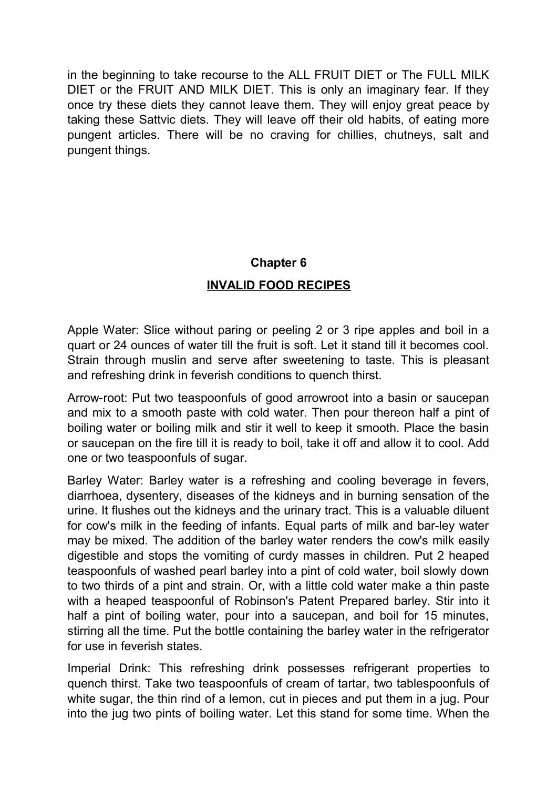in the beginning to take recourse to the ALL FRUIT DIET or The FULL MILK DIET or the FRUIT AND MILK DIET. This is only an imaginary fear. If they once try these diets they cannot leave them. They will enjoy great peace by taking these Sattvic diets. They will leave off their old habits, of eating more pungent articles. There will be no craving for chillies, chutneys, salt and pungent things.

# **Chapter 6 INVALID FOOD RECIPES**

Apple Water: Slice without paring or peeling 2 or 3 ripe apples and boil in a quart or 24 ounces of water till the fruit is soft. Let it stand till it becomes cool. Strain through muslin and serve after sweetening to taste. This is pleasant and refreshing drink in feverish conditions to quench thirst.

Arrow-root: Put two teaspoonfuls of good arrowroot into a basin or saucepan and mix to a smooth paste with cold water. Then pour thereon half a pint of boiling water or boiling milk and stir it well to keep it smooth. Place the basin or saucepan on the fire till it is ready to boil, take it off and allow it to cool. Add one or two teaspoonfuls of sugar.

Barley Water: Barley water is a refreshing and cooling beverage in fevers, diarrhoea, dysentery, diseases of the kidneys and in burning sensation of the urine. It flushes out the kidneys and the urinary tract. This is a valuable diluent for cow's milk in the feeding of infants. Equal parts of milk and bar-ley water may be mixed. The addition of the barley water renders the cow's milk easily digestible and stops the vomiting of curdy masses in children. Put 2 heaped teaspoonfuls of washed pearl barley into a pint of cold water, boil slowly down to two thirds of a pint and strain. Or, with a little cold water make a thin paste with a heaped teaspoonful of Robinson's Patent Prepared barley. Stir into it half a pint of boiling water, pour into a saucepan, and boil for 15 minutes, stirring all the time. Put the bottle containing the barley water in the refrigerator for use in feverish states.

Imperial Drink: This refreshing drink possesses refrigerant properties to quench thirst. Take two teaspoonfuls of cream of tartar, two tablespoonfuls of white sugar, the thin rind of a lemon, cut in pieces and put them in a jug. Pour into the jug two pints of boiling water. Let this stand for some time. When the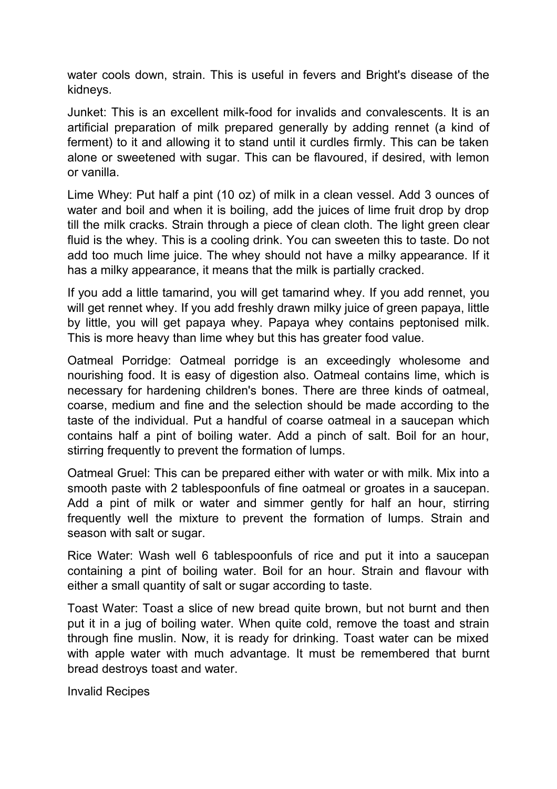water cools down, strain. This is useful in fevers and Bright's disease of the kidneys.

Junket: This is an excellent milk-food for invalids and convalescents. It is an artificial preparation of milk prepared generally by adding rennet (a kind of ferment) to it and allowing it to stand until it curdles firmly. This can be taken alone or sweetened with sugar. This can be flavoured, if desired, with lemon or vanilla.

Lime Whey: Put half a pint (10 oz) of milk in a clean vessel. Add 3 ounces of water and boil and when it is boiling, add the juices of lime fruit drop by drop till the milk cracks. Strain through a piece of clean cloth. The light green clear fluid is the whey. This is a cooling drink. You can sweeten this to taste. Do not add too much lime juice. The whey should not have a milky appearance. If it has a milky appearance, it means that the milk is partially cracked.

If you add a little tamarind, you will get tamarind whey. If you add rennet, you will get rennet whey. If you add freshly drawn milky juice of green papaya, little by little, you will get papaya whey. Papaya whey contains peptonised milk. This is more heavy than lime whey but this has greater food value.

Oatmeal Porridge: Oatmeal porridge is an exceedingly wholesome and nourishing food. It is easy of digestion also. Oatmeal contains lime, which is necessary for hardening children's bones. There are three kinds of oatmeal, coarse, medium and fine and the selection should be made according to the taste of the individual. Put a handful of coarse oatmeal in a saucepan which contains half a pint of boiling water. Add a pinch of salt. Boil for an hour, stirring frequently to prevent the formation of lumps.

Oatmeal Gruel: This can be prepared either with water or with milk. Mix into a smooth paste with 2 tablespoonfuls of fine oatmeal or groates in a saucepan. Add a pint of milk or water and simmer gently for half an hour, stirring frequently well the mixture to prevent the formation of lumps. Strain and season with salt or sugar.

Rice Water: Wash well 6 tablespoonfuls of rice and put it into a saucepan containing a pint of boiling water. Boil for an hour. Strain and flavour with either a small quantity of salt or sugar according to taste.

Toast Water: Toast a slice of new bread quite brown, but not burnt and then put it in a jug of boiling water. When quite cold, remove the toast and strain through fine muslin. Now, it is ready for drinking. Toast water can be mixed with apple water with much advantage. It must be remembered that burnt bread destroys toast and water.

Invalid Recipes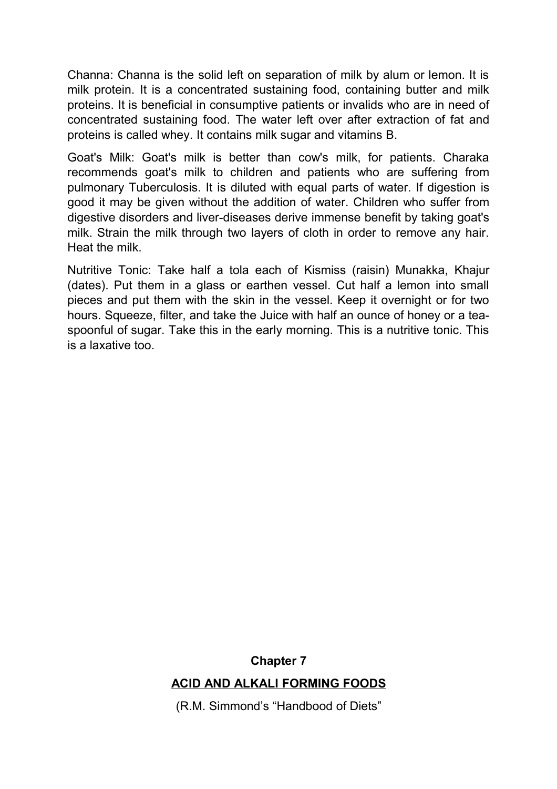Channa: Channa is the solid left on separation of milk by alum or lemon. It is milk protein. It is a concentrated sustaining food, containing butter and milk proteins. It is beneficial in consumptive patients or invalids who are in need of concentrated sustaining food. The water left over after extraction of fat and proteins is called whey. It contains milk sugar and vitamins B.

Goat's Milk: Goat's milk is better than cow's milk, for patients. Charaka recommends goat's milk to children and patients who are suffering from pulmonary Tuberculosis. It is diluted with equal parts of water. If digestion is good it may be given without the addition of water. Children who suffer from digestive disorders and liver-diseases derive immense benefit by taking goat's milk. Strain the milk through two layers of cloth in order to remove any hair. Heat the milk.

Nutritive Tonic: Take half a tola each of Kismiss (raisin) Munakka, Khajur (dates). Put them in a glass or earthen vessel. Cut half a lemon into small pieces and put them with the skin in the vessel. Keep it overnight or for two hours. Squeeze, filter, and take the Juice with half an ounce of honey or a teaspoonful of sugar. Take this in the early morning. This is a nutritive tonic. This is a laxative too.

## **Chapter 7**

## **ACID AND ALKALI FORMING FOODS**

(R.M. Simmond's "Handbood of Diets"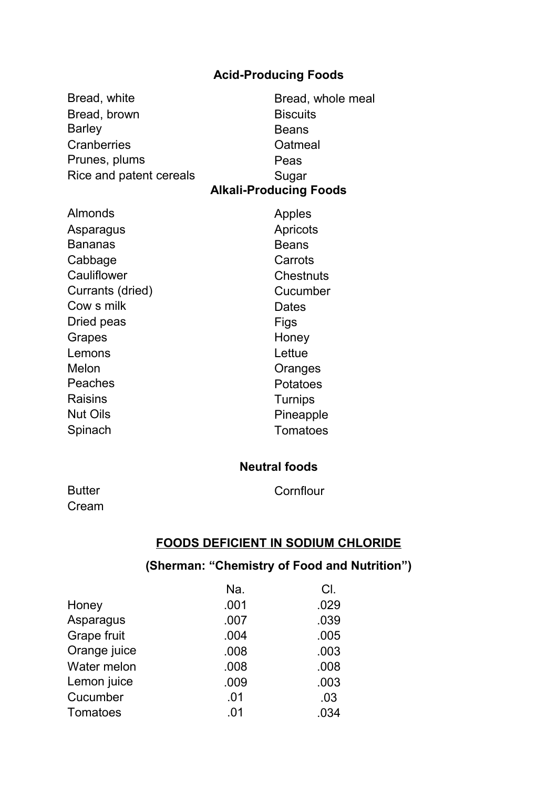## **Acid-Producing Foods**

Bread, white Bread, whole meal Bread, brown Biscuits Barley **Barley Beans** Cranberries Oatmeal Prunes, plums **Peas** Rice and patent cereals Sugar

**Alkali-Producing Foods**

Almonds Apples Asparagus **Apricots** Bananas **Beans** Cabbage Carrots Cauliflower Cauliflower Chestnuts Currants (dried) Cucumber Cow s milk Dates Dried peas Figs Grapes Honey Lemons Lettue Melon **Construction** Oranges Peaches **Potatoes** Potatoes Raisins Turnips Nut Oils **Pineapple** Spinach **Tomatoes** 

## **Neutral foods**

Cream

Butter Cornflour

## **FOODS DEFICIENT IN SODIUM CHLORIDE**

## **(Sherman: "Chemistry of Food and Nutrition")**

|                    | Na.  | CI.  |
|--------------------|------|------|
| Honey              | .001 | .029 |
| Asparagus          | .007 | .039 |
| <b>Grape fruit</b> | .004 | .005 |
| Orange juice       | .008 | .003 |
| Water melon        | .008 | .008 |
| Lemon juice        | .009 | .003 |
| Cucumber           | .01  | .03  |
| <b>Tomatoes</b>    | .01  | .034 |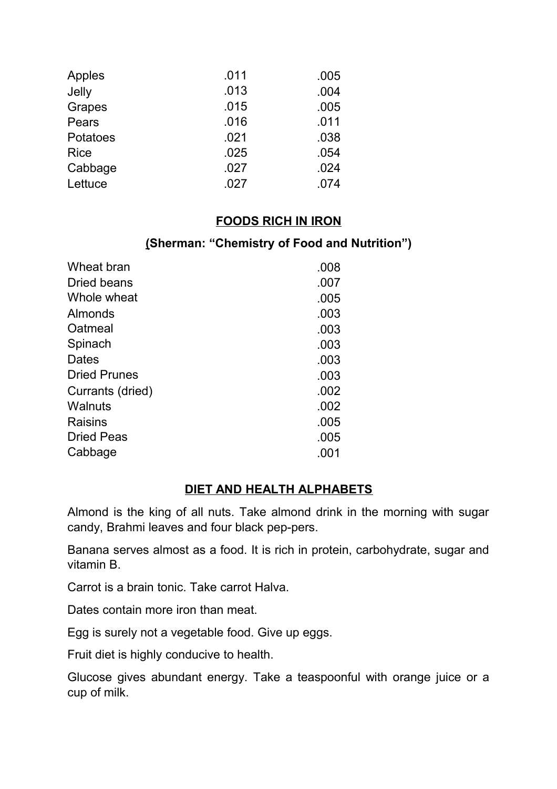| Apples      | .011 | .005 |
|-------------|------|------|
| Jelly       | .013 | .004 |
| Grapes      | .015 | .005 |
| Pears       | .016 | .011 |
| Potatoes    | .021 | .038 |
| <b>Rice</b> | .025 | .054 |
| Cabbage     | .027 | .024 |
| Lettuce     | .027 | .074 |

# **FOODS RICH IN IRON**

# **(Sherman: "Chemistry of Food and Nutrition")**

| Wheat bran          | .008 |
|---------------------|------|
| Dried beans         | .007 |
| Whole wheat         | .005 |
| Almonds             | .003 |
| Oatmeal             | .003 |
| Spinach             | .003 |
| Dates               | .003 |
| <b>Dried Prunes</b> | .003 |
| Currants (dried)    | .002 |
| Walnuts             | .002 |
| Raisins             | .005 |
| <b>Dried Peas</b>   | .005 |
| Cabbage             | .001 |
|                     |      |

## **DIET AND HEALTH ALPHABETS**

Almond is the king of all nuts. Take almond drink in the morning with sugar candy, Brahmi leaves and four black pep-pers.

Banana serves almost as a food. It is rich in protein, carbohydrate, sugar and vitamin B.

Carrot is a brain tonic. Take carrot Halva.

Dates contain more iron than meat.

Egg is surely not a vegetable food. Give up eggs.

Fruit diet is highly conducive to health.

Glucose gives abundant energy. Take a teaspoonful with orange juice or a cup of milk.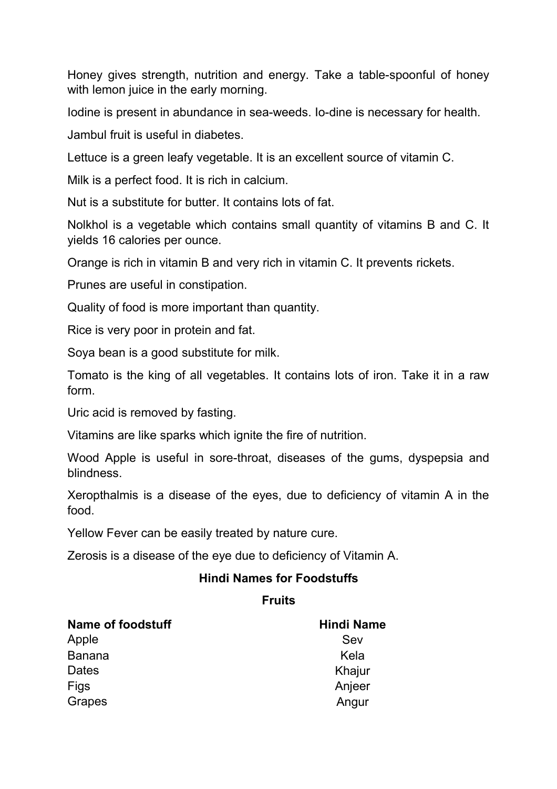Honey gives strength, nutrition and energy. Take a table-spoonful of honey with lemon juice in the early morning.

Iodine is present in abundance in sea-weeds. Io-dine is necessary for health.

Jambul fruit is useful in diabetes.

Lettuce is a green leafy vegetable. It is an excellent source of vitamin C.

Milk is a perfect food. It is rich in calcium.

Nut is a substitute for butter. It contains lots of fat.

Nolkhol is a vegetable which contains small quantity of vitamins B and C. It yields 16 calories per ounce.

Orange is rich in vitamin B and very rich in vitamin C. It prevents rickets.

Prunes are useful in constipation.

Quality of food is more important than quantity.

Rice is very poor in protein and fat.

Soya bean is a good substitute for milk.

Tomato is the king of all vegetables. It contains lots of iron. Take it in a raw form.

Uric acid is removed by fasting.

Vitamins are like sparks which ignite the fire of nutrition.

Wood Apple is useful in sore-throat, diseases of the gums, dyspepsia and blindness.

Xeropthalmis is a disease of the eyes, due to deficiency of vitamin A in the food.

Yellow Fever can be easily treated by nature cure.

Zerosis is a disease of the eye due to deficiency of Vitamin A.

## **Hindi Names for Foodstuffs**

## **Fruits**

| Name of foodstuff | <b>Hindi Name</b> |
|-------------------|-------------------|
| Apple             | Sev               |
| <b>Banana</b>     | Kela              |
| Dates             | Khajur            |
| Figs              | Anjeer            |
| Grapes            | Angur             |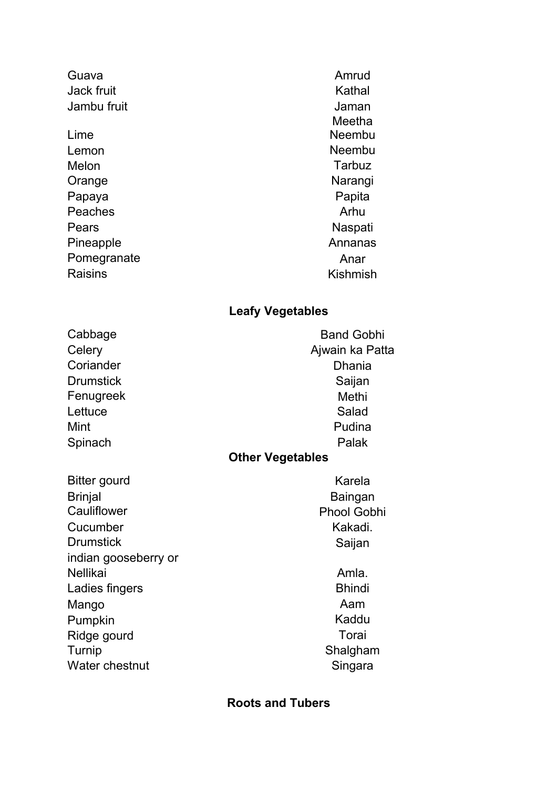Guava **Amrud** Jack fruit **Kathal** Jambu fruit Jaman

Lime Lemon Neembu Melon **Tarbuz** Orange Narangi Papaya Papita Peaches **Arhuments** Arhuments Arhuments Arhuments Arhuments Arhuments Arhuments Arhuments Arhuments Arhuments Arhuments Arhuments Arhuments Arhuments Arhuments Arhuments Arhuments Arhuments Arhuments Arhuments Arhuments Ar Pears Naspati Pineapple **Annanas** Pomegranate Anarchaelem Anarchaelem Anarchaelem Anarchaelem Anarchaelem Anarchaelem Anarchaelem Anarchaelem Anarchaelem Anarchaelem Anarchaelem Anarchaelem Anarchaelem Anarchaelem Anarchaelem Anarchaelem Anarchaelem Anarch Raisins Kishmish

Meetha Neembu

### **Leafy Vegetables**

Cabbage **Band Gobhi** 

Celery **Ajwain ka Patta** Coriander **Dhania** Drumstick Saijan Fenugreek Methi Lettuce Salad Mint **Mint** Pudina Spinach **Palak Other Vegetables**

Bitter gourd **Karela** Brinjal Baingan Cauliflower **Phool Gobhi** Cucumber **Kakadi.** Drumstick Saijan indian gooseberry or Nellikai **Amla.** Amla. Ladies fingers **Bhindi** Mango **Aam** Pumpkin Kaddu Ridge gourd **Torain** Turnip **Shalgham** Water chestnut Singara

**Roots and Tubers**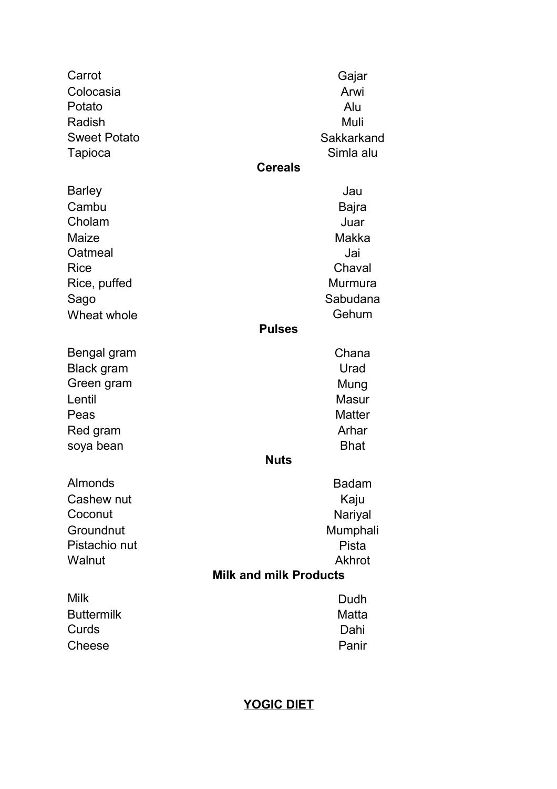| Carrot              | Gajar                         |
|---------------------|-------------------------------|
| Colocasia           | Arwi                          |
| Potato              | Alu                           |
| Radish              | Muli                          |
| <b>Sweet Potato</b> | Sakkarkand                    |
| <b>Tapioca</b>      | Simla alu                     |
|                     | <b>Cereals</b>                |
| <b>Barley</b>       | Jau                           |
| Cambu               | Bajra                         |
| Cholam              | Juar                          |
| Maize               | Makka                         |
| Oatmeal             | Jai                           |
| <b>Rice</b>         | Chaval                        |
| Rice, puffed        | Murmura                       |
| Sago                | Sabudana                      |
| Wheat whole         | Gehum                         |
|                     | <b>Pulses</b>                 |
| Bengal gram         | Chana                         |
| <b>Black gram</b>   | Urad                          |
| Green gram          | Mung                          |
| Lentil              | Masur                         |
| Peas                | <b>Matter</b>                 |
| Red gram            | Arhar                         |
| soya bean           | <b>Bhat</b>                   |
|                     | <b>Nuts</b>                   |
| Almonds             | Badam                         |
| Cashew nut          | Kaju                          |
| Coconut             | Nariyal                       |
| Groundnut           | Mumphali                      |
| Pistachio nut       | Pista                         |
| Walnut              | Akhrot                        |
|                     | <b>Milk and milk Products</b> |
| Milk                | Dudh                          |
| <b>Buttermilk</b>   | Matta                         |
| Curds               | Dahi                          |
| Cheese              | Panir                         |

# **YOGIC DIET**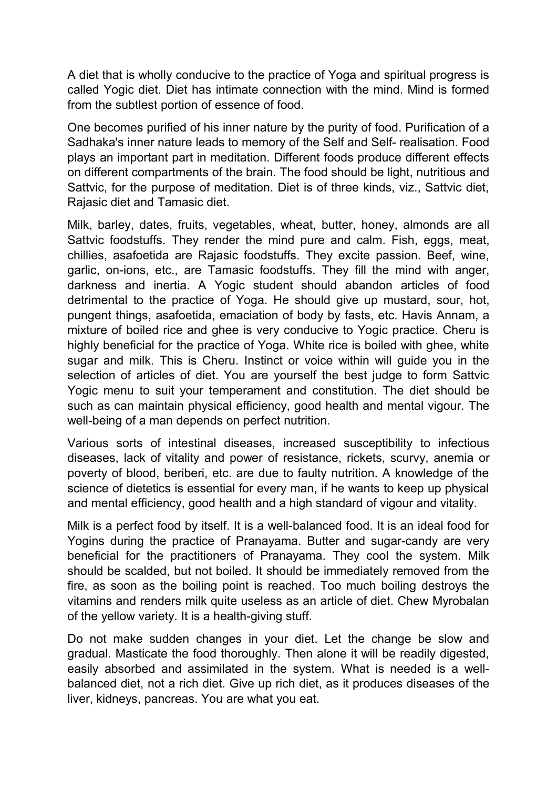A diet that is wholly conducive to the practice of Yoga and spiritual progress is called Yogic diet. Diet has intimate connection with the mind. Mind is formed from the subtlest portion of essence of food.

One becomes purified of his inner nature by the purity of food. Purification of a Sadhaka's inner nature leads to memory of the Self and Self- realisation. Food plays an important part in meditation. Different foods produce different effects on different compartments of the brain. The food should be light, nutritious and Sattvic, for the purpose of meditation. Diet is of three kinds, viz., Sattvic diet, Rajasic diet and Tamasic diet.

Milk, barley, dates, fruits, vegetables, wheat, butter, honey, almonds are all Sattvic foodstuffs. They render the mind pure and calm. Fish, eggs, meat, chillies, asafoetida are Rajasic foodstuffs. They excite passion. Beef, wine, garlic, on-ions, etc., are Tamasic foodstuffs. They fill the mind with anger, darkness and inertia. A Yogic student should abandon articles of food detrimental to the practice of Yoga. He should give up mustard, sour, hot, pungent things, asafoetida, emaciation of body by fasts, etc. Havis Annam, a mixture of boiled rice and ghee is very conducive to Yogic practice. Cheru is highly beneficial for the practice of Yoga. White rice is boiled with ghee, white sugar and milk. This is Cheru. Instinct or voice within will guide you in the selection of articles of diet. You are yourself the best judge to form Sattvic Yogic menu to suit your temperament and constitution. The diet should be such as can maintain physical efficiency, good health and mental vigour. The well-being of a man depends on perfect nutrition.

Various sorts of intestinal diseases, increased susceptibility to infectious diseases, lack of vitality and power of resistance, rickets, scurvy, anemia or poverty of blood, beriberi, etc. are due to faulty nutrition. A knowledge of the science of dietetics is essential for every man, if he wants to keep up physical and mental efficiency, good health and a high standard of vigour and vitality.

Milk is a perfect food by itself. It is a well-balanced food. It is an ideal food for Yogins during the practice of Pranayama. Butter and sugar-candy are very beneficial for the practitioners of Pranayama. They cool the system. Milk should be scalded, but not boiled. It should be immediately removed from the fire, as soon as the boiling point is reached. Too much boiling destroys the vitamins and renders milk quite useless as an article of diet. Chew Myrobalan of the yellow variety. It is a health-giving stuff.

Do not make sudden changes in your diet. Let the change be slow and gradual. Masticate the food thoroughly. Then alone it will be readily digested, easily absorbed and assimilated in the system. What is needed is a wellbalanced diet, not a rich diet. Give up rich diet, as it produces diseases of the liver, kidneys, pancreas. You are what you eat.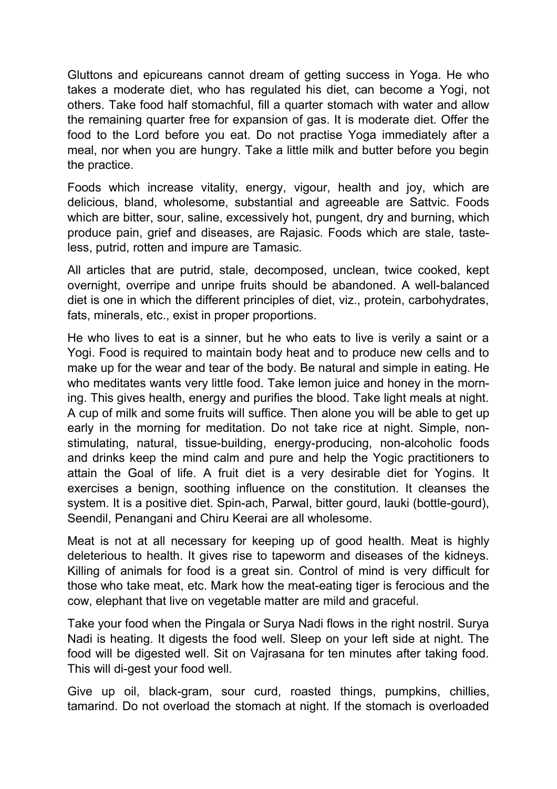Gluttons and epicureans cannot dream of getting success in Yoga. He who takes a moderate diet, who has regulated his diet, can become a Yogi, not others. Take food half stomachful, fill a quarter stomach with water and allow the remaining quarter free for expansion of gas. It is moderate diet. Offer the food to the Lord before you eat. Do not practise Yoga immediately after a meal, nor when you are hungry. Take a little milk and butter before you begin the practice.

Foods which increase vitality, energy, vigour, health and joy, which are delicious, bland, wholesome, substantial and agreeable are Sattvic. Foods which are bitter, sour, saline, excessively hot, pungent, dry and burning, which produce pain, grief and diseases, are Rajasic. Foods which are stale, tasteless, putrid, rotten and impure are Tamasic.

All articles that are putrid, stale, decomposed, unclean, twice cooked, kept overnight, overripe and unripe fruits should be abandoned. A well-balanced diet is one in which the different principles of diet, viz., protein, carbohydrates, fats, minerals, etc., exist in proper proportions.

He who lives to eat is a sinner, but he who eats to live is verily a saint or a Yogi. Food is required to maintain body heat and to produce new cells and to make up for the wear and tear of the body. Be natural and simple in eating. He who meditates wants very little food. Take lemon juice and honey in the morning. This gives health, energy and purifies the blood. Take light meals at night. A cup of milk and some fruits will suffice. Then alone you will be able to get up early in the morning for meditation. Do not take rice at night. Simple, nonstimulating, natural, tissue-building, energy-producing, non-alcoholic foods and drinks keep the mind calm and pure and help the Yogic practitioners to attain the Goal of life. A fruit diet is a very desirable diet for Yogins. It exercises a benign, soothing influence on the constitution. It cleanses the system. It is a positive diet. Spin-ach, Parwal, bitter gourd, lauki (bottle-gourd), Seendil, Penangani and Chiru Keerai are all wholesome.

Meat is not at all necessary for keeping up of good health. Meat is highly deleterious to health. It gives rise to tapeworm and diseases of the kidneys. Killing of animals for food is a great sin. Control of mind is very difficult for those who take meat, etc. Mark how the meat-eating tiger is ferocious and the cow, elephant that live on vegetable matter are mild and graceful.

Take your food when the Pingala or Surya Nadi flows in the right nostril. Surya Nadi is heating. It digests the food well. Sleep on your left side at night. The food will be digested well. Sit on Vajrasana for ten minutes after taking food. This will di-gest your food well.

Give up oil, black-gram, sour curd, roasted things, pumpkins, chillies, tamarind. Do not overload the stomach at night. If the stomach is overloaded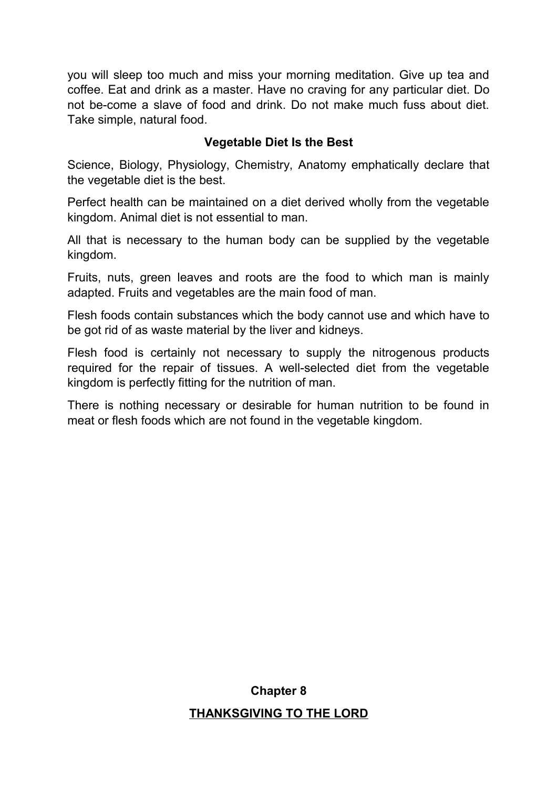you will sleep too much and miss your morning meditation. Give up tea and coffee. Eat and drink as a master. Have no craving for any particular diet. Do not be-come a slave of food and drink. Do not make much fuss about diet. Take simple, natural food.

# **Vegetable Diet Is the Best**

Science, Biology, Physiology, Chemistry, Anatomy emphatically declare that the vegetable diet is the best.

Perfect health can be maintained on a diet derived wholly from the vegetable kingdom. Animal diet is not essential to man.

All that is necessary to the human body can be supplied by the vegetable kingdom.

Fruits, nuts, green leaves and roots are the food to which man is mainly adapted. Fruits and vegetables are the main food of man.

Flesh foods contain substances which the body cannot use and which have to be got rid of as waste material by the liver and kidneys.

Flesh food is certainly not necessary to supply the nitrogenous products required for the repair of tissues. A well-selected diet from the vegetable kingdom is perfectly fitting for the nutrition of man.

There is nothing necessary or desirable for human nutrition to be found in meat or flesh foods which are not found in the vegetable kingdom.

# **Chapter 8 THANKSGIVING TO THE LORD**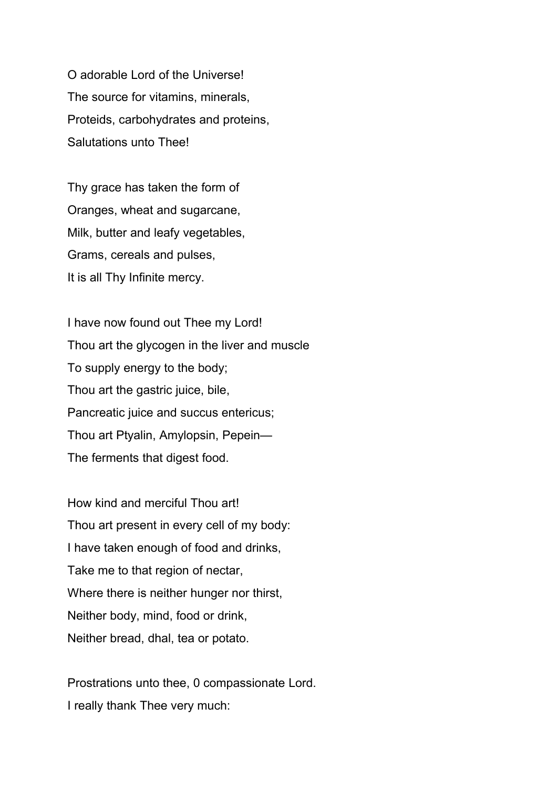O adorable Lord of the Universe! The source for vitamins, minerals, Proteids, carbohydrates and proteins, Salutations unto Thee!

Thy grace has taken the form of Oranges, wheat and sugarcane, Milk, butter and leafy vegetables, Grams, cereals and pulses, It is all Thy Infinite mercy.

I have now found out Thee my Lord! Thou art the glycogen in the liver and muscle To supply energy to the body; Thou art the gastric juice, bile, Pancreatic juice and succus entericus; Thou art Ptyalin, Amylopsin, Pepein— The ferments that digest food.

How kind and merciful Thou art! Thou art present in every cell of my body: I have taken enough of food and drinks, Take me to that region of nectar, Where there is neither hunger nor thirst, Neither body, mind, food or drink, Neither bread, dhal, tea or potato.

Prostrations unto thee, 0 compassionate Lord. I really thank Thee very much: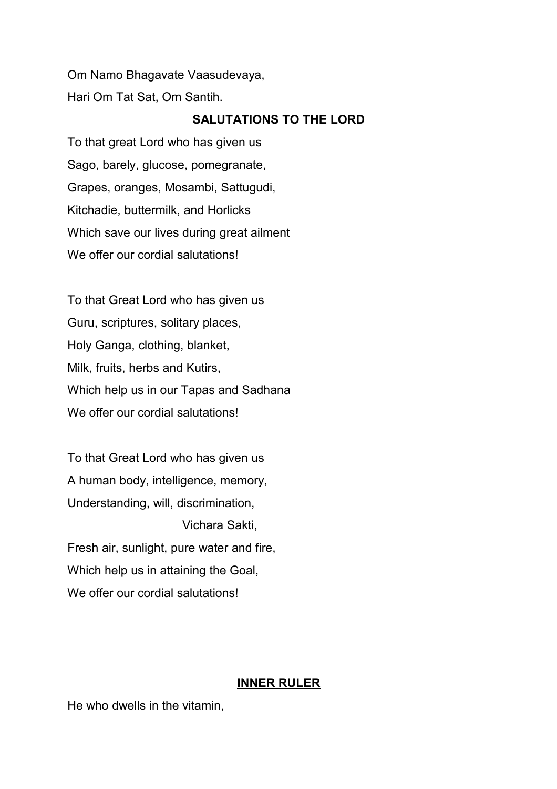Om Namo Bhagavate Vaasudevaya, Hari Om Tat Sat, Om Santih.

## **SALUTATIONS TO THE LORD**

To that great Lord who has given us Sago, barely, glucose, pomegranate, Grapes, oranges, Mosambi, Sattugudi, Kitchadie, buttermilk, and Horlicks Which save our lives during great ailment We offer our cordial salutations!

To that Great Lord who has given us Guru, scriptures, solitary places, Holy Ganga, clothing, blanket, Milk, fruits, herbs and Kutirs, Which help us in our Tapas and Sadhana We offer our cordial salutations!

To that Great Lord who has given us A human body, intelligence, memory, Understanding, will, discrimination,

Fresh air, sunlight, pure water and fire, Which help us in attaining the Goal, We offer our cordial salutations!

Vichara Sakti,

## **INNER RULER**

He who dwells in the vitamin,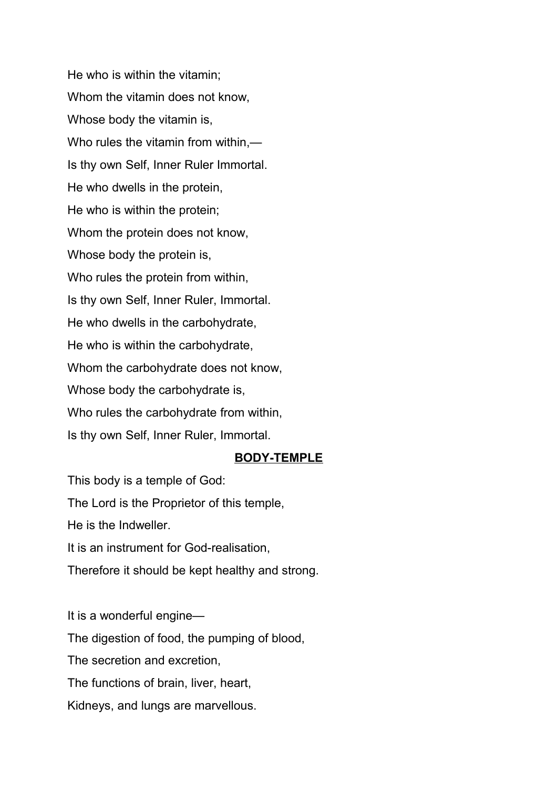He who is within the vitamin; Whom the vitamin does not know, Whose body the vitamin is, Who rules the vitamin from within,— Is thy own Self, Inner Ruler Immortal. He who dwells in the protein, He who is within the protein; Whom the protein does not know, Whose body the protein is, Who rules the protein from within, Is thy own Self, Inner Ruler, Immortal. He who dwells in the carbohydrate, He who is within the carbohydrate, Whom the carbohydrate does not know, Whose body the carbohydrate is, Who rules the carbohydrate from within, Is thy own Self, Inner Ruler, Immortal.

#### **BODY-TEMPLE**

This body is a temple of God: The Lord is the Proprietor of this temple,

He is the Indweller.

It is an instrument for God-realisation,

Therefore it should be kept healthy and strong.

It is a wonderful engine— The digestion of food, the pumping of blood, The secretion and excretion, The functions of brain, liver, heart, Kidneys, and lungs are marvellous.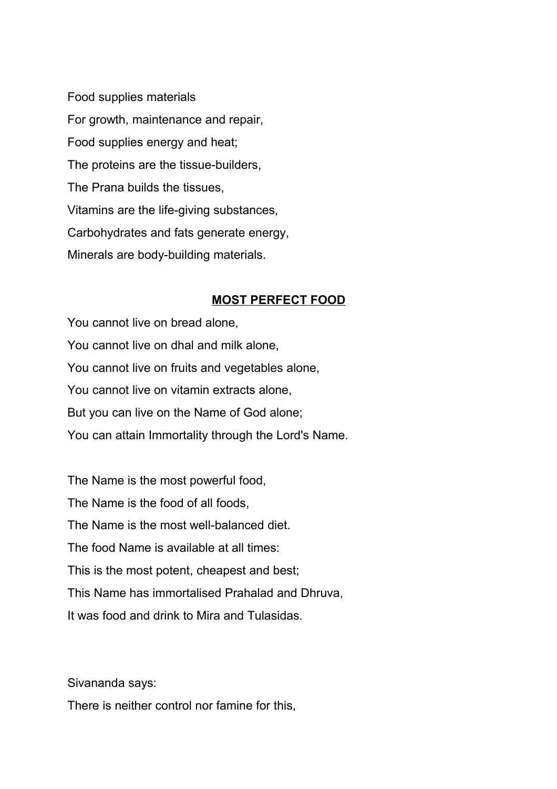Food supplies materials For growth, maintenance and repair, Food supplies energy and heat; The proteins are the tissue-builders, The Prana builds the tissues, Vitamins are the life-giving substances, Carbohydrates and fats generate energy, Minerals are body-building materials.

### **MOST PERFECT FOOD**

You cannot live on bread alone, You cannot live on dhal and milk alone, You cannot live on fruits and vegetables alone, You cannot live on vitamin extracts alone, But you can live on the Name of God alone; You can attain Immortality through the Lord's Name.

The Name is the most powerful food, The Name is the food of all foods, The Name is the most well-balanced diet. The food Name is available at all times: This is the most potent, cheapest and best; This Name has immortalised Prahalad and Dhruva, It was food and drink to Mira and Tulasidas.

Sivananda says: There is neither control nor famine for this,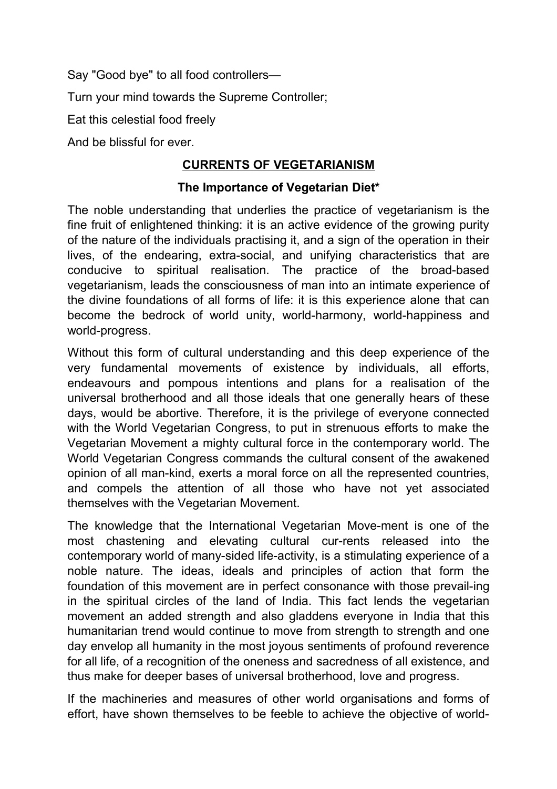Say "Good bye" to all food controllers—

Turn your mind towards the Supreme Controller;

Eat this celestial food freely

And be blissful for ever.

## **CURRENTS OF VEGETARIANISM**

## **The Importance of Vegetarian Diet\***

The noble understanding that underlies the practice of vegetarianism is the fine fruit of enlightened thinking: it is an active evidence of the growing purity of the nature of the individuals practising it, and a sign of the operation in their lives, of the endearing, extra-social, and unifying characteristics that are conducive to spiritual realisation. The practice of the broad-based vegetarianism, leads the consciousness of man into an intimate experience of the divine foundations of all forms of life: it is this experience alone that can become the bedrock of world unity, world-harmony, world-happiness and world-progress.

Without this form of cultural understanding and this deep experience of the very fundamental movements of existence by individuals, all efforts, endeavours and pompous intentions and plans for a realisation of the universal brotherhood and all those ideals that one generally hears of these days, would be abortive. Therefore, it is the privilege of everyone connected with the World Vegetarian Congress, to put in strenuous efforts to make the Vegetarian Movement a mighty cultural force in the contemporary world. The World Vegetarian Congress commands the cultural consent of the awakened opinion of all man-kind, exerts a moral force on all the represented countries, and compels the attention of all those who have not yet associated themselves with the Vegetarian Movement.

The knowledge that the International Vegetarian Move-ment is one of the most chastening and elevating cultural cur-rents released into the contemporary world of many-sided life-activity, is a stimulating experience of a noble nature. The ideas, ideals and principles of action that form the foundation of this movement are in perfect consonance with those prevail-ing in the spiritual circles of the land of India. This fact lends the vegetarian movement an added strength and also gladdens everyone in India that this humanitarian trend would continue to move from strength to strength and one day envelop all humanity in the most joyous sentiments of profound reverence for all life, of a recognition of the oneness and sacredness of all existence, and thus make for deeper bases of universal brotherhood, love and progress.

If the machineries and measures of other world organisations and forms of effort, have shown themselves to be feeble to achieve the objective of world-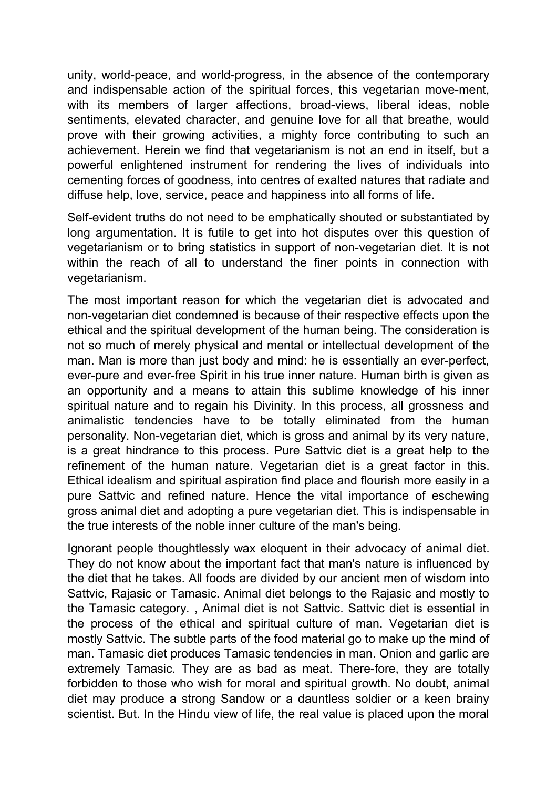unity, world-peace, and world-progress, in the absence of the contemporary and indispensable action of the spiritual forces, this vegetarian move-ment, with its members of larger affections, broad-views, liberal ideas, noble sentiments, elevated character, and genuine love for all that breathe, would prove with their growing activities, a mighty force contributing to such an achievement. Herein we find that vegetarianism is not an end in itself, but a powerful enlightened instrument for rendering the lives of individuals into cementing forces of goodness, into centres of exalted natures that radiate and diffuse help, love, service, peace and happiness into all forms of life.

Self-evident truths do not need to be emphatically shouted or substantiated by long argumentation. It is futile to get into hot disputes over this question of vegetarianism or to bring statistics in support of non-vegetarian diet. It is not within the reach of all to understand the finer points in connection with vegetarianism.

The most important reason for which the vegetarian diet is advocated and non-vegetarian diet condemned is because of their respective effects upon the ethical and the spiritual development of the human being. The consideration is not so much of merely physical and mental or intellectual development of the man. Man is more than just body and mind: he is essentially an ever-perfect, ever-pure and ever-free Spirit in his true inner nature. Human birth is given as an opportunity and a means to attain this sublime knowledge of his inner spiritual nature and to regain his Divinity. In this process, all grossness and animalistic tendencies have to be totally eliminated from the human personality. Non-vegetarian diet, which is gross and animal by its very nature, is a great hindrance to this process. Pure Sattvic diet is a great help to the refinement of the human nature. Vegetarian diet is a great factor in this. Ethical idealism and spiritual aspiration find place and flourish more easily in a pure Sattvic and refined nature. Hence the vital importance of eschewing gross animal diet and adopting a pure vegetarian diet. This is indispensable in the true interests of the noble inner culture of the man's being.

Ignorant people thoughtlessly wax eloquent in their advocacy of animal diet. They do not know about the important fact that man's nature is influenced by the diet that he takes. All foods are divided by our ancient men of wisdom into Sattvic, Rajasic or Tamasic. Animal diet belongs to the Rajasic and mostly to the Tamasic category. , Animal diet is not Sattvic. Sattvic diet is essential in the process of the ethical and spiritual culture of man. Vegetarian diet is mostly Sattvic. The subtle parts of the food material go to make up the mind of man. Tamasic diet produces Tamasic tendencies in man. Onion and garlic are extremely Tamasic. They are as bad as meat. There-fore, they are totally forbidden to those who wish for moral and spiritual growth. No doubt, animal diet may produce a strong Sandow or a dauntless soldier or a keen brainy scientist. But. In the Hindu view of life, the real value is placed upon the moral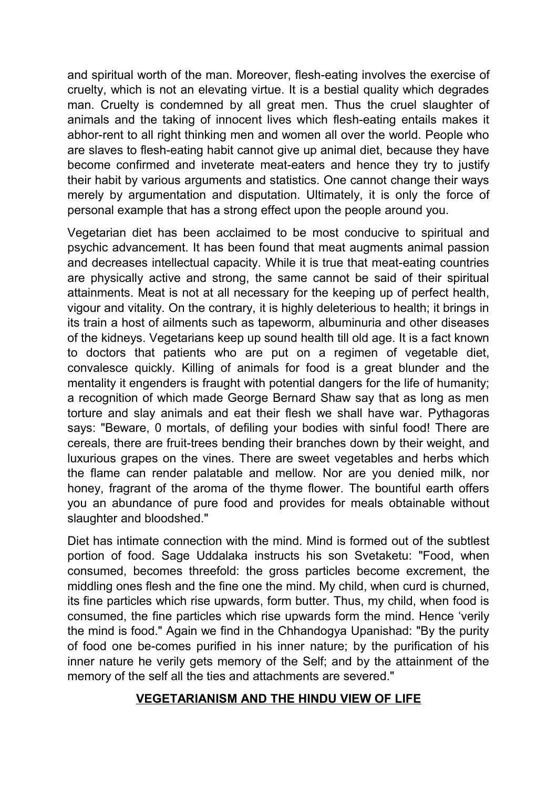and spiritual worth of the man. Moreover, flesh-eating involves the exercise of cruelty, which is not an elevating virtue. It is a bestial quality which degrades man. Cruelty is condemned by all great men. Thus the cruel slaughter of animals and the taking of innocent lives which flesh-eating entails makes it abhor-rent to all right thinking men and women all over the world. People who are slaves to flesh-eating habit cannot give up animal diet, because they have become confirmed and inveterate meat-eaters and hence they try to justify their habit by various arguments and statistics. One cannot change their ways merely by argumentation and disputation. Ultimately, it is only the force of personal example that has a strong effect upon the people around you.

Vegetarian diet has been acclaimed to be most conducive to spiritual and psychic advancement. It has been found that meat augments animal passion and decreases intellectual capacity. While it is true that meat-eating countries are physically active and strong, the same cannot be said of their spiritual attainments. Meat is not at all necessary for the keeping up of perfect health, vigour and vitality. On the contrary, it is highly deleterious to health; it brings in its train a host of ailments such as tapeworm, albuminuria and other diseases of the kidneys. Vegetarians keep up sound health till old age. It is a fact known to doctors that patients who are put on a regimen of vegetable diet, convalesce quickly. Killing of animals for food is a great blunder and the mentality it engenders is fraught with potential dangers for the life of humanity; a recognition of which made George Bernard Shaw say that as long as men torture and slay animals and eat their flesh we shall have war. Pythagoras says: "Beware, 0 mortals, of defiling your bodies with sinful food! There are cereals, there are fruit-trees bending their branches down by their weight, and luxurious grapes on the vines. There are sweet vegetables and herbs which the flame can render palatable and mellow. Nor are you denied milk, nor honey, fragrant of the aroma of the thyme flower. The bountiful earth offers you an abundance of pure food and provides for meals obtainable without slaughter and bloodshed."

Diet has intimate connection with the mind. Mind is formed out of the subtlest portion of food. Sage Uddalaka instructs his son Svetaketu: "Food, when consumed, becomes threefold: the gross particles become excrement, the middling ones flesh and the fine one the mind. My child, when curd is churned, its fine particles which rise upwards, form butter. Thus, my child, when food is consumed, the fine particles which rise upwards form the mind. Hence 'verily the mind is food." Again we find in the Chhandogya Upanishad: "By the purity of food one be-comes purified in his inner nature; by the purification of his inner nature he verily gets memory of the Self; and by the attainment of the memory of the self all the ties and attachments are severed."

# **VEGETARIANISM AND THE HINDU VIEW OF LIFE**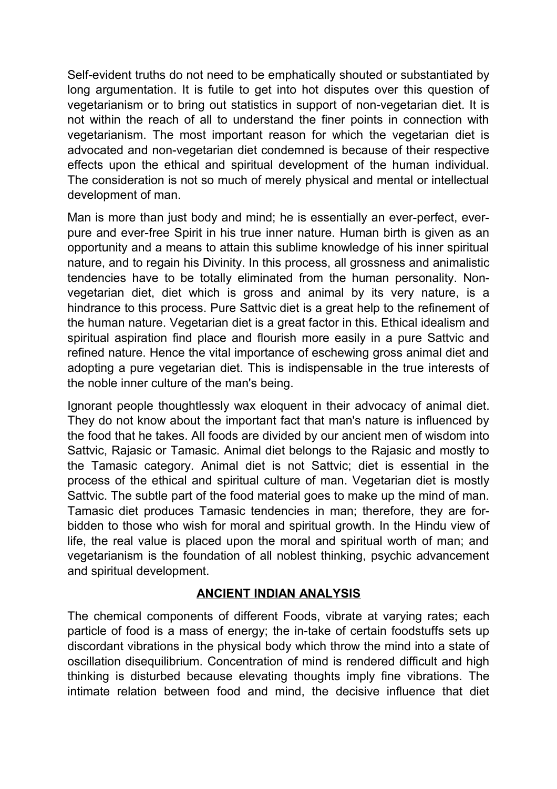Self-evident truths do not need to be emphatically shouted or substantiated by long argumentation. It is futile to get into hot disputes over this question of vegetarianism or to bring out statistics in support of non-vegetarian diet. It is not within the reach of all to understand the finer points in connection with vegetarianism. The most important reason for which the vegetarian diet is advocated and non-vegetarian diet condemned is because of their respective effects upon the ethical and spiritual development of the human individual. The consideration is not so much of merely physical and mental or intellectual development of man.

Man is more than just body and mind; he is essentially an ever-perfect, everpure and ever-free Spirit in his true inner nature. Human birth is given as an opportunity and a means to attain this sublime knowledge of his inner spiritual nature, and to regain his Divinity. In this process, all grossness and animalistic tendencies have to be totally eliminated from the human personality. Nonvegetarian diet, diet which is gross and animal by its very nature, is a hindrance to this process. Pure Sattvic diet is a great help to the refinement of the human nature. Vegetarian diet is a great factor in this. Ethical idealism and spiritual aspiration find place and flourish more easily in a pure Sattvic and refined nature. Hence the vital importance of eschewing gross animal diet and adopting a pure vegetarian diet. This is indispensable in the true interests of the noble inner culture of the man's being.

Ignorant people thoughtlessly wax eloquent in their advocacy of animal diet. They do not know about the important fact that man's nature is influenced by the food that he takes. All foods are divided by our ancient men of wisdom into Sattvic, Rajasic or Tamasic. Animal diet belongs to the Rajasic and mostly to the Tamasic category. Animal diet is not Sattvic; diet is essential in the process of the ethical and spiritual culture of man. Vegetarian diet is mostly Sattvic. The subtle part of the food material goes to make up the mind of man. Tamasic diet produces Tamasic tendencies in man; therefore, they are forbidden to those who wish for moral and spiritual growth. In the Hindu view of life, the real value is placed upon the moral and spiritual worth of man; and vegetarianism is the foundation of all noblest thinking, psychic advancement and spiritual development.

## **ANCIENT INDIAN ANALYSIS**

The chemical components of different Foods, vibrate at varying rates; each particle of food is a mass of energy; the in-take of certain foodstuffs sets up discordant vibrations in the physical body which throw the mind into a state of oscillation disequilibrium. Concentration of mind is rendered difficult and high thinking is disturbed because elevating thoughts imply fine vibrations. The intimate relation between food and mind, the decisive influence that diet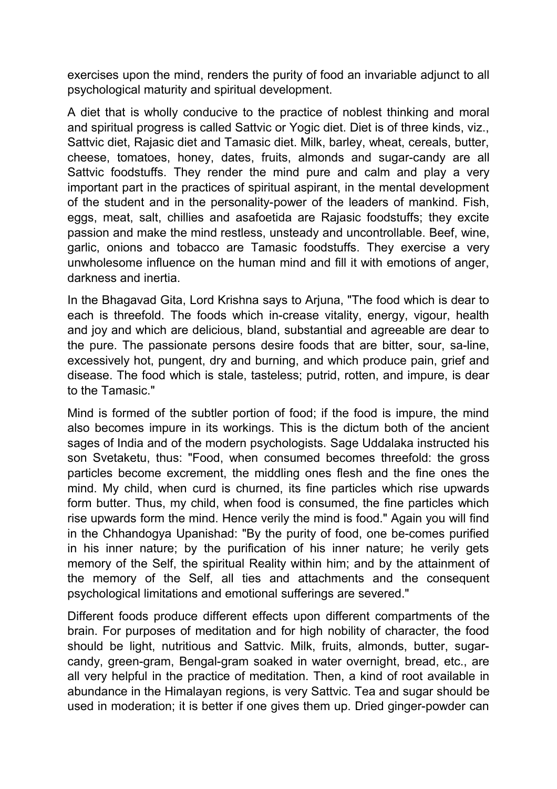exercises upon the mind, renders the purity of food an invariable adjunct to all psychological maturity and spiritual development.

A diet that is wholly conducive to the practice of noblest thinking and moral and spiritual progress is called Sattvic or Yogic diet. Diet is of three kinds, viz., Sattvic diet, Rajasic diet and Tamasic diet. Milk, barley, wheat, cereals, butter, cheese, tomatoes, honey, dates, fruits, almonds and sugar-candy are all Sattvic foodstuffs. They render the mind pure and calm and play a very important part in the practices of spiritual aspirant, in the mental development of the student and in the personality-power of the leaders of mankind. Fish, eggs, meat, salt, chillies and asafoetida are Rajasic foodstuffs; they excite passion and make the mind restless, unsteady and uncontrollable. Beef, wine, garlic, onions and tobacco are Tamasic foodstuffs. They exercise a very unwholesome influence on the human mind and fill it with emotions of anger, darkness and inertia.

In the Bhagavad Gita, Lord Krishna says to Arjuna, "The food which is dear to each is threefold. The foods which in-crease vitality, energy, vigour, health and joy and which are delicious, bland, substantial and agreeable are dear to the pure. The passionate persons desire foods that are bitter, sour, sa-line, excessively hot, pungent, dry and burning, and which produce pain, grief and disease. The food which is stale, tasteless; putrid, rotten, and impure, is dear to the Tamasic."

Mind is formed of the subtler portion of food; if the food is impure, the mind also becomes impure in its workings. This is the dictum both of the ancient sages of India and of the modern psychologists. Sage Uddalaka instructed his son Svetaketu, thus: "Food, when consumed becomes threefold: the gross particles become excrement, the middling ones flesh and the fine ones the mind. My child, when curd is churned, its fine particles which rise upwards form butter. Thus, my child, when food is consumed, the fine particles which rise upwards form the mind. Hence verily the mind is food." Again you will find in the Chhandogya Upanishad: "By the purity of food, one be-comes purified in his inner nature; by the purification of his inner nature; he verily gets memory of the Self, the spiritual Reality within him; and by the attainment of the memory of the Self, all ties and attachments and the consequent psychological limitations and emotional sufferings are severed."

Different foods produce different effects upon different compartments of the brain. For purposes of meditation and for high nobility of character, the food should be light, nutritious and Sattvic. Milk, fruits, almonds, butter, sugarcandy, green-gram, Bengal-gram soaked in water overnight, bread, etc., are all very helpful in the practice of meditation. Then, a kind of root available in abundance in the Himalayan regions, is very Sattvic. Tea and sugar should be used in moderation; it is better if one gives them up. Dried ginger-powder can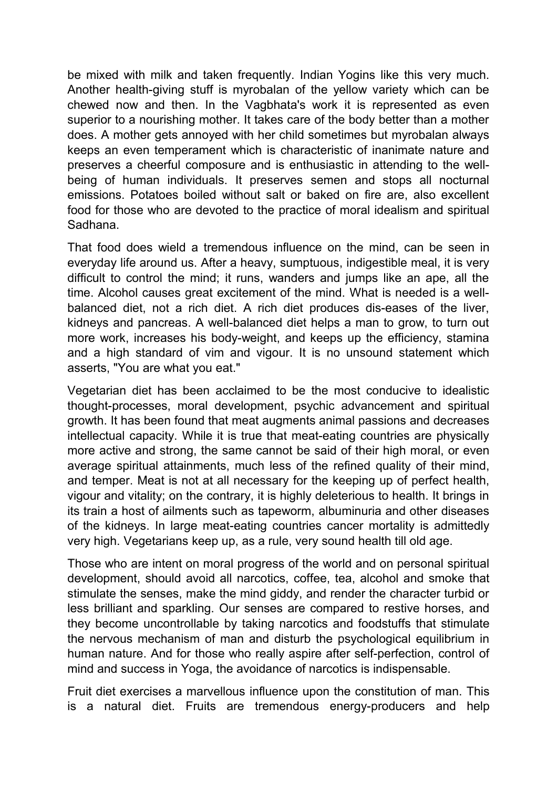be mixed with milk and taken frequently. Indian Yogins like this very much. Another health-giving stuff is myrobalan of the yellow variety which can be chewed now and then. In the Vagbhata's work it is represented as even superior to a nourishing mother. It takes care of the body better than a mother does. A mother gets annoyed with her child sometimes but myrobalan always keeps an even temperament which is characteristic of inanimate nature and preserves a cheerful composure and is enthusiastic in attending to the wellbeing of human individuals. It preserves semen and stops all nocturnal emissions. Potatoes boiled without salt or baked on fire are, also excellent food for those who are devoted to the practice of moral idealism and spiritual Sadhana.

That food does wield a tremendous influence on the mind, can be seen in everyday life around us. After a heavy, sumptuous, indigestible meal, it is very difficult to control the mind; it runs, wanders and jumps like an ape, all the time. Alcohol causes great excitement of the mind. What is needed is a wellbalanced diet, not a rich diet. A rich diet produces dis-eases of the liver, kidneys and pancreas. A well-balanced diet helps a man to grow, to turn out more work, increases his body-weight, and keeps up the efficiency, stamina and a high standard of vim and vigour. It is no unsound statement which asserts, "You are what you eat."

Vegetarian diet has been acclaimed to be the most conducive to idealistic thought-processes, moral development, psychic advancement and spiritual growth. It has been found that meat augments animal passions and decreases intellectual capacity. While it is true that meat-eating countries are physically more active and strong, the same cannot be said of their high moral, or even average spiritual attainments, much less of the refined quality of their mind, and temper. Meat is not at all necessary for the keeping up of perfect health, vigour and vitality; on the contrary, it is highly deleterious to health. It brings in its train a host of ailments such as tapeworm, albuminuria and other diseases of the kidneys. In large meat-eating countries cancer mortality is admittedly very high. Vegetarians keep up, as a rule, very sound health till old age.

Those who are intent on moral progress of the world and on personal spiritual development, should avoid all narcotics, coffee, tea, alcohol and smoke that stimulate the senses, make the mind giddy, and render the character turbid or less brilliant and sparkling. Our senses are compared to restive horses, and they become uncontrollable by taking narcotics and foodstuffs that stimulate the nervous mechanism of man and disturb the psychological equilibrium in human nature. And for those who really aspire after self-perfection, control of mind and success in Yoga, the avoidance of narcotics is indispensable.

Fruit diet exercises a marvellous influence upon the constitution of man. This is a natural diet. Fruits are tremendous energy-producers and help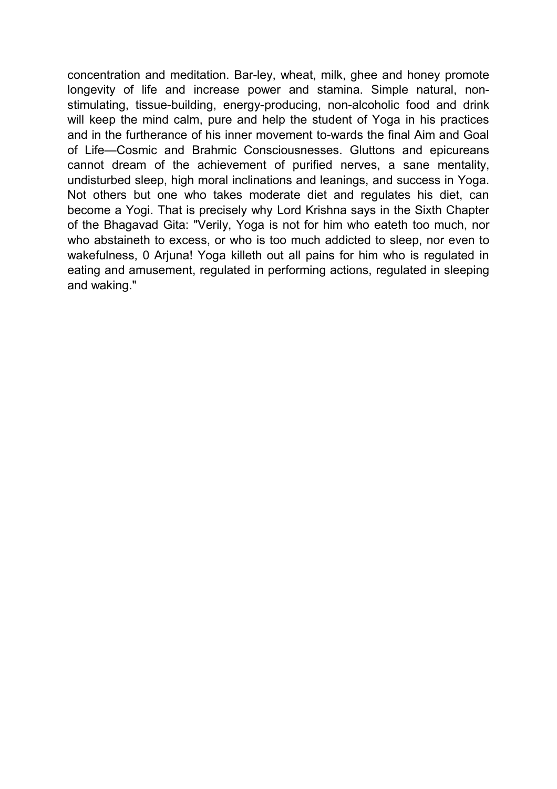concentration and meditation. Bar-ley, wheat, milk, ghee and honey promote longevity of life and increase power and stamina. Simple natural, nonstimulating, tissue-building, energy-producing, non-alcoholic food and drink will keep the mind calm, pure and help the student of Yoga in his practices and in the furtherance of his inner movement to-wards the final Aim and Goal of Life—Cosmic and Brahmic Consciousnesses. Gluttons and epicureans cannot dream of the achievement of purified nerves, a sane mentality, undisturbed sleep, high moral inclinations and leanings, and success in Yoga. Not others but one who takes moderate diet and regulates his diet, can become a Yogi. That is precisely why Lord Krishna says in the Sixth Chapter of the Bhagavad Gita: "Verily, Yoga is not for him who eateth too much, nor who abstaineth to excess, or who is too much addicted to sleep, nor even to wakefulness, 0 Arjuna! Yoga killeth out all pains for him who is regulated in eating and amusement, regulated in performing actions, regulated in sleeping and waking."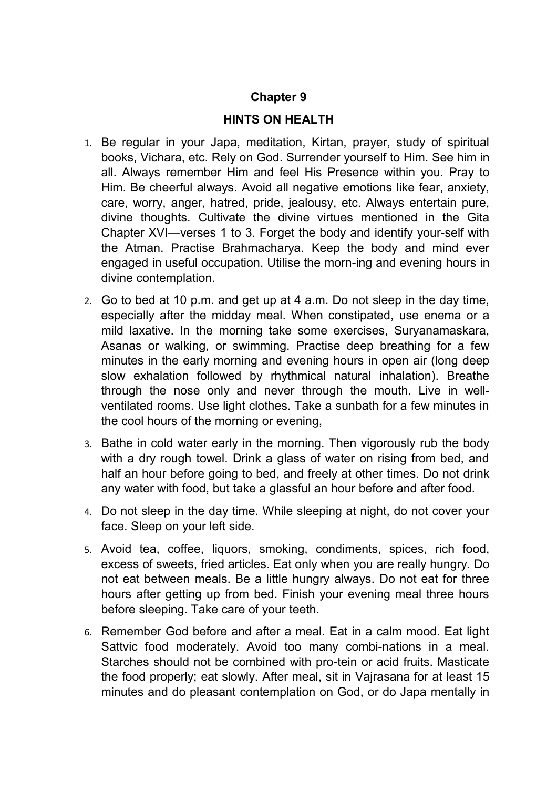## **Chapter 9**

## **HINTS ON HEALTH**

- 1. Be regular in your Japa, meditation, Kirtan, prayer, study of spiritual books, Vichara, etc. Rely on God. Surrender yourself to Him. See him in all. Always remember Him and feel His Presence within you. Pray to Him. Be cheerful always. Avoid all negative emotions like fear, anxiety, care, worry, anger, hatred, pride, jealousy, etc. Always entertain pure, divine thoughts. Cultivate the divine virtues mentioned in the Gita Chapter XVI—verses 1 to 3. Forget the body and identify your-self with the Atman. Practise Brahmacharya. Keep the body and mind ever engaged in useful occupation. Utilise the morn-ing and evening hours in divine contemplation.
- 2. Go to bed at 10 p.m. and get up at 4 a.m. Do not sleep in the day time, especially after the midday meal. When constipated, use enema or a mild laxative. In the morning take some exercises, Suryanamaskara, Asanas or walking, or swimming. Practise deep breathing for a few minutes in the early morning and evening hours in open air (long deep slow exhalation followed by rhythmical natural inhalation). Breathe through the nose only and never through the mouth. Live in wellventilated rooms. Use light clothes. Take a sunbath for a few minutes in the cool hours of the morning or evening,
- 3. Bathe in cold water early in the morning. Then vigorously rub the body with a dry rough towel. Drink a glass of water on rising from bed, and half an hour before going to bed, and freely at other times. Do not drink any water with food, but take a glassful an hour before and after food.
- 4. Do not sleep in the day time. While sleeping at night, do not cover your face. Sleep on your left side.
- 5. Avoid tea, coffee, liquors, smoking, condiments, spices, rich food, excess of sweets, fried articles. Eat only when you are really hungry. Do not eat between meals. Be a little hungry always. Do not eat for three hours after getting up from bed. Finish your evening meal three hours before sleeping. Take care of your teeth.
- 6. Remember God before and after a meal. Eat in a calm mood. Eat light Sattvic food moderately. Avoid too many combi-nations in a meal. Starches should not be combined with pro-tein or acid fruits. Masticate the food properly; eat slowly. After meal, sit in Vajrasana for at least 15 minutes and do pleasant contemplation on God, or do Japa mentally in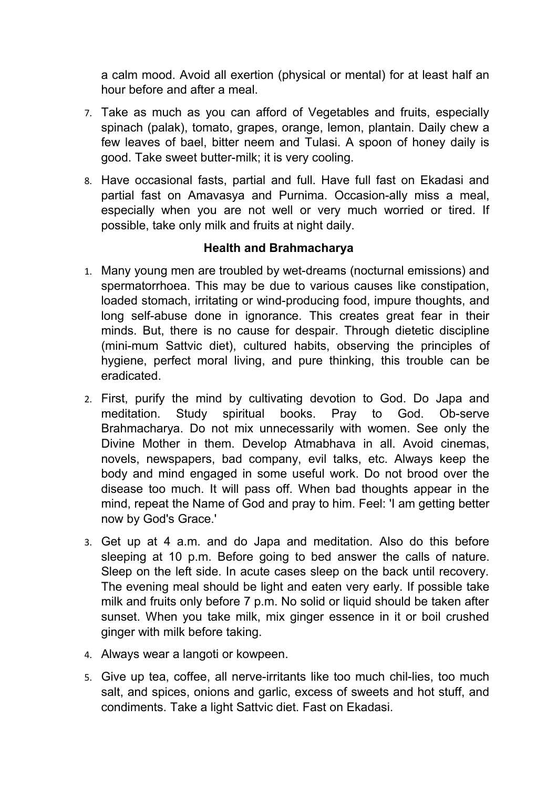a calm mood. Avoid all exertion (physical or mental) for at least half an hour before and after a meal.

- 7. Take as much as you can afford of Vegetables and fruits, especially spinach (palak), tomato, grapes, orange, lemon, plantain. Daily chew a few leaves of bael, bitter neem and Tulasi. A spoon of honey daily is good. Take sweet butter-milk; it is very cooling.
- 8. Have occasional fasts, partial and full. Have full fast on Ekadasi and partial fast on Amavasya and Purnima. Occasion-ally miss a meal, especially when you are not well or very much worried or tired. If possible, take only milk and fruits at night daily.

# **Health and Brahmacharya**

- 1. Many young men are troubled by wet-dreams (nocturnal emissions) and spermatorrhoea. This may be due to various causes like constipation, loaded stomach, irritating or wind-producing food, impure thoughts, and long self-abuse done in ignorance. This creates great fear in their minds. But, there is no cause for despair. Through dietetic discipline (mini-mum Sattvic diet), cultured habits, observing the principles of hygiene, perfect moral living, and pure thinking, this trouble can be eradicated.
- 2. First, purify the mind by cultivating devotion to God. Do Japa and meditation. Study spiritual books. Pray to God. Ob-serve Brahmacharya. Do not mix unnecessarily with women. See only the Divine Mother in them. Develop Atmabhava in all. Avoid cinemas, novels, newspapers, bad company, evil talks, etc. Always keep the body and mind engaged in some useful work. Do not brood over the disease too much. It will pass off. When bad thoughts appear in the mind, repeat the Name of God and pray to him. Feel: 'I am getting better now by God's Grace.'
- 3. Get up at 4 a.m. and do Japa and meditation. Also do this before sleeping at 10 p.m. Before going to bed answer the calls of nature. Sleep on the left side. In acute cases sleep on the back until recovery. The evening meal should be light and eaten very early. If possible take milk and fruits only before 7 p.m. No solid or liquid should be taken after sunset. When you take milk, mix ginger essence in it or boil crushed ginger with milk before taking.
- 4. Always wear a langoti or kowpeen.
- 5. Give up tea, coffee, all nerve-irritants like too much chil-lies, too much salt, and spices, onions and garlic, excess of sweets and hot stuff, and condiments. Take a light Sattvic diet. Fast on Ekadasi.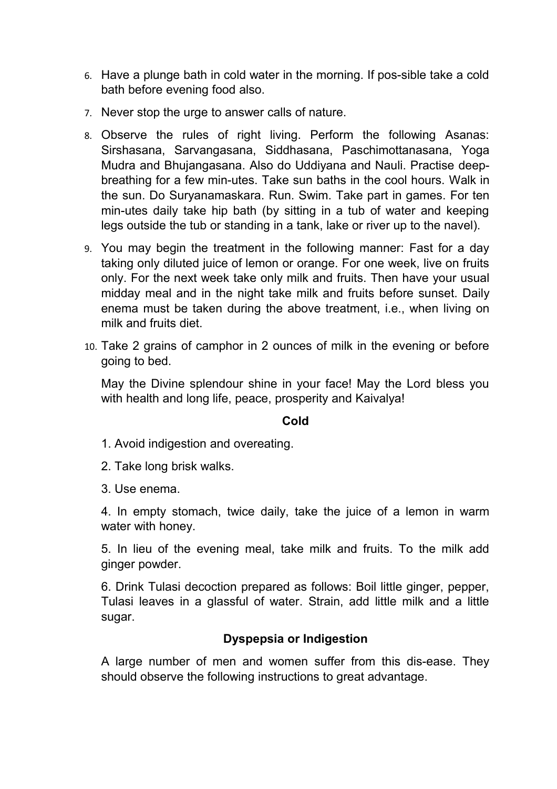- 6. Have a plunge bath in cold water in the morning. If pos-sible take a cold bath before evening food also.
- 7. Never stop the urge to answer calls of nature.
- 8. Observe the rules of right living. Perform the following Asanas: Sirshasana, Sarvangasana, Siddhasana, Paschimottanasana, Yoga Mudra and Bhujangasana. Also do Uddiyana and Nauli. Practise deepbreathing for a few min-utes. Take sun baths in the cool hours. Walk in the sun. Do Suryanamaskara. Run. Swim. Take part in games. For ten min-utes daily take hip bath (by sitting in a tub of water and keeping legs outside the tub or standing in a tank, lake or river up to the navel).
- 9. You may begin the treatment in the following manner: Fast for a day taking only diluted juice of lemon or orange. For one week, live on fruits only. For the next week take only milk and fruits. Then have your usual midday meal and in the night take milk and fruits before sunset. Daily enema must be taken during the above treatment, i.e., when living on milk and fruits diet.
- 10. Take 2 grains of camphor in 2 ounces of milk in the evening or before going to bed.

May the Divine splendour shine in your face! May the Lord bless you with health and long life, peace, prosperity and Kaivalya!

#### **Cold**

1. Avoid indigestion and overeating.

- 2. Take long brisk walks.
- 3. Use enema.

4. In empty stomach, twice daily, take the juice of a lemon in warm water with honey.

5. In lieu of the evening meal, take milk and fruits. To the milk add ginger powder.

6. Drink Tulasi decoction prepared as follows: Boil little ginger, pepper, Tulasi leaves in a glassful of water. Strain, add little milk and a little sugar.

# **Dyspepsia or Indigestion**

A large number of men and women suffer from this dis-ease. They should observe the following instructions to great advantage.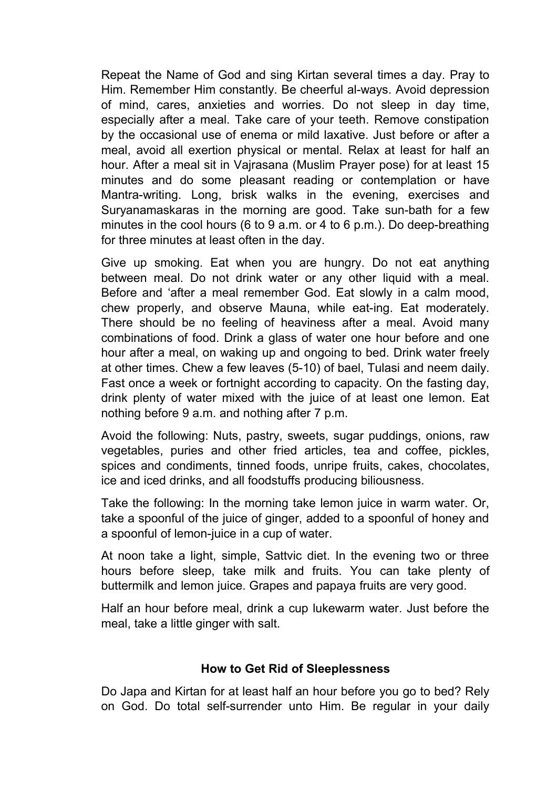Repeat the Name of God and sing Kirtan several times a day. Pray to Him. Remember Him constantly. Be cheerful al-ways. Avoid depression of mind, cares, anxieties and worries. Do not sleep in day time, especially after a meal. Take care of your teeth. Remove constipation by the occasional use of enema or mild laxative. Just before or after a meal, avoid all exertion physical or mental. Relax at least for half an hour. After a meal sit in Vajrasana (Muslim Prayer pose) for at least 15 minutes and do some pleasant reading or contemplation or have Mantra-writing. Long, brisk walks in the evening, exercises and Suryanamaskaras in the morning are good. Take sun-bath for a few minutes in the cool hours (6 to 9 a.m. or 4 to 6 p.m.). Do deep-breathing for three minutes at least often in the day.

Give up smoking. Eat when you are hungry. Do not eat anything between meal. Do not drink water or any other liquid with a meal. Before and 'after a meal remember God. Eat slowly in a calm mood, chew properly, and observe Mauna, while eat-ing. Eat moderately. There should be no feeling of heaviness after a meal. Avoid many combinations of food. Drink a glass of water one hour before and one hour after a meal, on waking up and ongoing to bed. Drink water freely at other times. Chew a few leaves (5-10) of bael, Tulasi and neem daily. Fast once a week or fortnight according to capacity. On the fasting day, drink plenty of water mixed with the juice of at least one lemon. Eat nothing before 9 a.m. and nothing after 7 p.m.

Avoid the following: Nuts, pastry, sweets, sugar puddings, onions, raw vegetables, puries and other fried articles, tea and coffee, pickles, spices and condiments, tinned foods, unripe fruits, cakes, chocolates, ice and iced drinks, and all foodstuffs producing biliousness.

Take the following: In the morning take lemon juice in warm water. Or, take a spoonful of the juice of ginger, added to a spoonful of honey and a spoonful of lemon-juice in a cup of water.

At noon take a light, simple, Sattvic diet. In the evening two or three hours before sleep, take milk and fruits. You can take plenty of buttermilk and lemon juice. Grapes and papaya fruits are very good.

Half an hour before meal, drink a cup lukewarm water. Just before the meal, take a little ginger with salt.

#### **How to Get Rid of Sleeplessness**

Do Japa and Kirtan for at least half an hour before you go to bed? Rely on God. Do total self-surrender unto Him. Be regular in your daily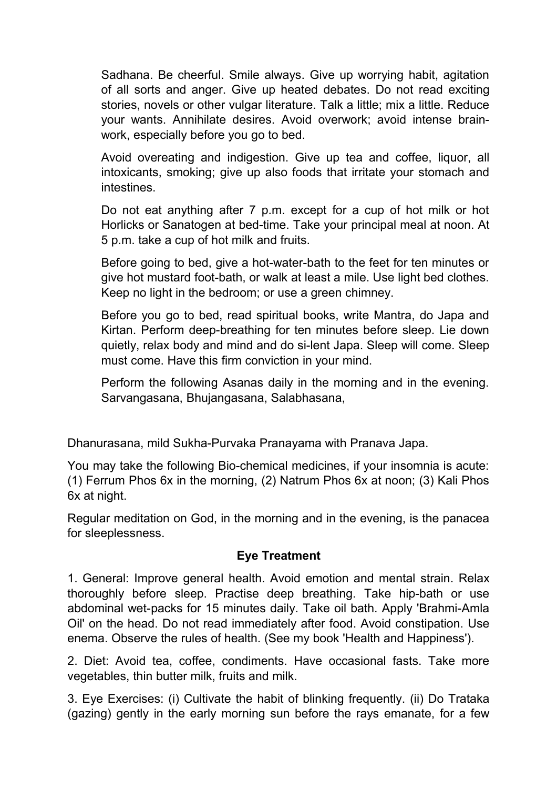Sadhana. Be cheerful. Smile always. Give up worrying habit, agitation of all sorts and anger. Give up heated debates. Do not read exciting stories, novels or other vulgar literature. Talk a little; mix a little. Reduce your wants. Annihilate desires. Avoid overwork; avoid intense brainwork, especially before you go to bed.

Avoid overeating and indigestion. Give up tea and coffee, liquor, all intoxicants, smoking; give up also foods that irritate your stomach and intestines.

Do not eat anything after 7 p.m. except for a cup of hot milk or hot Horlicks or Sanatogen at bed-time. Take your principal meal at noon. At 5 p.m. take a cup of hot milk and fruits.

Before going to bed, give a hot-water-bath to the feet for ten minutes or give hot mustard foot-bath, or walk at least a mile. Use light bed clothes. Keep no light in the bedroom; or use a green chimney.

Before you go to bed, read spiritual books, write Mantra, do Japa and Kirtan. Perform deep-breathing for ten minutes before sleep. Lie down quietly, relax body and mind and do si-lent Japa. Sleep will come. Sleep must come. Have this firm conviction in your mind.

Perform the following Asanas daily in the morning and in the evening. Sarvangasana, Bhujangasana, Salabhasana,

Dhanurasana, mild Sukha-Purvaka Pranayama with Pranava Japa.

You may take the following Bio-chemical medicines, if your insomnia is acute: (1) Ferrum Phos 6x in the morning, (2) Natrum Phos 6x at noon; (3) Kali Phos 6x at night.

Regular meditation on God, in the morning and in the evening, is the panacea for sleeplessness.

#### **Eye Treatment**

1. General: Improve general health. Avoid emotion and mental strain. Relax thoroughly before sleep. Practise deep breathing. Take hip-bath or use abdominal wet-packs for 15 minutes daily. Take oil bath. Apply 'Brahmi-Amla Oil' on the head. Do not read immediately after food. Avoid constipation. Use enema. Observe the rules of health. (See my book 'Health and Happiness').

2. Diet: Avoid tea, coffee, condiments. Have occasional fasts. Take more vegetables, thin butter milk, fruits and milk.

3. Eye Exercises: (i) Cultivate the habit of blinking frequently. (ii) Do Trataka (gazing) gently in the early morning sun before the rays emanate, for a few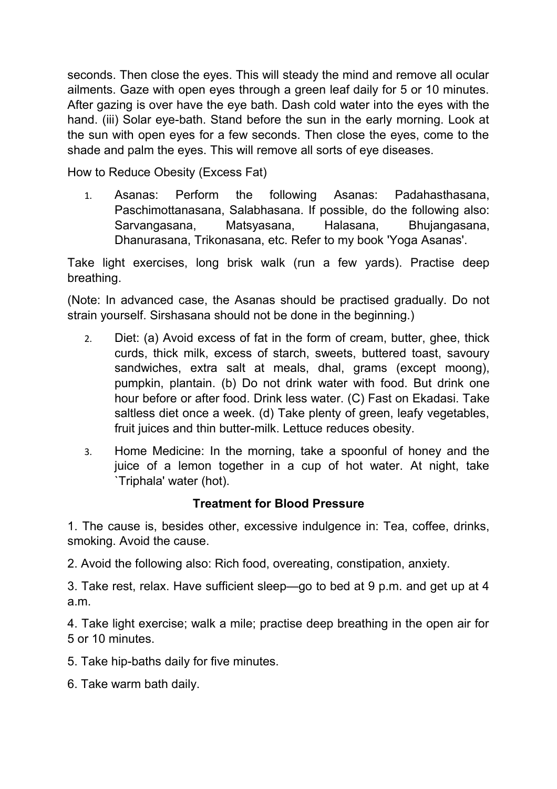seconds. Then close the eyes. This will steady the mind and remove all ocular ailments. Gaze with open eyes through a green leaf daily for 5 or 10 minutes. After gazing is over have the eye bath. Dash cold water into the eyes with the hand. (iii) Solar eye-bath. Stand before the sun in the early morning. Look at the sun with open eyes for a few seconds. Then close the eyes, come to the shade and palm the eyes. This will remove all sorts of eye diseases.

How to Reduce Obesity (Excess Fat)

1. Asanas: Perform the following Asanas: Padahasthasana, Paschimottanasana, Salabhasana. If possible, do the following also: Sarvangasana, Matsyasana, Halasana, Bhujangasana, Dhanurasana, Trikonasana, etc. Refer to my book 'Yoga Asanas'.

Take light exercises, long brisk walk (run a few yards). Practise deep breathing.

(Note: In advanced case, the Asanas should be practised gradually. Do not strain yourself. Sirshasana should not be done in the beginning.)

- 2. Diet: (a) Avoid excess of fat in the form of cream, butter, ghee, thick curds, thick milk, excess of starch, sweets, buttered toast, savoury sandwiches, extra salt at meals, dhal, grams (except moong), pumpkin, plantain. (b) Do not drink water with food. But drink one hour before or after food. Drink less water. (C) Fast on Ekadasi. Take saltless diet once a week. (d) Take plenty of green, leafy vegetables, fruit juices and thin butter-milk. Lettuce reduces obesity.
- 3. Home Medicine: In the morning, take a spoonful of honey and the juice of a lemon together in a cup of hot water. At night, take `Triphala' water (hot).

# **Treatment for Blood Pressure**

1. The cause is, besides other, excessive indulgence in: Tea, coffee, drinks, smoking. Avoid the cause.

2. Avoid the following also: Rich food, overeating, constipation, anxiety.

3. Take rest, relax. Have sufficient sleep—go to bed at 9 p.m. and get up at 4 a.m.

4. Take light exercise; walk a mile; practise deep breathing in the open air for 5 or 10 minutes.

5. Take hip-baths daily for five minutes.

6. Take warm bath daily.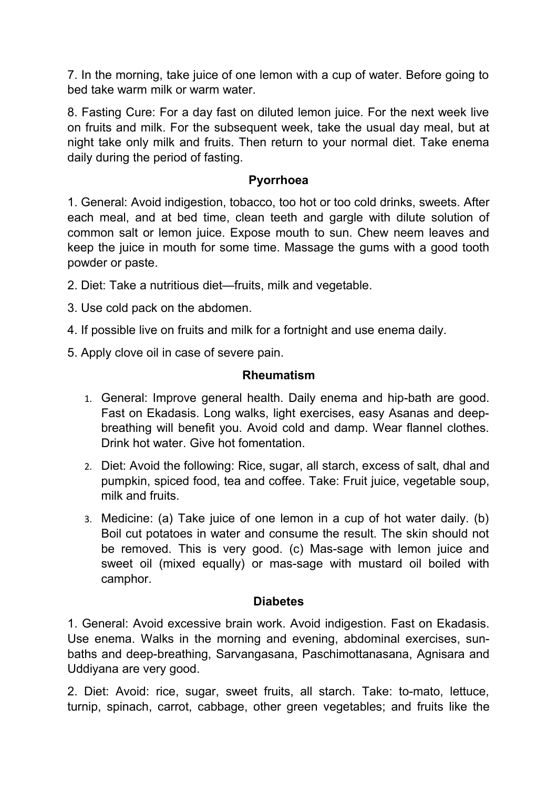7. In the morning, take juice of one lemon with a cup of water. Before going to bed take warm milk or warm water.

8. Fasting Cure: For a day fast on diluted lemon juice. For the next week live on fruits and milk. For the subsequent week, take the usual day meal, but at night take only milk and fruits. Then return to your normal diet. Take enema daily during the period of fasting.

## **Pyorrhoea**

1. General: Avoid indigestion, tobacco, too hot or too cold drinks, sweets. After each meal, and at bed time, clean teeth and gargle with dilute solution of common salt or lemon juice. Expose mouth to sun. Chew neem leaves and keep the juice in mouth for some time. Massage the gums with a good tooth powder or paste.

- 2. Diet: Take a nutritious diet—fruits, milk and vegetable.
- 3. Use cold pack on the abdomen.
- 4. If possible live on fruits and milk for a fortnight and use enema daily.
- 5. Apply clove oil in case of severe pain.

#### **Rheumatism**

- 1. General: Improve general health. Daily enema and hip-bath are good. Fast on Ekadasis. Long walks, light exercises, easy Asanas and deepbreathing will benefit you. Avoid cold and damp. Wear flannel clothes. Drink hot water. Give hot fomentation.
- 2. Diet: Avoid the following: Rice, sugar, all starch, excess of salt, dhal and pumpkin, spiced food, tea and coffee. Take: Fruit juice, vegetable soup, milk and fruits.
- 3. Medicine: (a) Take juice of one lemon in a cup of hot water daily. (b) Boil cut potatoes in water and consume the result. The skin should not be removed. This is very good. (c) Mas-sage with lemon juice and sweet oil (mixed equally) or mas-sage with mustard oil boiled with camphor.

#### **Diabetes**

1. General: Avoid excessive brain work. Avoid indigestion. Fast on Ekadasis. Use enema. Walks in the morning and evening, abdominal exercises, sunbaths and deep-breathing, Sarvangasana, Paschimottanasana, Agnisara and Uddiyana are very good.

2. Diet: Avoid: rice, sugar, sweet fruits, all starch. Take: to-mato, lettuce, turnip, spinach, carrot, cabbage, other green vegetables; and fruits like the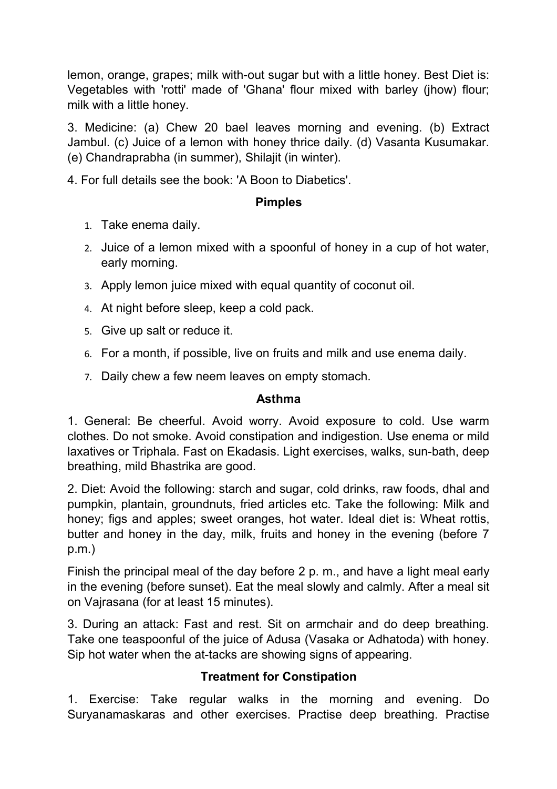lemon, orange, grapes; milk with-out sugar but with a little honey. Best Diet is: Vegetables with 'rotti' made of 'Ghana' flour mixed with barley (jhow) flour; milk with a little honey.

3. Medicine: (a) Chew 20 bael leaves morning and evening. (b) Extract Jambul. (c) Juice of a lemon with honey thrice daily. (d) Vasanta Kusumakar. (e) Chandraprabha (in summer), Shilajit (in winter).

4. For full details see the book: 'A Boon to Diabetics'.

## **Pimples**

- 1. Take enema daily.
- 2. Juice of a lemon mixed with a spoonful of honey in a cup of hot water, early morning.
- 3. Apply lemon juice mixed with equal quantity of coconut oil.
- 4. At night before sleep, keep a cold pack.
- 5. Give up salt or reduce it.
- 6. For a month, if possible, live on fruits and milk and use enema daily.
- 7. Daily chew a few neem leaves on empty stomach.

# **Asthma**

1. General: Be cheerful. Avoid worry. Avoid exposure to cold. Use warm clothes. Do not smoke. Avoid constipation and indigestion. Use enema or mild laxatives or Triphala. Fast on Ekadasis. Light exercises, walks, sun-bath, deep breathing, mild Bhastrika are good.

2. Diet: Avoid the following: starch and sugar, cold drinks, raw foods, dhal and pumpkin, plantain, groundnuts, fried articles etc. Take the following: Milk and honey; figs and apples; sweet oranges, hot water. Ideal diet is: Wheat rottis, butter and honey in the day, milk, fruits and honey in the evening (before 7 p.m.)

Finish the principal meal of the day before 2 p. m., and have a light meal early in the evening (before sunset). Eat the meal slowly and calmly. After a meal sit on Vajrasana (for at least 15 minutes).

3. During an attack: Fast and rest. Sit on armchair and do deep breathing. Take one teaspoonful of the juice of Adusa (Vasaka or Adhatoda) with honey. Sip hot water when the at-tacks are showing signs of appearing.

# **Treatment for Constipation**

1. Exercise: Take regular walks in the morning and evening. Do Suryanamaskaras and other exercises. Practise deep breathing. Practise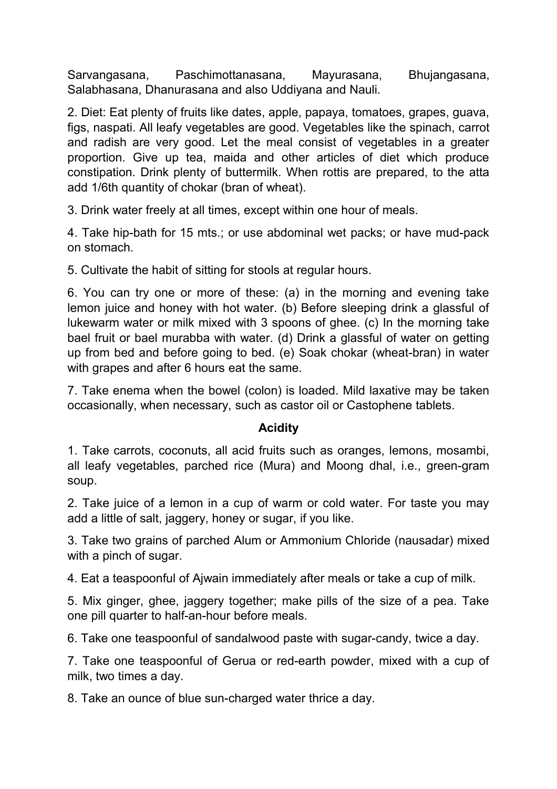Sarvangasana, Paschimottanasana, Mayurasana, Bhujangasana, Salabhasana, Dhanurasana and also Uddiyana and Nauli.

2. Diet: Eat plenty of fruits like dates, apple, papaya, tomatoes, grapes, guava, figs, naspati. All leafy vegetables are good. Vegetables like the spinach, carrot and radish are very good. Let the meal consist of vegetables in a greater proportion. Give up tea, maida and other articles of diet which produce constipation. Drink plenty of buttermilk. When rottis are prepared, to the atta add 1/6th quantity of chokar (bran of wheat).

3. Drink water freely at all times, except within one hour of meals.

4. Take hip-bath for 15 mts.; or use abdominal wet packs; or have mud-pack on stomach.

5. Cultivate the habit of sitting for stools at regular hours.

6. You can try one or more of these: (a) in the morning and evening take lemon juice and honey with hot water. (b) Before sleeping drink a glassful of lukewarm water or milk mixed with 3 spoons of ghee. (c) In the morning take bael fruit or bael murabba with water. (d) Drink a glassful of water on getting up from bed and before going to bed. (e) Soak chokar (wheat-bran) in water with grapes and after 6 hours eat the same.

7. Take enema when the bowel (colon) is loaded. Mild laxative may be taken occasionally, when necessary, such as castor oil or Castophene tablets.

#### **Acidity**

1. Take carrots, coconuts, all acid fruits such as oranges, lemons, mosambi, all leafy vegetables, parched rice (Mura) and Moong dhal, i.e., green-gram soup.

2. Take juice of a lemon in a cup of warm or cold water. For taste you may add a little of salt, jaggery, honey or sugar, if you like.

3. Take two grains of parched Alum or Ammonium Chloride (nausadar) mixed with a pinch of sugar.

4. Eat a teaspoonful of Ajwain immediately after meals or take a cup of milk.

5. Mix ginger, ghee, jaggery together; make pills of the size of a pea. Take one pill quarter to half-an-hour before meals.

6. Take one teaspoonful of sandalwood paste with sugar-candy, twice a day.

7. Take one teaspoonful of Gerua or red-earth powder, mixed with a cup of milk, two times a day.

8. Take an ounce of blue sun-charged water thrice a day.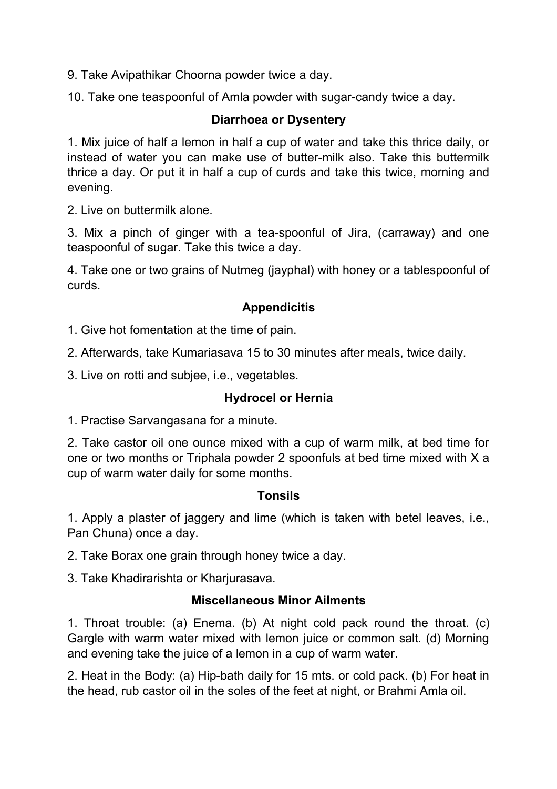9. Take Avipathikar Choorna powder twice a day.

10. Take one teaspoonful of Amla powder with sugar-candy twice a day.

# **Diarrhoea or Dysentery**

1. Mix juice of half a lemon in half a cup of water and take this thrice daily, or instead of water you can make use of butter-milk also. Take this buttermilk thrice a day. Or put it in half a cup of curds and take this twice, morning and evening.

2. Live on buttermilk alone.

3. Mix a pinch of ginger with a tea-spoonful of Jira, (carraway) and one teaspoonful of sugar. Take this twice a day.

4. Take one or two grains of Nutmeg (jayphal) with honey or a tablespoonful of curds.

# **Appendicitis**

- 1. Give hot fomentation at the time of pain.
- 2. Afterwards, take Kumariasava 15 to 30 minutes after meals, twice daily.
- 3. Live on rotti and subjee, i.e., vegetables.

## **Hydrocel or Hernia**

1. Practise Sarvangasana for a minute.

2. Take castor oil one ounce mixed with a cup of warm milk, at bed time for one or two months or Triphala powder 2 spoonfuls at bed time mixed with X a cup of warm water daily for some months.

#### **Tonsils**

1. Apply a plaster of jaggery and lime (which is taken with betel leaves, i.e., Pan Chuna) once a day.

2. Take Borax one grain through honey twice a day.

3. Take Khadirarishta or Kharjurasava.

# **Miscellaneous Minor Ailments**

1. Throat trouble: (a) Enema. (b) At night cold pack round the throat. (c) Gargle with warm water mixed with lemon juice or common salt. (d) Morning and evening take the juice of a lemon in a cup of warm water.

2. Heat in the Body: (a) Hip-bath daily for 15 mts. or cold pack. (b) For heat in the head, rub castor oil in the soles of the feet at night, or Brahmi Amla oil.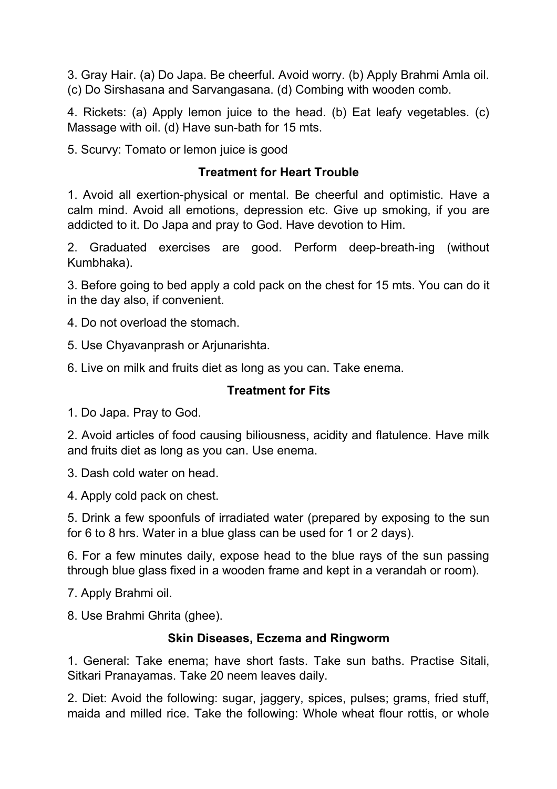3. Gray Hair. (a) Do Japa. Be cheerful. Avoid worry. (b) Apply Brahmi Amla oil. (c) Do Sirshasana and Sarvangasana. (d) Combing with wooden comb.

4. Rickets: (a) Apply lemon juice to the head. (b) Eat leafy vegetables. (c) Massage with oil. (d) Have sun-bath for 15 mts.

5. Scurvy: Tomato or lemon juice is good

# **Treatment for Heart Trouble**

1. Avoid all exertion-physical or mental. Be cheerful and optimistic. Have a calm mind. Avoid all emotions, depression etc. Give up smoking, if you are addicted to it. Do Japa and pray to God. Have devotion to Him.

2. Graduated exercises are good. Perform deep-breath-ing (without Kumbhaka).

3. Before going to bed apply a cold pack on the chest for 15 mts. You can do it in the day also, if convenient.

4. Do not overload the stomach.

5. Use Chyavanprash or Arjunarishta.

6. Live on milk and fruits diet as long as you can. Take enema.

# **Treatment for Fits**

1. Do Japa. Pray to God.

2. Avoid articles of food causing biliousness, acidity and flatulence. Have milk and fruits diet as long as you can. Use enema.

3. Dash cold water on head.

4. Apply cold pack on chest.

5. Drink a few spoonfuls of irradiated water (prepared by exposing to the sun for 6 to 8 hrs. Water in a blue glass can be used for 1 or 2 days).

6. For a few minutes daily, expose head to the blue rays of the sun passing through blue glass fixed in a wooden frame and kept in a verandah or room).

7. Apply Brahmi oil.

8. Use Brahmi Ghrita (ghee).

#### **Skin Diseases, Eczema and Ringworm**

1. General: Take enema; have short fasts. Take sun baths. Practise Sitali, Sitkari Pranayamas. Take 20 neem leaves daily.

2. Diet: Avoid the following: sugar, jaggery, spices, pulses; grams, fried stuff, maida and milled rice. Take the following: Whole wheat flour rottis, or whole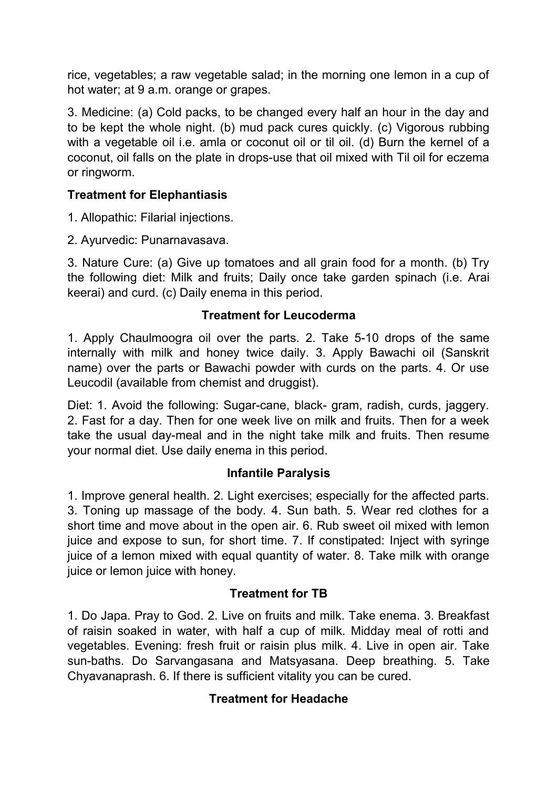rice, vegetables; a raw vegetable salad; in the morning one lemon in a cup of hot water; at 9 a.m. orange or grapes.

3. Medicine: (a) Cold packs, to be changed every half an hour in the day and to be kept the whole night. (b) mud pack cures quickly. (c) Vigorous rubbing with a vegetable oil i.e. amla or coconut oil or til oil. (d) Burn the kernel of a coconut, oil falls on the plate in drops-use that oil mixed with Til oil for eczema or ringworm.

# **Treatment for Elephantiasis**

1. Allopathic: Filarial injections.

2. Ayurvedic: Punarnavasava.

3. Nature Cure: (a) Give up tomatoes and all grain food for a month. (b) Try the following diet: Milk and fruits; Daily once take garden spinach (i.e. Arai keerai) and curd. (c) Daily enema in this period.

# **Treatment for Leucoderma**

1. Apply Chaulmoogra oil over the parts. 2. Take 5-10 drops of the same internally with milk and honey twice daily. 3. Apply Bawachi oil (Sanskrit name) over the parts or Bawachi powder with curds on the parts. 4. Or use Leucodil (available from chemist and druggist).

Diet: 1. Avoid the following: Sugar-cane, black- gram, radish, curds, jaggery. 2. Fast for a day. Then for one week live on milk and fruits. Then for a week take the usual day-meal and in the night take milk and fruits. Then resume your normal diet. Use daily enema in this period.

# **Infantile Paralysis**

1. Improve general health. 2. Light exercises; especially for the affected parts. 3. Toning up massage of the body. 4. Sun bath. 5. Wear red clothes for a short time and move about in the open air. 6. Rub sweet oil mixed with lemon juice and expose to sun, for short time. 7. If constipated: Inject with syringe juice of a lemon mixed with equal quantity of water. 8. Take milk with orange juice or lemon juice with honey.

# **Treatment for TB**

1. Do Japa. Pray to God. 2. Live on fruits and milk. Take enema. 3. Breakfast of raisin soaked in water, with half a cup of milk. Midday meal of rotti and vegetables. Evening: fresh fruit or raisin plus milk. 4. Live in open air. Take sun-baths. Do Sarvangasana and Matsyasana. Deep breathing. 5. Take Chyavanaprash. 6. If there is sufficient vitality you can be cured.

# **Treatment for Headache**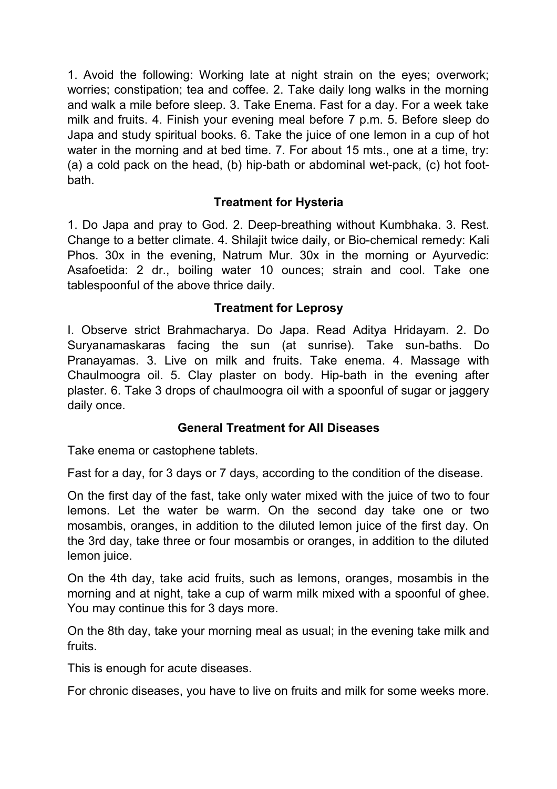1. Avoid the following: Working late at night strain on the eyes; overwork; worries; constipation; tea and coffee. 2. Take daily long walks in the morning and walk a mile before sleep. 3. Take Enema. Fast for a day. For a week take milk and fruits. 4. Finish your evening meal before 7 p.m. 5. Before sleep do Japa and study spiritual books. 6. Take the juice of one lemon in a cup of hot water in the morning and at bed time. 7. For about 15 mts., one at a time, try: (a) a cold pack on the head, (b) hip-bath or abdominal wet-pack, (c) hot footbath.

# **Treatment for Hysteria**

1. Do Japa and pray to God. 2. Deep-breathing without Kumbhaka. 3. Rest. Change to a better climate. 4. Shilajit twice daily, or Bio-chemical remedy: Kali Phos. 30x in the evening, Natrum Mur. 30x in the morning or Ayurvedic: Asafoetida: 2 dr., boiling water 10 ounces; strain and cool. Take one tablespoonful of the above thrice daily.

# **Treatment for Leprosy**

I. Observe strict Brahmacharya. Do Japa. Read Aditya Hridayam. 2. Do Suryanamaskaras facing the sun (at sunrise). Take sun-baths. Do Pranayamas. 3. Live on milk and fruits. Take enema. 4. Massage with Chaulmoogra oil. 5. Clay plaster on body. Hip-bath in the evening after plaster. 6. Take 3 drops of chaulmoogra oil with a spoonful of sugar or jaggery daily once.

# **General Treatment for All Diseases**

Take enema or castophene tablets.

Fast for a day, for 3 days or 7 days, according to the condition of the disease.

On the first day of the fast, take only water mixed with the juice of two to four lemons. Let the water be warm. On the second day take one or two mosambis, oranges, in addition to the diluted lemon juice of the first day. On the 3rd day, take three or four mosambis or oranges, in addition to the diluted lemon juice.

On the 4th day, take acid fruits, such as lemons, oranges, mosambis in the morning and at night, take a cup of warm milk mixed with a spoonful of ghee. You may continue this for 3 days more.

On the 8th day, take your morning meal as usual; in the evening take milk and fruits.

This is enough for acute diseases.

For chronic diseases, you have to live on fruits and milk for some weeks more.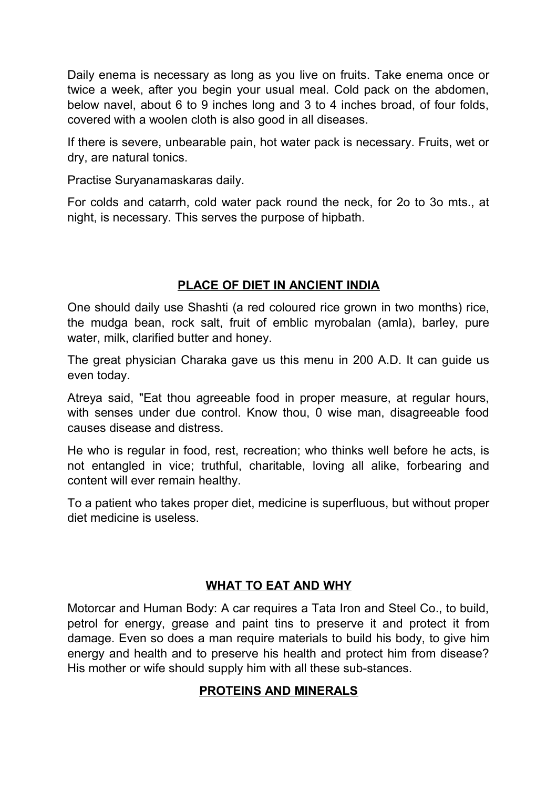Daily enema is necessary as long as you live on fruits. Take enema once or twice a week, after you begin your usual meal. Cold pack on the abdomen, below navel, about 6 to 9 inches long and 3 to 4 inches broad, of four folds, covered with a woolen cloth is also good in all diseases.

If there is severe, unbearable pain, hot water pack is necessary. Fruits, wet or dry, are natural tonics.

Practise Suryanamaskaras daily.

For colds and catarrh, cold water pack round the neck, for 2o to 3o mts., at night, is necessary. This serves the purpose of hipbath.

# **PLACE OF DIET IN ANCIENT INDIA**

One should daily use Shashti (a red coloured rice grown in two months) rice, the mudga bean, rock salt, fruit of emblic myrobalan (amla), barley, pure water, milk, clarified butter and honey.

The great physician Charaka gave us this menu in 200 A.D. It can guide us even today.

Atreya said, "Eat thou agreeable food in proper measure, at regular hours, with senses under due control. Know thou, 0 wise man, disagreeable food causes disease and distress.

He who is regular in food, rest, recreation; who thinks well before he acts, is not entangled in vice; truthful, charitable, loving all alike, forbearing and content will ever remain healthy.

To a patient who takes proper diet, medicine is superfluous, but without proper diet medicine is useless.

# **WHAT TO EAT AND WHY**

Motorcar and Human Body: A car requires a Tata Iron and Steel Co., to build, petrol for energy, grease and paint tins to preserve it and protect it from damage. Even so does a man require materials to build his body, to give him energy and health and to preserve his health and protect him from disease? His mother or wife should supply him with all these sub-stances.

# **PROTEINS AND MINERALS**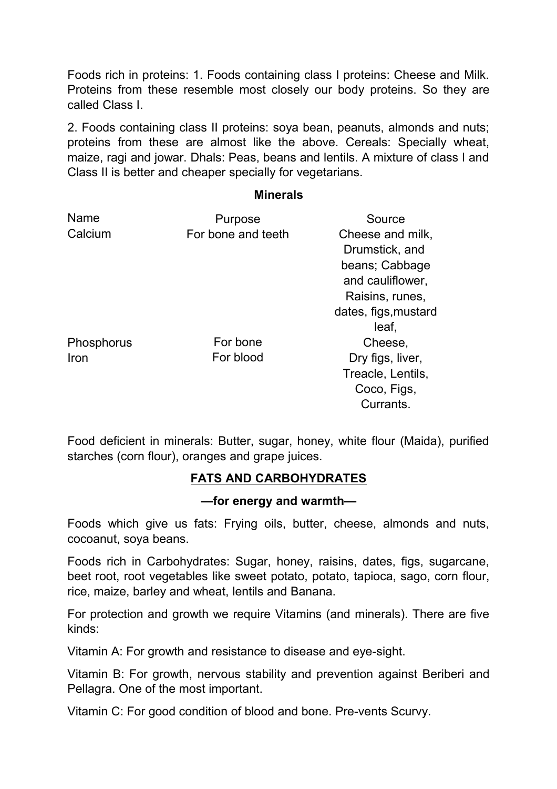Foods rich in proteins: 1. Foods containing class I proteins: Cheese and Milk. Proteins from these resemble most closely our body proteins. So they are called Class I.

2. Foods containing class II proteins: soya bean, peanuts, almonds and nuts; proteins from these are almost like the above. Cereals: Specially wheat, maize, ragi and jowar. Dhals: Peas, beans and lentils. A mixture of class I and Class II is better and cheaper specially for vegetarians.

#### **Minerals**

| <b>Name</b>       | Purpose            | Source               |
|-------------------|--------------------|----------------------|
| Calcium           | For bone and teeth | Cheese and milk,     |
|                   |                    | Drumstick, and       |
|                   |                    | beans; Cabbage       |
|                   |                    | and cauliflower,     |
|                   |                    | Raisins, runes,      |
|                   |                    | dates, figs, mustard |
|                   |                    | leaf,                |
| <b>Phosphorus</b> | For bone           | Cheese,              |
| Iron              | For blood          | Dry figs, liver,     |
|                   |                    | Treacle, Lentils,    |
|                   |                    | Coco, Figs,          |
|                   |                    | Currants.            |

Food deficient in minerals: Butter, sugar, honey, white flour (Maida), purified starches (corn flour), oranges and grape juices.

# **FATS AND CARBOHYDRATES**

#### **—for energy and warmth—**

Foods which give us fats: Frying oils, butter, cheese, almonds and nuts, cocoanut, soya beans.

Foods rich in Carbohydrates: Sugar, honey, raisins, dates, figs, sugarcane, beet root, root vegetables like sweet potato, potato, tapioca, sago, corn flour, rice, maize, barley and wheat, lentils and Banana.

For protection and growth we require Vitamins (and minerals). There are five kinds:

Vitamin A: For growth and resistance to disease and eye-sight.

Vitamin B: For growth, nervous stability and prevention against Beriberi and Pellagra. One of the most important.

Vitamin C: For good condition of blood and bone. Pre-vents Scurvy.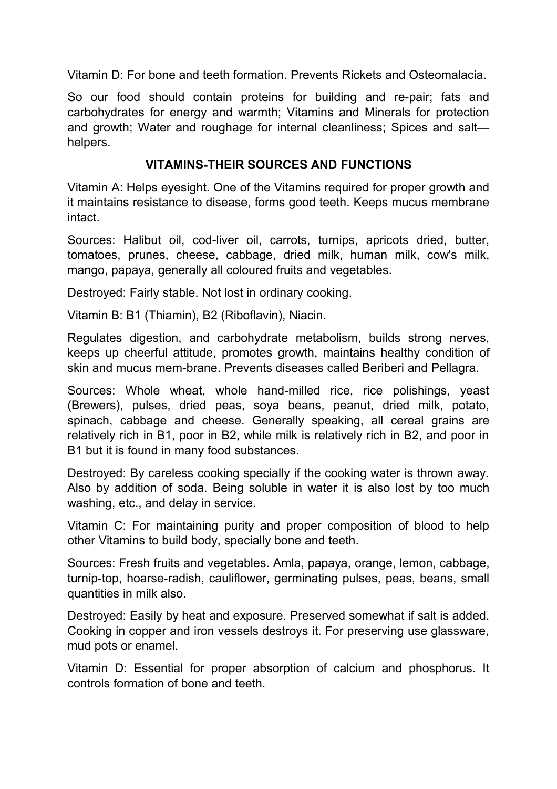Vitamin D: For bone and teeth formation. Prevents Rickets and Osteomalacia.

So our food should contain proteins for building and re-pair; fats and carbohydrates for energy and warmth; Vitamins and Minerals for protection and growth; Water and roughage for internal cleanliness; Spices and salt helpers.

## **VITAMINS-THEIR SOURCES AND FUNCTIONS**

Vitamin A: Helps eyesight. One of the Vitamins required for proper growth and it maintains resistance to disease, forms good teeth. Keeps mucus membrane intact.

Sources: Halibut oil, cod-liver oil, carrots, turnips, apricots dried, butter, tomatoes, prunes, cheese, cabbage, dried milk, human milk, cow's milk, mango, papaya, generally all coloured fruits and vegetables.

Destroyed: Fairly stable. Not lost in ordinary cooking.

Vitamin B: B1 (Thiamin), B2 (Riboflavin), Niacin.

Regulates digestion, and carbohydrate metabolism, builds strong nerves, keeps up cheerful attitude, promotes growth, maintains healthy condition of skin and mucus mem-brane. Prevents diseases called Beriberi and Pellagra.

Sources: Whole wheat, whole hand-milled rice, rice polishings, yeast (Brewers), pulses, dried peas, soya beans, peanut, dried milk, potato, spinach, cabbage and cheese. Generally speaking, all cereal grains are relatively rich in B1, poor in B2, while milk is relatively rich in B2, and poor in B1 but it is found in many food substances.

Destroyed: By careless cooking specially if the cooking water is thrown away. Also by addition of soda. Being soluble in water it is also lost by too much washing, etc., and delay in service.

Vitamin C: For maintaining purity and proper composition of blood to help other Vitamins to build body, specially bone and teeth.

Sources: Fresh fruits and vegetables. Amla, papaya, orange, lemon, cabbage, turnip-top, hoarse-radish, cauliflower, germinating pulses, peas, beans, small quantities in milk also.

Destroyed: Easily by heat and exposure. Preserved somewhat if salt is added. Cooking in copper and iron vessels destroys it. For preserving use glassware, mud pots or enamel.

Vitamin D: Essential for proper absorption of calcium and phosphorus. It controls formation of bone and teeth.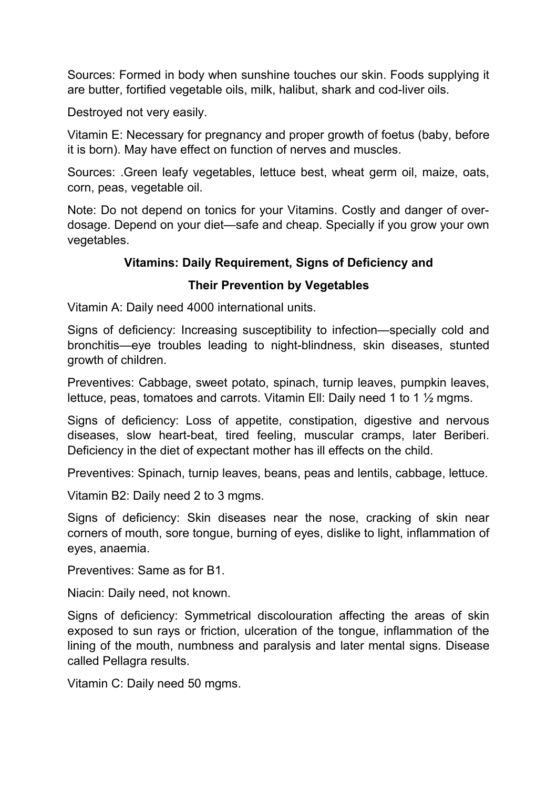Sources: Formed in body when sunshine touches our skin. Foods supplying it are butter, fortified vegetable oils, milk, halibut, shark and cod-liver oils.

Destroyed not very easily.

Vitamin E: Necessary for pregnancy and proper growth of foetus (baby, before it is born). May have effect on function of nerves and muscles.

Sources: .Green leafy vegetables, lettuce best, wheat germ oil, maize, oats, corn, peas, vegetable oil.

Note: Do not depend on tonics for your Vitamins. Costly and danger of overdosage. Depend on your diet—safe and cheap. Specially if you grow your own vegetables.

# **Vitamins: Daily Requirement, Signs of Deficiency and**

# **Their Prevention by Vegetables**

Vitamin A: Daily need 4000 international units.

Signs of deficiency: Increasing susceptibility to infection—specially cold and bronchitis—eye troubles leading to night-blindness, skin diseases, stunted growth of children.

Preventives: Cabbage, sweet potato, spinach, turnip leaves, pumpkin leaves, lettuce, peas, tomatoes and carrots. Vitamin Ell: Daily need 1 to 1 ½ mgms.

Signs of deficiency: Loss of appetite, constipation, digestive and nervous diseases, slow heart-beat, tired feeling, muscular cramps, later Beriberi. Deficiency in the diet of expectant mother has ill effects on the child.

Preventives: Spinach, turnip leaves, beans, peas and lentils, cabbage, lettuce.

Vitamin B2: Daily need 2 to 3 mgms.

Signs of deficiency: Skin diseases near the nose, cracking of skin near corners of mouth, sore tongue, burning of eyes, dislike to light, inflammation of eyes, anaemia.

Preventives: Same as for B1.

Niacin: Daily need, not known.

Signs of deficiency: Symmetrical discolouration affecting the areas of skin exposed to sun rays or friction, ulceration of the tongue, inflammation of the lining of the mouth, numbness and paralysis and later mental signs. Disease called Pellagra results.

Vitamin C: Daily need 50 mgms.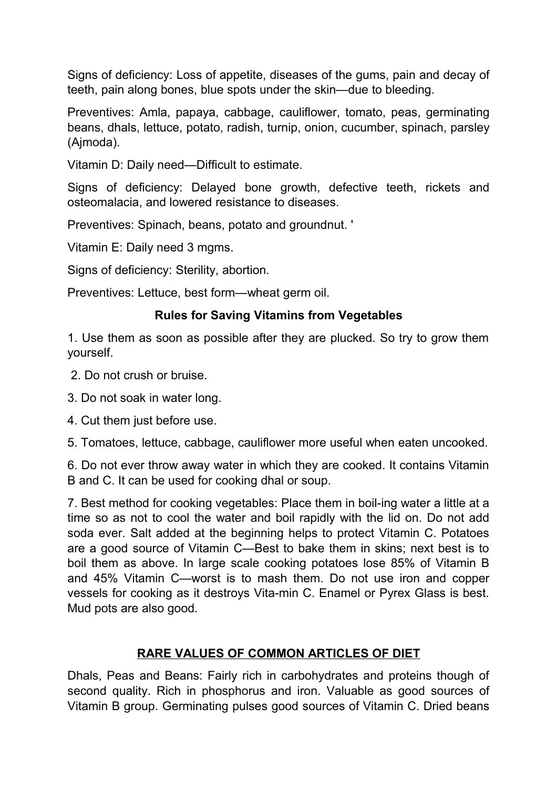Signs of deficiency: Loss of appetite, diseases of the gums, pain and decay of teeth, pain along bones, blue spots under the skin—due to bleeding.

Preventives: Amla, papaya, cabbage, cauliflower, tomato, peas, germinating beans, dhals, lettuce, potato, radish, turnip, onion, cucumber, spinach, parsley (Ajmoda).

Vitamin D: Daily need—Difficult to estimate.

Signs of deficiency: Delayed bone growth, defective teeth, rickets and osteomalacia, and lowered resistance to diseases.

Preventives: Spinach, beans, potato and groundnut. '

Vitamin E: Daily need 3 mgms.

Signs of deficiency: Sterility, abortion.

Preventives: Lettuce, best form—wheat germ oil.

# **Rules for Saving Vitamins from Vegetables**

1. Use them as soon as possible after they are plucked. So try to grow them yourself.

- 2. Do not crush or bruise.
- 3. Do not soak in water long.
- 4. Cut them just before use.
- 5. Tomatoes, lettuce, cabbage, cauliflower more useful when eaten uncooked.

6. Do not ever throw away water in which they are cooked. It contains Vitamin B and C. It can be used for cooking dhal or soup.

7. Best method for cooking vegetables: Place them in boil-ing water a little at a time so as not to cool the water and boil rapidly with the lid on. Do not add soda ever. Salt added at the beginning helps to protect Vitamin C. Potatoes are a good source of Vitamin C—Best to bake them in skins; next best is to boil them as above. In large scale cooking potatoes lose 85% of Vitamin B and 45% Vitamin C—worst is to mash them. Do not use iron and copper vessels for cooking as it destroys Vita-min C. Enamel or Pyrex Glass is best. Mud pots are also good.

# **RARE VALUES OF COMMON ARTICLES OF DIET**

Dhals, Peas and Beans: Fairly rich in carbohydrates and proteins though of second quality. Rich in phosphorus and iron. Valuable as good sources of Vitamin B group. Germinating pulses good sources of Vitamin C. Dried beans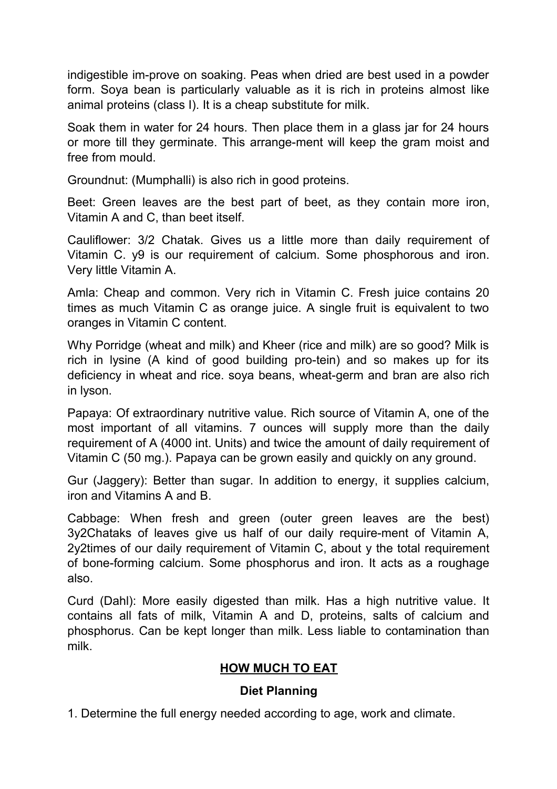indigestible im-prove on soaking. Peas when dried are best used in a powder form. Soya bean is particularly valuable as it is rich in proteins almost like animal proteins (class I). It is a cheap substitute for milk.

Soak them in water for 24 hours. Then place them in a glass jar for 24 hours or more till they germinate. This arrange-ment will keep the gram moist and free from mould.

Groundnut: (Mumphalli) is also rich in good proteins.

Beet: Green leaves are the best part of beet, as they contain more iron, Vitamin A and C, than beet itself.

Cauliflower: 3/2 Chatak. Gives us a little more than daily requirement of Vitamin C. y9 is our requirement of calcium. Some phosphorous and iron. Very little Vitamin A.

Amla: Cheap and common. Very rich in Vitamin C. Fresh juice contains 20 times as much Vitamin C as orange juice. A single fruit is equivalent to two oranges in Vitamin C content.

Why Porridge (wheat and milk) and Kheer (rice and milk) are so good? Milk is rich in lysine (A kind of good building pro-tein) and so makes up for its deficiency in wheat and rice. soya beans, wheat-germ and bran are also rich in lyson.

Papaya: Of extraordinary nutritive value. Rich source of Vitamin A, one of the most important of all vitamins. 7 ounces will supply more than the daily requirement of A (4000 int. Units) and twice the amount of daily requirement of Vitamin C (50 mg.). Papaya can be grown easily and quickly on any ground.

Gur (Jaggery): Better than sugar. In addition to energy, it supplies calcium, iron and Vitamins A and B.

Cabbage: When fresh and green (outer green leaves are the best) 3y2Chataks of leaves give us half of our daily require-ment of Vitamin A, 2y2times of our daily requirement of Vitamin C, about y the total requirement of bone-forming calcium. Some phosphorus and iron. It acts as a roughage also.

Curd (Dahl): More easily digested than milk. Has a high nutritive value. It contains all fats of milk, Vitamin A and D, proteins, salts of calcium and phosphorus. Can be kept longer than milk. Less liable to contamination than milk.

# **HOW MUCH TO EAT**

# **Diet Planning**

1. Determine the full energy needed according to age, work and climate.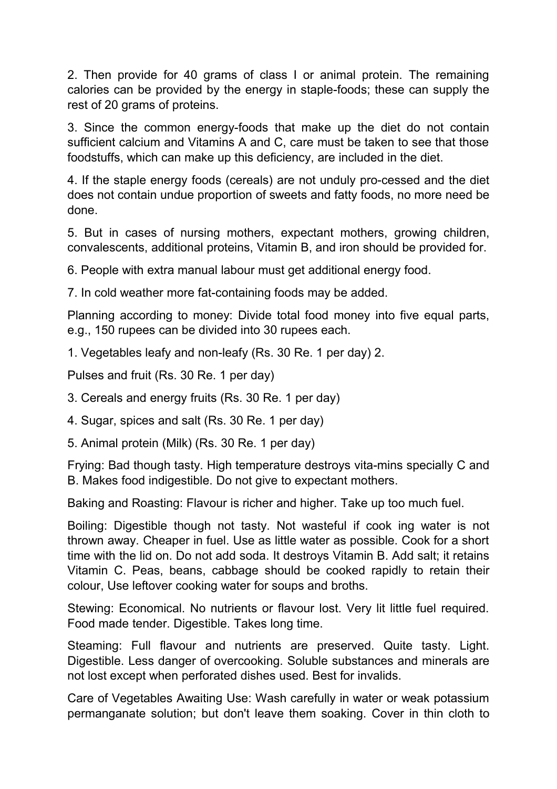2. Then provide for 40 grams of class I or animal protein. The remaining calories can be provided by the energy in staple-foods; these can supply the rest of 20 grams of proteins.

3. Since the common energy-foods that make up the diet do not contain sufficient calcium and Vitamins A and C, care must be taken to see that those foodstuffs, which can make up this deficiency, are included in the diet.

4. If the staple energy foods (cereals) are not unduly pro-cessed and the diet does not contain undue proportion of sweets and fatty foods, no more need be done.

5. But in cases of nursing mothers, expectant mothers, growing children, convalescents, additional proteins, Vitamin B, and iron should be provided for.

6. People with extra manual labour must get additional energy food.

7. In cold weather more fat-containing foods may be added.

Planning according to money: Divide total food money into five equal parts, e.g., 150 rupees can be divided into 30 rupees each.

1. Vegetables leafy and non-leafy (Rs. 30 Re. 1 per day) 2.

Pulses and fruit (Rs. 30 Re. 1 per day)

- 3. Cereals and energy fruits (Rs. 30 Re. 1 per day)
- 4. Sugar, spices and salt (Rs. 30 Re. 1 per day)
- 5. Animal protein (Milk) (Rs. 30 Re. 1 per day)

Frying: Bad though tasty. High temperature destroys vita-mins specially C and B. Makes food indigestible. Do not give to expectant mothers.

Baking and Roasting: Flavour is richer and higher. Take up too much fuel.

Boiling: Digestible though not tasty. Not wasteful if cook ing water is not thrown away. Cheaper in fuel. Use as little water as possible. Cook for a short time with the lid on. Do not add soda. It destroys Vitamin B. Add salt; it retains Vitamin C. Peas, beans, cabbage should be cooked rapidly to retain their colour, Use leftover cooking water for soups and broths.

Stewing: Economical. No nutrients or flavour lost. Very lit little fuel required. Food made tender. Digestible. Takes long time.

Steaming: Full flavour and nutrients are preserved. Quite tasty. Light. Digestible. Less danger of overcooking. Soluble substances and minerals are not lost except when perforated dishes used. Best for invalids.

Care of Vegetables Awaiting Use: Wash carefully in water or weak potassium permanganate solution; but don't leave them soaking. Cover in thin cloth to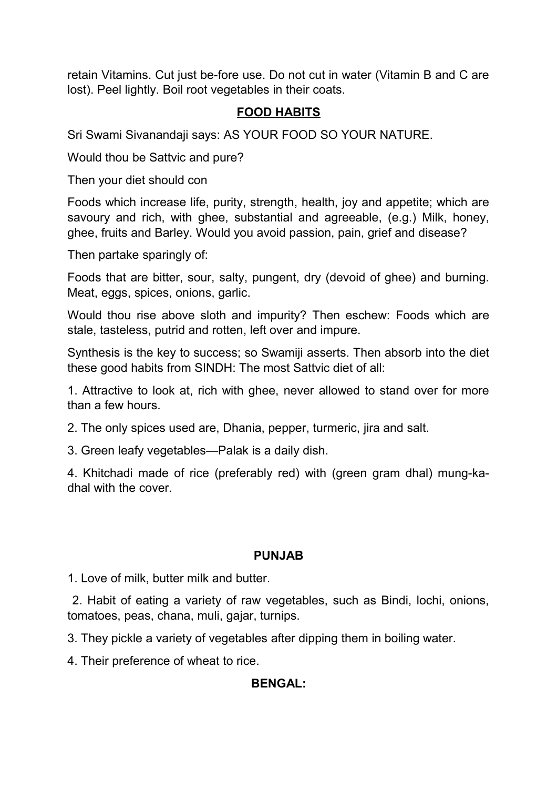retain Vitamins. Cut just be-fore use. Do not cut in water (Vitamin B and C are lost). Peel lightly. Boil root vegetables in their coats.

# **FOOD HABITS**

Sri Swami Sivanandaji says: AS YOUR FOOD SO YOUR NATURE.

Would thou be Sattvic and pure?

Then your diet should con

Foods which increase life, purity, strength, health, joy and appetite; which are savoury and rich, with ghee, substantial and agreeable, (e.g.) Milk, honey, ghee, fruits and Barley. Would you avoid passion, pain, grief and disease?

Then partake sparingly of:

Foods that are bitter, sour, salty, pungent, dry (devoid of ghee) and burning. Meat, eggs, spices, onions, garlic.

Would thou rise above sloth and impurity? Then eschew: Foods which are stale, tasteless, putrid and rotten, left over and impure.

Synthesis is the key to success; so Swamiji asserts. Then absorb into the diet these good habits from SINDH: The most Sattvic diet of all:

1. Attractive to look at, rich with ghee, never allowed to stand over for more than a few hours.

2. The only spices used are, Dhania, pepper, turmeric, jira and salt.

3. Green leafy vegetables—Palak is a daily dish.

4. Khitchadi made of rice (preferably red) with (green gram dhal) mung-kadhal with the cover.

#### **PUNJAB**

1. Love of milk, butter milk and butter.

 2. Habit of eating a variety of raw vegetables, such as Bindi, lochi, onions, tomatoes, peas, chana, muli, gajar, turnips.

3. They pickle a variety of vegetables after dipping them in boiling water.

4. Their preference of wheat to rice.

# **BENGAL:**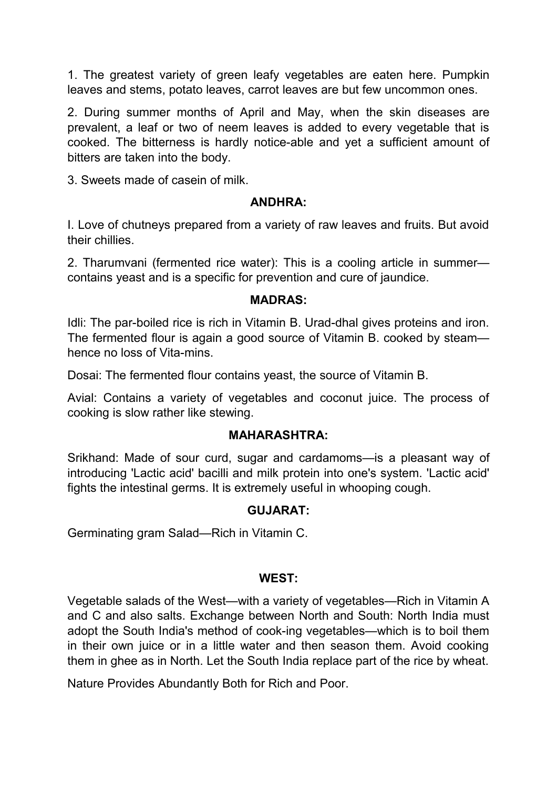1. The greatest variety of green leafy vegetables are eaten here. Pumpkin leaves and stems, potato leaves, carrot leaves are but few uncommon ones.

2. During summer months of April and May, when the skin diseases are prevalent, a leaf or two of neem leaves is added to every vegetable that is cooked. The bitterness is hardly notice-able and yet a sufficient amount of bitters are taken into the body.

3. Sweets made of casein of milk.

## **ANDHRA:**

I. Love of chutneys prepared from a variety of raw leaves and fruits. But avoid their chillies.

2. Tharumvani (fermented rice water): This is a cooling article in summer contains yeast and is a specific for prevention and cure of jaundice.

#### **MADRAS:**

Idli: The par-boiled rice is rich in Vitamin B. Urad-dhal gives proteins and iron. The fermented flour is again a good source of Vitamin B. cooked by steam hence no loss of Vita-mins.

Dosai: The fermented flour contains yeast, the source of Vitamin B.

Avial: Contains a variety of vegetables and coconut juice. The process of cooking is slow rather like stewing.

#### **MAHARASHTRA:**

Srikhand: Made of sour curd, sugar and cardamoms—is a pleasant way of introducing 'Lactic acid' bacilli and milk protein into one's system. 'Lactic acid' fights the intestinal germs. It is extremely useful in whooping cough.

#### **GUJARAT:**

Germinating gram Salad—Rich in Vitamin C.

#### **WEST:**

Vegetable salads of the West—with a variety of vegetables—Rich in Vitamin A and C and also salts. Exchange between North and South: North India must adopt the South India's method of cook-ing vegetables—which is to boil them in their own juice or in a little water and then season them. Avoid cooking them in ghee as in North. Let the South India replace part of the rice by wheat.

Nature Provides Abundantly Both for Rich and Poor.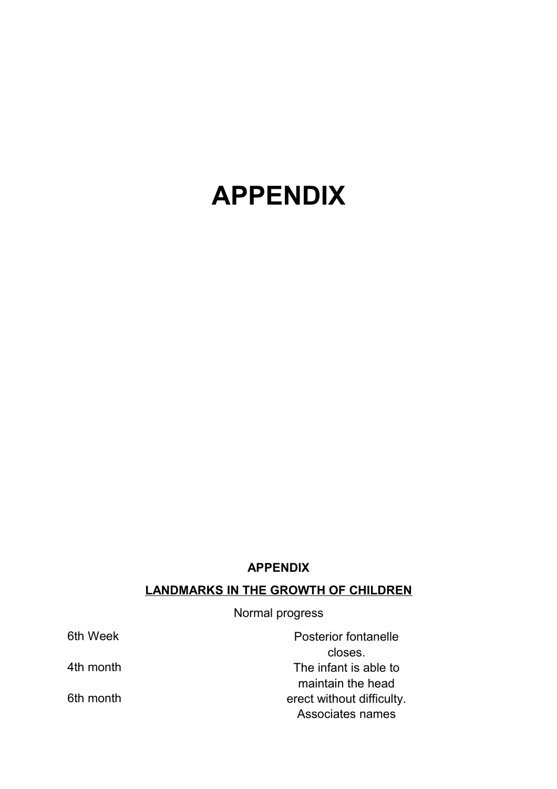# **APPENDIX**

#### **APPENDIX**

# **LANDMARKS IN THE GROWTH OF CHILDREN**

Normal progress

6th Week **Posterior** fontanelle closes. 4th month The infant is able to maintain the head 6th month erect without difficulty. Associates names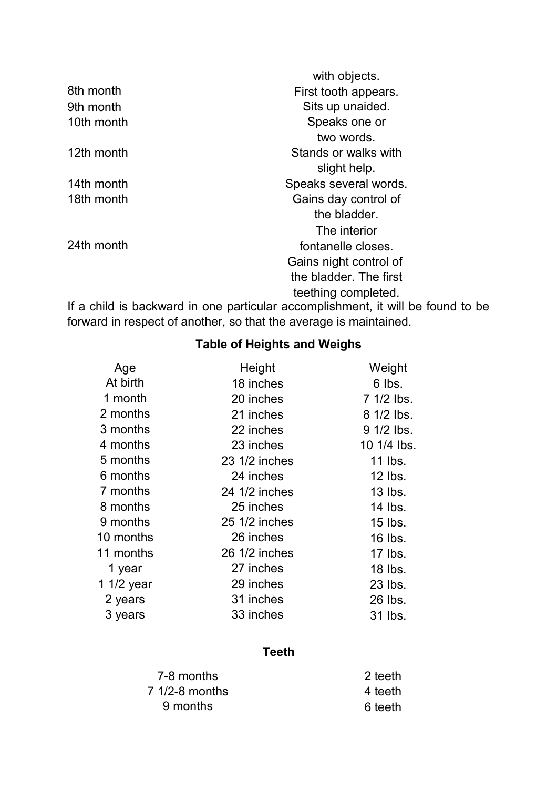|            | with objects.          |
|------------|------------------------|
| 8th month  | First tooth appears.   |
| 9th month  | Sits up unaided.       |
| 10th month | Speaks one or          |
|            | two words.             |
| 12th month | Stands or walks with   |
|            | slight help.           |
| 14th month | Speaks several words.  |
| 18th month | Gains day control of   |
|            | the bladder.           |
|            | The interior           |
| 24th month | fontanelle closes.     |
|            | Gains night control of |
|            | the bladder. The first |
|            | teething completed.    |
|            |                        |

If a child is backward in one particular accomplishment, it will be found to be forward in respect of another, so that the average is maintained.

# **Table of Heights and Weighs**

| Age          | Height        | Weight      |
|--------------|---------------|-------------|
| At birth     | 18 inches     | 6 lbs.      |
| 1 month      | 20 inches     | 7 1/2 lbs.  |
| 2 months     | 21 inches     | 8 1/2 lbs.  |
| 3 months     | 22 inches     | 9 1/2 lbs.  |
| 4 months     | 23 inches     | 10 1/4 lbs. |
| 5 months     | 23 1/2 inches | 11 lbs.     |
| 6 months     | 24 inches     | 12 lbs.     |
| 7 months     | 24 1/2 inches | 13 lbs.     |
| 8 months     | 25 inches     | 14 lbs.     |
| 9 months     | 25 1/2 inches | 15 lbs.     |
| 10 months    | 26 inches     | 16 lbs.     |
| 11 months    | 26 1/2 inches | $17$ lbs.   |
| 1 year       | 27 inches     | 18 lbs.     |
| 1 $1/2$ year | 29 inches     | 23 lbs.     |
| 2 years      | 31 inches     | 26 lbs.     |
| 3 years      | 33 inches     | 31 lbs.     |

## **Teeth**

| 7-8 months      | 2 teeth |
|-----------------|---------|
| $71/2-8$ months | 4 teeth |
| 9 months        | 6 teeth |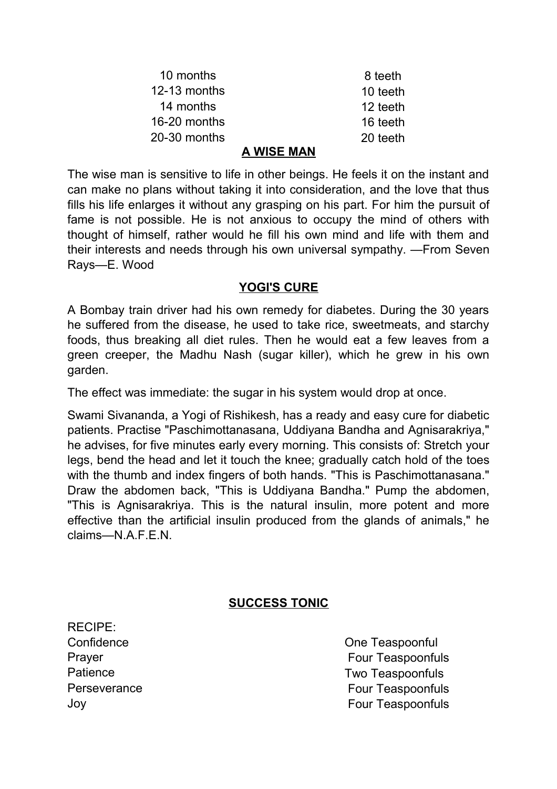| 10 months    | 8 teeth  |
|--------------|----------|
| 12-13 months | 10 teeth |
| 14 months    | 12 teeth |
| 16-20 months | 16 teeth |
| 20-30 months | 20 teeth |

## **A WISE MAN**

The wise man is sensitive to life in other beings. He feels it on the instant and can make no plans without taking it into consideration, and the love that thus fills his life enlarges it without any grasping on his part. For him the pursuit of fame is not possible. He is not anxious to occupy the mind of others with thought of himself, rather would he fill his own mind and life with them and their interests and needs through his own universal sympathy. —From Seven Rays—E. Wood

## **YOGI'S CURE**

A Bombay train driver had his own remedy for diabetes. During the 30 years he suffered from the disease, he used to take rice, sweetmeats, and starchy foods, thus breaking all diet rules. Then he would eat a few leaves from a green creeper, the Madhu Nash (sugar killer), which he grew in his own garden.

The effect was immediate: the sugar in his system would drop at once.

Swami Sivananda, a Yogi of Rishikesh, has a ready and easy cure for diabetic patients. Practise "Paschimottanasana, Uddiyana Bandha and Agnisarakriya," he advises, for five minutes early every morning. This consists of: Stretch your legs, bend the head and let it touch the knee; gradually catch hold of the toes with the thumb and index fingers of both hands. "This is Paschimottanasana." Draw the abdomen back, "This is Uddiyana Bandha." Pump the abdomen, "This is Agnisarakriya. This is the natural insulin, more potent and more effective than the artificial insulin produced from the glands of animals," he claims—N.A.F.E.N.

# **SUCCESS TONIC**

RECIPE:

Confidence **Confidence Confidence Confidence Confidence Confidence Confidence Confidence Confidence Confidence Confidence Confidence Confidence Confidence Confidence Confidence Confidence Co** Prayer Four Teaspoonfuls Patience Two Teaspoonfuls Perseverance **Four Teaspoonfuls** Joy Four Teaspoonfuls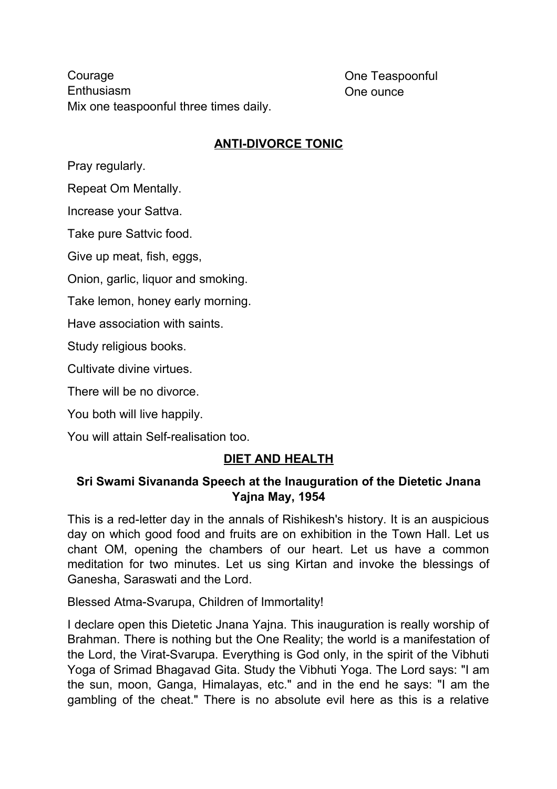Courage Courage Courage Courage Courage Courage Courage Courage Courage Courage Courage Courage Courage Courage Courage Courage Courage Courage Courage Courage Courage Courage Courage Courage Courage Courage Courage Courag Enthusiasm One ounce Mix one teaspoonful three times daily.

# **ANTI-DIVORCE TONIC**

Pray regularly.

Repeat Om Mentally.

Increase your Sattva.

Take pure Sattvic food.

Give up meat, fish, eggs,

Onion, garlic, liquor and smoking.

Take lemon, honey early morning.

Have association with saints.

Study religious books.

Cultivate divine virtues.

There will be no divorce.

You both will live happily.

You will attain Self-realisation too.

# **DIET AND HEALTH**

# **Sri Swami Sivananda Speech at the Inauguration of the Dietetic Jnana Yajna May, 1954**

This is a red-letter day in the annals of Rishikesh's history. It is an auspicious day on which good food and fruits are on exhibition in the Town Hall. Let us chant OM, opening the chambers of our heart. Let us have a common meditation for two minutes. Let us sing Kirtan and invoke the blessings of Ganesha, Saraswati and the Lord.

Blessed Atma-Svarupa, Children of Immortality!

I declare open this Dietetic Jnana Yajna. This inauguration is really worship of Brahman. There is nothing but the One Reality; the world is a manifestation of the Lord, the Virat-Svarupa. Everything is God only, in the spirit of the Vibhuti Yoga of Srimad Bhagavad Gita. Study the Vibhuti Yoga. The Lord says: "I am the sun, moon, Ganga, Himalayas, etc." and in the end he says: "I am the gambling of the cheat." There is no absolute evil here as this is a relative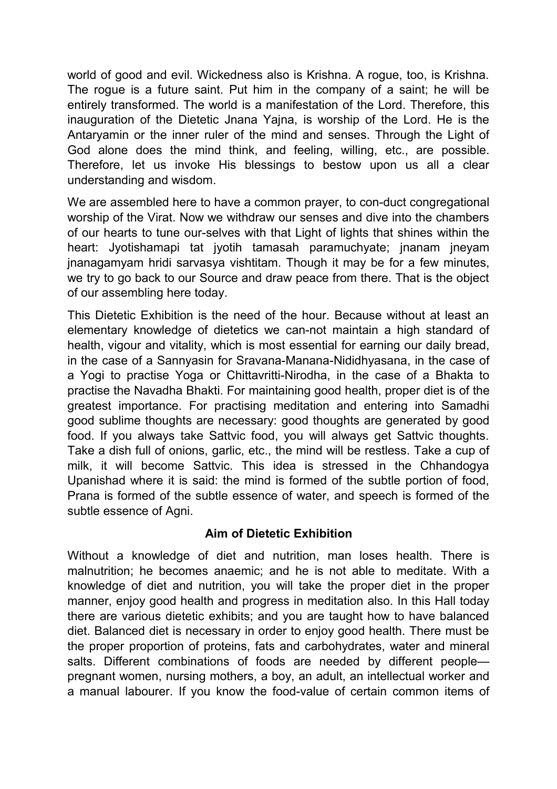world of good and evil. Wickedness also is Krishna. A rogue, too, is Krishna. The rogue is a future saint. Put him in the company of a saint; he will be entirely transformed. The world is a manifestation of the Lord. Therefore, this inauguration of the Dietetic Jnana Yajna, is worship of the Lord. He is the Antaryamin or the inner ruler of the mind and senses. Through the Light of God alone does the mind think, and feeling, willing, etc., are possible. Therefore, let us invoke His blessings to bestow upon us all a clear understanding and wisdom.

We are assembled here to have a common prayer, to con-duct congregational worship of the Virat. Now we withdraw our senses and dive into the chambers of our hearts to tune our-selves with that Light of lights that shines within the heart: Jyotishamapi tat jyotih tamasah paramuchyate; jnanam jneyam jnanagamyam hridi sarvasya vishtitam. Though it may be for a few minutes, we try to go back to our Source and draw peace from there. That is the object of our assembling here today.

This Dietetic Exhibition is the need of the hour. Because without at least an elementary knowledge of dietetics we can-not maintain a high standard of health, vigour and vitality, which is most essential for earning our daily bread, in the case of a Sannyasin for Sravana-Manana-Nididhyasana, in the case of a Yogi to practise Yoga or Chittavritti-Nirodha, in the case of a Bhakta to practise the Navadha Bhakti. For maintaining good health, proper diet is of the greatest importance. For practising meditation and entering into Samadhi good sublime thoughts are necessary: good thoughts are generated by good food. If you always take Sattvic food, you will always get Sattvic thoughts. Take a dish full of onions, garlic, etc., the mind will be restless. Take a cup of milk, it will become Sattvic. This idea is stressed in the Chhandogya Upanishad where it is said: the mind is formed of the subtle portion of food, Prana is formed of the subtle essence of water, and speech is formed of the subtle essence of Agni.

# **Aim of Dietetic Exhibition**

Without a knowledge of diet and nutrition, man loses health. There is malnutrition; he becomes anaemic; and he is not able to meditate. With a knowledge of diet and nutrition, you will take the proper diet in the proper manner, enjoy good health and progress in meditation also. In this Hall today there are various dietetic exhibits; and you are taught how to have balanced diet. Balanced diet is necessary in order to enjoy good health. There must be the proper proportion of proteins, fats and carbohydrates, water and mineral salts. Different combinations of foods are needed by different people pregnant women, nursing mothers, a boy, an adult, an intellectual worker and a manual labourer. If you know the food-value of certain common items of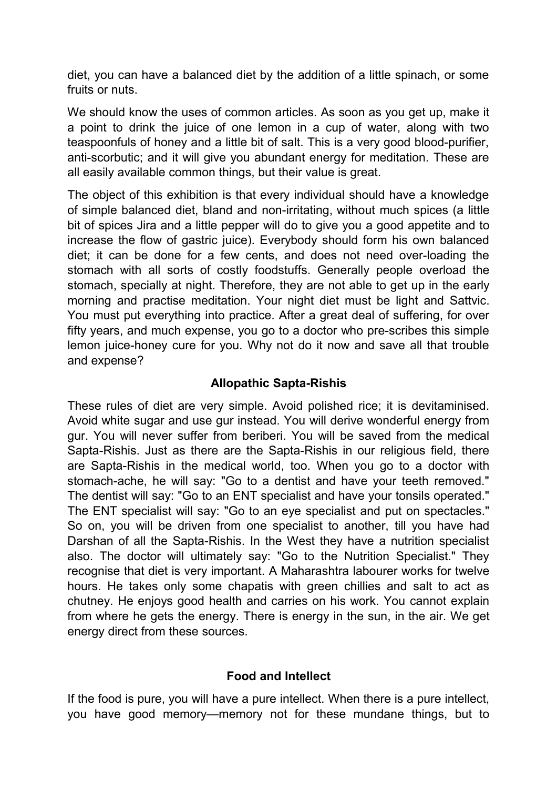diet, you can have a balanced diet by the addition of a little spinach, or some fruits or nuts.

We should know the uses of common articles. As soon as you get up, make it a point to drink the juice of one lemon in a cup of water, along with two teaspoonfuls of honey and a little bit of salt. This is a very good blood-purifier, anti-scorbutic; and it will give you abundant energy for meditation. These are all easily available common things, but their value is great.

The object of this exhibition is that every individual should have a knowledge of simple balanced diet, bland and non-irritating, without much spices (a little bit of spices Jira and a little pepper will do to give you a good appetite and to increase the flow of gastric juice). Everybody should form his own balanced diet; it can be done for a few cents, and does not need over-loading the stomach with all sorts of costly foodstuffs. Generally people overload the stomach, specially at night. Therefore, they are not able to get up in the early morning and practise meditation. Your night diet must be light and Sattvic. You must put everything into practice. After a great deal of suffering, for over fifty years, and much expense, you go to a doctor who pre-scribes this simple lemon juice-honey cure for you. Why not do it now and save all that trouble and expense?

# **Allopathic Sapta-Rishis**

These rules of diet are very simple. Avoid polished rice; it is devitaminised. Avoid white sugar and use gur instead. You will derive wonderful energy from gur. You will never suffer from beriberi. You will be saved from the medical Sapta-Rishis. Just as there are the Sapta-Rishis in our religious field, there are Sapta-Rishis in the medical world, too. When you go to a doctor with stomach-ache, he will say: "Go to a dentist and have your teeth removed." The dentist will say: "Go to an ENT specialist and have your tonsils operated." The ENT specialist will say: "Go to an eye specialist and put on spectacles." So on, you will be driven from one specialist to another, till you have had Darshan of all the Sapta-Rishis. In the West they have a nutrition specialist also. The doctor will ultimately say: "Go to the Nutrition Specialist." They recognise that diet is very important. A Maharashtra labourer works for twelve hours. He takes only some chapatis with green chillies and salt to act as chutney. He enjoys good health and carries on his work. You cannot explain from where he gets the energy. There is energy in the sun, in the air. We get energy direct from these sources.

# **Food and Intellect**

If the food is pure, you will have a pure intellect. When there is a pure intellect, you have good memory—memory not for these mundane things, but to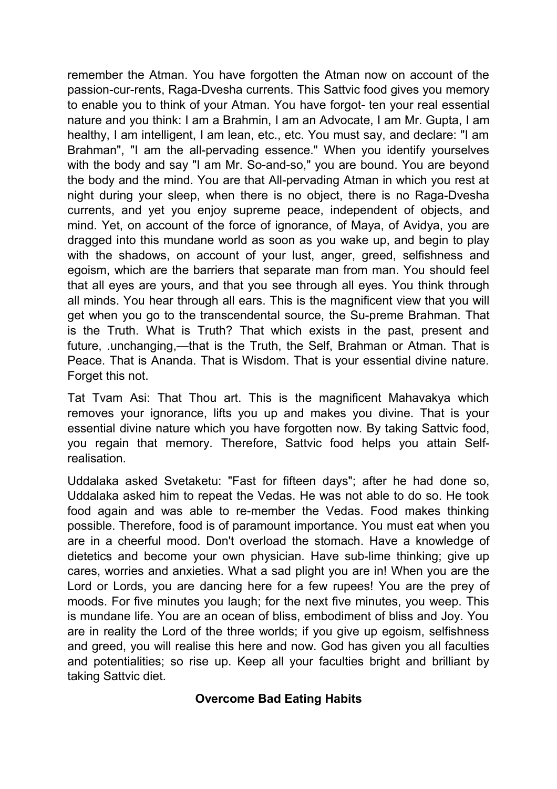remember the Atman. You have forgotten the Atman now on account of the passion-cur-rents, Raga-Dvesha currents. This Sattvic food gives you memory to enable you to think of your Atman. You have forgot- ten your real essential nature and you think: I am a Brahmin, I am an Advocate, I am Mr. Gupta, I am healthy, I am intelligent, I am lean, etc., etc. You must say, and declare: "I am Brahman", "I am the all-pervading essence." When you identify yourselves with the body and say "I am Mr. So-and-so," you are bound. You are beyond the body and the mind. You are that All-pervading Atman in which you rest at night during your sleep, when there is no object, there is no Raga-Dvesha currents, and yet you enjoy supreme peace, independent of objects, and mind. Yet, on account of the force of ignorance, of Maya, of Avidya, you are dragged into this mundane world as soon as you wake up, and begin to play with the shadows, on account of your lust, anger, greed, selfishness and egoism, which are the barriers that separate man from man. You should feel that all eyes are yours, and that you see through all eyes. You think through all minds. You hear through all ears. This is the magnificent view that you will get when you go to the transcendental source, the Su-preme Brahman. That is the Truth. What is Truth? That which exists in the past, present and future, .unchanging,—that is the Truth, the Self, Brahman or Atman. That is Peace. That is Ananda. That is Wisdom. That is your essential divine nature. Forget this not.

Tat Tvam Asi: That Thou art. This is the magnificent Mahavakya which removes your ignorance, lifts you up and makes you divine. That is your essential divine nature which you have forgotten now. By taking Sattvic food, you regain that memory. Therefore, Sattvic food helps you attain Selfrealisation.

Uddalaka asked Svetaketu: "Fast for fifteen days"; after he had done so, Uddalaka asked him to repeat the Vedas. He was not able to do so. He took food again and was able to re-member the Vedas. Food makes thinking possible. Therefore, food is of paramount importance. You must eat when you are in a cheerful mood. Don't overload the stomach. Have a knowledge of dietetics and become your own physician. Have sub-lime thinking; give up cares, worries and anxieties. What a sad plight you are in! When you are the Lord or Lords, you are dancing here for a few rupees! You are the prey of moods. For five minutes you laugh; for the next five minutes, you weep. This is mundane life. You are an ocean of bliss, embodiment of bliss and Joy. You are in reality the Lord of the three worlds; if you give up egoism, selfishness and greed, you will realise this here and now. God has given you all faculties and potentialities; so rise up. Keep all your faculties bright and brilliant by taking Sattvic diet.

#### **Overcome Bad Eating Habits**